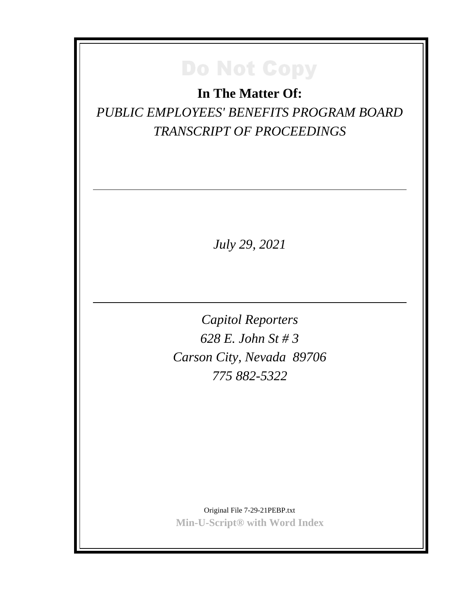**In The Matter Of:** *PUBLIC EMPLOYEES' BENEFITS PROGRAM BOARD TRANSCRIPT OF PROCEEDINGS*

*July 29, 2021*

*Capitol Reporters 628 E. John St # 3 Carson City, Nevada 89706 775 882-5322*

Original File 7-29-21PEBP.txt **Min-U-Script® with Word Index**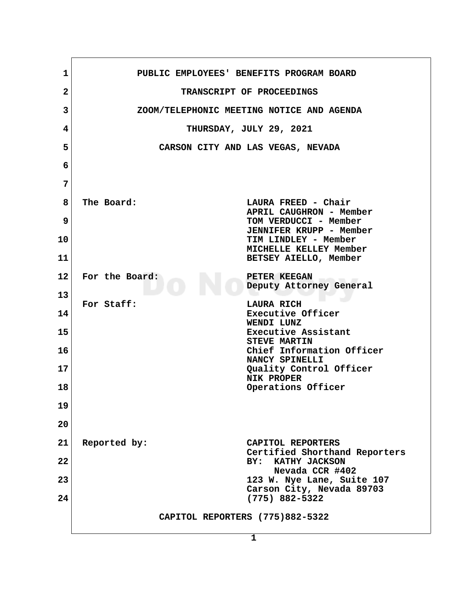| 1               | PUBLIC EMPLOYEES' BENEFITS PROGRAM BOARD                     |
|-----------------|--------------------------------------------------------------|
| $\overline{2}$  | TRANSCRIPT OF PROCEEDINGS                                    |
| 3               | ZOOM/TELEPHONIC MEETING NOTICE AND AGENDA                    |
| 4               | THURSDAY, JULY 29, 2021                                      |
| 5               | CARSON CITY AND LAS VEGAS, NEVADA                            |
| 6               |                                                              |
| 7               |                                                              |
| 8               | The Board:<br>LAURA FREED - Chair                            |
| 9               | APRIL CAUGHRON - Member<br>TOM VERDUCCI - Member             |
| 10              | <b>JENNIFER KRUPP - Member</b><br>TIM LINDLEY - Member       |
| 11              | MICHELLE KELLEY Member<br>BETSEY AIELLO, Member              |
| 12 <sub>2</sub> | For the Board:<br>PETER KEEGAN                               |
| 13              | Deputy Attorney General                                      |
| 14              | For Staff:<br>LAURA RICH<br>Executive Officer                |
| 15              | WENDI LUNZ<br>Executive Assistant                            |
| 16              | <b>STEVE MARTIN</b><br>Chief Information Officer             |
| 17              | NANCY SPINELLI<br>Quality Control Officer                    |
| 18              | NIK PROPER<br>Operations Officer                             |
| 19              |                                                              |
| 20              |                                                              |
| 21              | Reported by:<br>CAPITOL REPORTERS                            |
| 22              | Certified Shorthand Reporters<br>BY:<br><b>KATHY JACKSON</b> |
| 23              | Nevada CCR #402<br>123 W. Nye Lane, Suite 107                |
| 24              | Carson City, Nevada 89703<br>$(775)$ 882-5322                |
|                 | CAPITOL REPORTERS (775)882-5322                              |
|                 | 1                                                            |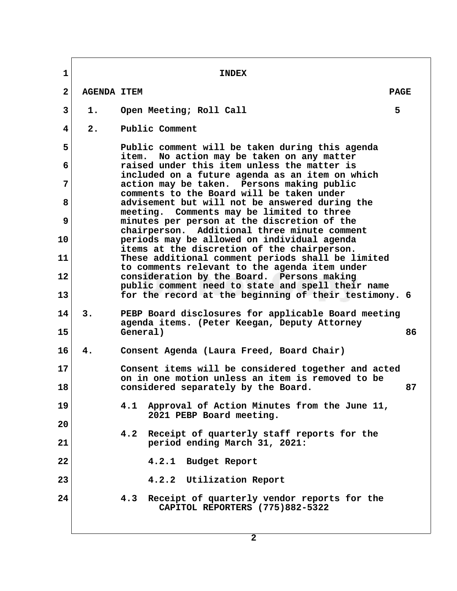**1** INDEX  **2 AGENDA ITEM PAGE 1.** Open Meeting; Roll Call 5  **4 2. Public Comment 5 Public comment will be taken during this agenda item. No action may be taken on any matter 6 raised under this item unless the matter is included on a future agenda as an item on which 7 action may be taken. Persons making public comments to the Board will be taken under 8 advisement but will not be answered during the meeting. Comments may be limited to three 9 minutes per person at the discretion of the chairperson. Additional three minute comment 10 periods may be allowed on individual agenda items at the discretion of the chairperson. 11 These additional comment periods shall be limited to comments relevant to the agenda item under 12 consideration by the Board. Persons making public comment need to state and spell their name 13 for the record at the beginning of their testimony. 6 14 3. PEBP Board disclosures for applicable Board meeting agenda items. (Peter Keegan, Deputy Attorney 15 General) 86 16 4. Consent Agenda (Laura Freed, Board Chair) 17 Consent items will be considered together and acted on in one motion unless an item is removed to be 18 considered separately by the Board. 87 19 4.1 Approval of Action Minutes from the June 11, 2021 PEBP Board meeting. 20 4.2 Receipt of quarterly staff reports for the 21 period ending March 31, 2021: 22 4.2.1 Budget Report 23 4.2.2 Utilization Report 24 4.3 Receipt of quarterly vendor reports for the CAPITOL REPORTERS (775)882-5322**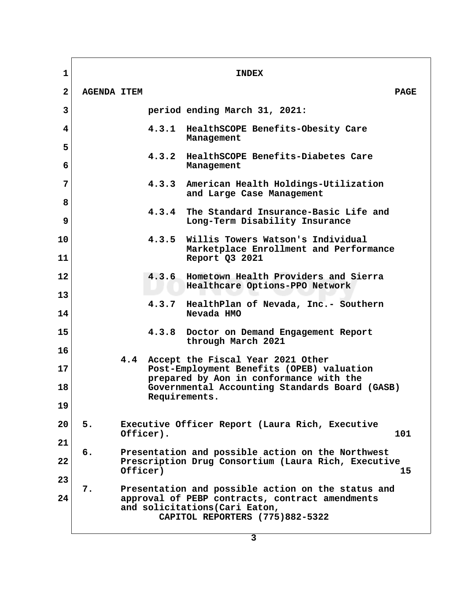| $\mathbf 1$       |                    |           |               | <b>INDEX</b>                                                                                                                                                               |             |
|-------------------|--------------------|-----------|---------------|----------------------------------------------------------------------------------------------------------------------------------------------------------------------------|-------------|
| $\mathbf{2}$      | <b>AGENDA ITEM</b> |           |               |                                                                                                                                                                            | <b>PAGE</b> |
| 3                 |                    |           |               | period ending March 31, 2021:                                                                                                                                              |             |
| 4                 |                    |           | 4.3.1         | HealthSCOPE Benefits-Obesity Care<br>Management                                                                                                                            |             |
| 5<br>6            |                    |           | 4.3.2         | HealthSCOPE Benefits-Diabetes Care<br>Management                                                                                                                           |             |
| 7                 |                    |           | 4.3.3         | American Health Holdings-Utilization<br>and Large Case Management                                                                                                          |             |
| 8<br>$\mathbf{9}$ |                    |           | 4.3.4         | The Standard Insurance-Basic Life and<br>Long-Term Disability Insurance                                                                                                    |             |
| 10                |                    |           | 4.3.5         | Willis Towers Watson's Individual<br>Marketplace Enrollment and Performance                                                                                                |             |
| 11                |                    |           |               | Report Q3 2021                                                                                                                                                             |             |
| 12                |                    |           | 4.3.6         | Hometown Health Providers and Sierra<br>Healthcare Options-PPO Network                                                                                                     |             |
| 13<br>14          |                    |           | 4.3.7         | HealthPlan of Nevada, Inc.- Southern<br>Nevada HMO                                                                                                                         |             |
| 15                |                    |           | 4.3.8         | Doctor on Demand Engagement Report<br>through March 2021                                                                                                                   |             |
| 16<br>17          |                    | 4.4       |               | Accept the Fiscal Year 2021 Other<br>Post-Employment Benefits (OPEB) valuation                                                                                             |             |
| 18                |                    |           |               | prepared by Aon in conformance with the<br>Governmental Accounting Standards Board (GASB)                                                                                  |             |
| 19                |                    |           | Requirements. |                                                                                                                                                                            |             |
| 20                | 5.                 | Officer). |               | Executive Officer Report (Laura Rich, Executive                                                                                                                            | 101         |
| 21                | 6.                 |           |               | Presentation and possible action on the Northwest                                                                                                                          |             |
| 22                |                    | Officer)  |               | Prescription Drug Consortium (Laura Rich, Executive                                                                                                                        | 15          |
| 23<br>24          | 7.                 |           |               | Presentation and possible action on the status and<br>approval of PEBP contracts, contract amendments<br>and solicitations (Cari Eaton,<br>CAPITOL REPORTERS (775)882-5322 |             |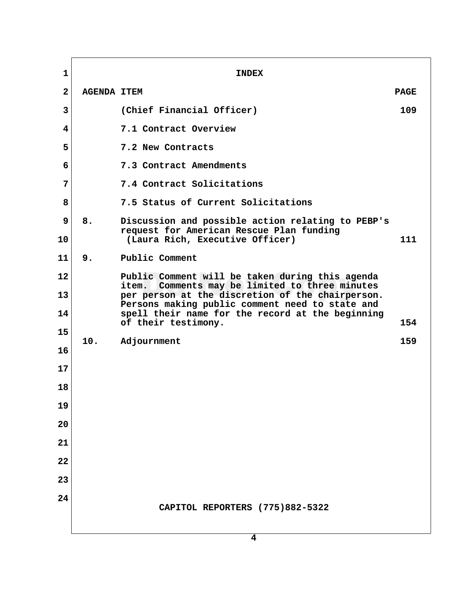**1** INDEX  **2 AGENDA ITEM PAGE 3 (Chief Financial Officer) 109 4 7.1 Contract Overview 5 7.2 New Contracts 6 7.3 Contract Amendments 7 7.4 Contract Solicitations 8 7.5 Status of Current Solicitations 9 8. Discussion and possible action relating to PEBP's request for American Rescue Plan funding 10 (Laura Rich, Executive Officer) 111 11 9. Public Comment 12 Public Comment will be taken during this agenda item. Comments may be limited to three minutes 13 per person at the discretion of the chairperson. Persons making public comment need to state and 14 spell their name for the record at the beginning of their testimony. 154**  $\begin{array}{c|c} 15 & 10. \end{array}$ **Adjournment** 159 **16 17 18 19 20 21 22 23 24 CAPITOL REPORTERS (775)882-5322**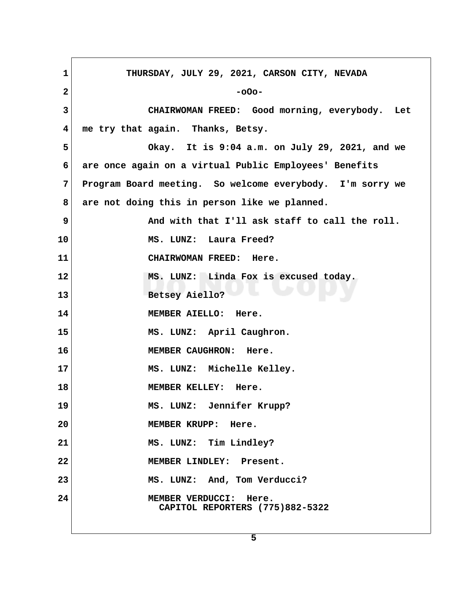| $\mathbf 1$  | THURSDAY, JULY 29, 2021, CARSON CITY, NEVADA                        |
|--------------|---------------------------------------------------------------------|
| $\mathbf{2}$ | $-000-$                                                             |
| $\mathbf{3}$ | CHAIRWOMAN FREED: Good morning, everybody. Let                      |
| 4            | me try that again. Thanks, Betsy.                                   |
| 5            | Okay. It is 9:04 a.m. on July 29, 2021, and we                      |
| 6            | are once again on a virtual Public Employees' Benefits              |
| 7            | Program Board meeting. So welcome everybody. I'm sorry we           |
| 8            | are not doing this in person like we planned.                       |
| 9            | And with that I'll ask staff to call the roll.                      |
| 10           | MS. LUNZ: Laura Freed?                                              |
| 11           | CHAIRWOMAN FREED: Here.                                             |
| 12           | MS. LUNZ: Linda Fox is excused today.                               |
| 13           | Betsey Aiello?                                                      |
| 14           | MEMBER AIELLO: Here.                                                |
| 15           | MS. LUNZ: April Caughron.                                           |
| 16           | MEMBER CAUGHRON: Here.                                              |
| 17           | MS. LUNZ: Michelle Kelley.                                          |
| 18           | MEMBER KELLEY: Here.                                                |
| 19           | MS. LUNZ: Jennifer Krupp?                                           |
| 20           | MEMBER KRUPP: Here.                                                 |
| 21           | MS. LUNZ: Tim Lindley?                                              |
| 22           | MEMBER LINDLEY: Present.                                            |
| 23           | MS. LUNZ: And, Tom Verducci?                                        |
| 24           | <b>MEMBER VERDUCCI:</b><br>Here.<br>CAPITOL REPORTERS (775)882-5322 |
|              |                                                                     |

 $\Gamma$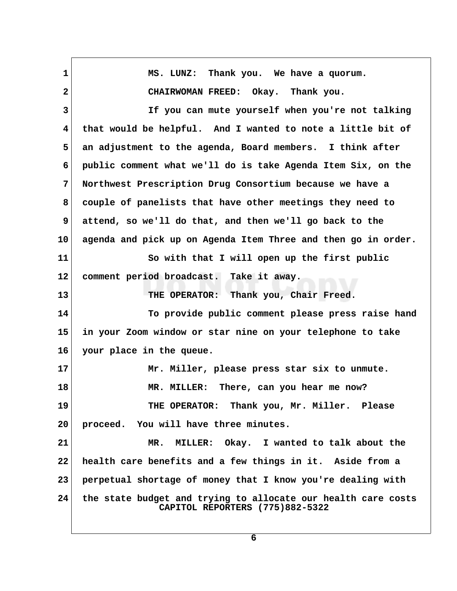| $\mathbf{1}$            | MS. LUNZ: Thank you. We have a quorum.                                                           |  |
|-------------------------|--------------------------------------------------------------------------------------------------|--|
| $\mathbf{2}$            | CHAIRWOMAN FREED: Okay. Thank you.                                                               |  |
| $\mathbf{3}$            | If you can mute yourself when you're not talking                                                 |  |
| $\overline{\mathbf{4}}$ | that would be helpful. And I wanted to note a little bit of                                      |  |
| 5                       | an adjustment to the agenda, Board members. I think after                                        |  |
| 6                       | public comment what we'll do is take Agenda Item Six, on the                                     |  |
| 7                       | Northwest Prescription Drug Consortium because we have a                                         |  |
| 8                       | couple of panelists that have other meetings they need to                                        |  |
| 9                       | attend, so we'll do that, and then we'll go back to the                                          |  |
| 10                      | agenda and pick up on Agenda Item Three and then go in order.                                    |  |
| 11                      | So with that I will open up the first public                                                     |  |
| $12 \,$                 | comment period broadcast. Take it away.                                                          |  |
| 13                      | THE OPERATOR: Thank you, Chair Freed.                                                            |  |
| 14                      | To provide public comment please press raise hand                                                |  |
| 15                      | in your Zoom window or star nine on your telephone to take                                       |  |
| 16                      | your place in the queue.                                                                         |  |
| 17                      | Mr. Miller, please press star six to unmute.                                                     |  |
| 18                      | MR. MILLER: There, can you hear me now?                                                          |  |
| 19                      | THE OPERATOR: Thank you, Mr. Miller. Please                                                      |  |
| 20                      | proceed. You will have three minutes.                                                            |  |
| 21                      | MILLER: Okay. I wanted to talk about the<br>MR.                                                  |  |
| 22                      | health care benefits and a few things in it. Aside from a                                        |  |
| 23                      | perpetual shortage of money that I know you're dealing with                                      |  |
| 24                      | the state budget and trying to allocate our health care costs<br>CAPITOL REPORTERS (775)882-5322 |  |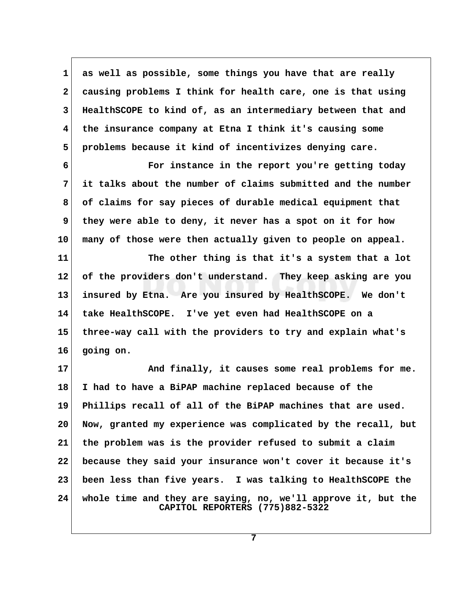**1 as well as possible, some things you have that are really 2 causing problems I think for health care, one is that using 3 HealthSCOPE to kind of, as an intermediary between that and 4 the insurance company at Etna I think it's causing some 5 problems because it kind of incentivizes denying care.**

 **6 For instance in the report you're getting today 7 it talks about the number of claims submitted and the number 8 of claims for say pieces of durable medical equipment that 9 they were able to deny, it never has a spot on it for how 10 many of those were then actually given to people on appeal.**

**11 The other thing is that it's a system that a lot 12 of the providers don't understand. They keep asking are you 13 insured by Etna. Are you insured by HealthSCOPE. We don't 14 take HealthSCOPE. I've yet even had HealthSCOPE on a 15 three-way call with the providers to try and explain what's 16 going on.**

17 And finally, it causes some real problems for me. **18 I had to have a BiPAP machine replaced because of the 19 Phillips recall of all of the BiPAP machines that are used. 20 Now, granted my experience was complicated by the recall, but 21 the problem was is the provider refused to submit a claim 22 because they said your insurance won't cover it because it's 23 been less than five years. I was talking to HealthSCOPE the 24 whole time and they are saying, no, we'll approve it, but the CAPITOL REPORTERS (775)882-5322**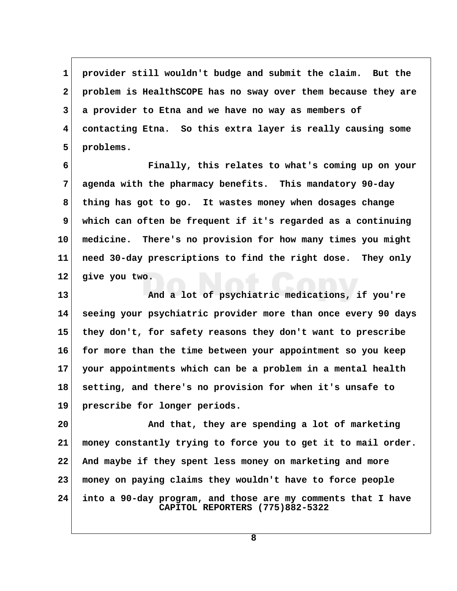**1 provider still wouldn't budge and submit the claim. But the 2 problem is HealthSCOPE has no sway over them because they are 3 a provider to Etna and we have no way as members of 4 contacting Etna. So this extra layer is really causing some 5 problems.**

 **6 Finally, this relates to what's coming up on your 7 agenda with the pharmacy benefits. This mandatory 90-day 8 thing has got to go. It wastes money when dosages change 9 which can often be frequent if it's regarded as a continuing 10 medicine. There's no provision for how many times you might 11 need 30-day prescriptions to find the right dose. They only 12 give you two.**

**13 And a lot of psychiatric medications, if you're 14 seeing your psychiatric provider more than once every 90 days 15 they don't, for safety reasons they don't want to prescribe 16 for more than the time between your appointment so you keep 17 your appointments which can be a problem in a mental health 18 setting, and there's no provision for when it's unsafe to 19 prescribe for longer periods.**

**20 And that, they are spending a lot of marketing 21 money constantly trying to force you to get it to mail order. 22 And maybe if they spent less money on marketing and more 23 money on paying claims they wouldn't have to force people 24 into a 90-day program, and those are my comments that I have CAPITOL REPORTERS (775)882-5322**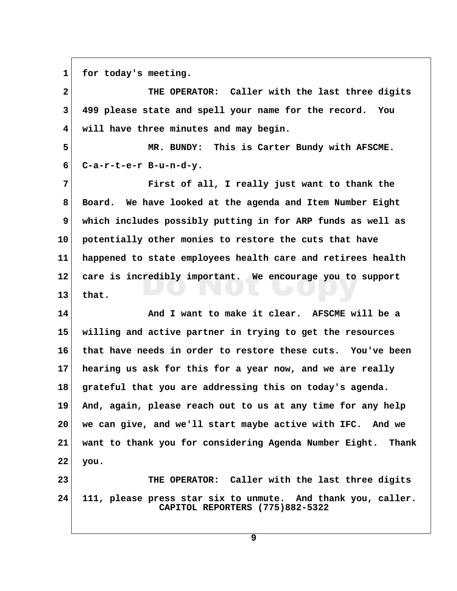1 for today's meeting.

 **2 THE OPERATOR: Caller with the last three digits 3 499 please state and spell your name for the record. You 4 will have three minutes and may begin.**

 **5 MR. BUNDY: This is Carter Bundy with AFSCME. 6 C-a-r-t-e-r B-u-n-d-y.**

 **7 First of all, I really just want to thank the 8 Board. We have looked at the agenda and Item Number Eight 9 which includes possibly putting in for ARP funds as well as 10 potentially other monies to restore the cuts that have 11 happened to state employees health care and retirees health 12 care is incredibly important. We encourage you to support 13 that.**

**14 And I want to make it clear. AFSCME will be a 15 willing and active partner in trying to get the resources 16 that have needs in order to restore these cuts. You've been 17 hearing us ask for this for a year now, and we are really 18 grateful that you are addressing this on today's agenda. 19 And, again, please reach out to us at any time for any help 20 we can give, and we'll start maybe active with IFC. And we 21 want to thank you for considering Agenda Number Eight. Thank 22 you.**

**23 THE OPERATOR: Caller with the last three digits 24 111, please press star six to unmute. And thank you, caller. CAPITOL REPORTERS (775)882-5322**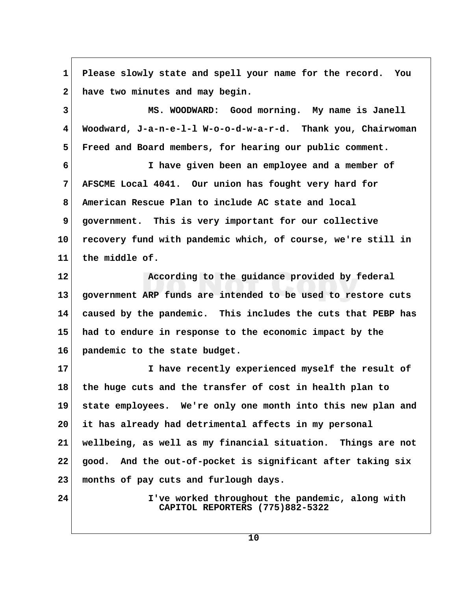**1 Please slowly state and spell your name for the record. You 2 have two minutes and may begin. 3 MS. WOODWARD: Good morning. My name is Janell 4 Woodward, J-a-n-e-l-l W-o-o-d-w-a-r-d. Thank you, Chairwoman 5 Freed and Board members, for hearing our public comment. 6 I have given been an employee and a member of 7 AFSCME Local 4041. Our union has fought very hard for 8 American Rescue Plan to include AC state and local 9 government. This is very important for our collective 10 recovery fund with pandemic which, of course, we're still in 11 the middle of. 12 According to the guidance provided by federal 13 government ARP funds are intended to be used to restore cuts 14 caused by the pandemic. This includes the cuts that PEBP has 15 had to endure in response to the economic impact by the 16 pandemic to the state budget. 17 I have recently experienced myself the result of 18 the huge cuts and the transfer of cost in health plan to 19 state employees. We're only one month into this new plan and 20 it has already had detrimental affects in my personal 21 wellbeing, as well as my financial situation. Things are not 22 good. And the out-of-pocket is significant after taking six 23 months of pay cuts and furlough days. 24 I've worked throughout the pandemic, along with CAPITOL REPORTERS (775)882-5322**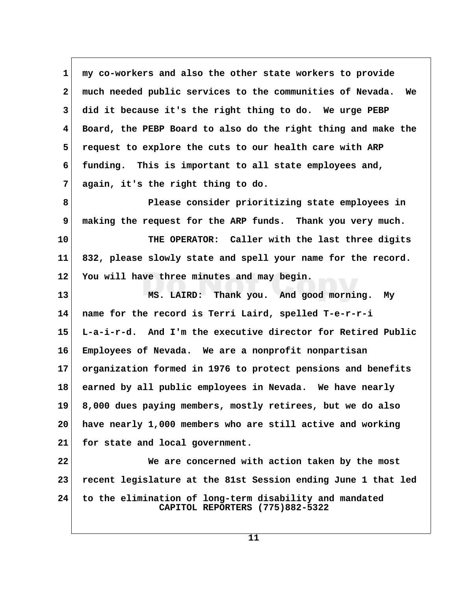**1 my co-workers and also the other state workers to provide 2 much needed public services to the communities of Nevada. We 3 did it because it's the right thing to do. We urge PEBP 4 Board, the PEBP Board to also do the right thing and make the 5 request to explore the cuts to our health care with ARP 6 funding. This is important to all state employees and, 7 again, it's the right thing to do.**

 **8 Please consider prioritizing state employees in 9 making the request for the ARP funds. Thank you very much. 10 THE OPERATOR: Caller with the last three digits**

**11 832, please slowly state and spell your name for the record. 12 You will have three minutes and may begin.**

**13 MS. LAIRD: Thank you. And good morning. My 14 name for the record is Terri Laird, spelled T-e-r-r-i 15 L-a-i-r-d. And I'm the executive director for Retired Public 16 Employees of Nevada. We are a nonprofit nonpartisan 17 organization formed in 1976 to protect pensions and benefits 18 earned by all public employees in Nevada. We have nearly 19 8,000 dues paying members, mostly retirees, but we do also 20 have nearly 1,000 members who are still active and working 21 for state and local government.**

**22 We are concerned with action taken by the most 23 recent legislature at the 81st Session ending June 1 that led 24 to the elimination of long-term disability and mandated CAPITOL REPORTERS (775)882-5322**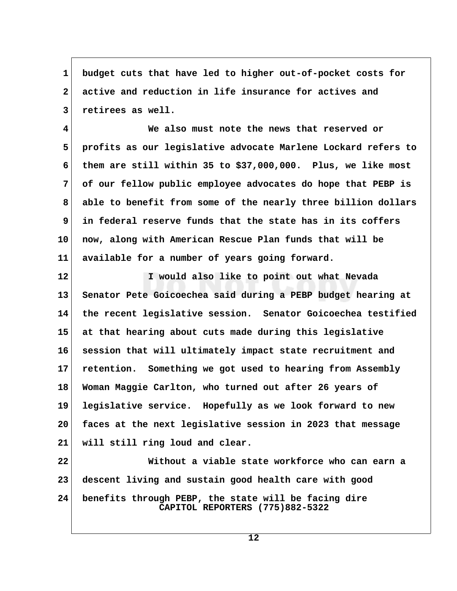**1 budget cuts that have led to higher out-of-pocket costs for 2 active and reduction in life insurance for actives and 3 retirees as well.**

 **4 We also must note the news that reserved or 5 profits as our legislative advocate Marlene Lockard refers to 6 them are still within 35 to \$37,000,000. Plus, we like most 7 of our fellow public employee advocates do hope that PEBP is 8 able to benefit from some of the nearly three billion dollars 9 in federal reserve funds that the state has in its coffers 10 now, along with American Rescue Plan funds that will be 11 available for a number of years going forward.**

**12 I would also like to point out what Nevada 13 Senator Pete Goicoechea said during a PEBP budget hearing at 14 the recent legislative session. Senator Goicoechea testified 15 at that hearing about cuts made during this legislative 16 session that will ultimately impact state recruitment and 17 retention. Something we got used to hearing from Assembly 18 Woman Maggie Carlton, who turned out after 26 years of 19 legislative service. Hopefully as we look forward to new 20 faces at the next legislative session in 2023 that message 21 will still ring loud and clear.**

**22 Without a viable state workforce who can earn a 23 descent living and sustain good health care with good 24 benefits through PEBP, the state will be facing dire CAPITOL REPORTERS (775)882-5322**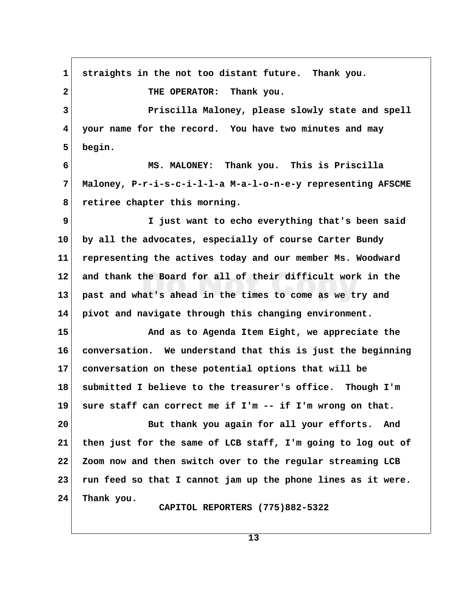**1 straights in the not too distant future. Thank you. 2 THE OPERATOR: Thank you. 3 Priscilla Maloney, please slowly state and spell 4 your name for the record. You have two minutes and may 5 begin. 6 MS. MALONEY: Thank you. This is Priscilla 7 Maloney, P-r-i-s-c-i-l-l-a M-a-l-o-n-e-y representing AFSCME 8 retiree chapter this morning. 9 I just want to echo everything that's been said 10 by all the advocates, especially of course Carter Bundy 11 representing the actives today and our member Ms. Woodward 12 and thank the Board for all of their difficult work in the 13 past and what's ahead in the times to come as we try and 14 pivot and navigate through this changing environment. 15 And as to Agenda Item Eight, we appreciate the 16 conversation. We understand that this is just the beginning 17 conversation on these potential options that will be 18 submitted I believe to the treasurer's office. Though I'm 19 sure staff can correct me if I'm -- if I'm wrong on that. 20 But thank you again for all your efforts. And 21 then just for the same of LCB staff, I'm going to log out of 22 Zoom now and then switch over to the regular streaming LCB 23 run feed so that I cannot jam up the phone lines as it were. 24 Thank you. CAPITOL REPORTERS (775)882-5322**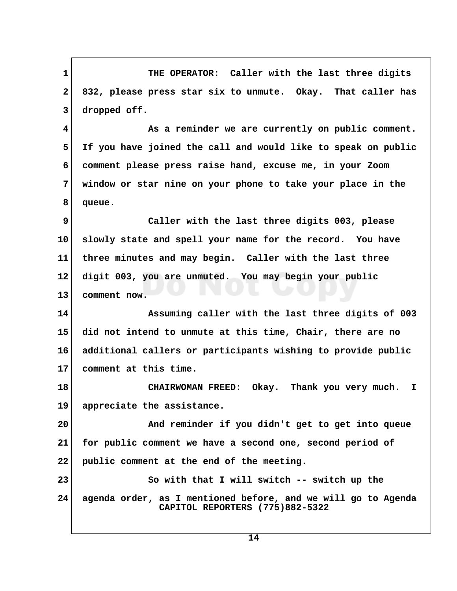1 THE OPERATOR: Caller with the last three digits  **2 832, please press star six to unmute. Okay. That caller has 3 dropped off.**

 **4 As a reminder we are currently on public comment. 5 If you have joined the call and would like to speak on public 6 comment please press raise hand, excuse me, in your Zoom 7 window or star nine on your phone to take your place in the 8 queue.**

 **9 Caller with the last three digits 003, please 10 slowly state and spell your name for the record. You have 11 three minutes and may begin. Caller with the last three 12 digit 003, you are unmuted. You may begin your public 13 comment now.**

**14 Assuming caller with the last three digits of 003 15 did not intend to unmute at this time, Chair, there are no 16 additional callers or participants wishing to provide public 17 comment at this time.**

**18 CHAIRWOMAN FREED: Okay. Thank you very much. I 19 appreciate the assistance.**

**20 And reminder if you didn't get to get into queue 21 for public comment we have a second one, second period of 22 public comment at the end of the meeting.**

**23 So with that I will switch -- switch up the 24 agenda order, as I mentioned before, and we will go to Agenda CAPITOL REPORTERS (775)882-5322**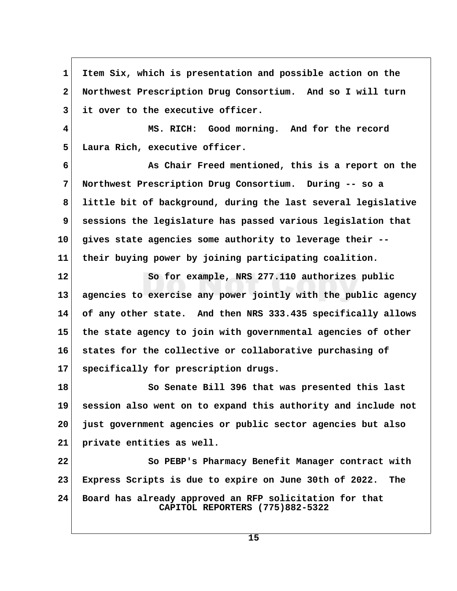**1 Item Six, which is presentation and possible action on the 2 Northwest Prescription Drug Consortium. And so I will turn 3 it over to the executive officer. 4 MS. RICH: Good morning. And for the record 5 Laura Rich, executive officer. 6 As Chair Freed mentioned, this is a report on the 7 Northwest Prescription Drug Consortium. During -- so a 8 little bit of background, during the last several legislative 9 sessions the legislature has passed various legislation that 10 gives state agencies some authority to leverage their -- 11 their buying power by joining participating coalition. 12 So for example, NRS 277.110 authorizes public 13 agencies to exercise any power jointly with the public agency 14 of any other state. And then NRS 333.435 specifically allows 15 the state agency to join with governmental agencies of other 16 states for the collective or collaborative purchasing of 17 specifically for prescription drugs. 18 So Senate Bill 396 that was presented this last 19 session also went on to expand this authority and include not 20 just government agencies or public sector agencies but also 21 private entities as well. 22 So PEBP's Pharmacy Benefit Manager contract with 23 Express Scripts is due to expire on June 30th of 2022. The 24 Board has already approved an RFP solicitation for that CAPITOL REPORTERS (775)882-5322**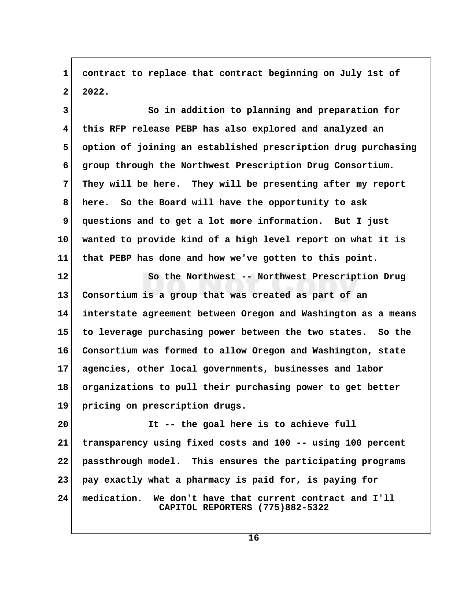**1 contract to replace that contract beginning on July 1st of 2 2022.**

 **3 So in addition to planning and preparation for 4 this RFP release PEBP has also explored and analyzed an 5 option of joining an established prescription drug purchasing 6 group through the Northwest Prescription Drug Consortium. 7 They will be here. They will be presenting after my report 8 here. So the Board will have the opportunity to ask 9 questions and to get a lot more information. But I just 10 wanted to provide kind of a high level report on what it is 11 that PEBP has done and how we've gotten to this point.**

**12 So the Northwest -- Northwest Prescription Drug 13 Consortium is a group that was created as part of an 14 interstate agreement between Oregon and Washington as a means 15 to leverage purchasing power between the two states. So the 16 Consortium was formed to allow Oregon and Washington, state 17 agencies, other local governments, businesses and labor 18 organizations to pull their purchasing power to get better 19 pricing on prescription drugs.**

**20 It -- the goal here is to achieve full 21 transparency using fixed costs and 100 -- using 100 percent 22 passthrough model. This ensures the participating programs 23 pay exactly what a pharmacy is paid for, is paying for 24 medication. We don't have that current contract and I'll CAPITOL REPORTERS (775)882-5322**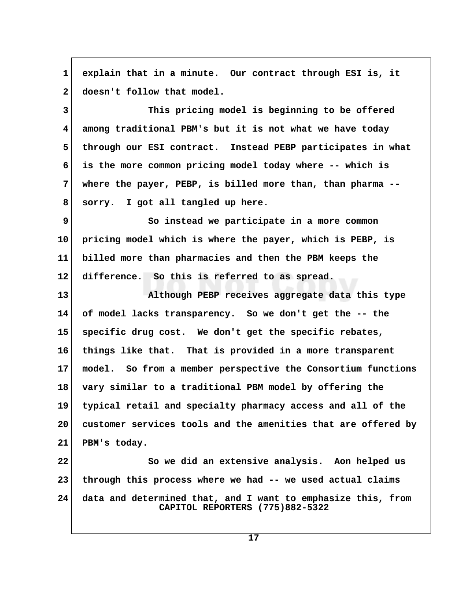**1 explain that in a minute. Our contract through ESI is, it** 2 doesn't follow that model.

 **3 This pricing model is beginning to be offered 4 among traditional PBM's but it is not what we have today 5 through our ESI contract. Instead PEBP participates in what 6 is the more common pricing model today where -- which is 7 where the payer, PEBP, is billed more than, than pharma -- 8 sorry. I got all tangled up here.**

 **9 So instead we participate in a more common 10 pricing model which is where the payer, which is PEBP, is 11 billed more than pharmacies and then the PBM keeps the 12 difference. So this is referred to as spread.**

**13 Although PEBP receives aggregate data this type 14 of model lacks transparency. So we don't get the -- the 15 specific drug cost. We don't get the specific rebates, 16 things like that. That is provided in a more transparent 17 model. So from a member perspective the Consortium functions 18 vary similar to a traditional PBM model by offering the 19 typical retail and specialty pharmacy access and all of the 20 customer services tools and the amenities that are offered by 21 PBM's today.**

**22 So we did an extensive analysis. Aon helped us 23 through this process where we had -- we used actual claims 24 data and determined that, and I want to emphasize this, from CAPITOL REPORTERS (775)882-5322**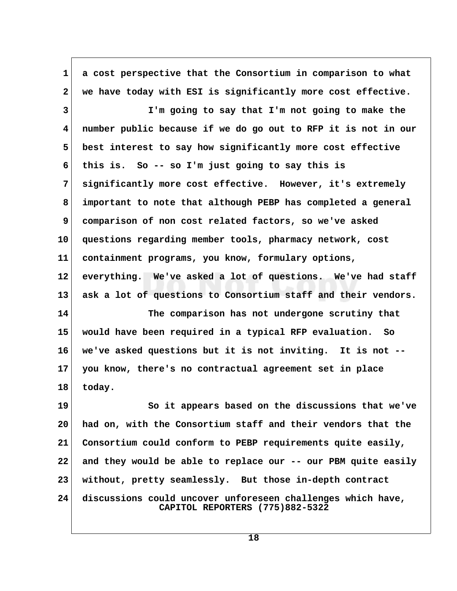**1 a cost perspective that the Consortium in comparison to what 2 we have today with ESI is significantly more cost effective. 3 I'm going to say that I'm not going to make the 4 number public because if we do go out to RFP it is not in our 5 best interest to say how significantly more cost effective 6 this is. So -- so I'm just going to say this is 7 significantly more cost effective. However, it's extremely 8 important to note that although PEBP has completed a general 9 comparison of non cost related factors, so we've asked 10 questions regarding member tools, pharmacy network, cost 11 containment programs, you know, formulary options, 12 everything. We've asked a lot of questions. We've had staff 13 ask a lot of questions to Consortium staff and their vendors. 14 The comparison has not undergone scrutiny that 15 would have been required in a typical RFP evaluation. So 16 we've asked questions but it is not inviting. It is not -- 17 you know, there's no contractual agreement set in place 18 today.** 19 So it appears based on the discussions that we've **20 had on, with the Consortium staff and their vendors that the 21 Consortium could conform to PEBP requirements quite easily, 22 and they would be able to replace our -- our PBM quite easily 23 without, pretty seamlessly. But those in-depth contract 24 discussions could uncover unforeseen challenges which have, CAPITOL REPORTERS (775)882-5322**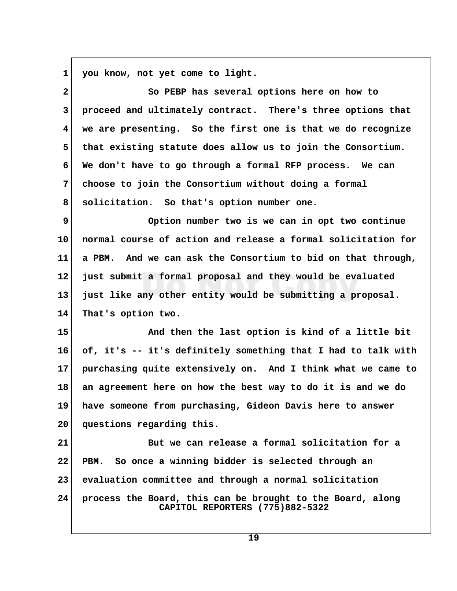1 you know, not yet come to light.

| $\overline{\mathbf{2}}$ | So PEBP has several options here on how to                                                    |  |
|-------------------------|-----------------------------------------------------------------------------------------------|--|
| 3                       | proceed and ultimately contract. There's three options that                                   |  |
| $\overline{\mathbf{4}}$ | we are presenting. So the first one is that we do recognize                                   |  |
| 5                       | that existing statute does allow us to join the Consortium.                                   |  |
| 6                       | We don't have to go through a formal RFP process. We can                                      |  |
| 7                       | choose to join the Consortium without doing a formal                                          |  |
| 8                       | solicitation. So that's option number one.                                                    |  |
| 9                       | Option number two is we can in opt two continue                                               |  |
| 10 <sub>1</sub>         | normal course of action and release a formal solicitation for                                 |  |
| 11                      | a PBM. And we can ask the Consortium to bid on that through,                                  |  |
| $12 \,$                 | just submit a formal proposal and they would be evaluated                                     |  |
| 13                      | just like any other entity would be submitting a proposal.                                    |  |
| 14                      | That's option two.                                                                            |  |
| 15                      | And then the last option is kind of a little bit                                              |  |
| 16                      | of, it's -- it's definitely something that I had to talk with                                 |  |
| 17                      | purchasing quite extensively on. And I think what we came to                                  |  |
| 18                      | an agreement here on how the best way to do it is and we do                                   |  |
| 19                      | have someone from purchasing, Gideon Davis here to answer                                     |  |
| 20                      | questions regarding this.                                                                     |  |
| 21                      | But we can release a formal solicitation for a                                                |  |
| 22                      | So once a winning bidder is selected through an<br>PBM.                                       |  |
| 23                      | evaluation committee and through a normal solicitation                                        |  |
| 24                      | process the Board, this can be brought to the Board, along<br>CAPITOL REPORTERS (775)882-5322 |  |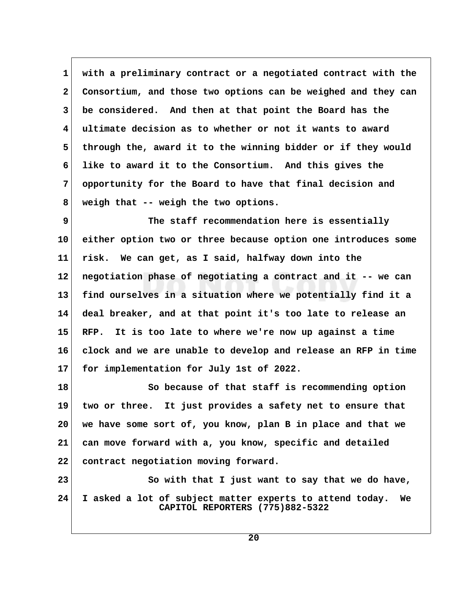**1 with a preliminary contract or a negotiated contract with the 2 Consortium, and those two options can be weighed and they can 3 be considered. And then at that point the Board has the 4 ultimate decision as to whether or not it wants to award** 5 through the, award it to the winning bidder or if they would  **6 like to award it to the Consortium. And this gives the 7 opportunity for the Board to have that final decision and 8 weigh that -- weigh the two options.**

 **9 The staff recommendation here is essentially 10 either option two or three because option one introduces some 11 risk. We can get, as I said, halfway down into the 12 negotiation phase of negotiating a contract and it -- we can 13 find ourselves in a situation where we potentially find it a 14 deal breaker, and at that point it's too late to release an 15 RFP. It is too late to where we're now up against a time 16 clock and we are unable to develop and release an RFP in time 17 for implementation for July 1st of 2022.**

**18 So because of that staff is recommending option 19 two or three. It just provides a safety net to ensure that 20 we have some sort of, you know, plan B in place and that we 21 can move forward with a, you know, specific and detailed 22 contract negotiation moving forward.**

**23 So with that I just want to say that we do have, 24 I asked a lot of subject matter experts to attend today. We CAPITOL REPORTERS (775)882-5322**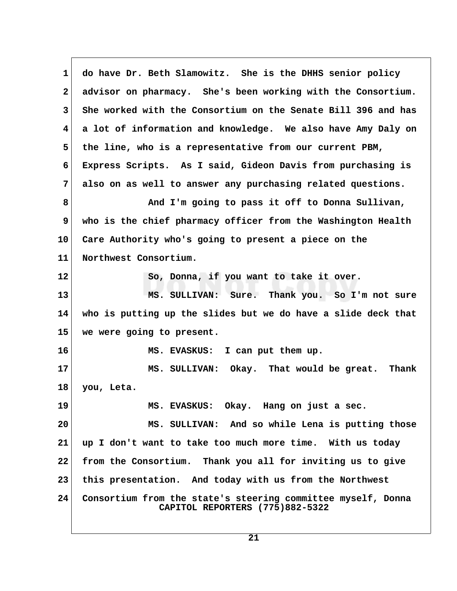**1 do have Dr. Beth Slamowitz. She is the DHHS senior policy 2 advisor on pharmacy. She's been working with the Consortium. 3 She worked with the Consortium on the Senate Bill 396 and has 4 a lot of information and knowledge. We also have Amy Daly on 5 the line, who is a representative from our current PBM, 6 Express Scripts. As I said, Gideon Davis from purchasing is 7 also on as well to answer any purchasing related questions. 8 And I'm going to pass it off to Donna Sullivan, 9 who is the chief pharmacy officer from the Washington Health 10 Care Authority who's going to present a piece on the 11 Northwest Consortium. 12 So, Donna, if you want to take it over. 13 MS. SULLIVAN: Sure. Thank you. So I'm not sure 14 who is putting up the slides but we do have a slide deck that 15 we were going to present. 16 MS. EVASKUS: I can put them up. 17 MS. SULLIVAN: Okay. That would be great. Thank 18 you, Leta. 19 MS. EVASKUS: Okay. Hang on just a sec. 20 MS. SULLIVAN: And so while Lena is putting those 21 up I don't want to take too much more time. With us today 22 from the Consortium. Thank you all for inviting us to give 23 this presentation. And today with us from the Northwest 24 Consortium from the state's steering committee myself, Donna CAPITOL REPORTERS (775)882-5322**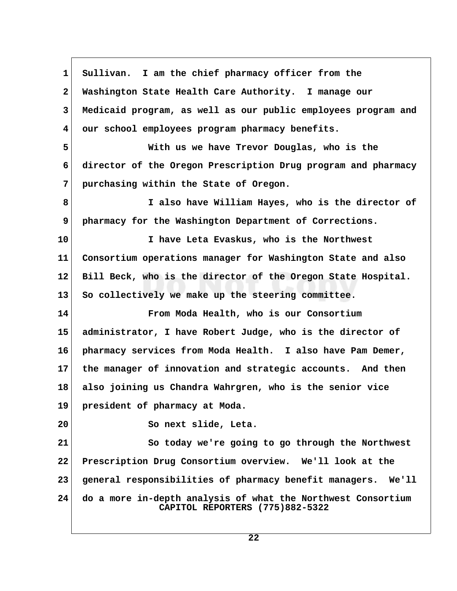**1 Sullivan. I am the chief pharmacy officer from the 2 Washington State Health Care Authority. I manage our 3 Medicaid program, as well as our public employees program and 4 our school employees program pharmacy benefits. 5 With us we have Trevor Douglas, who is the 6 director of the Oregon Prescription Drug program and pharmacy 7 purchasing within the State of Oregon. 8 I also have William Hayes, who is the director of 9 pharmacy for the Washington Department of Corrections. 10 I have Leta Evaskus, who is the Northwest 11 Consortium operations manager for Washington State and also 12 Bill Beck, who is the director of the Oregon State Hospital. 13 So collectively we make up the steering committee. 14 From Moda Health, who is our Consortium 15 administrator, I have Robert Judge, who is the director of 16 pharmacy services from Moda Health. I also have Pam Demer, 17 the manager of innovation and strategic accounts. And then 18 also joining us Chandra Wahrgren, who is the senior vice 19 president of pharmacy at Moda. 20 So next slide, Leta. 21 So today we're going to go through the Northwest 22 Prescription Drug Consortium overview. We'll look at the 23 general responsibilities of pharmacy benefit managers. We'll 24 do a more in-depth analysis of what the Northwest Consortium CAPITOL REPORTERS (775)882-5322**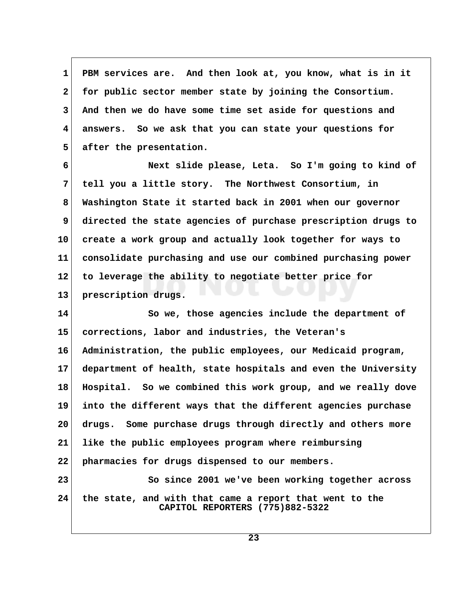**1 PBM services are. And then look at, you know, what is in it 2 for public sector member state by joining the Consortium. 3 And then we do have some time set aside for questions and 4 answers. So we ask that you can state your questions for 5 after the presentation.**

 **6 Next slide please, Leta. So I'm going to kind of 7 tell you a little story. The Northwest Consortium, in 8 Washington State it started back in 2001 when our governor 9 directed the state agencies of purchase prescription drugs to 10 create a work group and actually look together for ways to 11 consolidate purchasing and use our combined purchasing power 12 to leverage the ability to negotiate better price for 13 prescription drugs.**

**14 So we, those agencies include the department of 15 corrections, labor and industries, the Veteran's 16 Administration, the public employees, our Medicaid program, 17 department of health, state hospitals and even the University 18 Hospital. So we combined this work group, and we really dove 19 into the different ways that the different agencies purchase 20 drugs. Some purchase drugs through directly and others more 21 like the public employees program where reimbursing 22 pharmacies for drugs dispensed to our members. 23 So since 2001 we've been working together across 24 the state, and with that came a report that went to the CAPITOL REPORTERS (775)882-5322**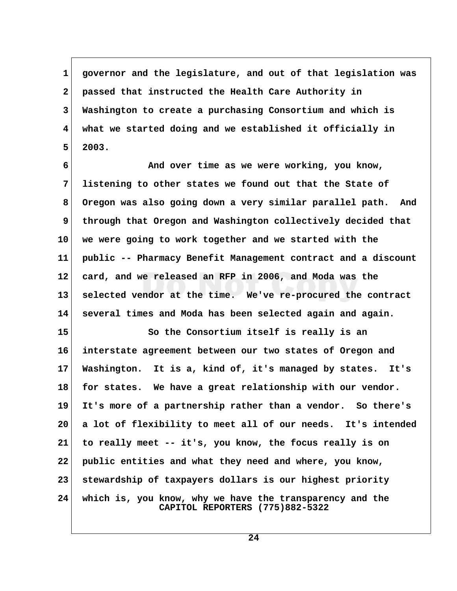**1 governor and the legislature, and out of that legislation was 2 passed that instructed the Health Care Authority in 3 Washington to create a purchasing Consortium and which is 4 what we started doing and we established it officially in 5 2003.**

 **6 And over time as we were working, you know, 7 listening to other states we found out that the State of 8 Oregon was also going down a very similar parallel path. And 9 through that Oregon and Washington collectively decided that 10 we were going to work together and we started with the 11 public -- Pharmacy Benefit Management contract and a discount 12 card, and we released an RFP in 2006, and Moda was the 13 selected vendor at the time. We've re-procured the contract 14 several times and Moda has been selected again and again.**

15 So the Consortium itself is really is an **16 interstate agreement between our two states of Oregon and 17 Washington. It is a, kind of, it's managed by states. It's 18 for states. We have a great relationship with our vendor. 19 It's more of a partnership rather than a vendor. So there's 20 a lot of flexibility to meet all of our needs. It's intended 21 to really meet -- it's, you know, the focus really is on 22 public entities and what they need and where, you know, 23 stewardship of taxpayers dollars is our highest priority 24 which is, you know, why we have the transparency and the CAPITOL REPORTERS (775)882-5322**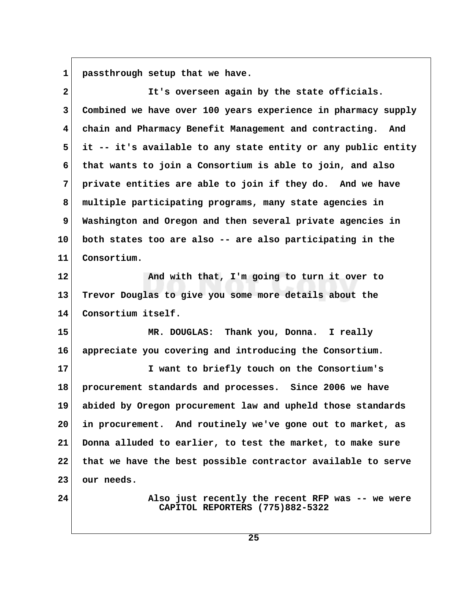1 passthrough setup that we have.

| $\overline{a}$          | It's overseen again by the state officials.                                         |
|-------------------------|-------------------------------------------------------------------------------------|
| 3                       | Combined we have over 100 years experience in pharmacy supply                       |
| $\overline{\mathbf{4}}$ | chain and Pharmacy Benefit Management and contracting. And                          |
| 5                       | it -- it's available to any state entity or any public entity                       |
| 6                       | that wants to join a Consortium is able to join, and also                           |
| 7                       | private entities are able to join if they do. And we have                           |
| 8                       | multiple participating programs, many state agencies in                             |
| 9                       | Washington and Oregon and then several private agencies in                          |
| 10                      | both states too are also -- are also participating in the                           |
| 11                      | Consortium.                                                                         |
| 12                      | And with that, I'm going to turn it over to                                         |
| 13                      | Trevor Douglas to give you some more details about the                              |
| 14                      | Consortium itself.                                                                  |
| 15                      | MR. DOUGLAS: Thank you, Donna. I really                                             |
| 16                      | appreciate you covering and introducing the Consortium.                             |
| 17                      | I want to briefly touch on the Consortium's                                         |
| 18                      | procurement standards and processes. Since 2006 we have                             |
| 19                      | abided by Oregon procurement law and upheld those standards                         |
| 20                      | in procurement. And routinely we've gone out to market, as                          |
| 21                      | Donna alluded to earlier, to test the market, to make sure                          |
| 22                      | that we have the best possible contractor available to serve                        |
| 23                      | our needs.                                                                          |
| 24                      | Also just recently the recent RFP was -- we were<br>CAPITOL REPORTERS (775)882-5322 |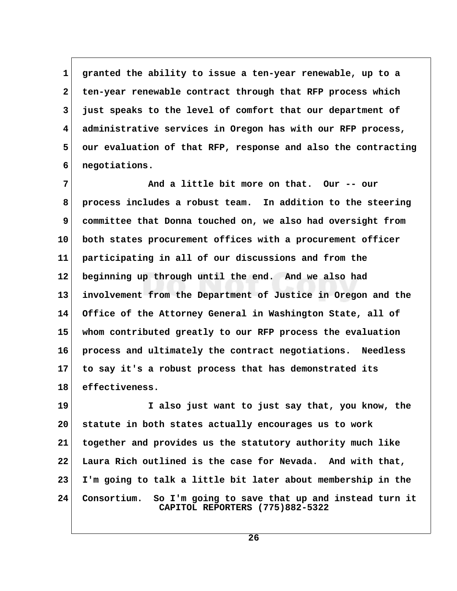**1 granted the ability to issue a ten-year renewable, up to a 2 ten-year renewable contract through that RFP process which 3 just speaks to the level of comfort that our department of 4 administrative services in Oregon has with our RFP process, 5 our evaluation of that RFP, response and also the contracting 6 negotiations.**

 **7 And a little bit more on that. Our -- our 8 process includes a robust team. In addition to the steering 9 committee that Donna touched on, we also had oversight from 10 both states procurement offices with a procurement officer 11 participating in all of our discussions and from the 12 beginning up through until the end. And we also had 13 involvement from the Department of Justice in Oregon and the 14 Office of the Attorney General in Washington State, all of 15 whom contributed greatly to our RFP process the evaluation 16 process and ultimately the contract negotiations. Needless 17 to say it's a robust process that has demonstrated its 18 effectiveness.**

**19 I also just want to just say that, you know, the 20 statute in both states actually encourages us to work 21 together and provides us the statutory authority much like 22 Laura Rich outlined is the case for Nevada. And with that, 23 I'm going to talk a little bit later about membership in the 24 Consortium. So I'm going to save that up and instead turn it CAPITOL REPORTERS (775)882-5322**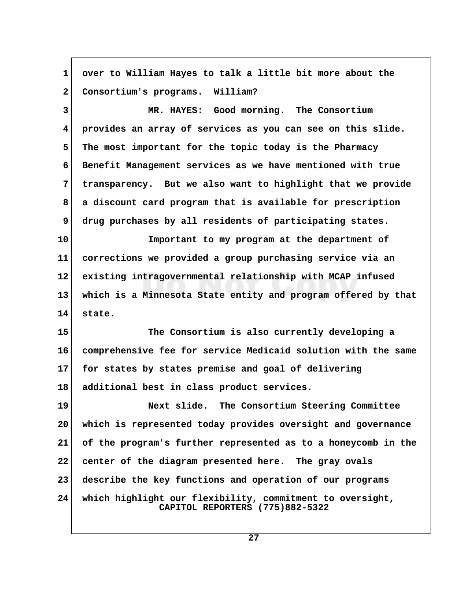**1 over to William Hayes to talk a little bit more about the 2 Consortium's programs. William? 3 MR. HAYES: Good morning. The Consortium 4 provides an array of services as you can see on this slide. 5 The most important for the topic today is the Pharmacy 6 Benefit Management services as we have mentioned with true 7 transparency. But we also want to highlight that we provide 8 a discount card program that is available for prescription 9 drug purchases by all residents of participating states. 10 Important to my program at the department of 11 corrections we provided a group purchasing service via an 12 existing intragovernmental relationship with MCAP infused 13 which is a Minnesota State entity and program offered by that 14 state. 15 The Consortium is also currently developing a 16 comprehensive fee for service Medicaid solution with the same 17 for states by states premise and goal of delivering 18 additional best in class product services. 19 Next slide. The Consortium Steering Committee 20 which is represented today provides oversight and governance 21 of the program's further represented as to a honeycomb in the 22 center of the diagram presented here. The gray ovals 23 describe the key functions and operation of our programs 24 which highlight our flexibility, commitment to oversight, CAPITOL REPORTERS (775)882-5322**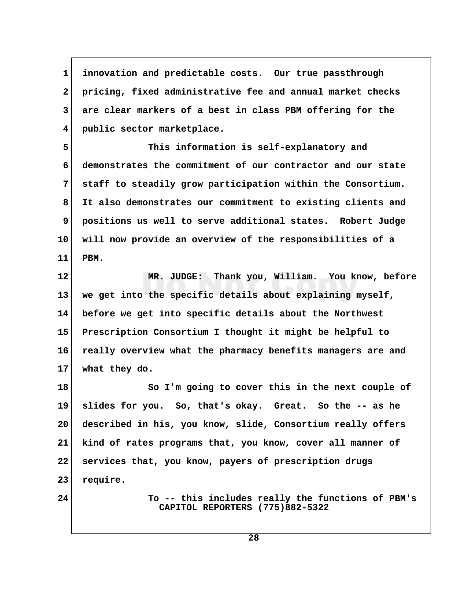**1 innovation and predictable costs. Our true passthrough 2 pricing, fixed administrative fee and annual market checks 3 are clear markers of a best in class PBM offering for the 4 public sector marketplace.**

 **5 This information is self-explanatory and 6 demonstrates the commitment of our contractor and our state 7 staff to steadily grow participation within the Consortium. 8 It also demonstrates our commitment to existing clients and 9 positions us well to serve additional states. Robert Judge 10 will now provide an overview of the responsibilities of a 11 PBM.**

**12 MR. JUDGE: Thank you, William. You know, before 13 we get into the specific details about explaining myself, 14 before we get into specific details about the Northwest 15 Prescription Consortium I thought it might be helpful to 16 really overview what the pharmacy benefits managers are and 17 what they do.**

18 So I'm going to cover this in the next couple of **19 slides for you. So, that's okay. Great. So the -- as he 20 described in his, you know, slide, Consortium really offers 21 kind of rates programs that, you know, cover all manner of 22 services that, you know, payers of prescription drugs 23 require.**

**24 To -- this includes really the functions of PBM's CAPITOL REPORTERS (775)882-5322**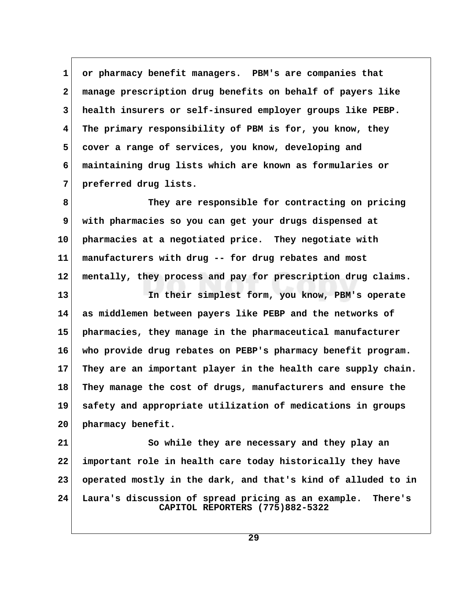**1 or pharmacy benefit managers. PBM's are companies that 2 manage prescription drug benefits on behalf of payers like 3 health insurers or self-insured employer groups like PEBP. 4 The primary responsibility of PBM is for, you know, they 5 cover a range of services, you know, developing and 6 maintaining drug lists which are known as formularies or 7 preferred drug lists.**

 **8 They are responsible for contracting on pricing 9 with pharmacies so you can get your drugs dispensed at 10 pharmacies at a negotiated price. They negotiate with 11 manufacturers with drug -- for drug rebates and most 12 mentally, they process and pay for prescription drug claims.**

**13 In their simplest form, you know, PBM's operate 14 as middlemen between payers like PEBP and the networks of 15 pharmacies, they manage in the pharmaceutical manufacturer 16 who provide drug rebates on PEBP's pharmacy benefit program. 17 They are an important player in the health care supply chain. 18 They manage the cost of drugs, manufacturers and ensure the 19 safety and appropriate utilization of medications in groups 20 pharmacy benefit.**

**21 So while they are necessary and they play an 22 important role in health care today historically they have 23 operated mostly in the dark, and that's kind of alluded to in 24 Laura's discussion of spread pricing as an example. There's CAPITOL REPORTERS (775)882-5322**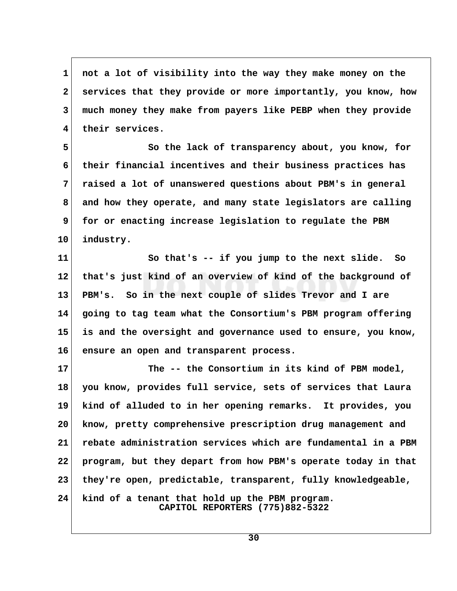**1 not a lot of visibility into the way they make money on the 2 services that they provide or more importantly, you know, how 3 much money they make from payers like PEBP when they provide 4 their services.**

 **5 So the lack of transparency about, you know, for 6 their financial incentives and their business practices has 7 raised a lot of unanswered questions about PBM's in general 8 and how they operate, and many state legislators are calling** 9 for or enacting increase legislation to regulate the PBM **10 industry.**

**11 So that's -- if you jump to the next slide. So 12 that's just kind of an overview of kind of the background of 13 PBM's. So in the next couple of slides Trevor and I are 14 going to tag team what the Consortium's PBM program offering 15 is and the oversight and governance used to ensure, you know, 16 ensure an open and transparent process.**

**17 The -- the Consortium in its kind of PBM model, 18 you know, provides full service, sets of services that Laura 19 kind of alluded to in her opening remarks. It provides, you 20 know, pretty comprehensive prescription drug management and 21 rebate administration services which are fundamental in a PBM 22 program, but they depart from how PBM's operate today in that 23 they're open, predictable, transparent, fully knowledgeable, 24 kind of a tenant that hold up the PBM program.**

 **CAPITOL REPORTERS (775)882-5322**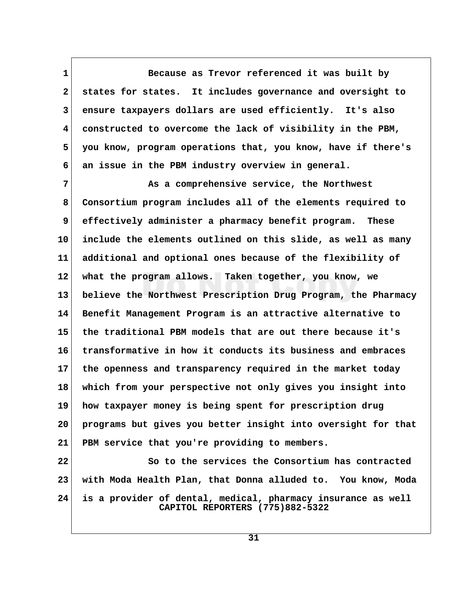**1 Because as Trevor referenced it was built by 2 states for states. It includes governance and oversight to 3 ensure taxpayers dollars are used efficiently. It's also 4 constructed to overcome the lack of visibility in the PBM, 5 you know, program operations that, you know, have if there's 6 an issue in the PBM industry overview in general.**

 **7 As a comprehensive service, the Northwest 8 Consortium program includes all of the elements required to 9 effectively administer a pharmacy benefit program. These 10 include the elements outlined on this slide, as well as many 11 additional and optional ones because of the flexibility of 12 what the program allows. Taken together, you know, we 13 believe the Northwest Prescription Drug Program, the Pharmacy 14 Benefit Management Program is an attractive alternative to 15 the traditional PBM models that are out there because it's 16 transformative in how it conducts its business and embraces 17 the openness and transparency required in the market today 18 which from your perspective not only gives you insight into 19 how taxpayer money is being spent for prescription drug 20 programs but gives you better insight into oversight for that 21 PBM service that you're providing to members.**

**22 So to the services the Consortium has contracted 23 with Moda Health Plan, that Donna alluded to. You know, Moda 24 is a provider of dental, medical, pharmacy insurance as well CAPITOL REPORTERS (775)882-5322**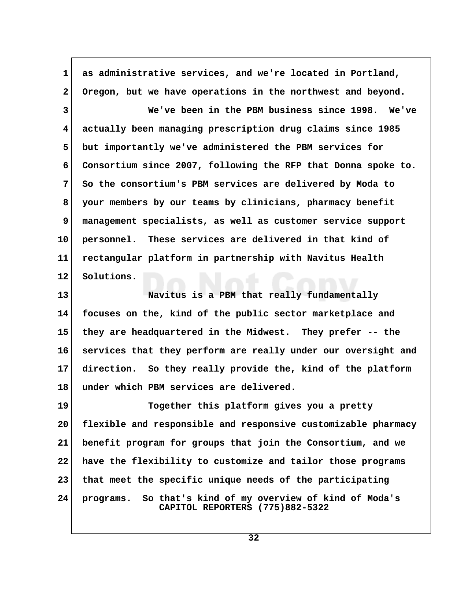**1 as administrative services, and we're located in Portland, 2 Oregon, but we have operations in the northwest and beyond. 3 We've been in the PBM business since 1998. We've 4 actually been managing prescription drug claims since 1985 5 but importantly we've administered the PBM services for 6 Consortium since 2007, following the RFP that Donna spoke to. 7 So the consortium's PBM services are delivered by Moda to 8 your members by our teams by clinicians, pharmacy benefit 9 management specialists, as well as customer service support 10 personnel. These services are delivered in that kind of 11 rectangular platform in partnership with Navitus Health 12 Solutions. 13 Navitus is a PBM that really fundamentally 14 focuses on the, kind of the public sector marketplace and**

**15 they are headquartered in the Midwest. They prefer -- the 16 services that they perform are really under our oversight and 17 direction. So they really provide the, kind of the platform 18 under which PBM services are delivered.**

**19 Together this platform gives you a pretty 20 flexible and responsible and responsive customizable pharmacy 21 benefit program for groups that join the Consortium, and we 22 have the flexibility to customize and tailor those programs 23 that meet the specific unique needs of the participating 24 programs. So that's kind of my overview of kind of Moda's CAPITOL REPORTERS (775)882-5322**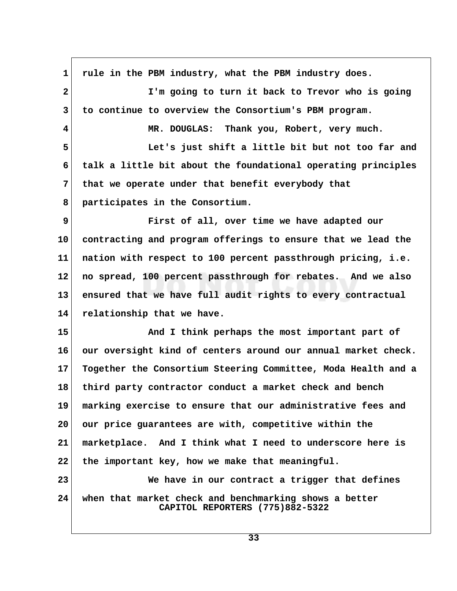**1 rule in the PBM industry, what the PBM industry does. 2 I'm going to turn it back to Trevor who is going 3 to continue to overview the Consortium's PBM program. 4 MR. DOUGLAS: Thank you, Robert, very much. 5 Let's just shift a little bit but not too far and 6 talk a little bit about the foundational operating principles 7 that we operate under that benefit everybody that 8 participates in the Consortium. 9 First of all, over time we have adapted our 10 contracting and program offerings to ensure that we lead the 11 nation with respect to 100 percent passthrough pricing, i.e. 12 no spread, 100 percent passthrough for rebates. And we also 13 ensured that we have full audit rights to every contractual 14 relationship that we have. 15 And I think perhaps the most important part of 16 our oversight kind of centers around our annual market check. 17 Together the Consortium Steering Committee, Moda Health and a 18 third party contractor conduct a market check and bench 19 marking exercise to ensure that our administrative fees and 20 our price guarantees are with, competitive within the 21 marketplace. And I think what I need to underscore here is 22 the important key, how we make that meaningful. 23 We have in our contract a trigger that defines 24 when that market check and benchmarking shows a better CAPITOL REPORTERS (775)882-5322**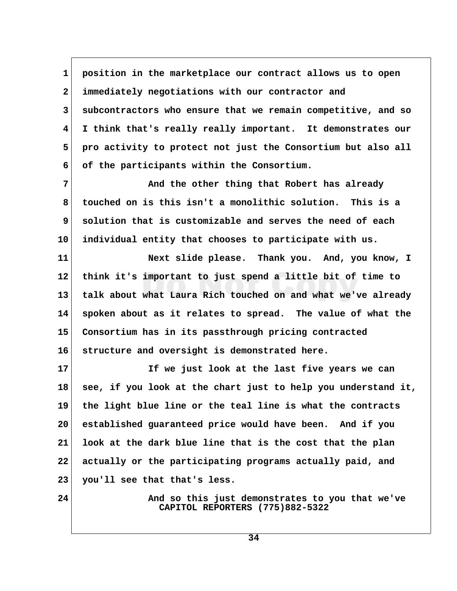**1 position in the marketplace our contract allows us to open 2 immediately negotiations with our contractor and 3 subcontractors who ensure that we remain competitive, and so 4 I think that's really really important. It demonstrates our 5 pro activity to protect not just the Consortium but also all 6 of the participants within the Consortium.**

**7** And the other thing that Robert has already  **8 touched on is this isn't a monolithic solution. This is a 9 solution that is customizable and serves the need of each 10 individual entity that chooses to participate with us.**

**11 Next slide please. Thank you. And, you know, I 12 think it's important to just spend a little bit of time to 13 talk about what Laura Rich touched on and what we've already 14 spoken about as it relates to spread. The value of what the 15 Consortium has in its passthrough pricing contracted 16 structure and oversight is demonstrated here.**

**17 If we just look at the last five years we can 18 see, if you look at the chart just to help you understand it, 19 the light blue line or the teal line is what the contracts 20 established guaranteed price would have been. And if you 21 look at the dark blue line that is the cost that the plan 22 actually or the participating programs actually paid, and 23 you'll see that that's less.**

**24 And so this just demonstrates to you that we've CAPITOL REPORTERS (775)882-5322**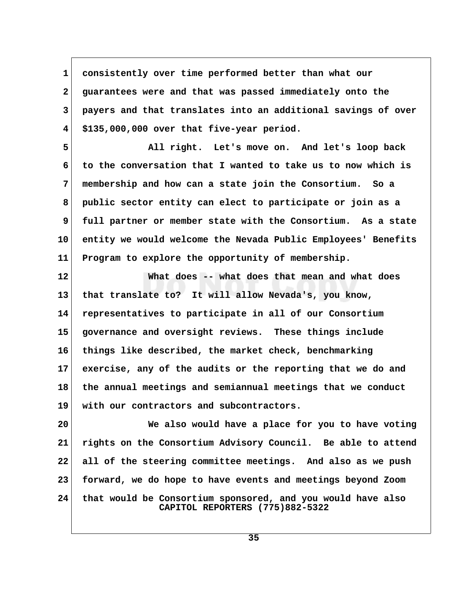**1 consistently over time performed better than what our 2 guarantees were and that was passed immediately onto the 3 payers and that translates into an additional savings of over 4 \$135,000,000 over that five-year period.**

 **5 All right. Let's move on. And let's loop back 6 to the conversation that I wanted to take us to now which is 7 membership and how can a state join the Consortium. So a 8 public sector entity can elect to participate or join as a 9 full partner or member state with the Consortium. As a state 10 entity we would welcome the Nevada Public Employees' Benefits 11 Program to explore the opportunity of membership.**

**12 What does -- what does that mean and what does 13 that translate to? It will allow Nevada's, you know, 14 representatives to participate in all of our Consortium 15 governance and oversight reviews. These things include 16 things like described, the market check, benchmarking 17 exercise, any of the audits or the reporting that we do and 18 the annual meetings and semiannual meetings that we conduct 19 with our contractors and subcontractors.**

**20 We also would have a place for you to have voting 21 rights on the Consortium Advisory Council. Be able to attend 22 all of the steering committee meetings. And also as we push 23 forward, we do hope to have events and meetings beyond Zoom 24 that would be Consortium sponsored, and you would have also CAPITOL REPORTERS (775)882-5322**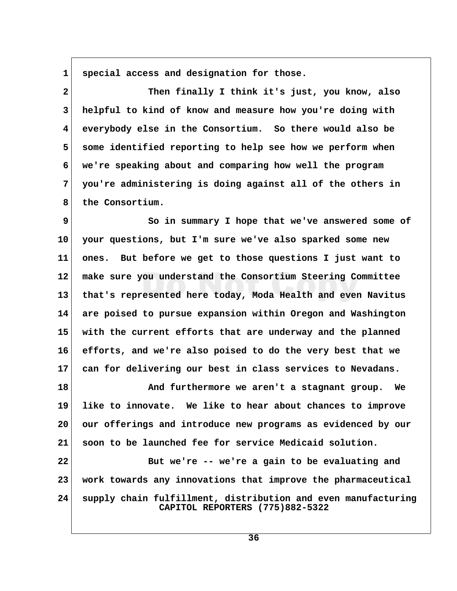1 special access and designation for those.

 **2 Then finally I think it's just, you know, also 3 helpful to kind of know and measure how you're doing with 4 everybody else in the Consortium. So there would also be 5 some identified reporting to help see how we perform when 6 we're speaking about and comparing how well the program 7 you're administering is doing against all of the others in 8 the Consortium.**

**9** So in summary I hope that we've answered some of **10 your questions, but I'm sure we've also sparked some new 11 ones. But before we get to those questions I just want to 12 make sure you understand the Consortium Steering Committee 13 that's represented here today, Moda Health and even Navitus 14 are poised to pursue expansion within Oregon and Washington 15 with the current efforts that are underway and the planned 16 efforts, and we're also poised to do the very best that we 17 can for delivering our best in class services to Nevadans.**

**18 And furthermore we aren't a stagnant group. We 19 like to innovate. We like to hear about chances to improve 20 our offerings and introduce new programs as evidenced by our 21 soon to be launched fee for service Medicaid solution.**

**22 But we're -- we're a gain to be evaluating and 23 work towards any innovations that improve the pharmaceutical 24 supply chain fulfillment, distribution and even manufacturing CAPITOL REPORTERS (775)882-5322**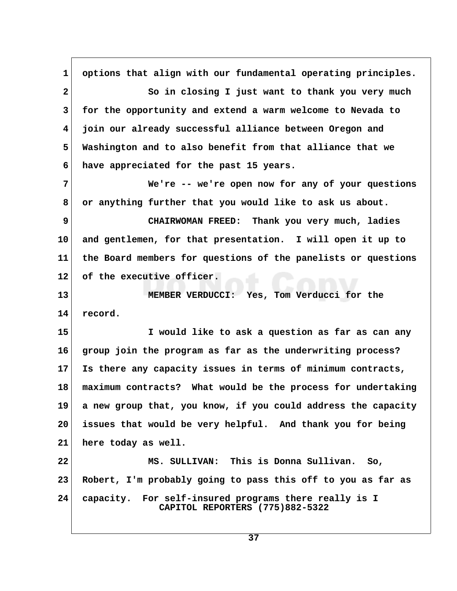**1 options that align with our fundamental operating principles. 2 So in closing I just want to thank you very much 3 for the opportunity and extend a warm welcome to Nevada to 4 join our already successful alliance between Oregon and 5 Washington and to also benefit from that alliance that we 6 have appreciated for the past 15 years. 7 We're -- we're open now for any of your questions 8 or anything further that you would like to ask us about. 9 CHAIRWOMAN FREED: Thank you very much, ladies 10 and gentlemen, for that presentation. I will open it up to 11 the Board members for questions of the panelists or questions 12 of the executive officer. 13 MEMBER VERDUCCI: Yes, Tom Verducci for the 14 record. 15 I would like to ask a question as far as can any 16 group join the program as far as the underwriting process? 17 Is there any capacity issues in terms of minimum contracts, 18 maximum contracts? What would be the process for undertaking 19 a new group that, you know, if you could address the capacity 20 issues that would be very helpful. And thank you for being 21 here today as well. 22 MS. SULLIVAN: This is Donna Sullivan. So, 23 Robert, I'm probably going to pass this off to you as far as 24 capacity. For self-insured programs there really is I CAPITOL REPORTERS (775)882-5322**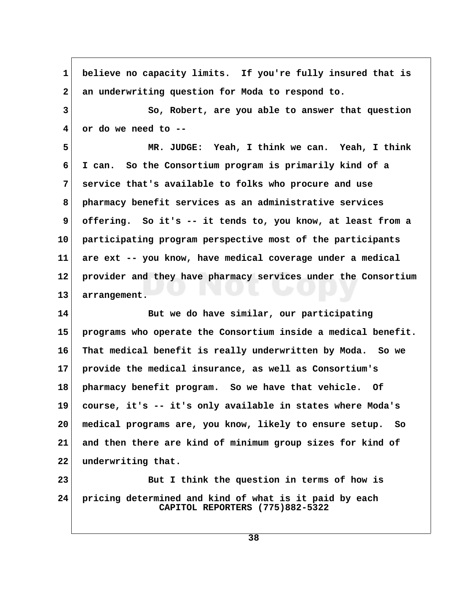**1 believe no capacity limits. If you're fully insured that is 2 an underwriting question for Moda to respond to. 3** So, Robert, are you able to answer that question  **4 or do we need to -- 5 MR. JUDGE: Yeah, I think we can. Yeah, I think 6 I can. So the Consortium program is primarily kind of a 7 service that's available to folks who procure and use 8 pharmacy benefit services as an administrative services 9 offering. So it's -- it tends to, you know, at least from a 10 participating program perspective most of the participants 11 are ext -- you know, have medical coverage under a medical 12 provider and they have pharmacy services under the Consortium 13 arrangement. 14 But we do have similar, our participating 15 programs who operate the Consortium inside a medical benefit. 16 That medical benefit is really underwritten by Moda. So we 17 provide the medical insurance, as well as Consortium's 18 pharmacy benefit program. So we have that vehicle. Of 19 course, it's -- it's only available in states where Moda's 20 medical programs are, you know, likely to ensure setup. So 21 and then there are kind of minimum group sizes for kind of 22 underwriting that. 23 But I think the question in terms of how is 24 pricing determined and kind of what is it paid by each CAPITOL REPORTERS (775)882-5322**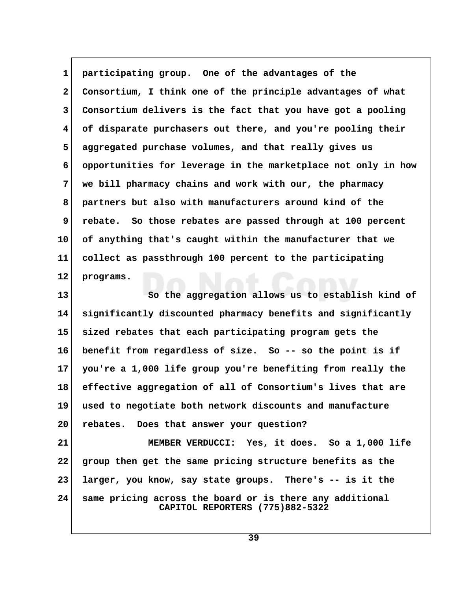1 **participating group.** One of the advantages of the  **2 Consortium, I think one of the principle advantages of what 3 Consortium delivers is the fact that you have got a pooling 4 of disparate purchasers out there, and you're pooling their 5 aggregated purchase volumes, and that really gives us 6 opportunities for leverage in the marketplace not only in how 7 we bill pharmacy chains and work with our, the pharmacy 8 partners but also with manufacturers around kind of the 9 rebate. So those rebates are passed through at 100 percent 10 of anything that's caught within the manufacturer that we 11 collect as passthrough 100 percent to the participating 12 programs.**

**13 So the aggregation allows us to establish kind of 14 significantly discounted pharmacy benefits and significantly 15 sized rebates that each participating program gets the 16 benefit from regardless of size. So -- so the point is if 17 you're a 1,000 life group you're benefiting from really the 18 effective aggregation of all of Consortium's lives that are 19 used to negotiate both network discounts and manufacture 20 rebates. Does that answer your question?**

**21 MEMBER VERDUCCI: Yes, it does. So a 1,000 life 22 group then get the same pricing structure benefits as the 23 larger, you know, say state groups. There's -- is it the 24 same pricing across the board or is there any additional CAPITOL REPORTERS (775)882-5322**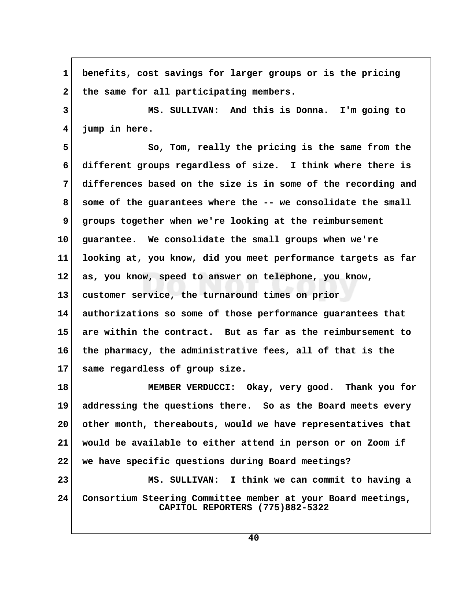**1 benefits, cost savings for larger groups or is the pricing** 2 the same for all participating members.  **3 MS. SULLIVAN: And this is Donna. I'm going to 4 jump in here. 5 So, Tom, really the pricing is the same from the 6 different groups regardless of size. I think where there is 7 differences based on the size is in some of the recording and 8 some of the guarantees where the -- we consolidate the small 9 groups together when we're looking at the reimbursement 10 guarantee. We consolidate the small groups when we're 11 looking at, you know, did you meet performance targets as far 12 as, you know, speed to answer on telephone, you know, 13 customer service, the turnaround times on prior 14 authorizations so some of those performance guarantees that 15 are within the contract. But as far as the reimbursement to 16 the pharmacy, the administrative fees, all of that is the 17 same regardless of group size. 18 MEMBER VERDUCCI: Okay, very good. Thank you for 19 addressing the questions there. So as the Board meets every 20 other month, thereabouts, would we have representatives that 21 would be available to either attend in person or on Zoom if 22 we have specific questions during Board meetings? 23 MS. SULLIVAN: I think we can commit to having a 24 Consortium Steering Committee member at your Board meetings, CAPITOL REPORTERS (775)882-5322**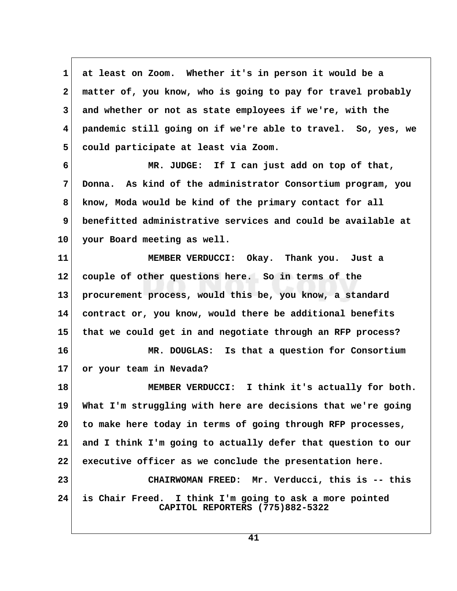**1 at least on Zoom. Whether it's in person it would be a 2 matter of, you know, who is going to pay for travel probably 3 and whether or not as state employees if we're, with the 4 pandemic still going on if we're able to travel. So, yes, we 5 could participate at least via Zoom. 6 MR. JUDGE: If I can just add on top of that, 7 Donna. As kind of the administrator Consortium program, you 8 know, Moda would be kind of the primary contact for all 9 benefitted administrative services and could be available at 10 your Board meeting as well. 11 MEMBER VERDUCCI: Okay. Thank you. Just a 12 couple of other questions here. So in terms of the 13 procurement process, would this be, you know, a standard 14 contract or, you know, would there be additional benefits**

**15 that we could get in and negotiate through an RFP process?**

**16 MR. DOUGLAS: Is that a question for Consortium 17 or your team in Nevada?**

18 MEMBER VERDUCCI: I think it's actually for both. **19 What I'm struggling with here are decisions that we're going 20 to make here today in terms of going through RFP processes, 21 and I think I'm going to actually defer that question to our 22 executive officer as we conclude the presentation here. 23 CHAIRWOMAN FREED: Mr. Verducci, this is -- this 24 is Chair Freed. I think I'm going to ask a more pointed CAPITOL REPORTERS (775)882-5322**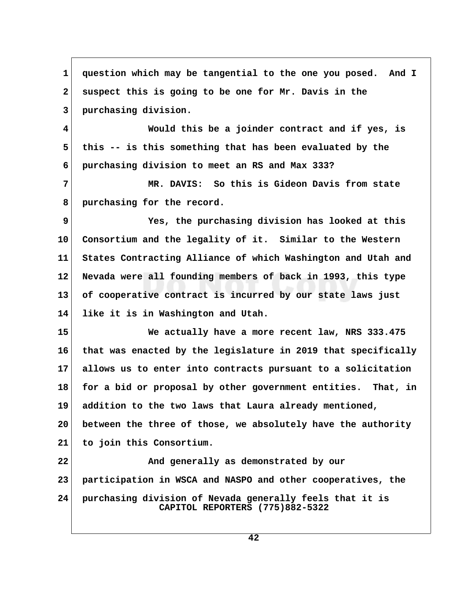**1 question which may be tangential to the one you posed. And I 2 suspect this is going to be one for Mr. Davis in the 3 purchasing division. 4 Would this be a joinder contract and if yes, is 5 this -- is this something that has been evaluated by the 6 purchasing division to meet an RS and Max 333? 7 MR. DAVIS: So this is Gideon Davis from state 8 purchasing for the record. 9 Yes, the purchasing division has looked at this 10 Consortium and the legality of it. Similar to the Western 11 States Contracting Alliance of which Washington and Utah and 12 Nevada were all founding members of back in 1993, this type 13 of cooperative contract is incurred by our state laws just 14 like it is in Washington and Utah. 15 We actually have a more recent law, NRS 333.475 16 that was enacted by the legislature in 2019 that specifically 17 allows us to enter into contracts pursuant to a solicitation 18 for a bid or proposal by other government entities. That, in 19 addition to the two laws that Laura already mentioned, 20 between the three of those, we absolutely have the authority 21 to join this Consortium. 22 And generally as demonstrated by our 23 participation in WSCA and NASPO and other cooperatives, the 24 purchasing division of Nevada generally feels that it is CAPITOL REPORTERS (775)882-5322**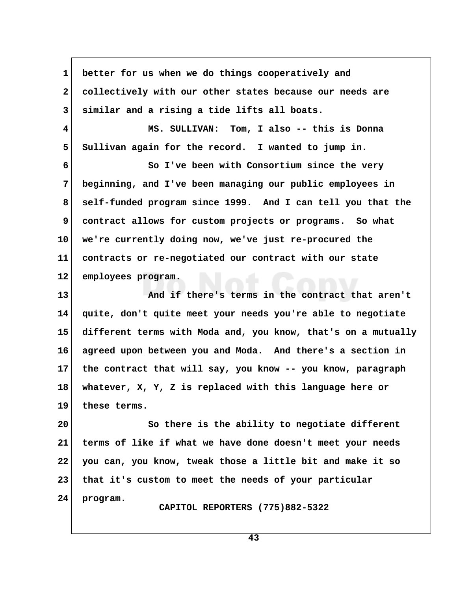**1 better for us when we do things cooperatively and 2 collectively with our other states because our needs are 3 similar and a rising a tide lifts all boats. 4 MS. SULLIVAN: Tom, I also -- this is Donna** 5 Sullivan again for the record. I wanted to jump in.  **6 So I've been with Consortium since the very 7 beginning, and I've been managing our public employees in 8 self-funded program since 1999. And I can tell you that the 9 contract allows for custom projects or programs. So what 10 we're currently doing now, we've just re-procured the 11 contracts or re-negotiated our contract with our state 12 employees program. 13 And if there's terms in the contract that aren't 14 quite, don't quite meet your needs you're able to negotiate 15 different terms with Moda and, you know, that's on a mutually 16 agreed upon between you and Moda. And there's a section in 17 the contract that will say, you know -- you know, paragraph 18 whatever, X, Y, Z is replaced with this language here or 19 these terms. 20 So there is the ability to negotiate different 21 terms of like if what we have done doesn't meet your needs 22 you can, you know, tweak those a little bit and make it so 23 that it's custom to meet the needs of your particular 24 program. CAPITOL REPORTERS (775)882-5322**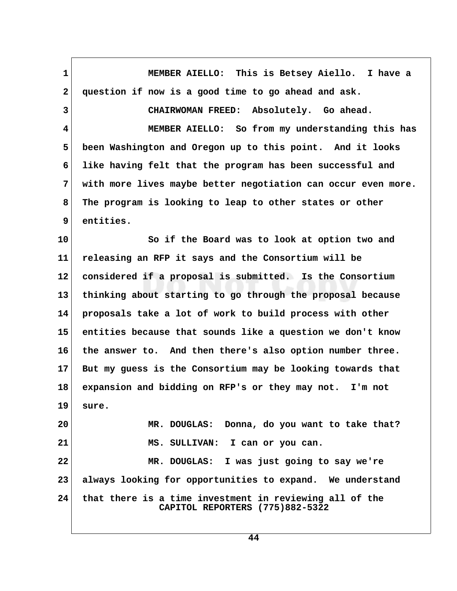**1 MEMBER AIELLO: This is Betsey Aiello. I have a 2 question if now is a good time to go ahead and ask. 3 CHAIRWOMAN FREED: Absolutely. Go ahead. 4 MEMBER AIELLO: So from my understanding this has 5 been Washington and Oregon up to this point. And it looks 6 like having felt that the program has been successful and 7 with more lives maybe better negotiation can occur even more. 8 The program is looking to leap to other states or other 9 entities. 10 So if the Board was to look at option two and 11 releasing an RFP it says and the Consortium will be 12 considered if a proposal is submitted. Is the Consortium 13 thinking about starting to go through the proposal because 14 proposals take a lot of work to build process with other 15 entities because that sounds like a question we don't know 16 the answer to. And then there's also option number three. 17 But my guess is the Consortium may be looking towards that 18 expansion and bidding on RFP's or they may not. I'm not 19 sure. 20 MR. DOUGLAS: Donna, do you want to take that?** 21 MS. SULLIVAN: I can or you can. **22 MR. DOUGLAS: I was just going to say we're 23 always looking for opportunities to expand. We understand 24 that there is a time investment in reviewing all of the CAPITOL REPORTERS (775)882-5322**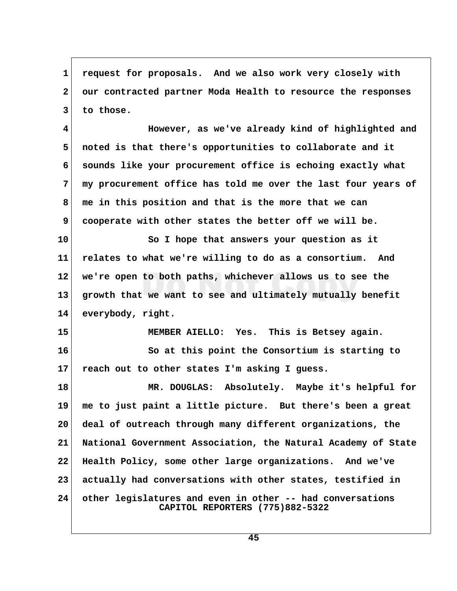**1 request for proposals. And we also work very closely with 2 our contracted partner Moda Health to resource the responses 3 to those.**

 **4 However, as we've already kind of highlighted and 5 noted is that there's opportunities to collaborate and it 6 sounds like your procurement office is echoing exactly what 7 my procurement office has told me over the last four years of 8 me in this position and that is the more that we can 9 cooperate with other states the better off we will be.**

**10 So I hope that answers your question as it 11 relates to what we're willing to do as a consortium. And 12 we're open to both paths, whichever allows us to see the 13 growth that we want to see and ultimately mutually benefit 14 everybody, right.**

**15 MEMBER AIELLO: Yes. This is Betsey again.**

**16 So at this point the Consortium is starting to 17 reach out to other states I'm asking I guess.**

**18 MR. DOUGLAS: Absolutely. Maybe it's helpful for 19 me to just paint a little picture. But there's been a great 20 deal of outreach through many different organizations, the 21 National Government Association, the Natural Academy of State 22 Health Policy, some other large organizations. And we've 23 actually had conversations with other states, testified in 24 other legislatures and even in other -- had conversations CAPITOL REPORTERS (775)882-5322**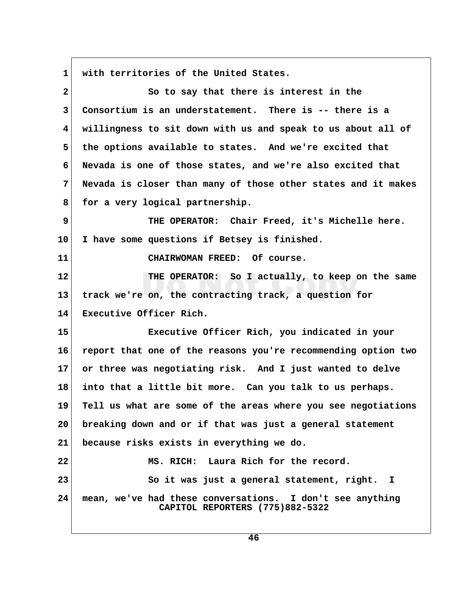**1 with territories of the United States.**

 **2 So to say that there is interest in the 3 Consortium is an understatement. There is -- there is a 4 willingness to sit down with us and speak to us about all of 5 the options available to states. And we're excited that 6 Nevada is one of those states, and we're also excited that 7 Nevada is closer than many of those other states and it makes** 8 for a very logical partnership.  **9 THE OPERATOR: Chair Freed, it's Michelle here. 10 I have some questions if Betsey is finished. 11 CHAIRWOMAN FREED: Of course. 12 THE OPERATOR: So I actually, to keep on the same 13 track we're on, the contracting track, a question for 14 Executive Officer Rich. 15 Executive Officer Rich, you indicated in your 16 report that one of the reasons you're recommending option two 17 or three was negotiating risk. And I just wanted to delve 18 into that a little bit more. Can you talk to us perhaps. 19 Tell us what are some of the areas where you see negotiations 20 breaking down and or if that was just a general statement 21 because risks exists in everything we do. 22 MS. RICH: Laura Rich for the record. 23 So it was just a general statement, right. I 24 mean, we've had these conversations. I don't see anything CAPITOL REPORTERS (775)882-5322**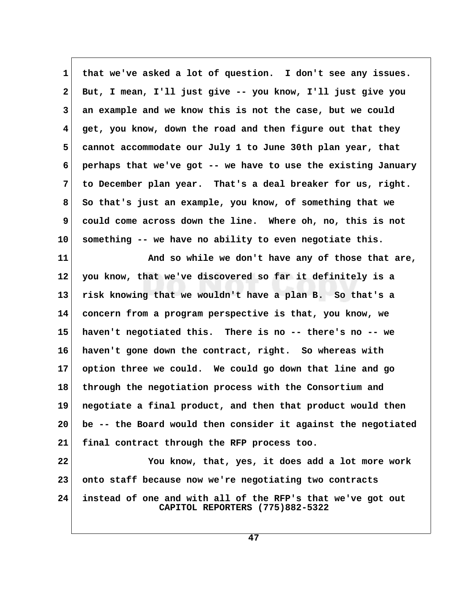**1 that we've asked a lot of question. I don't see any issues. 2 But, I mean, I'll just give -- you know, I'll just give you 3 an example and we know this is not the case, but we could 4 get, you know, down the road and then figure out that they 5 cannot accommodate our July 1 to June 30th plan year, that 6 perhaps that we've got -- we have to use the existing January 7 to December plan year. That's a deal breaker for us, right. 8 So that's just an example, you know, of something that we 9 could come across down the line. Where oh, no, this is not 10 something -- we have no ability to even negotiate this.**

**11 And so while we don't have any of those that are, 12 you know, that we've discovered so far it definitely is a 13 risk knowing that we wouldn't have a plan B. So that's a 14 concern from a program perspective is that, you know, we 15 haven't negotiated this. There is no -- there's no -- we 16 haven't gone down the contract, right. So whereas with 17 option three we could. We could go down that line and go 18 through the negotiation process with the Consortium and 19 negotiate a final product, and then that product would then 20 be -- the Board would then consider it against the negotiated 21 final contract through the RFP process too.**

**22 You know, that, yes, it does add a lot more work 23 onto staff because now we're negotiating two contracts 24 instead of one and with all of the RFP's that we've got out CAPITOL REPORTERS (775)882-5322**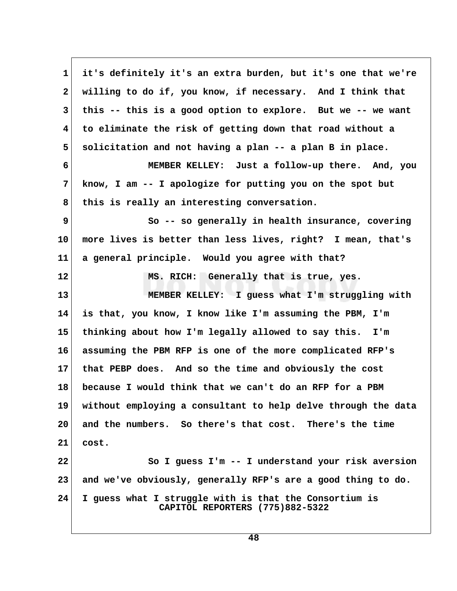**1 it's definitely it's an extra burden, but it's one that we're 2 willing to do if, you know, if necessary. And I think that 3 this -- this is a good option to explore. But we -- we want 4 to eliminate the risk of getting down that road without a 5 solicitation and not having a plan -- a plan B in place. 6 MEMBER KELLEY: Just a follow-up there. And, you 7 know, I am -- I apologize for putting you on the spot but** 8 this is really an interesting conversation.  **9 So -- so generally in health insurance, covering 10 more lives is better than less lives, right? I mean, that's 11 a general principle. Would you agree with that? 12 MS. RICH: Generally that is true, yes. 13 MEMBER KELLEY: I guess what I'm struggling with 14 is that, you know, I know like I'm assuming the PBM, I'm 15 thinking about how I'm legally allowed to say this. I'm 16 assuming the PBM RFP is one of the more complicated RFP's 17 that PEBP does. And so the time and obviously the cost 18 because I would think that we can't do an RFP for a PBM 19 without employing a consultant to help delve through the data 20 and the numbers. So there's that cost. There's the time 21 cost. 22 So I guess I'm -- I understand your risk aversion 23 and we've obviously, generally RFP's are a good thing to do. 24 I guess what I struggle with is that the Consortium is CAPITOL REPORTERS (775)882-5322**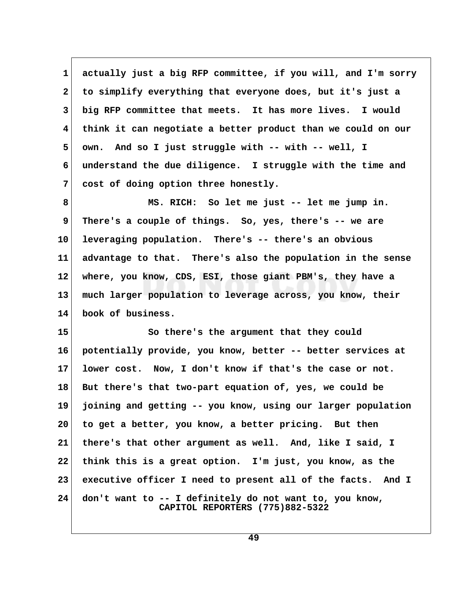**1 actually just a big RFP committee, if you will, and I'm sorry 2 to simplify everything that everyone does, but it's just a 3 big RFP committee that meets. It has more lives. I would 4 think it can negotiate a better product than we could on our 5 own. And so I just struggle with -- with -- well, I 6 understand the due diligence. I struggle with the time and 7 cost of doing option three honestly.**

 **8 MS. RICH: So let me just -- let me jump in. 9 There's a couple of things. So, yes, there's -- we are 10 leveraging population. There's -- there's an obvious 11 advantage to that. There's also the population in the sense 12 where, you know, CDS, ESI, those giant PBM's, they have a 13 much larger population to leverage across, you know, their 14 book of business.**

**15 So there's the argument that they could 16 potentially provide, you know, better -- better services at 17 lower cost. Now, I don't know if that's the case or not. 18 But there's that two-part equation of, yes, we could be 19 joining and getting -- you know, using our larger population 20 to get a better, you know, a better pricing. But then 21 there's that other argument as well. And, like I said, I 22 think this is a great option. I'm just, you know, as the 23 executive officer I need to present all of the facts. And I 24 don't want to -- I definitely do not want to, you know, CAPITOL REPORTERS (775)882-5322**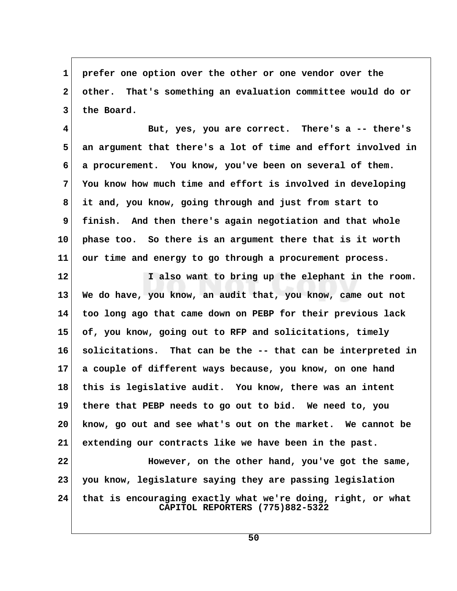**1 prefer one option over the other or one vendor over the 2 other. That's something an evaluation committee would do or 3 the Board.**

 **4 But, yes, you are correct. There's a -- there's 5 an argument that there's a lot of time and effort involved in 6 a procurement. You know, you've been on several of them. 7 You know how much time and effort is involved in developing 8 it and, you know, going through and just from start to 9 finish. And then there's again negotiation and that whole 10 phase too. So there is an argument there that is it worth 11 our time and energy to go through a procurement process.**

**12 I also want to bring up the elephant in the room. 13 We do have, you know, an audit that, you know, came out not 14 too long ago that came down on PEBP for their previous lack 15 of, you know, going out to RFP and solicitations, timely 16 solicitations. That can be the -- that can be interpreted in 17 a couple of different ways because, you know, on one hand 18 this is legislative audit. You know, there was an intent 19 there that PEBP needs to go out to bid. We need to, you 20 know, go out and see what's out on the market. We cannot be 21 extending our contracts like we have been in the past.**

**22 However, on the other hand, you've got the same, 23 you know, legislature saying they are passing legislation 24 that is encouraging exactly what we're doing, right, or what CAPITOL REPORTERS (775)882-5322**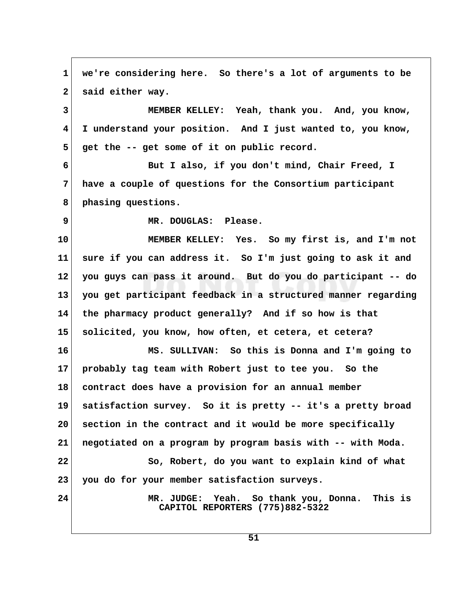**1 we're considering here. So there's a lot of arguments to be** 2 said either way.  **3 MEMBER KELLEY: Yeah, thank you. And, you know, 4 I understand your position. And I just wanted to, you know,** 5 get the -- get some of it on public record.  **6 But I also, if you don't mind, Chair Freed, I 7 have a couple of questions for the Consortium participant 8 phasing questions. 9 MR. DOUGLAS: Please. 10 MEMBER KELLEY: Yes. So my first is, and I'm not 11 sure if you can address it. So I'm just going to ask it and 12 you guys can pass it around. But do you do participant -- do 13 you get participant feedback in a structured manner regarding 14 the pharmacy product generally? And if so how is that 15 solicited, you know, how often, et cetera, et cetera? 16 MS. SULLIVAN: So this is Donna and I'm going to 17 probably tag team with Robert just to tee you. So the 18 contract does have a provision for an annual member 19 satisfaction survey. So it is pretty -- it's a pretty broad 20 section in the contract and it would be more specifically 21 negotiated on a program by program basis with -- with Moda. 22** So, Robert, do you want to explain kind of what **23 you do for your member satisfaction surveys. 24 MR. JUDGE: Yeah. So thank you, Donna. This is CAPITOL REPORTERS (775)882-5322**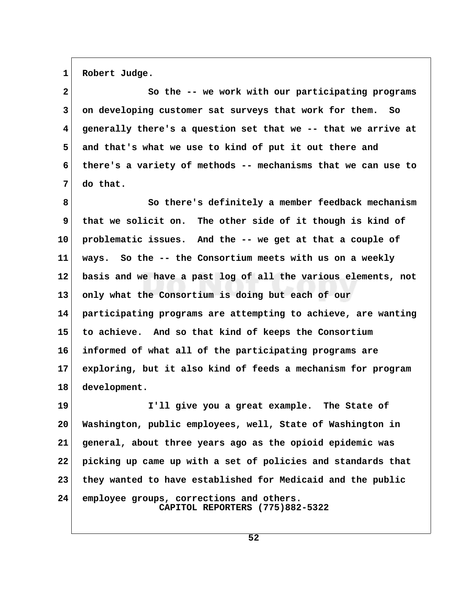1 Robert Judge.

 **2 So the -- we work with our participating programs 3 on developing customer sat surveys that work for them. So 4 generally there's a question set that we -- that we arrive at 5 and that's what we use to kind of put it out there and 6 there's a variety of methods -- mechanisms that we can use to 7 do that.**

 **8 So there's definitely a member feedback mechanism 9 that we solicit on. The other side of it though is kind of 10 problematic issues. And the -- we get at that a couple of 11 ways. So the -- the Consortium meets with us on a weekly 12 basis and we have a past log of all the various elements, not 13 only what the Consortium is doing but each of our 14 participating programs are attempting to achieve, are wanting 15 to achieve. And so that kind of keeps the Consortium 16 informed of what all of the participating programs are 17 exploring, but it also kind of feeds a mechanism for program 18 development.**

**19 I'll give you a great example. The State of 20 Washington, public employees, well, State of Washington in 21 general, about three years ago as the opioid epidemic was 22 picking up came up with a set of policies and standards that 23 they wanted to have established for Medicaid and the public 24 employee groups, corrections and others. CAPITOL REPORTERS (775)882-5322**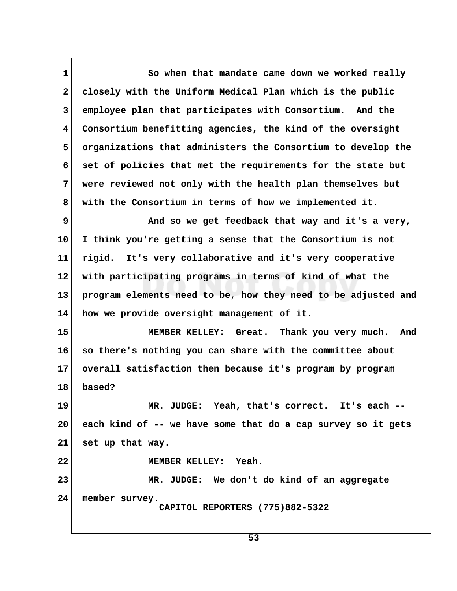1 So when that mandate came down we worked really  **2 closely with the Uniform Medical Plan which is the public 3 employee plan that participates with Consortium. And the 4 Consortium benefitting agencies, the kind of the oversight 5 organizations that administers the Consortium to develop the 6 set of policies that met the requirements for the state but 7 were reviewed not only with the health plan themselves but 8 with the Consortium in terms of how we implemented it.**

**9** And so we get feedback that way and it's a very, **10 I think you're getting a sense that the Consortium is not 11 rigid. It's very collaborative and it's very cooperative 12 with participating programs in terms of kind of what the 13 program elements need to be, how they need to be adjusted and 14 how we provide oversight management of it.**

**15 MEMBER KELLEY: Great. Thank you very much. And 16 so there's nothing you can share with the committee about 17 overall satisfaction then because it's program by program 18 based?**

**19 MR. JUDGE: Yeah, that's correct. It's each -- 20 each kind of -- we have some that do a cap survey so it gets 21 set up that way.**

**22 MEMBER KELLEY: Yeah.**

**23 MR. JUDGE: We don't do kind of an aggregate 24 member survey. CAPITOL REPORTERS (775)882-5322**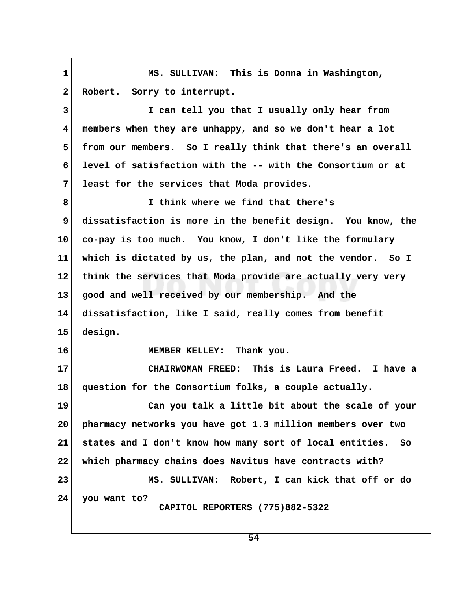**1 MS. SULLIVAN: This is Donna in Washington,** 2 Robert. Sorry to interrupt.  **3 I can tell you that I usually only hear from 4 members when they are unhappy, and so we don't hear a lot 5 from our members. So I really think that there's an overall 6 level of satisfaction with the -- with the Consortium or at 7 least for the services that Moda provides. 8 I think where we find that there's 9 dissatisfaction is more in the benefit design. You know, the 10 co-pay is too much. You know, I don't like the formulary 11 which is dictated by us, the plan, and not the vendor. So I 12 think the services that Moda provide are actually very very 13 good and well received by our membership. And the 14 dissatisfaction, like I said, really comes from benefit 15 design. 16 MEMBER KELLEY: Thank you. 17 CHAIRWOMAN FREED: This is Laura Freed. I have a 18 question for the Consortium folks, a couple actually. 19 Can you talk a little bit about the scale of your 20 pharmacy networks you have got 1.3 million members over two 21 states and I don't know how many sort of local entities. So 22 which pharmacy chains does Navitus have contracts with? 23 MS. SULLIVAN: Robert, I can kick that off or do 24 you want to? CAPITOL REPORTERS (775)882-5322**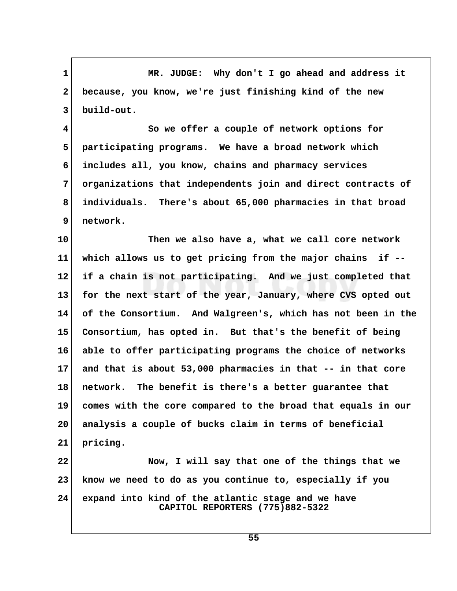1 MR. JUDGE: Why don't I go ahead and address it  **2 because, you know, we're just finishing kind of the new 3 build-out.**

 **4 So we offer a couple of network options for 5 participating programs. We have a broad network which 6 includes all, you know, chains and pharmacy services 7 organizations that independents join and direct contracts of 8 individuals. There's about 65,000 pharmacies in that broad 9 network.**

**10 Then we also have a, what we call core network 11 which allows us to get pricing from the major chains if -- 12 if a chain is not participating. And we just completed that 13 for the next start of the year, January, where CVS opted out 14 of the Consortium. And Walgreen's, which has not been in the 15 Consortium, has opted in. But that's the benefit of being 16 able to offer participating programs the choice of networks 17 and that is about 53,000 pharmacies in that -- in that core 18 network. The benefit is there's a better guarantee that 19 comes with the core compared to the broad that equals in our 20 analysis a couple of bucks claim in terms of beneficial 21 pricing. 22 Now, I will say that one of the things that we**

**23 know we need to do as you continue to, especially if you 24 expand into kind of the atlantic stage and we have CAPITOL REPORTERS (775)882-5322**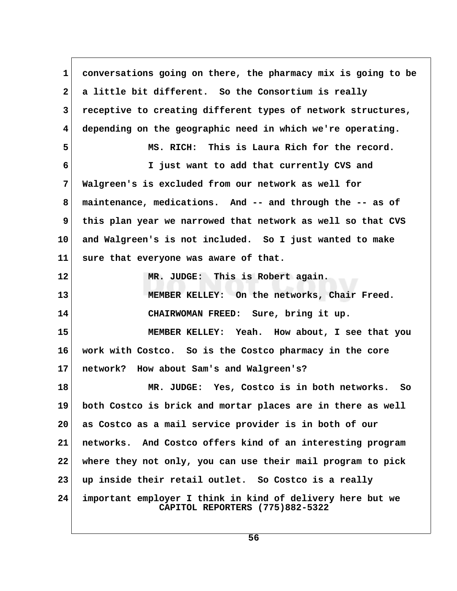**1 conversations going on there, the pharmacy mix is going to be 2 a little bit different. So the Consortium is really 3 receptive to creating different types of network structures, 4 depending on the geographic need in which we're operating. 5 MS. RICH: This is Laura Rich for the record. 6 I just want to add that currently CVS and 7 Walgreen's is excluded from our network as well for 8 maintenance, medications. And -- and through the -- as of** 9 this plan year we narrowed that network as well so that CVS **10 and Walgreen's is not included. So I just wanted to make 11 sure that everyone was aware of that. 12 MR. JUDGE: This is Robert again. 13 MEMBER KELLEY: On the networks, Chair Freed. 14 CHAIRWOMAN FREED: Sure, bring it up. 15 MEMBER KELLEY: Yeah. How about, I see that you 16 work with Costco. So is the Costco pharmacy in the core 17 network? How about Sam's and Walgreen's? 18 MR. JUDGE: Yes, Costco is in both networks. So 19 both Costco is brick and mortar places are in there as well 20 as Costco as a mail service provider is in both of our 21 networks. And Costco offers kind of an interesting program 22 where they not only, you can use their mail program to pick 23 up inside their retail outlet. So Costco is a really 24 important employer I think in kind of delivery here but we CAPITOL REPORTERS (775)882-5322**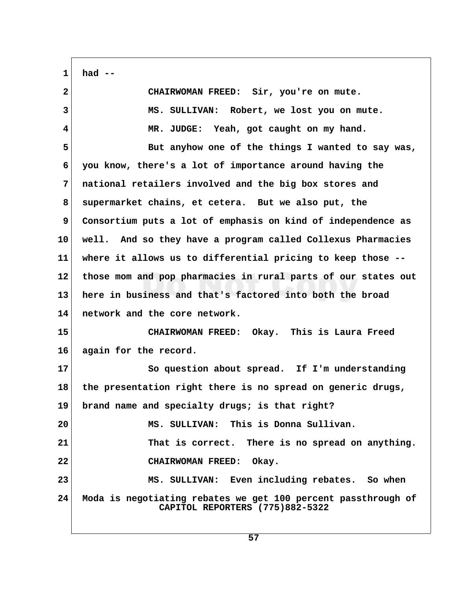**1 had --**

| $\overline{2}$          | CHAIRWOMAN FREED: Sir, you're on mute.                                                           |  |
|-------------------------|--------------------------------------------------------------------------------------------------|--|
| $\overline{3}$          | MS. SULLIVAN: Robert, we lost you on mute.                                                       |  |
| $\overline{\mathbf{4}}$ | MR. JUDGE: Yeah, got caught on my hand.                                                          |  |
| 5                       | But anyhow one of the things I wanted to say was,                                                |  |
| 6                       | you know, there's a lot of importance around having the                                          |  |
| 7                       | national retailers involved and the big box stores and                                           |  |
| 8                       | supermarket chains, et cetera. But we also put, the                                              |  |
| 9                       | Consortium puts a lot of emphasis on kind of independence as                                     |  |
| 10                      | well. And so they have a program called Collexus Pharmacies                                      |  |
| 11                      | where it allows us to differential pricing to keep those --                                      |  |
| $12 \,$                 | those mom and pop pharmacies in rural parts of our states out                                    |  |
| 13                      | here in business and that's factored into both the broad                                         |  |
| 14                      | network and the core network.                                                                    |  |
| 15                      | CHAIRWOMAN FREED: Okay. This is Laura Freed                                                      |  |
| 16                      | again for the record.                                                                            |  |
| 17                      | So question about spread. If I'm understanding                                                   |  |
| 18                      | the presentation right there is no spread on generic drugs,                                      |  |
| 19                      | brand name and specialty drugs; is that right?                                                   |  |
| 20                      | MS. SULLIVAN: This is Donna Sullivan.                                                            |  |
| 21                      | That is correct. There is no spread on anything.                                                 |  |
| 22                      | CHAIRWOMAN FREED: Okay.                                                                          |  |
| 23                      | MS. SULLIVAN: Even including rebates. So when                                                    |  |
| 24                      | Moda is negotiating rebates we get 100 percent passthrough of<br>CAPITOL REPORTERS (775)882-5322 |  |
|                         |                                                                                                  |  |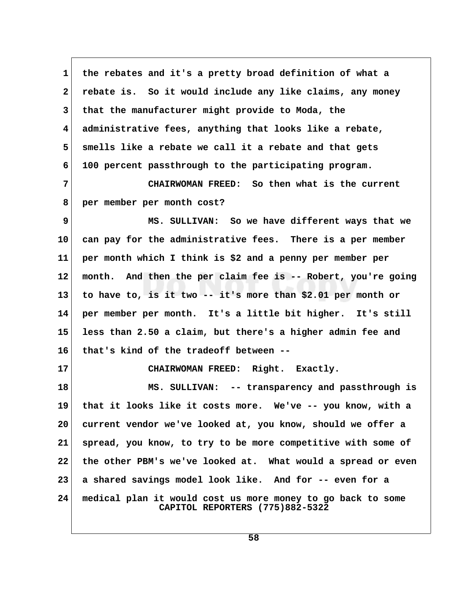**1 the rebates and it's a pretty broad definition of what a 2 rebate is. So it would include any like claims, any money 3 that the manufacturer might provide to Moda, the 4 administrative fees, anything that looks like a rebate, 5 smells like a rebate we call it a rebate and that gets 6 100 percent passthrough to the participating program. 7 CHAIRWOMAN FREED: So then what is the current 8 per member per month cost? 9 MS. SULLIVAN: So we have different ways that we 10 can pay for the administrative fees. There is a per member 11 per month which I think is \$2 and a penny per member per 12 month. And then the per claim fee is -- Robert, you're going 13 to have to, is it two -- it's more than \$2.01 per month or 14 per member per month. It's a little bit higher. It's still 15 less than 2.50 a claim, but there's a higher admin fee and 16 that's kind of the tradeoff between -- 17 CHAIRWOMAN FREED: Right. Exactly. 18 MS. SULLIVAN: -- transparency and passthrough is 19 that it looks like it costs more. We've -- you know, with a 20 current vendor we've looked at, you know, should we offer a 21 spread, you know, to try to be more competitive with some of 22 the other PBM's we've looked at. What would a spread or even 23 a shared savings model look like. And for -- even for a 24 medical plan it would cost us more money to go back to some CAPITOL REPORTERS (775)882-5322**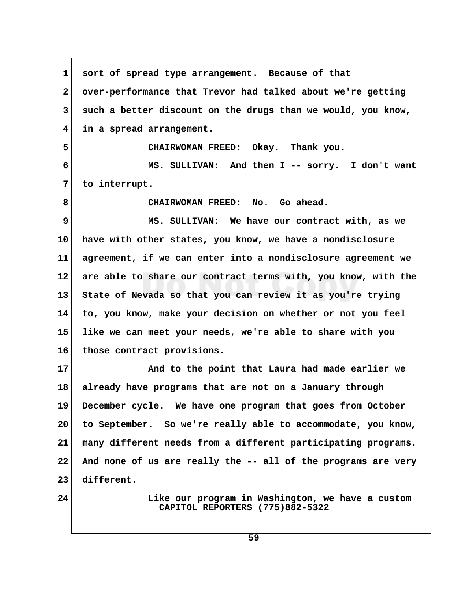**1 sort of spread type arrangement. Because of that 2 over-performance that Trevor had talked about we're getting 3 such a better discount on the drugs than we would, you know, 4 in a spread arrangement. 5 CHAIRWOMAN FREED: Okay. Thank you. 6 MS. SULLIVAN: And then I -- sorry. I don't want 7 to interrupt. 8 CHAIRWOMAN FREED: No. Go ahead. 9 MS. SULLIVAN: We have our contract with, as we 10 have with other states, you know, we have a nondisclosure 11 agreement, if we can enter into a nondisclosure agreement we 12 are able to share our contract terms with, you know, with the 13 State of Nevada so that you can review it as you're trying 14 to, you know, make your decision on whether or not you feel 15 like we can meet your needs, we're able to share with you 16 those contract provisions. 17 And to the point that Laura had made earlier we 18 already have programs that are not on a January through 19 December cycle. We have one program that goes from October 20 to September. So we're really able to accommodate, you know, 21 many different needs from a different participating programs. 22 And none of us are really the -- all of the programs are very 23 different. 24 Like our program in Washington, we have a custom CAPITOL REPORTERS (775)882-5322**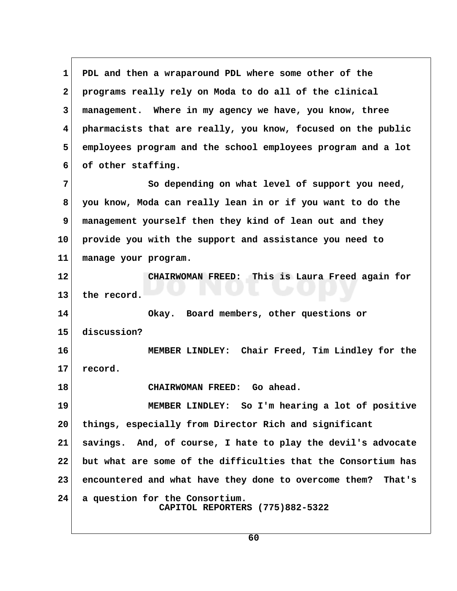**1 PDL and then a wraparound PDL where some other of the 2 programs really rely on Moda to do all of the clinical 3 management. Where in my agency we have, you know, three 4 pharmacists that are really, you know, focused on the public 5 employees program and the school employees program and a lot 6 of other staffing. 7** So depending on what level of support you need,  **8 you know, Moda can really lean in or if you want to do the 9 management yourself then they kind of lean out and they 10 provide you with the support and assistance you need to 11 manage your program. 12 CHAIRWOMAN FREED: This is Laura Freed again for 13 the record. 14 Okay. Board members, other questions or 15 discussion? 16 MEMBER LINDLEY: Chair Freed, Tim Lindley for the 17 record. 18 CHAIRWOMAN FREED: Go ahead. 19 MEMBER LINDLEY: So I'm hearing a lot of positive 20 things, especially from Director Rich and significant 21 savings. And, of course, I hate to play the devil's advocate 22 but what are some of the difficulties that the Consortium has 23 encountered and what have they done to overcome them? That's 24 a question for the Consortium. CAPITOL REPORTERS (775)882-5322**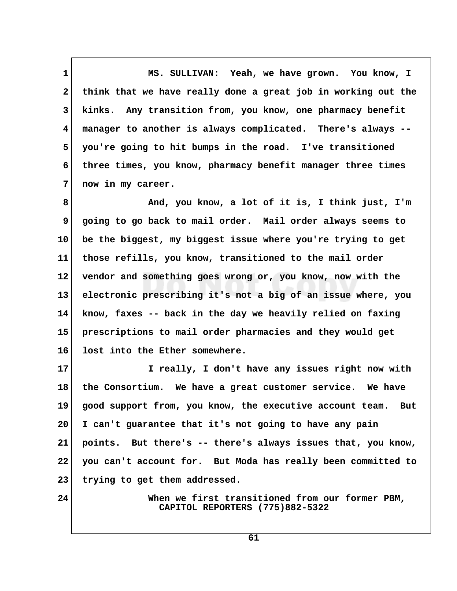1 MS. SULLIVAN: Yeah, we have grown. You know, I  **2 think that we have really done a great job in working out the 3 kinks. Any transition from, you know, one pharmacy benefit 4 manager to another is always complicated. There's always -- 5 you're going to hit bumps in the road. I've transitioned 6 three times, you know, pharmacy benefit manager three times 7 now in my career.**

 **8 And, you know, a lot of it is, I think just, I'm 9 going to go back to mail order. Mail order always seems to 10 be the biggest, my biggest issue where you're trying to get 11 those refills, you know, transitioned to the mail order 12 vendor and something goes wrong or, you know, now with the 13 electronic prescribing it's not a big of an issue where, you 14 know, faxes -- back in the day we heavily relied on faxing 15 prescriptions to mail order pharmacies and they would get 16 lost into the Ether somewhere.**

**17 I really, I don't have any issues right now with 18 the Consortium. We have a great customer service. We have 19 good support from, you know, the executive account team. But 20 I can't guarantee that it's not going to have any pain 21 points. But there's -- there's always issues that, you know, 22 you can't account for. But Moda has really been committed to 23 trying to get them addressed.**

**24 When we first transitioned from our former PBM, CAPITOL REPORTERS (775)882-5322**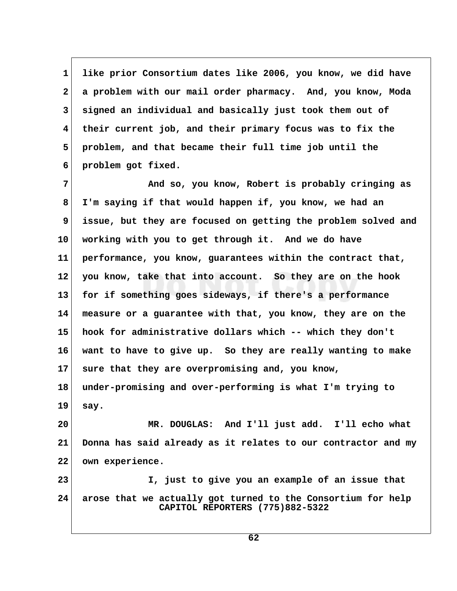**1 like prior Consortium dates like 2006, you know, we did have 2 a problem with our mail order pharmacy. And, you know, Moda 3 signed an individual and basically just took them out of 4 their current job, and their primary focus was to fix the 5 problem, and that became their full time job until the 6 problem got fixed.**

 **7 And so, you know, Robert is probably cringing as 8 I'm saying if that would happen if, you know, we had an 9 issue, but they are focused on getting the problem solved and 10 working with you to get through it. And we do have 11 performance, you know, guarantees within the contract that, 12 you know, take that into account. So they are on the hook 13 for if something goes sideways, if there's a performance 14 measure or a guarantee with that, you know, they are on the 15 hook for administrative dollars which -- which they don't 16 want to have to give up. So they are really wanting to make 17 sure that they are overpromising and, you know, 18 under-promising and over-performing is what I'm trying to 19 say. 20 MR. DOUGLAS: And I'll just add. I'll echo what 21 Donna has said already as it relates to our contractor and my 22 own experience.**

**23 I, just to give you an example of an issue that 24 arose that we actually got turned to the Consortium for help CAPITOL REPORTERS (775)882-5322**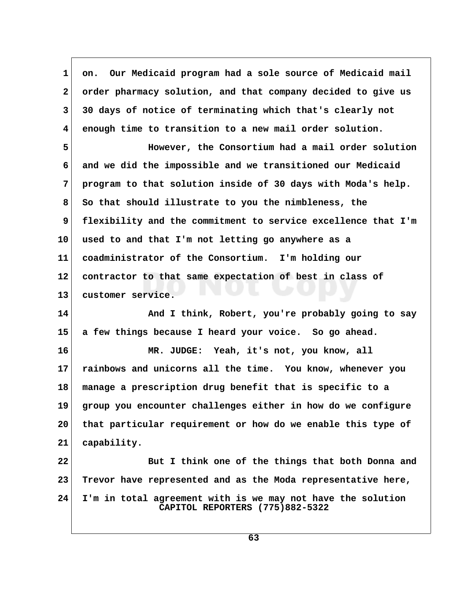1 on. Our Medicaid program had a sole source of Medicaid mail  **2 order pharmacy solution, and that company decided to give us 3 30 days of notice of terminating which that's clearly not 4 enough time to transition to a new mail order solution. 5 However, the Consortium had a mail order solution 6 and we did the impossible and we transitioned our Medicaid 7 program to that solution inside of 30 days with Moda's help. 8 So that should illustrate to you the nimbleness, the 9 flexibility and the commitment to service excellence that I'm 10 used to and that I'm not letting go anywhere as a 11 coadministrator of the Consortium. I'm holding our 12 contractor to that same expectation of best in class of 13 customer service. 14 And I think, Robert, you're probably going to say 15 a few things because I heard your voice. So go ahead. 16 MR. JUDGE: Yeah, it's not, you know, all 17 rainbows and unicorns all the time. You know, whenever you 18 manage a prescription drug benefit that is specific to a 19 group you encounter challenges either in how do we configure 20 that particular requirement or how do we enable this type of 21 capability. 22 But I think one of the things that both Donna and 23 Trevor have represented and as the Moda representative here, 24 I'm in total agreement with is we may not have the solution CAPITOL REPORTERS (775)882-5322**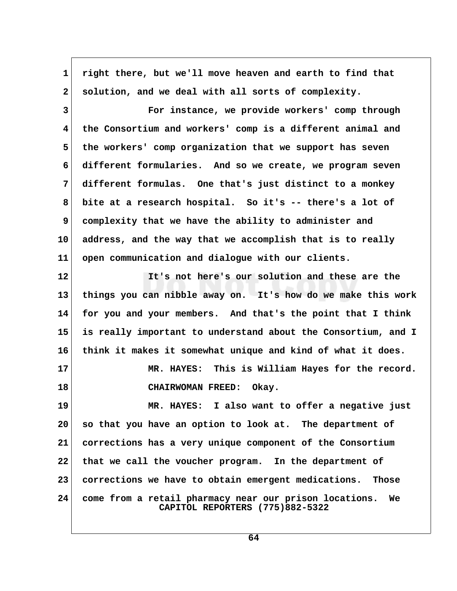| $\mathbf{1}$    | right there, but we'll move heaven and earth to find that                                       |  |
|-----------------|-------------------------------------------------------------------------------------------------|--|
| $\mathbf{2}$    | solution, and we deal with all sorts of complexity.                                             |  |
| 3               | For instance, we provide workers' comp through                                                  |  |
| 4               | the Consortium and workers' comp is a different animal and                                      |  |
| 5               | the workers' comp organization that we support has seven                                        |  |
| 6               | different formularies. And so we create, we program seven                                       |  |
| 7               | different formulas. One that's just distinct to a monkey                                        |  |
| 8               | bite at a research hospital. So it's -- there's a lot of                                        |  |
| 9               | complexity that we have the ability to administer and                                           |  |
| 10              | address, and the way that we accomplish that is to really                                       |  |
| 11              | open communication and dialogue with our clients.                                               |  |
| $12 \,$         | It's not here's our solution and these are the                                                  |  |
| 13              | things you can nibble away on. It's how do we make this work                                    |  |
| 14              | for you and your members. And that's the point that I think                                     |  |
| 15 <sub>1</sub> | is really important to understand about the Consortium, and I                                   |  |
| 16              | think it makes it somewhat unique and kind of what it does.                                     |  |
| 17              | MR. HAYES: This is William Hayes for the record.                                                |  |
| 18              | <b>CHAIRWOMAN FREED:</b><br>Okay.                                                               |  |
| 19              | MR. HAYES: I also want to offer a negative just                                                 |  |
| 20              | so that you have an option to look at. The department of                                        |  |
| 21              | corrections has a very unique component of the Consortium                                       |  |
| 22              | that we call the voucher program. In the department of                                          |  |
| 23              | corrections we have to obtain emergent medications. Those                                       |  |
| 24              | come from a retail pharmacy near our prison locations.<br>We<br>CAPITOL REPORTERS (775)882-5322 |  |

 $\Gamma$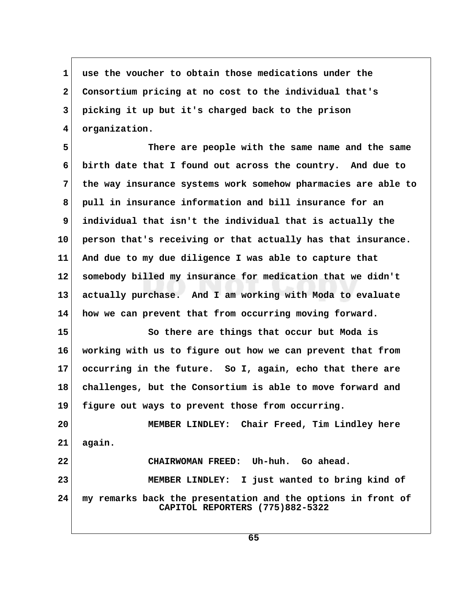**1 use the voucher to obtain those medications under the 2 Consortium pricing at no cost to the individual that's 3 picking it up but it's charged back to the prison 4 organization.**

 **5 There are people with the same name and the same 6 birth date that I found out across the country. And due to 7 the way insurance systems work somehow pharmacies are able to 8 pull in insurance information and bill insurance for an 9 individual that isn't the individual that is actually the 10 person that's receiving or that actually has that insurance. 11 And due to my due diligence I was able to capture that 12 somebody billed my insurance for medication that we didn't 13 actually purchase. And I am working with Moda to evaluate 14 how we can prevent that from occurring moving forward.**

**15 So there are things that occur but Moda is 16 working with us to figure out how we can prevent that from 17 occurring in the future. So I, again, echo that there are 18 challenges, but the Consortium is able to move forward and 19 figure out ways to prevent those from occurring.**

**20 MEMBER LINDLEY: Chair Freed, Tim Lindley here 21 again. 22 CHAIRWOMAN FREED: Uh-huh. Go ahead. 23 MEMBER LINDLEY: I just wanted to bring kind of 24 my remarks back the presentation and the options in front of CAPITOL REPORTERS (775)882-5322**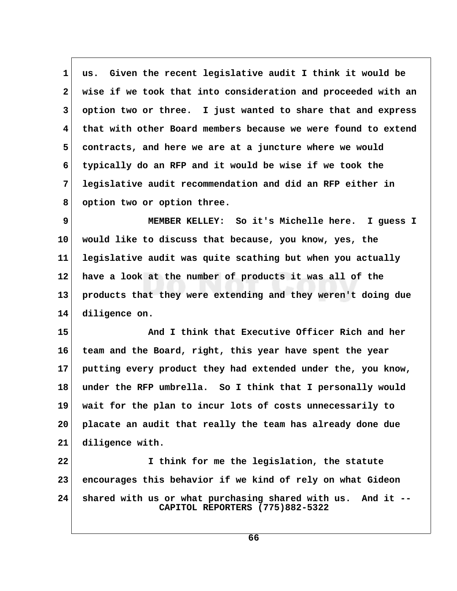1 us. Given the recent legislative audit I think it would be  **2 wise if we took that into consideration and proceeded with an 3 option two or three. I just wanted to share that and express 4 that with other Board members because we were found to extend 5 contracts, and here we are at a juncture where we would 6 typically do an RFP and it would be wise if we took the 7 legislative audit recommendation and did an RFP either in 8 option two or option three.**

 **9 MEMBER KELLEY: So it's Michelle here. I guess I 10 would like to discuss that because, you know, yes, the 11 legislative audit was quite scathing but when you actually 12 have a look at the number of products it was all of the 13 products that they were extending and they weren't doing due 14 diligence on.**

**15 And I think that Executive Officer Rich and her 16 team and the Board, right, this year have spent the year 17 putting every product they had extended under the, you know, 18 under the RFP umbrella. So I think that I personally would 19 wait for the plan to incur lots of costs unnecessarily to 20 placate an audit that really the team has already done due 21 diligence with.**

**22 I think for me the legislation, the statute 23 encourages this behavior if we kind of rely on what Gideon 24 shared with us or what purchasing shared with us. And it -- CAPITOL REPORTERS (775)882-5322**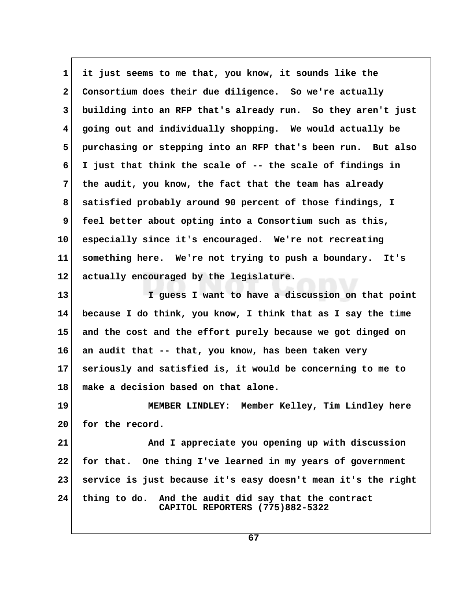**1 it just seems to me that, you know, it sounds like the 2 Consortium does their due diligence. So we're actually 3 building into an RFP that's already run. So they aren't just 4 going out and individually shopping. We would actually be 5 purchasing or stepping into an RFP that's been run. But also 6 I just that think the scale of -- the scale of findings in 7 the audit, you know, the fact that the team has already 8 satisfied probably around 90 percent of those findings, I 9 feel better about opting into a Consortium such as this, 10 especially since it's encouraged. We're not recreating 11 something here. We're not trying to push a boundary. It's 12 actually encouraged by the legislature. 13 I guess I want to have a discussion on that point**

**14 because I do think, you know, I think that as I say the time 15 and the cost and the effort purely because we got dinged on 16 an audit that -- that, you know, has been taken very 17 seriously and satisfied is, it would be concerning to me to 18 make a decision based on that alone.**

**19 MEMBER LINDLEY: Member Kelley, Tim Lindley here 20 for the record.**

**21 And I appreciate you opening up with discussion 22 for that. One thing I've learned in my years of government 23 service is just because it's easy doesn't mean it's the right 24 thing to do. And the audit did say that the contract CAPITOL REPORTERS (775)882-5322**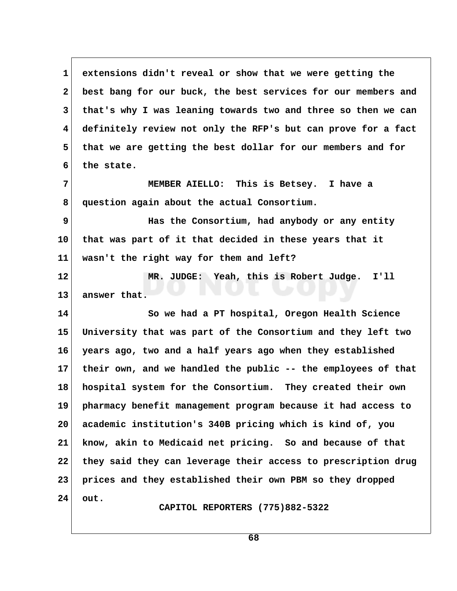1 extensions didn't reveal or show that we were getting the  **2 best bang for our buck, the best services for our members and 3 that's why I was leaning towards two and three so then we can 4 definitely review not only the RFP's but can prove for a fact 5 that we are getting the best dollar for our members and for 6 the state. 7 MEMBER AIELLO: This is Betsey. I have a 8 question again about the actual Consortium. 9 Has the Consortium, had anybody or any entity 10 that was part of it that decided in these years that it 11 wasn't the right way for them and left? 12 MR. JUDGE: Yeah, this is Robert Judge. I'll 13 answer that. 14 So we had a PT hospital, Oregon Health Science 15 University that was part of the Consortium and they left two 16 years ago, two and a half years ago when they established 17 their own, and we handled the public -- the employees of that 18 hospital system for the Consortium. They created their own 19 pharmacy benefit management program because it had access to 20 academic institution's 340B pricing which is kind of, you 21 know, akin to Medicaid net pricing. So and because of that 22 they said they can leverage their access to prescription drug 23 prices and they established their own PBM so they dropped 24 out. CAPITOL REPORTERS (775)882-5322**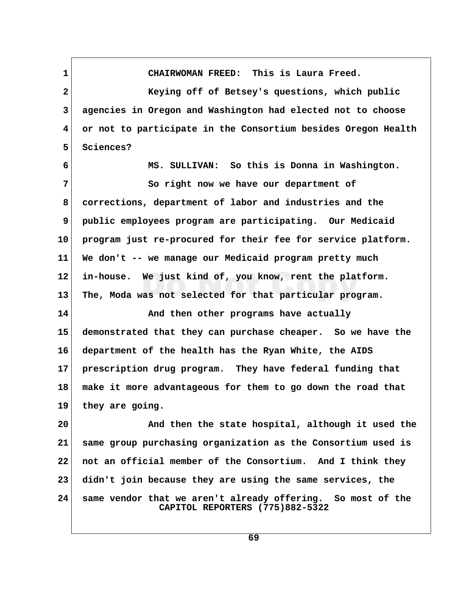**1 CHAIRWOMAN FREED: This is Laura Freed. 2 Keying off of Betsey's questions, which public 3 agencies in Oregon and Washington had elected not to choose 4 or not to participate in the Consortium besides Oregon Health 5 Sciences? 6 MS. SULLIVAN: So this is Donna in Washington. 7** So right now we have our department of  **8 corrections, department of labor and industries and the 9 public employees program are participating. Our Medicaid 10 program just re-procured for their fee for service platform. 11 We don't -- we manage our Medicaid program pretty much 12 in-house. We just kind of, you know, rent the platform. 13 The, Moda was not selected for that particular program. 14 And then other programs have actually 15 demonstrated that they can purchase cheaper. So we have the 16 department of the health has the Ryan White, the AIDS 17 prescription drug program. They have federal funding that 18 make it more advantageous for them to go down the road that 19 they are going. 20 And then the state hospital, although it used the 21 same group purchasing organization as the Consortium used is 22 not an official member of the Consortium. And I think they 23 didn't join because they are using the same services, the 24 same vendor that we aren't already offering. So most of the CAPITOL REPORTERS (775)882-5322**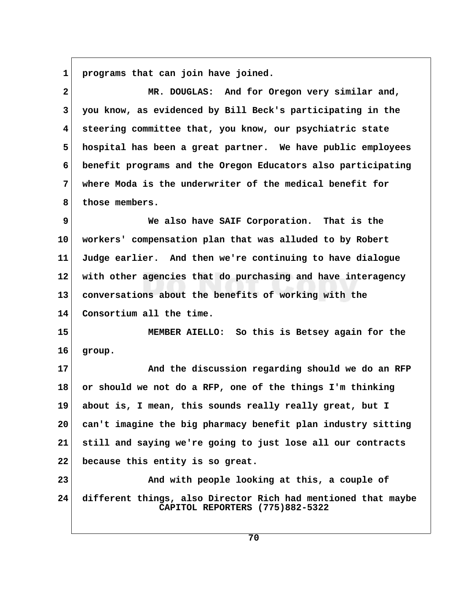**1 programs that can join have joined.**

| $\overline{\mathbf{2}}$ | MR. DOUGLAS: And for Oregon very similar and,                                                    |
|-------------------------|--------------------------------------------------------------------------------------------------|
| 3                       | you know, as evidenced by Bill Beck's participating in the                                       |
| $\overline{\mathbf{4}}$ | steering committee that, you know, our psychiatric state                                         |
| 5                       | hospital has been a great partner. We have public employees                                      |
| 6                       | benefit programs and the Oregon Educators also participating                                     |
| 7                       | where Moda is the underwriter of the medical benefit for                                         |
| 8                       | those members.                                                                                   |
| 9                       | We also have SAIF Corporation. That is the                                                       |
| 10                      | workers' compensation plan that was alluded to by Robert                                         |
| 11                      | Judge earlier. And then we're continuing to have dialogue                                        |
| 12                      | with other agencies that do purchasing and have interagency                                      |
| 13                      | conversations about the benefits of working with the                                             |
| 14                      | Consortium all the time.                                                                         |
| 15                      | MEMBER AIELLO: So this is Betsey again for the                                                   |
| 16                      | group.                                                                                           |
| 17                      | And the discussion regarding should we do an RFP                                                 |
| 18                      | or should we not do a RFP, one of the things I'm thinking                                        |
| 19                      | about is, I mean, this sounds really really great, but I                                         |
| 20 <sub>o</sub>         | can't imagine the big pharmacy benefit plan industry sitting                                     |
| 21                      | still and saying we're going to just lose all our contracts                                      |
| 22                      | because this entity is so great.                                                                 |
| 23                      | And with people looking at this, a couple of                                                     |
| 24                      | different things, also Director Rich had mentioned that maybe<br>CAPITOL REPORTERS (775)882-5322 |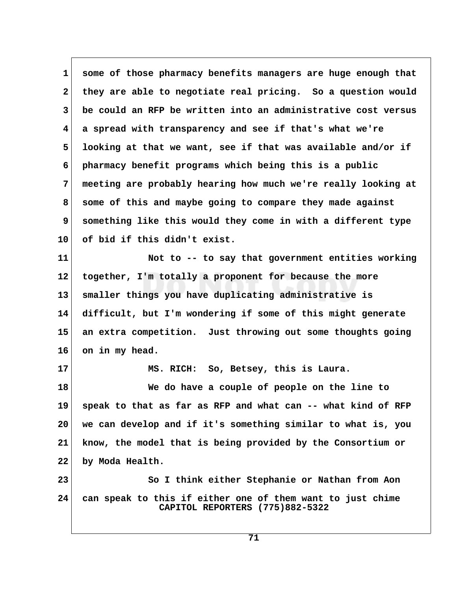**1 some of those pharmacy benefits managers are huge enough that 2 they are able to negotiate real pricing. So a question would 3 be could an RFP be written into an administrative cost versus 4 a spread with transparency and see if that's what we're 5 looking at that we want, see if that was available and/or if 6 pharmacy benefit programs which being this is a public 7 meeting are probably hearing how much we're really looking at 8 some of this and maybe going to compare they made against 9 something like this would they come in with a different type 10 of bid if this didn't exist.**

**11 Not to -- to say that government entities working 12 together, I'm totally a proponent for because the more 13 smaller things you have duplicating administrative is 14 difficult, but I'm wondering if some of this might generate 15 an extra competition. Just throwing out some thoughts going 16 on in my head.**

**17 MS. RICH: So, Betsey, this is Laura. 18 We do have a couple of people on the line to 19 speak to that as far as RFP and what can -- what kind of RFP 20 we can develop and if it's something similar to what is, you 21 know, the model that is being provided by the Consortium or 22 by Moda Health. 23** So I think either Stephanie or Nathan from Aon

**24 can speak to this if either one of them want to just chime CAPITOL REPORTERS (775)882-5322**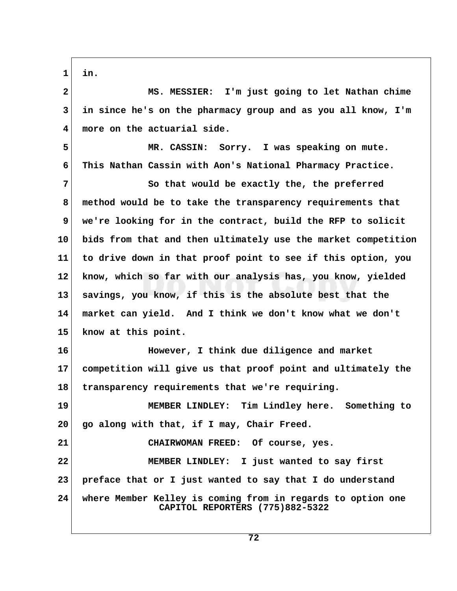**1 in.**

 **2 MS. MESSIER: I'm just going to let Nathan chime 3 in since he's on the pharmacy group and as you all know, I'm 4 more on the actuarial side.**

 **5 MR. CASSIN: Sorry. I was speaking on mute. 6 This Nathan Cassin with Aon's National Pharmacy Practice.**

**7** So that would be exactly the, the preferred  **8 method would be to take the transparency requirements that 9 we're looking for in the contract, build the RFP to solicit 10 bids from that and then ultimately use the market competition 11 to drive down in that proof point to see if this option, you 12 know, which so far with our analysis has, you know, yielded 13 savings, you know, if this is the absolute best that the 14 market can yield. And I think we don't know what we don't 15 know at this point.**

**16 However, I think due diligence and market 17 competition will give us that proof point and ultimately the 18 transparency requirements that we're requiring.**

**19 MEMBER LINDLEY: Tim Lindley here. Something to 20 go along with that, if I may, Chair Freed.**

**21 CHAIRWOMAN FREED: Of course, yes. 22 MEMBER LINDLEY: I just wanted to say first 23 preface that or I just wanted to say that I do understand 24 where Member Kelley is coming from in regards to option one CAPITOL REPORTERS (775)882-5322**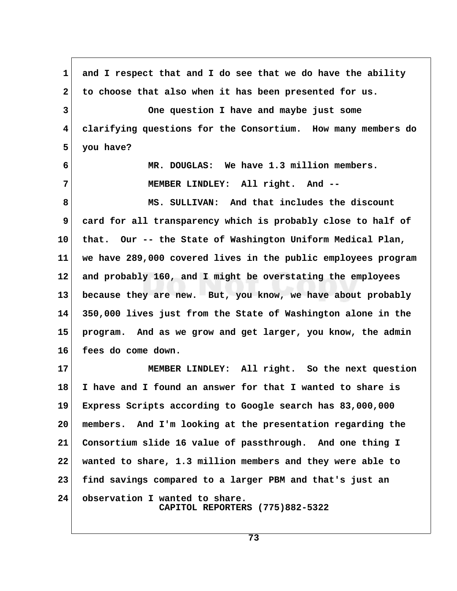**1 and I respect that and I do see that we do have the ability 2 to choose that also when it has been presented for us. 3 One question I have and maybe just some 4 clarifying questions for the Consortium. How many members do 5 you have? 6 MR. DOUGLAS: We have 1.3 million members. 7 MEMBER LINDLEY: All right. And -- 8 MS. SULLIVAN: And that includes the discount 9 card for all transparency which is probably close to half of 10 that. Our -- the State of Washington Uniform Medical Plan, 11 we have 289,000 covered lives in the public employees program 12 and probably 160, and I might be overstating the employees 13 because they are new. But, you know, we have about probably 14 350,000 lives just from the State of Washington alone in the 15 program. And as we grow and get larger, you know, the admin 16 fees do come down. 17 MEMBER LINDLEY: All right. So the next question 18 I have and I found an answer for that I wanted to share is 19 Express Scripts according to Google search has 83,000,000 20 members. And I'm looking at the presentation regarding the 21 Consortium slide 16 value of passthrough. And one thing I 22 wanted to share, 1.3 million members and they were able to 23 find savings compared to a larger PBM and that's just an 24 observation I wanted to share. CAPITOL REPORTERS (775)882-5322**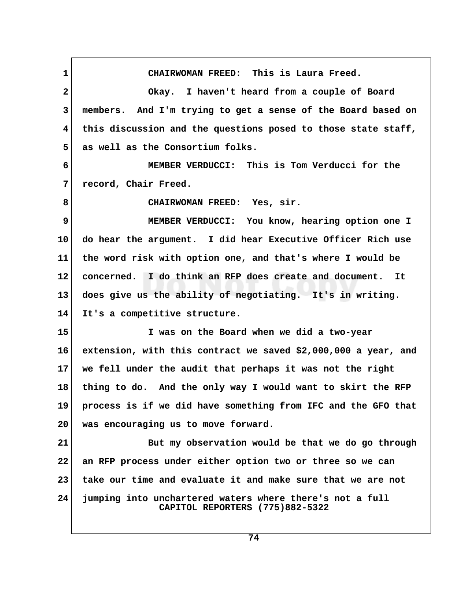**1 CHAIRWOMAN FREED: This is Laura Freed. 2 Okay. I haven't heard from a couple of Board 3 members. And I'm trying to get a sense of the Board based on 4 this discussion and the questions posed to those state staff, 5 as well as the Consortium folks. 6 MEMBER VERDUCCI: This is Tom Verducci for the 7 record, Chair Freed. 8 CHAIRWOMAN FREED: Yes, sir. 9 MEMBER VERDUCCI: You know, hearing option one I 10 do hear the argument. I did hear Executive Officer Rich use 11 the word risk with option one, and that's where I would be 12 concerned. I do think an RFP does create and document. It 13 does give us the ability of negotiating. It's in writing. 14 It's a competitive structure. 15 I was on the Board when we did a two-year 16 extension, with this contract we saved \$2,000,000 a year, and 17 we fell under the audit that perhaps it was not the right 18 thing to do. And the only way I would want to skirt the RFP 19 process is if we did have something from IFC and the GFO that 20 was encouraging us to move forward. 21 But my observation would be that we do go through 22 an RFP process under either option two or three so we can 23 take our time and evaluate it and make sure that we are not 24 jumping into unchartered waters where there's not a full CAPITOL REPORTERS (775)882-5322**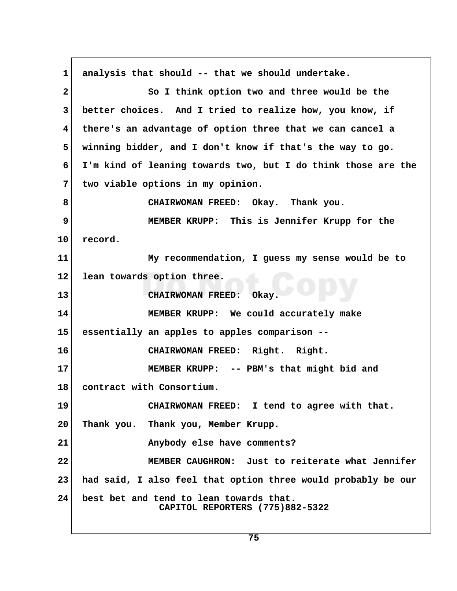**1 analysis that should -- that we should undertake. 2 So I think option two and three would be the 3 better choices. And I tried to realize how, you know, if 4 there's an advantage of option three that we can cancel a 5 winning bidder, and I don't know if that's the way to go. 6 I'm kind of leaning towards two, but I do think those are the 7 two viable options in my opinion. 8 CHAIRWOMAN FREED: Okay. Thank you. 9 MEMBER KRUPP: This is Jennifer Krupp for the 10 record. 11 My recommendation, I guess my sense would be to 12 lean towards option three. 13 CHAIRWOMAN FREED: Okay. 14 MEMBER KRUPP: We could accurately make 15 essentially an apples to apples comparison -- 16 CHAIRWOMAN FREED: Right. Right. 17 MEMBER KRUPP: -- PBM's that might bid and 18 contract with Consortium. 19 CHAIRWOMAN FREED: I tend to agree with that. 20 Thank you. Thank you, Member Krupp. 21 Anybody else have comments? 22 MEMBER CAUGHRON: Just to reiterate what Jennifer 23 had said, I also feel that option three would probably be our 24 best bet and tend to lean towards that. CAPITOL REPORTERS (775)882-5322**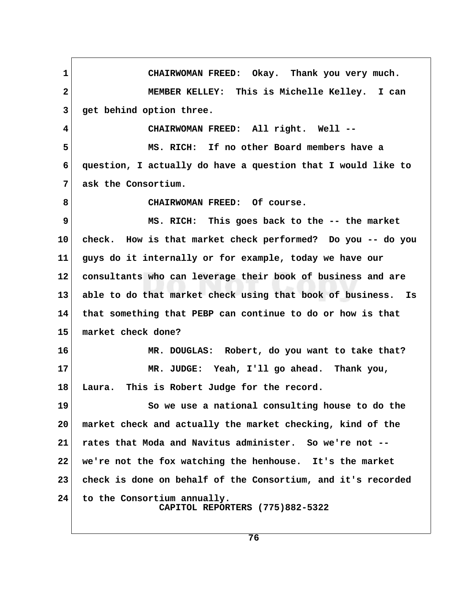1 CHAIRWOMAN FREED: Okay. Thank you very much.  **2 MEMBER KELLEY: This is Michelle Kelley. I can 3 get behind option three. 4 CHAIRWOMAN FREED: All right. Well -- 5 MS. RICH: If no other Board members have a 6 question, I actually do have a question that I would like to 7 ask the Consortium. 8 CHAIRWOMAN FREED: Of course. 9** MS. RICH: This goes back to the -- the market **10 check. How is that market check performed? Do you -- do you 11 guys do it internally or for example, today we have our 12 consultants who can leverage their book of business and are 13 able to do that market check using that book of business. Is 14 that something that PEBP can continue to do or how is that 15 market check done? 16 MR. DOUGLAS: Robert, do you want to take that? 17 MR. JUDGE: Yeah, I'll go ahead. Thank you, 18 Laura. This is Robert Judge for the record. 19 So we use a national consulting house to do the 20 market check and actually the market checking, kind of the 21 rates that Moda and Navitus administer. So we're not -- 22 we're not the fox watching the henhouse. It's the market 23 check is done on behalf of the Consortium, and it's recorded 24 to the Consortium annually. CAPITOL REPORTERS (775)882-5322**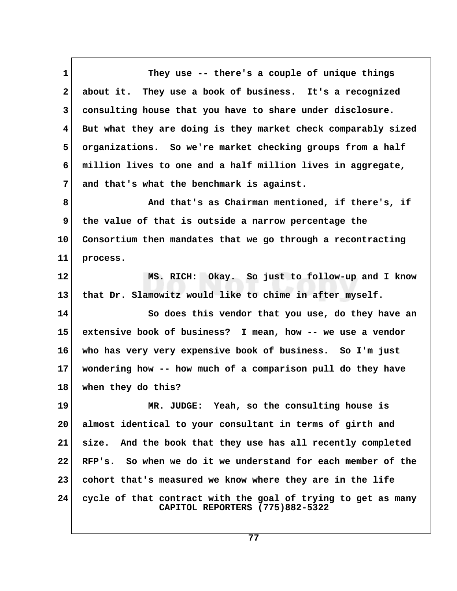**1 They use -- there's a couple of unique things 2 about it. They use a book of business. It's a recognized 3 consulting house that you have to share under disclosure. 4 But what they are doing is they market check comparably sized 5 organizations. So we're market checking groups from a half 6 million lives to one and a half million lives in aggregate, 7 and that's what the benchmark is against.** 8 And that's as Chairman mentioned, if there's, if  **9 the value of that is outside a narrow percentage the 10 Consortium then mandates that we go through a recontracting 11 process. 12 MS. RICH: Okay. So just to follow-up and I know 13 that Dr. Slamowitz would like to chime in after myself. 14 So does this vendor that you use, do they have an 15 extensive book of business? I mean, how -- we use a vendor 16 who has very very expensive book of business. So I'm just 17 wondering how -- how much of a comparison pull do they have 18 when they do this? 19 MR. JUDGE: Yeah, so the consulting house is 20 almost identical to your consultant in terms of girth and 21 size. And the book that they use has all recently completed 22 RFP's. So when we do it we understand for each member of the 23 cohort that's measured we know where they are in the life 24 cycle of that contract with the goal of trying to get as many CAPITOL REPORTERS (775)882-5322**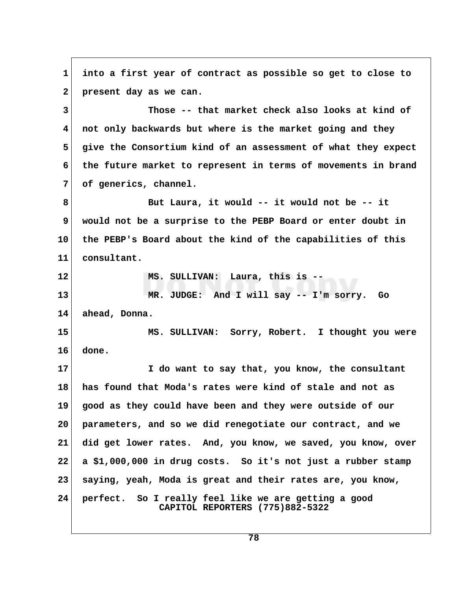**1 into a first year of contract as possible so get to close to** 2 present day as we can.  **3 Those -- that market check also looks at kind of 4 not only backwards but where is the market going and they 5 give the Consortium kind of an assessment of what they expect 6 the future market to represent in terms of movements in brand 7 of generics, channel. 8 But Laura, it would -- it would not be -- it 9 would not be a surprise to the PEBP Board or enter doubt in 10 the PEBP's Board about the kind of the capabilities of this 11 consultant. 12 MS. SULLIVAN: Laura, this is -- 13 MR. JUDGE: And I will say -- I'm sorry. Go 14 ahead, Donna. 15 MS. SULLIVAN: Sorry, Robert. I thought you were 16 done. 17 I do want to say that, you know, the consultant 18 has found that Moda's rates were kind of stale and not as 19 good as they could have been and they were outside of our 20 parameters, and so we did renegotiate our contract, and we 21 did get lower rates. And, you know, we saved, you know, over 22 a \$1,000,000 in drug costs. So it's not just a rubber stamp 23 saying, yeah, Moda is great and their rates are, you know, 24 perfect. So I really feel like we are getting a good CAPITOL REPORTERS (775)882-5322**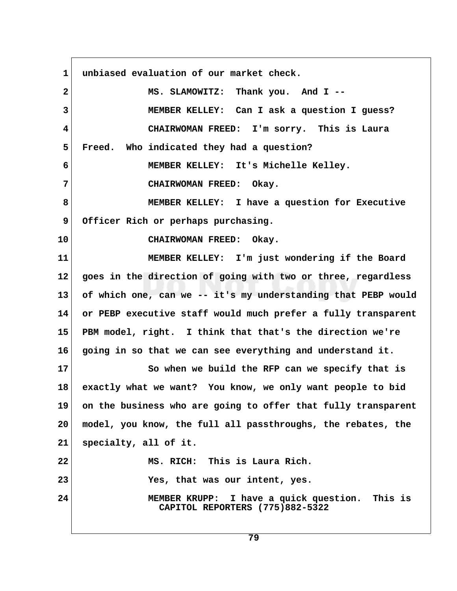1 unbiased evaluation of our market check.  **2 MS. SLAMOWITZ: Thank you. And I -- 3 MEMBER KELLEY: Can I ask a question I guess? 4 CHAIRWOMAN FREED: I'm sorry. This is Laura 5 Freed. Who indicated they had a question? 6 MEMBER KELLEY: It's Michelle Kelley. 7 CHAIRWOMAN FREED: Okay. 8 MEMBER KELLEY: I have a question for Executive 9 Officer Rich or perhaps purchasing. 10 CHAIRWOMAN FREED: Okay. 11 MEMBER KELLEY: I'm just wondering if the Board 12 goes in the direction of going with two or three, regardless 13 of which one, can we -- it's my understanding that PEBP would 14 or PEBP executive staff would much prefer a fully transparent 15 PBM model, right. I think that that's the direction we're 16 going in so that we can see everything and understand it. 17 So when we build the RFP can we specify that is 18 exactly what we want? You know, we only want people to bid 19 on the business who are going to offer that fully transparent 20 model, you know, the full all passthroughs, the rebates, the 21 specialty, all of it. 22 MS. RICH: This is Laura Rich. 23 Yes, that was our intent, yes. 24 MEMBER KRUPP: I have a quick question. This is CAPITOL REPORTERS (775)882-5322**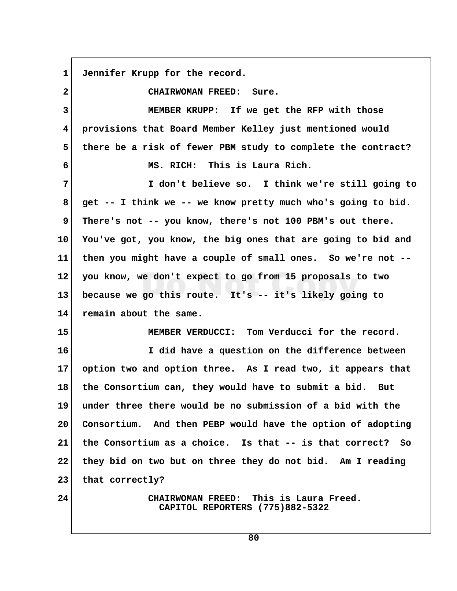**1 Jennifer Krupp for the record.**

 **2 CHAIRWOMAN FREED: Sure. 3 MEMBER KRUPP: If we get the RFP with those 4 provisions that Board Member Kelley just mentioned would 5 there be a risk of fewer PBM study to complete the contract? 6 MS. RICH: This is Laura Rich. 7 I don't believe so. I think we're still going to 8 get -- I think we -- we know pretty much who's going to bid.** 9 There's not -- you know, there's not 100 PBM's out there. **10 You've got, you know, the big ones that are going to bid and 11 then you might have a couple of small ones. So we're not -- 12 you know, we don't expect to go from 15 proposals to two 13 because we go this route. It's -- it's likely going to 14 remain about the same. 15 MEMBER VERDUCCI: Tom Verducci for the record. 16 I did have a question on the difference between 17 option two and option three. As I read two, it appears that 18 the Consortium can, they would have to submit a bid. But 19 under three there would be no submission of a bid with the 20 Consortium. And then PEBP would have the option of adopting 21 the Consortium as a choice. Is that -- is that correct? So 22 they bid on two but on three they do not bid. Am I reading** 23 that correctly? **24 CHAIRWOMAN FREED: This is Laura Freed. CAPITOL REPORTERS (775)882-5322**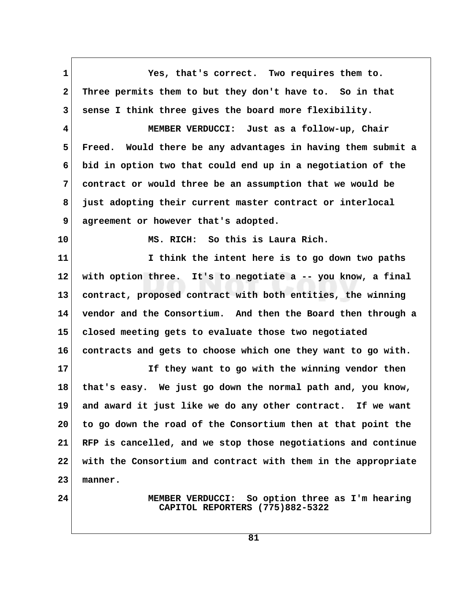**1 Yes, that's correct. Two requires them to. 2 Three permits them to but they don't have to. So in that 3 sense I think three gives the board more flexibility. 4 MEMBER VERDUCCI: Just as a follow-up, Chair 5 Freed. Would there be any advantages in having them submit a 6 bid in option two that could end up in a negotiation of the 7 contract or would three be an assumption that we would be 8 just adopting their current master contract or interlocal 9 agreement or however that's adopted. 10 MS. RICH: So this is Laura Rich. 11 I think the intent here is to go down two paths 12 with option three. It's to negotiate a -- you know, a final 13 contract, proposed contract with both entities, the winning 14 vendor and the Consortium. And then the Board then through a 15 closed meeting gets to evaluate those two negotiated 16 contracts and gets to choose which one they want to go with. 17 If they want to go with the winning vendor then 18 that's easy. We just go down the normal path and, you know, 19 and award it just like we do any other contract. If we want 20 to go down the road of the Consortium then at that point the 21 RFP is cancelled, and we stop those negotiations and continue 22 with the Consortium and contract with them in the appropriate 23 manner. 24 MEMBER VERDUCCI: So option three as I'm hearing CAPITOL REPORTERS (775)882-5322**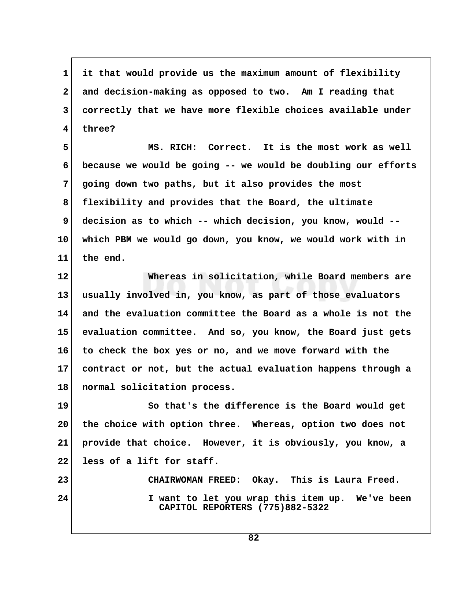**1 it that would provide us the maximum amount of flexibility 2 and decision-making as opposed to two. Am I reading that 3 correctly that we have more flexible choices available under 4 three?**

 **5 MS. RICH: Correct. It is the most work as well 6 because we would be going -- we would be doubling our efforts 7 going down two paths, but it also provides the most 8 flexibility and provides that the Board, the ultimate 9 decision as to which -- which decision, you know, would -- 10 which PBM we would go down, you know, we would work with in 11 the end.**

**12 Whereas in solicitation, while Board members are 13 usually involved in, you know, as part of those evaluators 14 and the evaluation committee the Board as a whole is not the 15 evaluation committee. And so, you know, the Board just gets 16 to check the box yes or no, and we move forward with the 17 contract or not, but the actual evaluation happens through a 18 normal solicitation process.**

**19 So that's the difference is the Board would get 20 the choice with option three. Whereas, option two does not 21 provide that choice. However, it is obviously, you know, a 22 less of a lift for staff.**

**23 CHAIRWOMAN FREED: Okay. This is Laura Freed. 24 I want to let you wrap this item up. We've been CAPITOL REPORTERS (775)882-5322**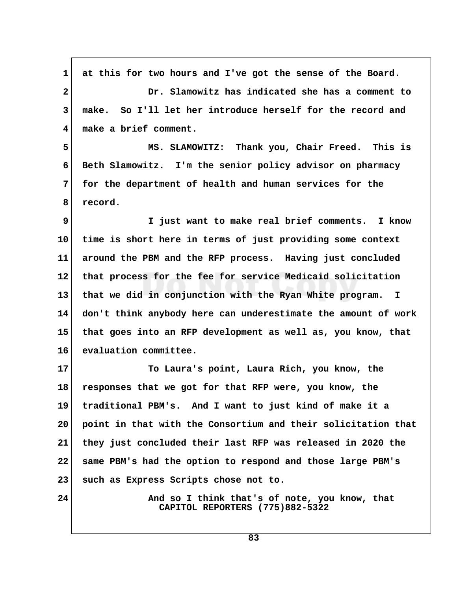1 at this for two hours and I've got the sense of the Board.  **2 Dr. Slamowitz has indicated she has a comment to 3 make. So I'll let her introduce herself for the record and 4 make a brief comment. 5 MS. SLAMOWITZ: Thank you, Chair Freed. This is 6 Beth Slamowitz. I'm the senior policy advisor on pharmacy 7 for the department of health and human services for the 8 record. 9 I just want to make real brief comments. I know 10 time is short here in terms of just providing some context 11 around the PBM and the RFP process. Having just concluded 12 that process for the fee for service Medicaid solicitation 13 that we did in conjunction with the Ryan White program. I 14 don't think anybody here can underestimate the amount of work 15 that goes into an RFP development as well as, you know, that 16 evaluation committee. 17 To Laura's point, Laura Rich, you know, the 18 responses that we got for that RFP were, you know, the 19 traditional PBM's. And I want to just kind of make it a 20 point in that with the Consortium and their solicitation that 21 they just concluded their last RFP was released in 2020 the 22 same PBM's had the option to respond and those large PBM's 23 such as Express Scripts chose not to. 24 And so I think that's of note, you know, that CAPITOL REPORTERS (775)882-5322**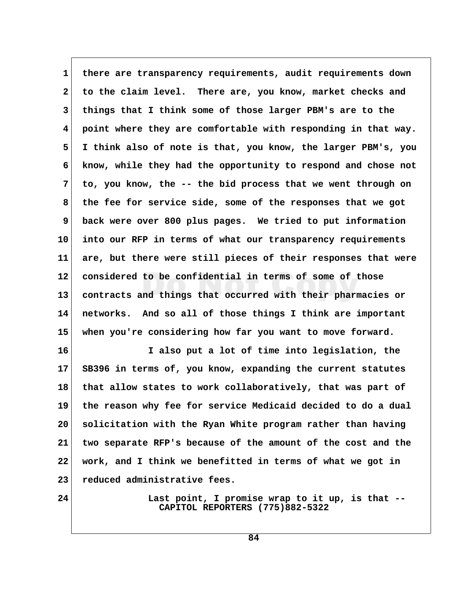1 there are transparency requirements, audit requirements down  **2 to the claim level. There are, you know, market checks and 3 things that I think some of those larger PBM's are to the 4 point where they are comfortable with responding in that way. 5 I think also of note is that, you know, the larger PBM's, you 6 know, while they had the opportunity to respond and chose not 7 to, you know, the -- the bid process that we went through on 8 the fee for service side, some of the responses that we got 9 back were over 800 plus pages. We tried to put information 10 into our RFP in terms of what our transparency requirements 11 are, but there were still pieces of their responses that were 12 considered to be confidential in terms of some of those 13 contracts and things that occurred with their pharmacies or 14 networks. And so all of those things I think are important 15 when you're considering how far you want to move forward.**

**16 I also put a lot of time into legislation, the 17 SB396 in terms of, you know, expanding the current statutes 18 that allow states to work collaboratively, that was part of 19 the reason why fee for service Medicaid decided to do a dual 20 solicitation with the Ryan White program rather than having 21 two separate RFP's because of the amount of the cost and the 22 work, and I think we benefitted in terms of what we got in 23 reduced administrative fees.**

**24 Last point, I promise wrap to it up, is that -- CAPITOL REPORTERS (775)882-5322**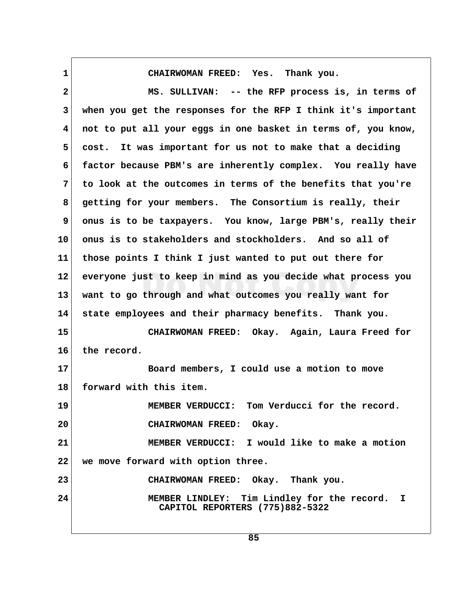**1 CHAIRWOMAN FREED: Yes. Thank you.**

 **2 MS. SULLIVAN: -- the RFP process is, in terms of 3 when you get the responses for the RFP I think it's important 4 not to put all your eggs in one basket in terms of, you know, 5 cost. It was important for us not to make that a deciding 6 factor because PBM's are inherently complex. You really have 7 to look at the outcomes in terms of the benefits that you're 8 getting for your members. The Consortium is really, their** 9 onus is to be taxpayers. You know, large PBM's, really their **10 onus is to stakeholders and stockholders. And so all of 11 those points I think I just wanted to put out there for 12 everyone just to keep in mind as you decide what process you 13 want to go through and what outcomes you really want for 14 state employees and their pharmacy benefits. Thank you. 15 CHAIRWOMAN FREED: Okay. Again, Laura Freed for 16 the record. 17 Board members, I could use a motion to move 18 forward with this item. 19 MEMBER VERDUCCI: Tom Verducci for the record. 20 CHAIRWOMAN FREED: Okay. 21 MEMBER VERDUCCI: I would like to make a motion 22 we move forward with option three. 23 CHAIRWOMAN FREED: Okay. Thank you. 24 MEMBER LINDLEY: Tim Lindley for the record. I CAPITOL REPORTERS (775)882-5322**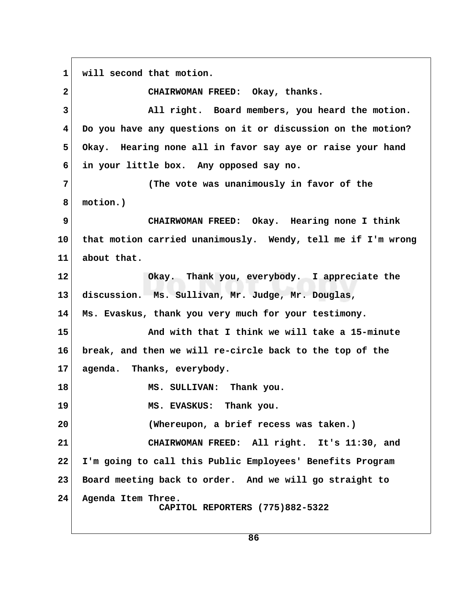**1 will second that motion. 2 CHAIRWOMAN FREED: Okay, thanks. 3 All right. Board members, you heard the motion. 4 Do you have any questions on it or discussion on the motion? 5 Okay. Hearing none all in favor say aye or raise your hand 6 in your little box. Any opposed say no. 7 (The vote was unanimously in favor of the 8 motion.) 9 CHAIRWOMAN FREED: Okay. Hearing none I think 10 that motion carried unanimously. Wendy, tell me if I'm wrong 11 about that. 12 Okay. Thank you, everybody. I appreciate the 13 discussion. Ms. Sullivan, Mr. Judge, Mr. Douglas, 14 Ms. Evaskus, thank you very much for your testimony. 15 And with that I think we will take a 15-minute 16 break, and then we will re-circle back to the top of the 17 agenda. Thanks, everybody. 18 MS. SULLIVAN: Thank you. 19 MS. EVASKUS: Thank you. 20 (Whereupon, a brief recess was taken.) 21 CHAIRWOMAN FREED: All right. It's 11:30, and 22 I'm going to call this Public Employees' Benefits Program 23 Board meeting back to order. And we will go straight to 24 Agenda Item Three. CAPITOL REPORTERS (775)882-5322**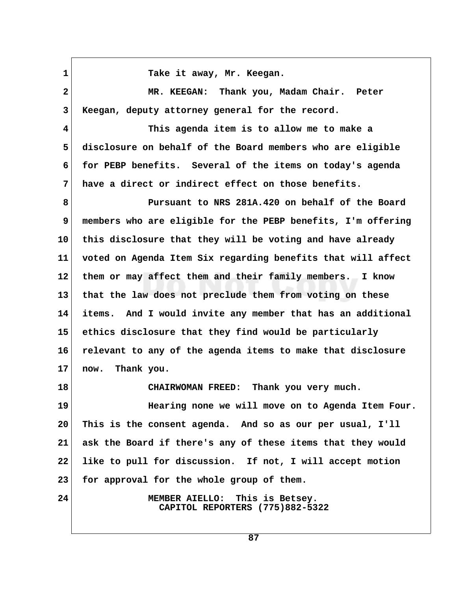1 Take it away, Mr. Keegan.  **2 MR. KEEGAN: Thank you, Madam Chair. Peter 3 Keegan, deputy attorney general for the record. 4 This agenda item is to allow me to make a 5 disclosure on behalf of the Board members who are eligible 6 for PEBP benefits. Several of the items on today's agenda 7 have a direct or indirect effect on those benefits. 8 Pursuant to NRS 281A.420 on behalf of the Board 9 members who are eligible for the PEBP benefits, I'm offering 10 this disclosure that they will be voting and have already 11 voted on Agenda Item Six regarding benefits that will affect 12 them or may affect them and their family members. I know 13 that the law does not preclude them from voting on these 14 items. And I would invite any member that has an additional 15 ethics disclosure that they find would be particularly 16 relevant to any of the agenda items to make that disclosure 17 now. Thank you. 18 CHAIRWOMAN FREED: Thank you very much. 19 Hearing none we will move on to Agenda Item Four. 20 This is the consent agenda. And so as our per usual, I'll 21 ask the Board if there's any of these items that they would 22 like to pull for discussion. If not, I will accept motion 23 for approval for the whole group of them. 24 MEMBER AIELLO: This is Betsey. CAPITOL REPORTERS (775)882-5322**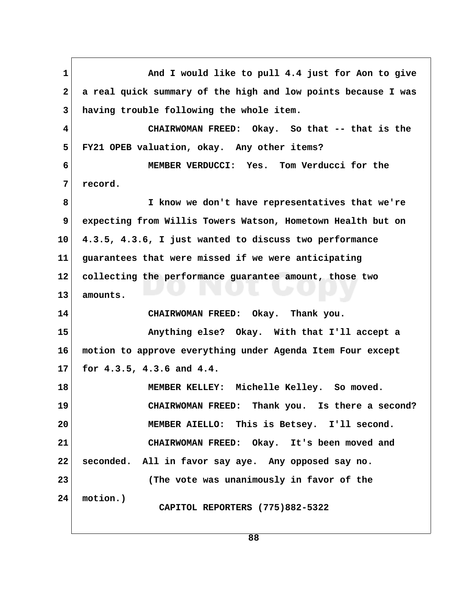1 And I would like to pull 4.4 just for Aon to give  **2 a real quick summary of the high and low points because I was 3 having trouble following the whole item. 4 CHAIRWOMAN FREED: Okay. So that -- that is the 5 FY21 OPEB valuation, okay. Any other items? 6 MEMBER VERDUCCI: Yes. Tom Verducci for the 7 record. 8 I know we don't have representatives that we're 9 expecting from Willis Towers Watson, Hometown Health but on 10 4.3.5, 4.3.6, I just wanted to discuss two performance 11 guarantees that were missed if we were anticipating 12 collecting the performance guarantee amount, those two 13 amounts. 14 CHAIRWOMAN FREED: Okay. Thank you. 15 Anything else? Okay. With that I'll accept a 16 motion to approve everything under Agenda Item Four except 17 for 4.3.5, 4.3.6 and 4.4. 18 MEMBER KELLEY: Michelle Kelley. So moved. 19 CHAIRWOMAN FREED: Thank you. Is there a second? 20 MEMBER AIELLO: This is Betsey. I'll second. 21 CHAIRWOMAN FREED: Okay. It's been moved and 22 seconded. All in favor say aye. Any opposed say no. 23 (The vote was unanimously in favor of the 24 motion.) CAPITOL REPORTERS (775)882-5322**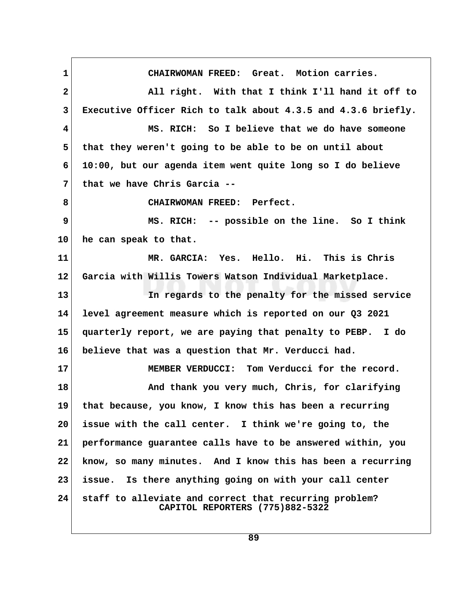**1 CHAIRWOMAN FREED: Great. Motion carries. 2 All right. With that I think I'll hand it off to 3 Executive Officer Rich to talk about 4.3.5 and 4.3.6 briefly. 4 MS. RICH: So I believe that we do have someone 5 that they weren't going to be able to be on until about 6 10:00, but our agenda item went quite long so I do believe 7 that we have Chris Garcia -- 8 CHAIRWOMAN FREED: Perfect. 9 MS. RICH: -- possible on the line. So I think 10 he can speak to that. 11 MR. GARCIA: Yes. Hello. Hi. This is Chris 12 Garcia with Willis Towers Watson Individual Marketplace. 13 In regards to the penalty for the missed service 14 level agreement measure which is reported on our Q3 2021 15 quarterly report, we are paying that penalty to PEBP. I do 16 believe that was a question that Mr. Verducci had. 17 MEMBER VERDUCCI: Tom Verducci for the record. 18 And thank you very much, Chris, for clarifying 19 that because, you know, I know this has been a recurring 20 issue with the call center. I think we're going to, the 21 performance guarantee calls have to be answered within, you 22 know, so many minutes. And I know this has been a recurring 23 issue. Is there anything going on with your call center 24 staff to alleviate and correct that recurring problem? CAPITOL REPORTERS (775)882-5322**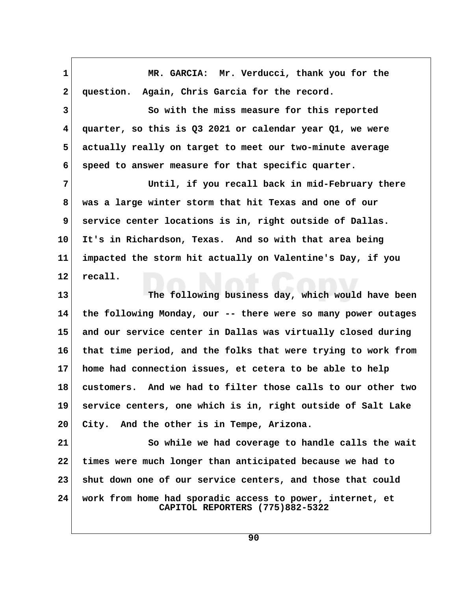**1** MR. GARCIA: Mr. Verducci, thank you for the  **2 question. Again, Chris Garcia for the record. 3 So with the miss measure for this reported 4 quarter, so this is Q3 2021 or calendar year Q1, we were 5 actually really on target to meet our two-minute average 6 speed to answer measure for that specific quarter. 7 Until, if you recall back in mid-February there 8 was a large winter storm that hit Texas and one of our 9 service center locations is in, right outside of Dallas. 10 It's in Richardson, Texas. And so with that area being 11 impacted the storm hit actually on Valentine's Day, if you 12 recall. 13 The following business day, which would have been 14 the following Monday, our -- there were so many power outages 15 and our service center in Dallas was virtually closed during 16 that time period, and the folks that were trying to work from 17 home had connection issues, et cetera to be able to help 18 customers. And we had to filter those calls to our other two 19 service centers, one which is in, right outside of Salt Lake 20 City. And the other is in Tempe, Arizona. 21 So while we had coverage to handle calls the wait 22 times were much longer than anticipated because we had to 23 shut down one of our service centers, and those that could 24 work from home had sporadic access to power, internet, et CAPITOL REPORTERS (775)882-5322**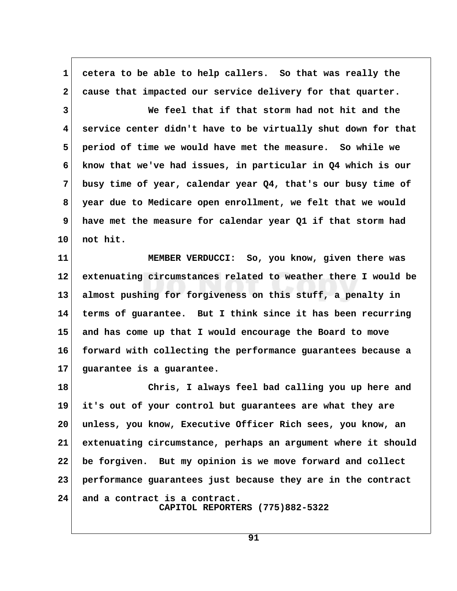**1 cetera to be able to help callers. So that was really the 2 cause that impacted our service delivery for that quarter. 3 We feel that if that storm had not hit and the 4 service center didn't have to be virtually shut down for that 5 period of time we would have met the measure. So while we 6 know that we've had issues, in particular in Q4 which is our 7 busy time of year, calendar year Q4, that's our busy time of 8 year due to Medicare open enrollment, we felt that we would 9 have met the measure for calendar year Q1 if that storm had 10 not hit.**

**11 MEMBER VERDUCCI: So, you know, given there was 12 extenuating circumstances related to weather there I would be 13 almost pushing for forgiveness on this stuff, a penalty in 14 terms of guarantee. But I think since it has been recurring 15 and has come up that I would encourage the Board to move 16 forward with collecting the performance guarantees because a 17 guarantee is a guarantee.**

**18 Chris, I always feel bad calling you up here and 19 it's out of your control but guarantees are what they are 20 unless, you know, Executive Officer Rich sees, you know, an 21 extenuating circumstance, perhaps an argument where it should 22 be forgiven. But my opinion is we move forward and collect 23 performance guarantees just because they are in the contract 24 and a contract is a contract. CAPITOL REPORTERS (775)882-5322**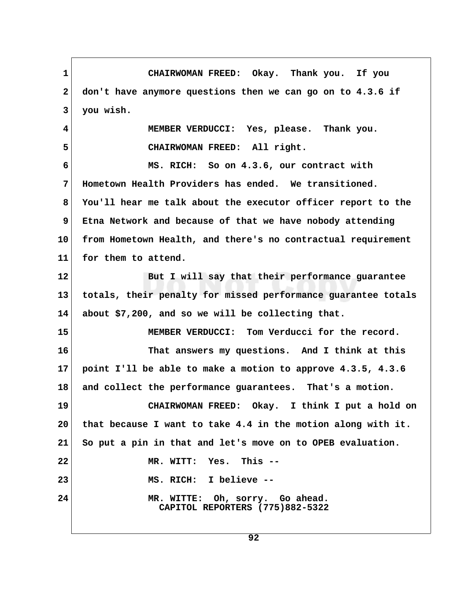**1 CHAIRWOMAN FREED: Okay. Thank you. If you 2 don't have anymore questions then we can go on to 4.3.6 if 3 you wish. 4 MEMBER VERDUCCI: Yes, please. Thank you. 5 CHAIRWOMAN FREED: All right. 6 MS. RICH: So on 4.3.6, our contract with 7 Hometown Health Providers has ended. We transitioned. 8 You'll hear me talk about the executor officer report to the 9 Etna Network and because of that we have nobody attending 10 from Hometown Health, and there's no contractual requirement 11 for them to attend. 12 But I will say that their performance guarantee 13 totals, their penalty for missed performance guarantee totals 14 about \$7,200, and so we will be collecting that. 15 MEMBER VERDUCCI: Tom Verducci for the record. 16 That answers my questions. And I think at this 17 point I'll be able to make a motion to approve 4.3.5, 4.3.6 18 and collect the performance guarantees. That's a motion. 19 CHAIRWOMAN FREED: Okay. I think I put a hold on 20 that because I want to take 4.4 in the motion along with it. 21 So put a pin in that and let's move on to OPEB evaluation. 22 MR. WITT: Yes. This -- 23 MS. RICH: I believe -- 24 MR. WITTE: Oh, sorry. Go ahead. CAPITOL REPORTERS (775)882-5322**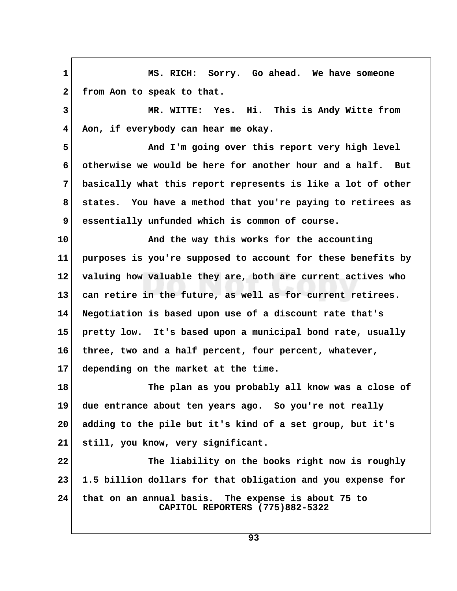**1 MS. RICH: Sorry. Go ahead. We have someone** 2 from Aon to speak to that.  **3 MR. WITTE: Yes. Hi. This is Andy Witte from 4 Aon, if everybody can hear me okay.** 5 **And I'm going over this report very high level 6 otherwise we would be here for another hour and a half. But 7 basically what this report represents is like a lot of other 8 states. You have a method that you're paying to retirees as 9 essentially unfunded which is common of course. 10 And the way this works for the accounting 11 purposes is you're supposed to account for these benefits by 12 valuing how valuable they are, both are current actives who 13 can retire in the future, as well as for current retirees. 14 Negotiation is based upon use of a discount rate that's 15 pretty low. It's based upon a municipal bond rate, usually 16 three, two and a half percent, four percent, whatever, 17 depending on the market at the time. 18 The plan as you probably all know was a close of 19 due entrance about ten years ago. So you're not really 20 adding to the pile but it's kind of a set group, but it's 21 still, you know, very significant. 22 The liability on the books right now is roughly 23 1.5 billion dollars for that obligation and you expense for 24 that on an annual basis. The expense is about 75 to CAPITOL REPORTERS (775)882-5322**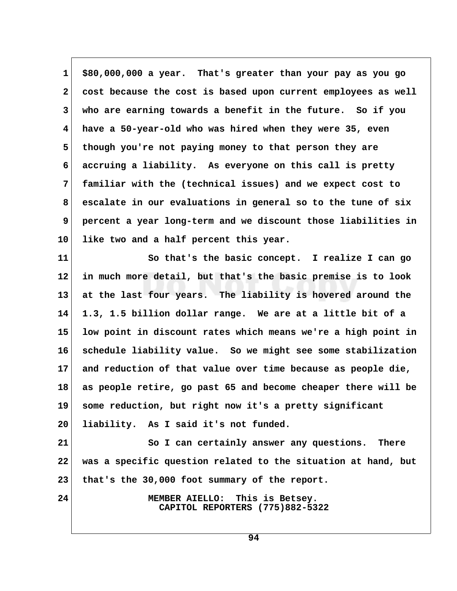**1 \$80,000,000 a year. That's greater than your pay as you go 2 cost because the cost is based upon current employees as well 3 who are earning towards a benefit in the future. So if you 4 have a 50-year-old who was hired when they were 35, even 5 though you're not paying money to that person they are 6 accruing a liability. As everyone on this call is pretty 7 familiar with the (technical issues) and we expect cost to 8 escalate in our evaluations in general so to the tune of six 9 percent a year long-term and we discount those liabilities in 10 like two and a half percent this year.**

**11 So that's the basic concept. I realize I can go 12 in much more detail, but that's the basic premise is to look 13 at the last four years. The liability is hovered around the 14 1.3, 1.5 billion dollar range. We are at a little bit of a 15 low point in discount rates which means we're a high point in 16 schedule liability value. So we might see some stabilization 17 and reduction of that value over time because as people die, 18 as people retire, go past 65 and become cheaper there will be 19 some reduction, but right now it's a pretty significant 20 liability. As I said it's not funded.**

**21** So I can certainly answer any questions. There **22 was a specific question related to the situation at hand, but 23 that's the 30,000 foot summary of the report.**

**24 MEMBER AIELLO: This is Betsey. CAPITOL REPORTERS (775)882-5322**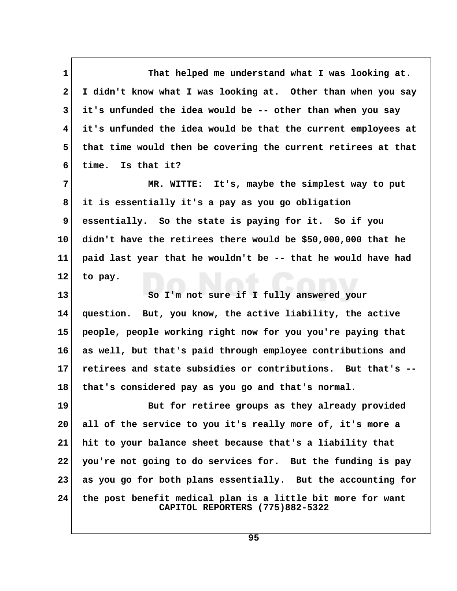1 That helped me understand what I was looking at.  **2 I didn't know what I was looking at. Other than when you say 3 it's unfunded the idea would be -- other than when you say 4 it's unfunded the idea would be that the current employees at 5 that time would then be covering the current retirees at that 6 time. Is that it? 7 MR. WITTE: It's, maybe the simplest way to put 8 it is essentially it's a pay as you go obligation 9 essentially. So the state is paying for it. So if you 10 didn't have the retirees there would be \$50,000,000 that he 11 paid last year that he wouldn't be -- that he would have had 12 to pay. 13 So I'm not sure if I fully answered your 14 question. But, you know, the active liability, the active 15 people, people working right now for you you're paying that 16 as well, but that's paid through employee contributions and 17 retirees and state subsidies or contributions. But that's -- 18 that's considered pay as you go and that's normal. 19 But for retiree groups as they already provided 20 all of the service to you it's really more of, it's more a 21 hit to your balance sheet because that's a liability that 22 you're not going to do services for. But the funding is pay 23 as you go for both plans essentially. But the accounting for 24 the post benefit medical plan is a little bit more for want CAPITOL REPORTERS (775)882-5322**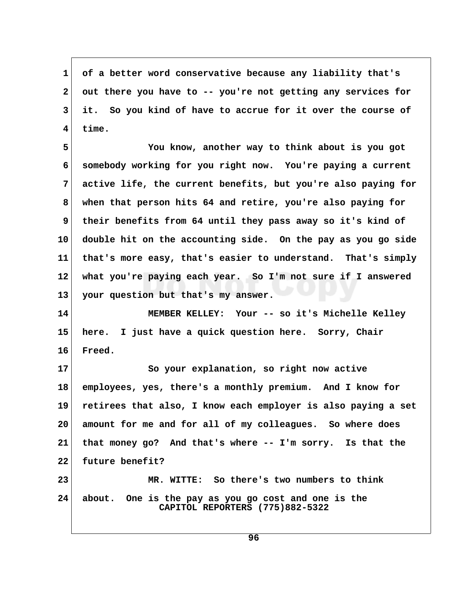**1 of a better word conservative because any liability that's 2 out there you have to -- you're not getting any services for 3 it. So you kind of have to accrue for it over the course of 4 time.**

 **5 You know, another way to think about is you got 6 somebody working for you right now. You're paying a current 7 active life, the current benefits, but you're also paying for 8 when that person hits 64 and retire, you're also paying for 9 their benefits from 64 until they pass away so it's kind of 10 double hit on the accounting side. On the pay as you go side 11 that's more easy, that's easier to understand. That's simply 12 what you're paying each year. So I'm not sure if I answered 13 your question but that's my answer.**

**14 MEMBER KELLEY: Your -- so it's Michelle Kelley 15 here. I just have a quick question here. Sorry, Chair 16 Freed.**

**17 So your explanation, so right now active 18 employees, yes, there's a monthly premium. And I know for 19 retirees that also, I know each employer is also paying a set 20 amount for me and for all of my colleagues. So where does 21 that money go? And that's where -- I'm sorry. Is that the 22 future benefit? 23 MR. WITTE: So there's two numbers to think**

**24 about. One is the pay as you go cost and one is the CAPITOL REPORTERS (775)882-5322**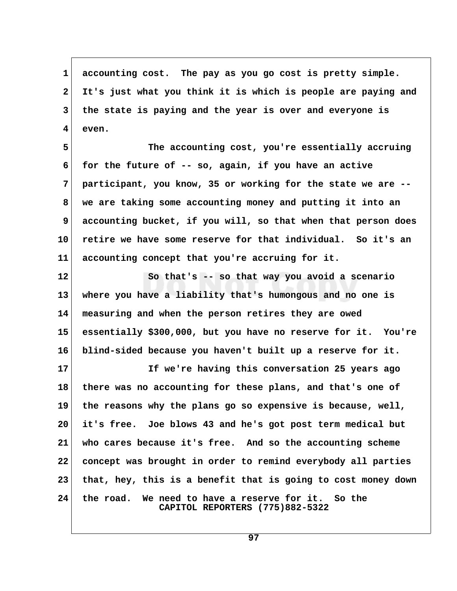**1 accounting cost. The pay as you go cost is pretty simple. 2 It's just what you think it is which is people are paying and 3 the state is paying and the year is over and everyone is 4 even.**

 **5 The accounting cost, you're essentially accruing 6 for the future of -- so, again, if you have an active 7 participant, you know, 35 or working for the state we are -- 8 we are taking some accounting money and putting it into an 9 accounting bucket, if you will, so that when that person does 10 retire we have some reserve for that individual. So it's an 11 accounting concept that you're accruing for it.**

**12 So that's -- so that way you avoid a scenario 13 where you have a liability that's humongous and no one is 14 measuring and when the person retires they are owed 15 essentially \$300,000, but you have no reserve for it. You're 16 blind-sided because you haven't built up a reserve for it.**

**17 If we're having this conversation 25 years ago 18 there was no accounting for these plans, and that's one of 19 the reasons why the plans go so expensive is because, well, 20 it's free. Joe blows 43 and he's got post term medical but 21 who cares because it's free. And so the accounting scheme 22 concept was brought in order to remind everybody all parties 23 that, hey, this is a benefit that is going to cost money down 24 the road. We need to have a reserve for it. So the CAPITOL REPORTERS (775)882-5322**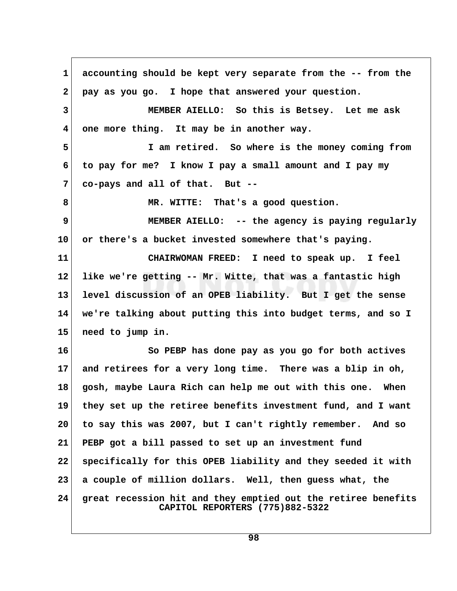**1 accounting should be kept very separate from the -- from the 2 pay as you go. I hope that answered your question. 3 MEMBER AIELLO: So this is Betsey. Let me ask 4 one more thing. It may be in another way. 5 I am retired. So where is the money coming from 6 to pay for me? I know I pay a small amount and I pay my 7 co-pays and all of that. But -- 8 MR. WITTE: That's a good question. 9 MEMBER AIELLO: -- the agency is paying regularly 10 or there's a bucket invested somewhere that's paying. 11 CHAIRWOMAN FREED: I need to speak up. I feel 12 like we're getting -- Mr. Witte, that was a fantastic high 13 level discussion of an OPEB liability. But I get the sense 14 we're talking about putting this into budget terms, and so I 15 need to jump in. 16 So PEBP has done pay as you go for both actives 17 and retirees for a very long time. There was a blip in oh, 18 gosh, maybe Laura Rich can help me out with this one. When 19 they set up the retiree benefits investment fund, and I want 20 to say this was 2007, but I can't rightly remember. And so 21 PEBP got a bill passed to set up an investment fund 22 specifically for this OPEB liability and they seeded it with 23 a couple of million dollars. Well, then guess what, the 24 great recession hit and they emptied out the retiree benefits CAPITOL REPORTERS (775)882-5322**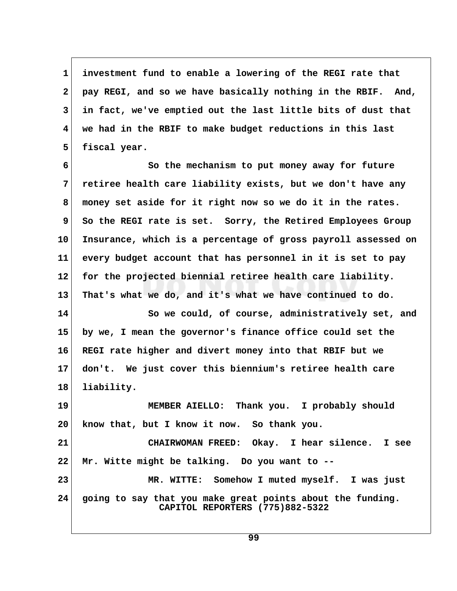**1 investment fund to enable a lowering of the REGI rate that 2 pay REGI, and so we have basically nothing in the RBIF. And, 3 in fact, we've emptied out the last little bits of dust that 4 we had in the RBIF to make budget reductions in this last** 5 fiscal year.

 **6 So the mechanism to put money away for future 7 retiree health care liability exists, but we don't have any 8 money set aside for it right now so we do it in the rates. 9** So the REGI rate is set. Sorry, the Retired Employees Group **10 Insurance, which is a percentage of gross payroll assessed on 11 every budget account that has personnel in it is set to pay 12 for the projected biennial retiree health care liability. 13 That's what we do, and it's what we have continued to do.**

**14 So we could, of course, administratively set, and 15 by we, I mean the governor's finance office could set the 16 REGI rate higher and divert money into that RBIF but we 17 don't. We just cover this biennium's retiree health care 18 liability.**

**19 MEMBER AIELLO: Thank you. I probably should 20 know that, but I know it now. So thank you.**

**21 CHAIRWOMAN FREED: Okay. I hear silence. I see 22 Mr. Witte might be talking. Do you want to -- 23 MR. WITTE: Somehow I muted myself. I was just 24 going to say that you make great points about the funding. CAPITOL REPORTERS (775)882-5322**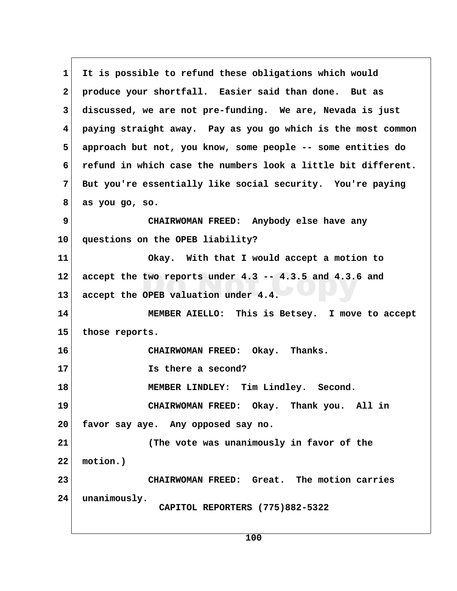**1 It is possible to refund these obligations which would 2 produce your shortfall. Easier said than done. But as 3 discussed, we are not pre-funding. We are, Nevada is just 4 paying straight away. Pay as you go which is the most common 5 approach but not, you know, some people -- some entities do 6 refund in which case the numbers look a little bit different. 7 But you're essentially like social security. You're paying 8 as you go, so. 9 CHAIRWOMAN FREED: Anybody else have any 10 questions on the OPEB liability? 11 Okay. With that I would accept a motion to 12 accept the two reports under 4.3 -- 4.3.5 and 4.3.6 and 13 accept the OPEB valuation under 4.4. 14 MEMBER AIELLO: This is Betsey. I move to accept 15 those reports. 16 CHAIRWOMAN FREED: Okay. Thanks. 17 Is there a second? 18 MEMBER LINDLEY: Tim Lindley. Second. 19 CHAIRWOMAN FREED: Okay. Thank you. All in 20 favor say aye. Any opposed say no. 21 (The vote was unanimously in favor of the 22 motion.) 23 CHAIRWOMAN FREED: Great. The motion carries 24 unanimously. CAPITOL REPORTERS (775)882-5322**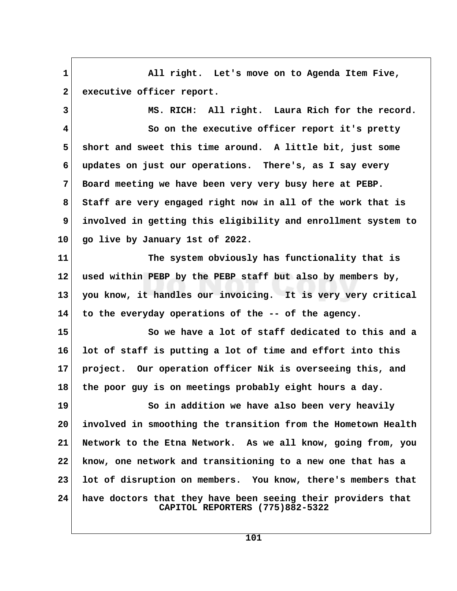**1 All right. Let's move on to Agenda Item Five,** 2 executive officer report.

 **3 MS. RICH: All right. Laura Rich for the record.**

 **4 So on the executive officer report it's pretty 5 short and sweet this time around. A little bit, just some 6 updates on just our operations. There's, as I say every 7 Board meeting we have been very very busy here at PEBP. 8 Staff are very engaged right now in all of the work that is 9 involved in getting this eligibility and enrollment system to 10 go live by January 1st of 2022.**

**11 The system obviously has functionality that is 12 used within PEBP by the PEBP staff but also by members by, 13 you know, it handles our invoicing. It is very very critical 14 to the everyday operations of the -- of the agency.**

**15 So we have a lot of staff dedicated to this and a 16 lot of staff is putting a lot of time and effort into this 17 project. Our operation officer Nik is overseeing this, and 18 the poor guy is on meetings probably eight hours a day.**

19 So in addition we have also been very heavily **20 involved in smoothing the transition from the Hometown Health 21 Network to the Etna Network. As we all know, going from, you 22 know, one network and transitioning to a new one that has a 23 lot of disruption on members. You know, there's members that 24 have doctors that they have been seeing their providers that CAPITOL REPORTERS (775)882-5322**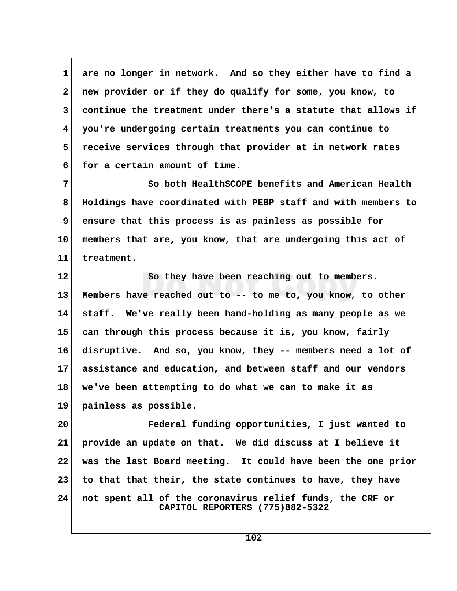**1 are no longer in network. And so they either have to find a 2 new provider or if they do qualify for some, you know, to 3 continue the treatment under there's a statute that allows if 4 you're undergoing certain treatments you can continue to 5 receive services through that provider at in network rates 6 for a certain amount of time.**

 **7 So both HealthSCOPE benefits and American Health 8 Holdings have coordinated with PEBP staff and with members to 9 ensure that this process is as painless as possible for 10 members that are, you know, that are undergoing this act of 11 treatment.**

**12 So they have been reaching out to members. 13 Members have reached out to -- to me to, you know, to other 14 staff. We've really been hand-holding as many people as we 15 can through this process because it is, you know, fairly 16 disruptive. And so, you know, they -- members need a lot of 17 assistance and education, and between staff and our vendors 18 we've been attempting to do what we can to make it as 19 painless as possible.**

**20 Federal funding opportunities, I just wanted to 21 provide an update on that. We did discuss at I believe it 22 was the last Board meeting. It could have been the one prior 23 to that that their, the state continues to have, they have 24 not spent all of the coronavirus relief funds, the CRF or CAPITOL REPORTERS (775)882-5322**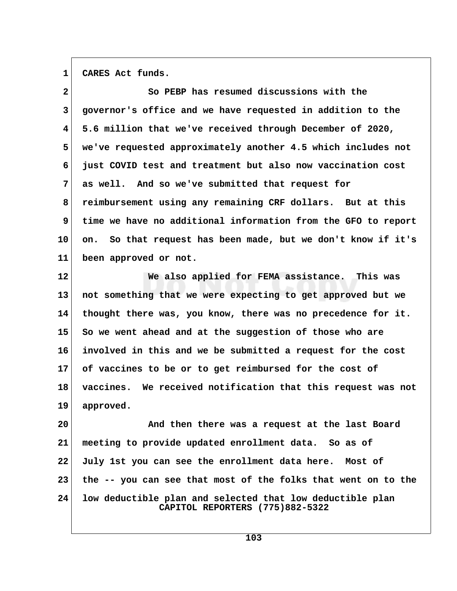1 CARES Act funds.

| $\mathbf{2}$ | So PEBP has resumed discussions with the                                                     |  |
|--------------|----------------------------------------------------------------------------------------------|--|
| 3            | governor's office and we have requested in addition to the                                   |  |
| 4            | 5.6 million that we've received through December of 2020,                                    |  |
| 5            | we've requested approximately another 4.5 which includes not                                 |  |
| 6            | just COVID test and treatment but also now vaccination cost                                  |  |
| 7            | as well. And so we've submitted that request for                                             |  |
| 8            | reimbursement using any remaining CRF dollars. But at this                                   |  |
| 9            | time we have no additional information from the GFO to report                                |  |
| 10           | So that request has been made, but we don't know if it's<br>on.                              |  |
| 11           | been approved or not.                                                                        |  |
| 12           | We also applied for FEMA assistance. This was                                                |  |
| 13           | not something that we were expecting to get approved but we                                  |  |
| 14           | thought there was, you know, there was no precedence for it.                                 |  |
| 15           | So we went ahead and at the suggestion of those who are                                      |  |
| 16           | involved in this and we be submitted a request for the cost                                  |  |
| 17           | of vaccines to be or to get reimbursed for the cost of                                       |  |
| 18           | vaccines. We received notification that this request was not                                 |  |
| 19           | approved.                                                                                    |  |
| 20           | And then there was a request at the last Board                                               |  |
| 21           | meeting to provide updated enrollment data. So as of                                         |  |
| 22           | July 1st you can see the enrollment data here. Most of                                       |  |
| 23           | the -- you can see that most of the folks that went on to the                                |  |
| 24           | low deductible plan and selected that low deductible plan<br>CAPITOL REPORTERS (775)882-5322 |  |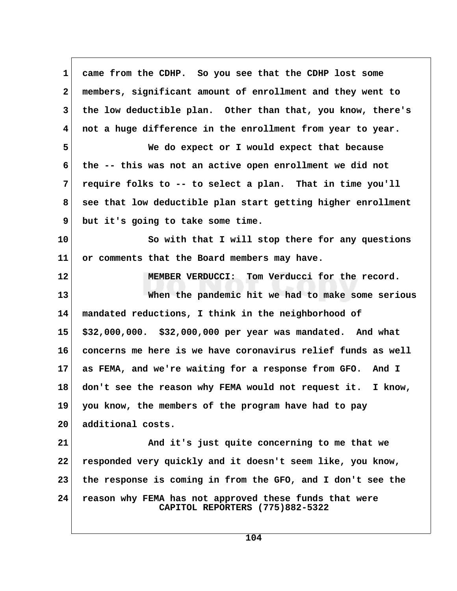| $\mathbf 1$  | came from the CDHP. So you see that the CDHP lost some                                    |  |
|--------------|-------------------------------------------------------------------------------------------|--|
| $\mathbf{2}$ | members, significant amount of enrollment and they went to                                |  |
| 3            | the low deductible plan. Other than that, you know, there's                               |  |
| 4            | not a huge difference in the enrollment from year to year.                                |  |
| 5            | We do expect or I would expect that because                                               |  |
| 6            | the -- this was not an active open enrollment we did not                                  |  |
| 7            | require folks to -- to select a plan. That in time you'll                                 |  |
| 8            | see that low deductible plan start getting higher enrollment                              |  |
| 9            | but it's going to take some time.                                                         |  |
| 10           | So with that I will stop there for any questions                                          |  |
| 11           | or comments that the Board members may have.                                              |  |
| 12           | MEMBER VERDUCCI: Tom Verducci for the record.                                             |  |
| 13           | When the pandemic hit we had to make some serious                                         |  |
| 14           | mandated reductions, I think in the neighborhood of                                       |  |
| 15           | \$32,000,000. \$32,000,000 per year was mandated. And what                                |  |
| 16           | concerns me here is we have coronavirus relief funds as well                              |  |
| 17           | as FEMA, and we're waiting for a response from GFO. And I                                 |  |
| 18           | don't see the reason why FEMA would not request it. I know,                               |  |
| 19           | you know, the members of the program have had to pay                                      |  |
| 20           | additional costs.                                                                         |  |
| 21           | And it's just quite concerning to me that we                                              |  |
| 22           | responded very quickly and it doesn't seem like, you know,                                |  |
| 23           | the response is coming in from the GFO, and I don't see the                               |  |
| 24           | reason why FEMA has not approved these funds that were<br>CAPITOL REPORTERS (775)882-5322 |  |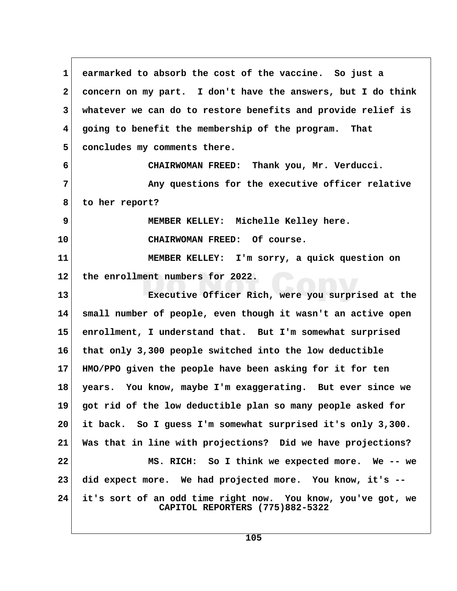| 1               | earmarked to absorb the cost of the vaccine. So just a                                          |  |
|-----------------|-------------------------------------------------------------------------------------------------|--|
| $\mathbf{2}$    | concern on my part. I don't have the answers, but I do think                                    |  |
| 3               | whatever we can do to restore benefits and provide relief is                                    |  |
| 4               | going to benefit the membership of the program. That                                            |  |
| 5               | concludes my comments there.                                                                    |  |
| 6               | CHAIRWOMAN FREED: Thank you, Mr. Verducci.                                                      |  |
| 7               | Any questions for the executive officer relative                                                |  |
| 8               | to her report?                                                                                  |  |
| 9               | MEMBER KELLEY: Michelle Kelley here.                                                            |  |
| 10 <sub>1</sub> | CHAIRWOMAN FREED: Of course.                                                                    |  |
| 11              | MEMBER KELLEY: I'm sorry, a quick question on                                                   |  |
| $12 \,$         | the enrollment numbers for 2022.                                                                |  |
| 13              | Executive Officer Rich, were you surprised at the                                               |  |
| 14              | small number of people, even though it wasn't an active open                                    |  |
| 15              | enrollment, I understand that. But I'm somewhat surprised                                       |  |
| 16              | that only 3,300 people switched into the low deductible                                         |  |
| 17              | HMO/PPO given the people have been asking for it for ten                                        |  |
| 18              | years. You know, maybe I'm exaggerating. But ever since we                                      |  |
| 19              | got rid of the low deductible plan so many people asked for                                     |  |
| 20              | it back. So I guess I'm somewhat surprised it's only 3,300.                                     |  |
| 21              | Was that in line with projections? Did we have projections?                                     |  |
| 22              | MS. RICH: So I think we expected more. We -- we                                                 |  |
| 23              | did expect more. We had projected more. You know, it's --                                       |  |
| 24              | it's sort of an odd time right now. You know, you've got, we<br>CAPITOL REPORTERS (775)882-5322 |  |

 $\sqrt{ }$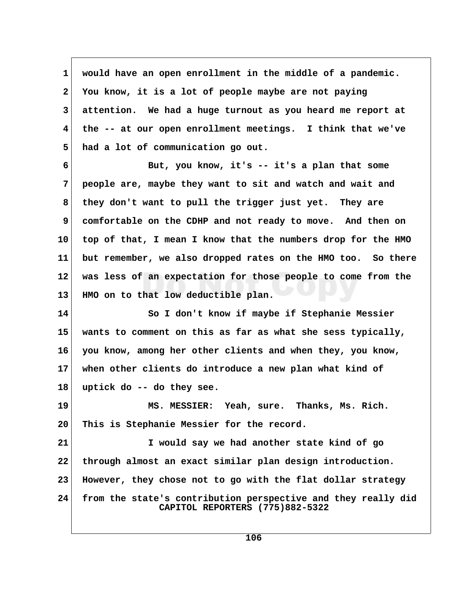**1 would have an open enrollment in the middle of a pandemic. 2 You know, it is a lot of people maybe are not paying 3 attention. We had a huge turnout as you heard me report at 4 the -- at our open enrollment meetings. I think that we've 5 had a lot of communication go out.**

 **6 But, you know, it's -- it's a plan that some 7 people are, maybe they want to sit and watch and wait and 8 they don't want to pull the trigger just yet. They are 9 comfortable on the CDHP and not ready to move. And then on 10 top of that, I mean I know that the numbers drop for the HMO 11 but remember, we also dropped rates on the HMO too. So there 12 was less of an expectation for those people to come from the 13 HMO on to that low deductible plan.**

**14 So I don't know if maybe if Stephanie Messier 15 wants to comment on this as far as what she sess typically, 16 you know, among her other clients and when they, you know, 17 when other clients do introduce a new plan what kind of 18 uptick do -- do they see.**

**19 MS. MESSIER: Yeah, sure. Thanks, Ms. Rich. 20 This is Stephanie Messier for the record.**

**21 I would say we had another state kind of go 22 through almost an exact similar plan design introduction. 23 However, they chose not to go with the flat dollar strategy 24 from the state's contribution perspective and they really did CAPITOL REPORTERS (775)882-5322**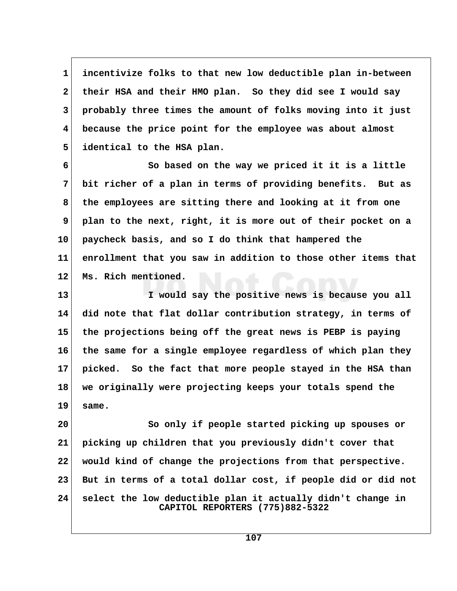**1 incentivize folks to that new low deductible plan in-between 2 their HSA and their HMO plan. So they did see I would say 3 probably three times the amount of folks moving into it just 4 because the price point for the employee was about almost 5 identical to the HSA plan.**

 **6 So based on the way we priced it it is a little 7 bit richer of a plan in terms of providing benefits. But as 8 the employees are sitting there and looking at it from one 9 plan to the next, right, it is more out of their pocket on a 10 paycheck basis, and so I do think that hampered the 11 enrollment that you saw in addition to those other items that 12 Ms. Rich mentioned.**

**13 I would say the positive news is because you all 14 did note that flat dollar contribution strategy, in terms of 15 the projections being off the great news is PEBP is paying 16 the same for a single employee regardless of which plan they 17 picked. So the fact that more people stayed in the HSA than 18 we originally were projecting keeps your totals spend the 19 same.**

**20 So only if people started picking up spouses or 21 picking up children that you previously didn't cover that 22 would kind of change the projections from that perspective. 23 But in terms of a total dollar cost, if people did or did not 24 select the low deductible plan it actually didn't change in CAPITOL REPORTERS (775)882-5322**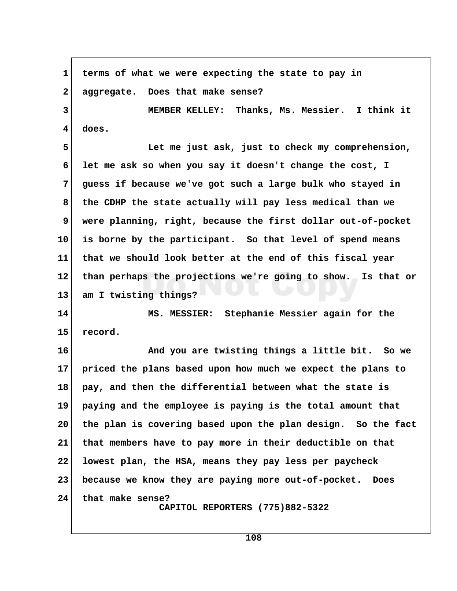1 terms of what we were expecting the state to pay in  **2 aggregate. Does that make sense? 3 MEMBER KELLEY: Thanks, Ms. Messier. I think it 4 does. 5 Let me just ask, just to check my comprehension, 6 let me ask so when you say it doesn't change the cost, I 7 guess if because we've got such a large bulk who stayed in 8 the CDHP the state actually will pay less medical than we 9 were planning, right, because the first dollar out-of-pocket 10 is borne by the participant. So that level of spend means 11 that we should look better at the end of this fiscal year 12 than perhaps the projections we're going to show. Is that or 13 am I twisting things? 14 MS. MESSIER: Stephanie Messier again for the 15 record. 16 And you are twisting things a little bit. So we 17 priced the plans based upon how much we expect the plans to 18 pay, and then the differential between what the state is 19 paying and the employee is paying is the total amount that 20 the plan is covering based upon the plan design. So the fact 21 that members have to pay more in their deductible on that 22 lowest plan, the HSA, means they pay less per paycheck 23 because we know they are paying more out-of-pocket. Does 24 that make sense? CAPITOL REPORTERS (775)882-5322**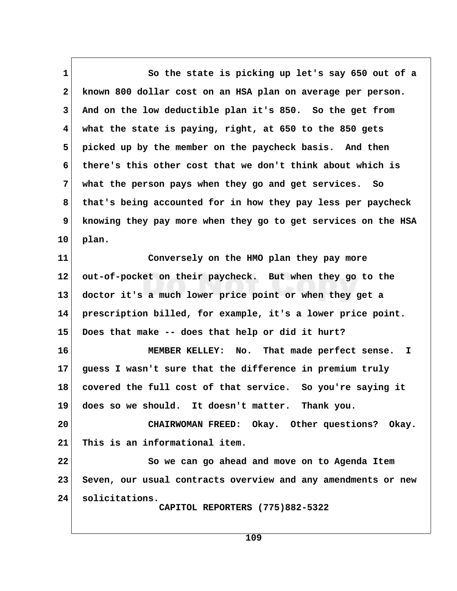1 So the state is picking up let's say 650 out of a  **2 known 800 dollar cost on an HSA plan on average per person. 3 And on the low deductible plan it's 850. So the get from 4 what the state is paying, right, at 650 to the 850 gets 5 picked up by the member on the paycheck basis. And then 6 there's this other cost that we don't think about which is 7 what the person pays when they go and get services. So 8 that's being accounted for in how they pay less per paycheck 9 knowing they pay more when they go to get services on the HSA 10 plan. 11 Conversely on the HMO plan they pay more 12 out-of-pocket on their paycheck. But when they go to the 13 doctor it's a much lower price point or when they get a 14 prescription billed, for example, it's a lower price point. 15 Does that make -- does that help or did it hurt? 16 MEMBER KELLEY: No. That made perfect sense. I 17 guess I wasn't sure that the difference in premium truly 18 covered the full cost of that service. So you're saying it 19 does so we should. It doesn't matter. Thank you. 20 CHAIRWOMAN FREED: Okay. Other questions? Okay. 21 This is an informational item. 22 So we can go ahead and move on to Agenda Item**

**23 Seven, our usual contracts overview and any amendments or new 24 solicitations.**

 **CAPITOL REPORTERS (775)882-5322**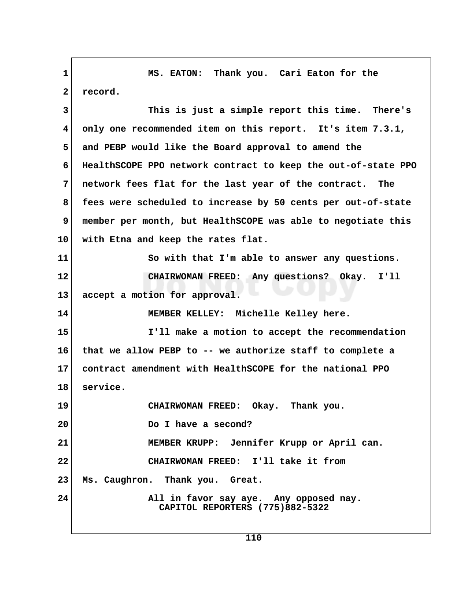**1 MS. EATON: Thank you. Cari Eaton for the** 2 record.  **3 This is just a simple report this time. There's 4 only one recommended item on this report. It's item 7.3.1, 5 and PEBP would like the Board approval to amend the 6 HealthSCOPE PPO network contract to keep the out-of-state PPO 7 network fees flat for the last year of the contract. The 8 fees were scheduled to increase by 50 cents per out-of-state 9 member per month, but HealthSCOPE was able to negotiate this 10 with Etna and keep the rates flat.** 11 So with that I'm able to answer any questions. **12 CHAIRWOMAN FREED: Any questions? Okay. I'll 13 accept a motion for approval. 14 MEMBER KELLEY: Michelle Kelley here. 15 I'll make a motion to accept the recommendation 16 that we allow PEBP to -- we authorize staff to complete a 17 contract amendment with HealthSCOPE for the national PPO 18 service. 19 CHAIRWOMAN FREED: Okay. Thank you. 20 Do I have a second? 21 MEMBER KRUPP: Jennifer Krupp or April can. 22 CHAIRWOMAN FREED: I'll take it from 23 Ms. Caughron. Thank you. Great.** 24 All in favor say aye. Any opposed nay.  **CAPITOL REPORTERS (775)882-5322**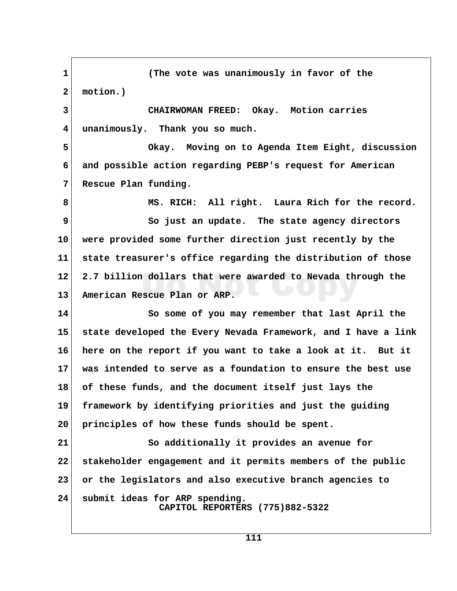**1 (The vote was unanimously in favor of the 2 motion.) 3 CHAIRWOMAN FREED: Okay. Motion carries 4 unanimously. Thank you so much. 5 Okay. Moving on to Agenda Item Eight, discussion 6 and possible action regarding PEBP's request for American 7 Rescue Plan funding. 8 MS. RICH: All right. Laura Rich for the record. 9** So just an update. The state agency directors **10 were provided some further direction just recently by the 11 state treasurer's office regarding the distribution of those 12 2.7 billion dollars that were awarded to Nevada through the 13 American Rescue Plan or ARP. 14 So some of you may remember that last April the 15 state developed the Every Nevada Framework, and I have a link 16 here on the report if you want to take a look at it. But it 17 was intended to serve as a foundation to ensure the best use 18 of these funds, and the document itself just lays the 19 framework by identifying priorities and just the guiding 20 principles of how these funds should be spent. 21 So additionally it provides an avenue for 22 stakeholder engagement and it permits members of the public 23 or the legislators and also executive branch agencies to 24 submit ideas for ARP spending. CAPITOL REPORTERS (775)882-5322**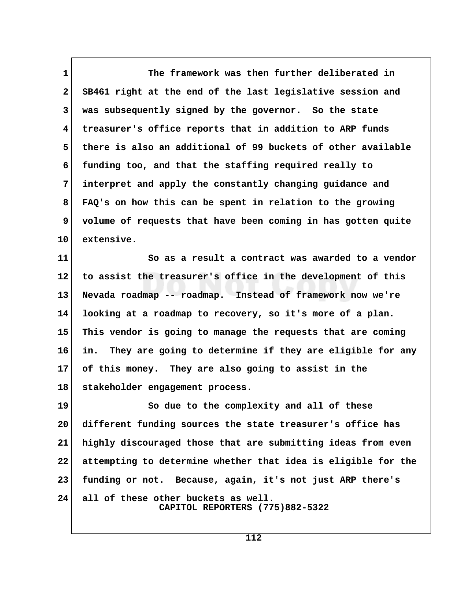**1 The framework was then further deliberated in 2 SB461 right at the end of the last legislative session and 3 was subsequently signed by the governor. So the state 4 treasurer's office reports that in addition to ARP funds 5 there is also an additional of 99 buckets of other available 6 funding too, and that the staffing required really to 7 interpret and apply the constantly changing guidance and 8 FAQ's on how this can be spent in relation to the growing 9 volume of requests that have been coming in has gotten quite 10 extensive.**

**11 So as a result a contract was awarded to a vendor 12 to assist the treasurer's office in the development of this 13 Nevada roadmap -- roadmap. Instead of framework now we're 14 looking at a roadmap to recovery, so it's more of a plan. 15 This vendor is going to manage the requests that are coming 16 in. They are going to determine if they are eligible for any 17 of this money. They are also going to assist in the 18 stakeholder engagement process.**

**19 So due to the complexity and all of these 20 different funding sources the state treasurer's office has 21 highly discouraged those that are submitting ideas from even 22 attempting to determine whether that idea is eligible for the 23 funding or not. Because, again, it's not just ARP there's 24 all of these other buckets as well. CAPITOL REPORTERS (775)882-5322**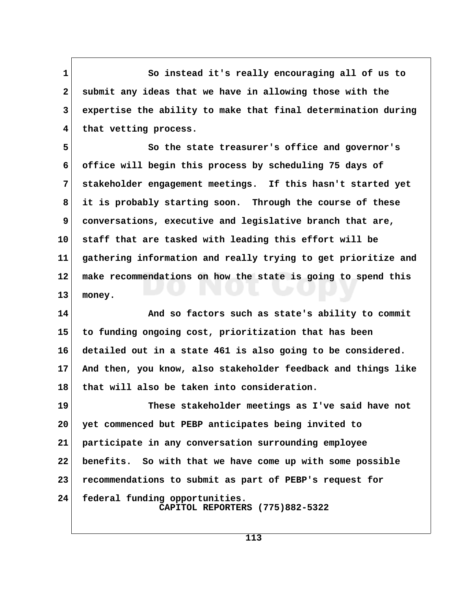1 So instead it's really encouraging all of us to  **2 submit any ideas that we have in allowing those with the 3 expertise the ability to make that final determination during 4 that vetting process.**

 **5 So the state treasurer's office and governor's 6 office will begin this process by scheduling 75 days of 7 stakeholder engagement meetings. If this hasn't started yet 8 it is probably starting soon. Through the course of these 9 conversations, executive and legislative branch that are, 10 staff that are tasked with leading this effort will be 11 gathering information and really trying to get prioritize and 12 make recommendations on how the state is going to spend this 13 money.**

**14 And so factors such as state's ability to commit 15 to funding ongoing cost, prioritization that has been 16 detailed out in a state 461 is also going to be considered. 17 And then, you know, also stakeholder feedback and things like 18 that will also be taken into consideration.**

**19 These stakeholder meetings as I've said have not 20 yet commenced but PEBP anticipates being invited to 21 participate in any conversation surrounding employee 22 benefits. So with that we have come up with some possible 23 recommendations to submit as part of PEBP's request for 24 federal funding opportunities. CAPITOL REPORTERS (775)882-5322**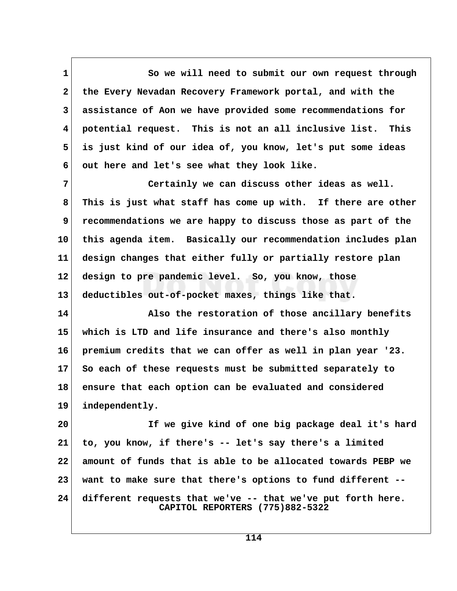1 So we will need to submit our own request through  **2 the Every Nevadan Recovery Framework portal, and with the 3 assistance of Aon we have provided some recommendations for 4 potential request. This is not an all inclusive list. This 5 is just kind of our idea of, you know, let's put some ideas 6 out here and let's see what they look like.**

 **7 Certainly we can discuss other ideas as well. 8 This is just what staff has come up with. If there are other 9 recommendations we are happy to discuss those as part of the 10 this agenda item. Basically our recommendation includes plan 11 design changes that either fully or partially restore plan 12 design to pre pandemic level. So, you know, those 13 deductibles out-of-pocket maxes, things like that.**

**14 Also the restoration of those ancillary benefits 15 which is LTD and life insurance and there's also monthly 16 premium credits that we can offer as well in plan year '23. 17 So each of these requests must be submitted separately to 18 ensure that each option can be evaluated and considered 19 independently.**

**20 If we give kind of one big package deal it's hard 21 to, you know, if there's -- let's say there's a limited 22 amount of funds that is able to be allocated towards PEBP we 23 want to make sure that there's options to fund different -- 24 different requests that we've -- that we've put forth here. CAPITOL REPORTERS (775)882-5322**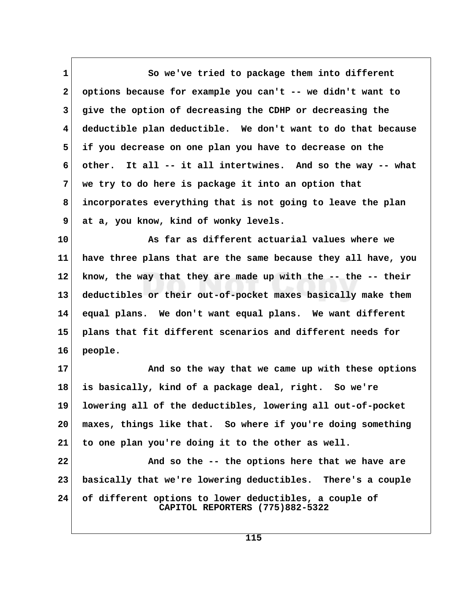1 So we've tried to package them into different  **2 options because for example you can't -- we didn't want to 3 give the option of decreasing the CDHP or decreasing the 4 deductible plan deductible. We don't want to do that because 5 if you decrease on one plan you have to decrease on the 6 other. It all -- it all intertwines. And so the way -- what 7 we try to do here is package it into an option that 8 incorporates everything that is not going to leave the plan 9 at a, you know, kind of wonky levels.**

**10 As far as different actuarial values where we 11 have three plans that are the same because they all have, you 12 know, the way that they are made up with the -- the -- their 13 deductibles or their out-of-pocket maxes basically make them 14 equal plans. We don't want equal plans. We want different 15 plans that fit different scenarios and different needs for 16 people.**

**17 And so the way that we came up with these options 18 is basically, kind of a package deal, right. So we're 19 lowering all of the deductibles, lowering all out-of-pocket 20 maxes, things like that. So where if you're doing something 21 to one plan you're doing it to the other as well. 22 And so the -- the options here that we have are**

**23 basically that we're lowering deductibles. There's a couple 24 of different options to lower deductibles, a couple of CAPITOL REPORTERS (775)882-5322**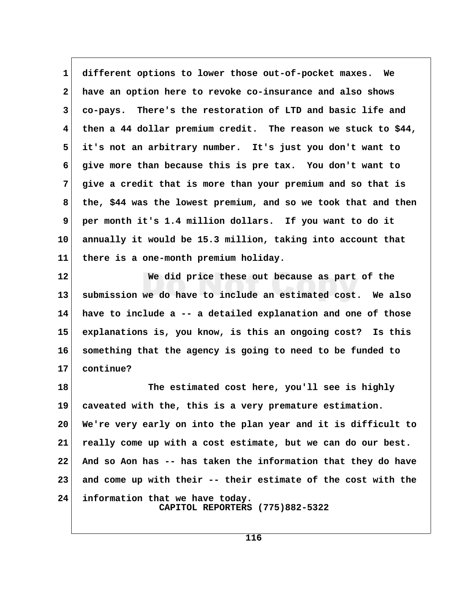**1 different options to lower those out-of-pocket maxes. We 2 have an option here to revoke co-insurance and also shows 3 co-pays. There's the restoration of LTD and basic life and 4 then a 44 dollar premium credit. The reason we stuck to \$44, 5 it's not an arbitrary number. It's just you don't want to 6 give more than because this is pre tax. You don't want to 7 give a credit that is more than your premium and so that is 8 the, \$44 was the lowest premium, and so we took that and then 9 per month it's 1.4 million dollars. If you want to do it 10 annually it would be 15.3 million, taking into account that 11 there is a one-month premium holiday.**

**12 We did price these out because as part of the 13 submission we do have to include an estimated cost. We also 14 have to include a -- a detailed explanation and one of those 15 explanations is, you know, is this an ongoing cost? Is this 16 something that the agency is going to need to be funded to 17 continue?**

**18 The estimated cost here, you'll see is highly 19 caveated with the, this is a very premature estimation. 20 We're very early on into the plan year and it is difficult to 21 really come up with a cost estimate, but we can do our best. 22 And so Aon has -- has taken the information that they do have 23 and come up with their -- their estimate of the cost with the 24 information that we have today. CAPITOL REPORTERS (775)882-5322**

**116**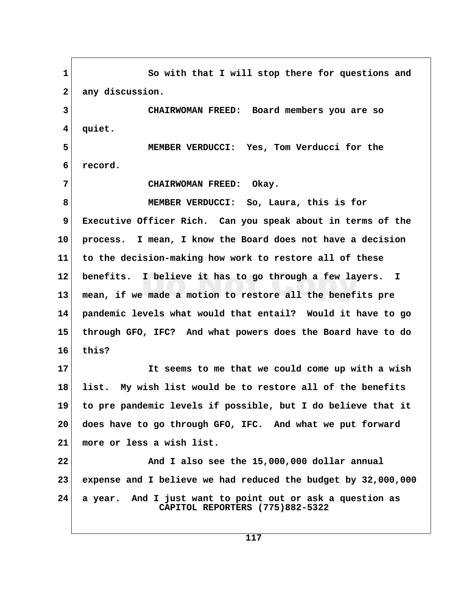1 So with that I will stop there for questions and 2 any discussion.  **3 CHAIRWOMAN FREED: Board members you are so 4 quiet. 5 MEMBER VERDUCCI: Yes, Tom Verducci for the 6 record. 7 CHAIRWOMAN FREED: Okay. 8 MEMBER VERDUCCI: So, Laura, this is for 9 Executive Officer Rich. Can you speak about in terms of the 10 process. I mean, I know the Board does not have a decision 11 to the decision-making how work to restore all of these 12 benefits. I believe it has to go through a few layers. I 13 mean, if we made a motion to restore all the benefits pre 14 pandemic levels what would that entail? Would it have to go 15 through GFO, IFC? And what powers does the Board have to do 16 this? 17 It seems to me that we could come up with a wish 18 list. My wish list would be to restore all of the benefits 19 to pre pandemic levels if possible, but I do believe that it 20 does have to go through GFO, IFC. And what we put forward 21 more or less a wish list. 22 And I also see the 15,000,000 dollar annual 23 expense and I believe we had reduced the budget by 32,000,000 24 a year. And I just want to point out or ask a question as CAPITOL REPORTERS (775)882-5322**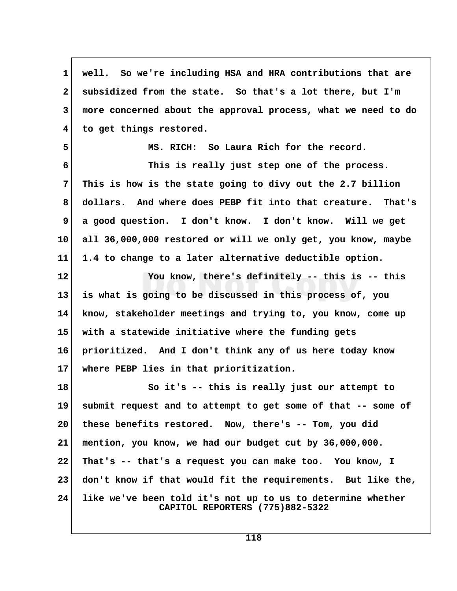**1 well. So we're including HSA and HRA contributions that are 2 subsidized from the state. So that's a lot there, but I'm 3 more concerned about the approval process, what we need to do 4 to get things restored. 5 MS. RICH: So Laura Rich for the record. 6 This is really just step one of the process. 7 This is how is the state going to divy out the 2.7 billion 8 dollars. And where does PEBP fit into that creature. That's 9 a good question. I don't know. I don't know. Will we get**

**10 all 36,000,000 restored or will we only get, you know, maybe 11 1.4 to change to a later alternative deductible option.**

**12 You know, there's definitely -- this is -- this 13 is what is going to be discussed in this process of, you 14 know, stakeholder meetings and trying to, you know, come up 15 with a statewide initiative where the funding gets 16 prioritized. And I don't think any of us here today know 17 where PEBP lies in that prioritization.**

**18 So it's -- this is really just our attempt to 19 submit request and to attempt to get some of that -- some of 20 these benefits restored. Now, there's -- Tom, you did 21 mention, you know, we had our budget cut by 36,000,000. 22 That's -- that's a request you can make too. You know, I 23 don't know if that would fit the requirements. But like the, 24 like we've been told it's not up to us to determine whether CAPITOL REPORTERS (775)882-5322**

**118**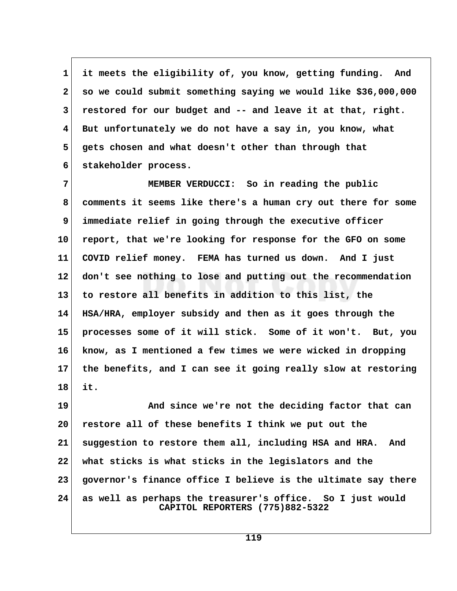**1 it meets the eligibility of, you know, getting funding. And 2 so we could submit something saying we would like \$36,000,000 3 restored for our budget and -- and leave it at that, right. 4 But unfortunately we do not have a say in, you know, what 5 gets chosen and what doesn't other than through that 6 stakeholder process.**

 **7 MEMBER VERDUCCI: So in reading the public 8 comments it seems like there's a human cry out there for some 9 immediate relief in going through the executive officer 10 report, that we're looking for response for the GFO on some 11 COVID relief money. FEMA has turned us down. And I just 12 don't see nothing to lose and putting out the recommendation 13 to restore all benefits in addition to this list, the 14 HSA/HRA, employer subsidy and then as it goes through the 15 processes some of it will stick. Some of it won't. But, you 16 know, as I mentioned a few times we were wicked in dropping 17 the benefits, and I can see it going really slow at restoring 18 it.**

19 And since we're not the deciding factor that can **20 restore all of these benefits I think we put out the 21 suggestion to restore them all, including HSA and HRA. And 22 what sticks is what sticks in the legislators and the 23 governor's finance office I believe is the ultimate say there 24 as well as perhaps the treasurer's office. So I just would CAPITOL REPORTERS (775)882-5322**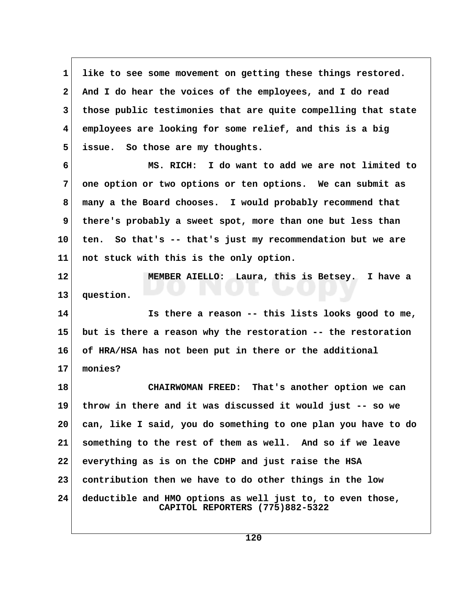**1 like to see some movement on getting these things restored. 2 And I do hear the voices of the employees, and I do read 3 those public testimonies that are quite compelling that state 4 employees are looking for some relief, and this is a big 5 issue. So those are my thoughts.**

 **6 MS. RICH: I do want to add we are not limited to 7 one option or two options or ten options. We can submit as 8 many a the Board chooses. I would probably recommend that 9 there's probably a sweet spot, more than one but less than 10 ten. So that's -- that's just my recommendation but we are 11 not stuck with this is the only option.**

**12 MEMBER AIELLO: Laura, this is Betsey. I have a 13 question.**

**14 Is there a reason -- this lists looks good to me, 15 but is there a reason why the restoration -- the restoration 16 of HRA/HSA has not been put in there or the additional 17 monies?**

**18 CHAIRWOMAN FREED: That's another option we can 19 throw in there and it was discussed it would just -- so we 20 can, like I said, you do something to one plan you have to do 21 something to the rest of them as well. And so if we leave 22 everything as is on the CDHP and just raise the HSA 23 contribution then we have to do other things in the low 24 deductible and HMO options as well just to, to even those, CAPITOL REPORTERS (775)882-5322**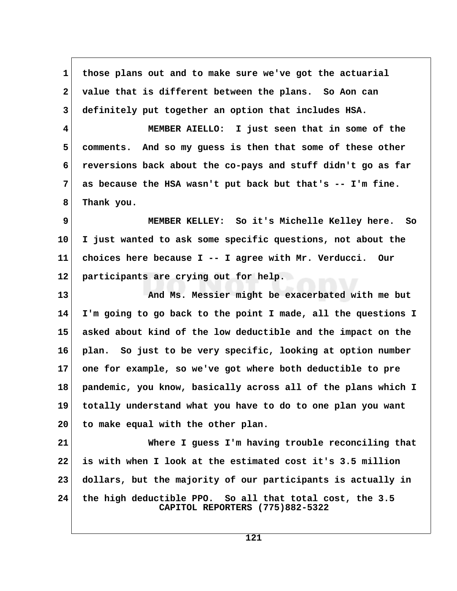**1 those plans out and to make sure we've got the actuarial 2 value that is different between the plans. So Aon can 3 definitely put together an option that includes HSA. 4 MEMBER AIELLO: I just seen that in some of the 5 comments. And so my guess is then that some of these other 6 reversions back about the co-pays and stuff didn't go as far 7 as because the HSA wasn't put back but that's -- I'm fine. 8 Thank you. 9 MEMBER KELLEY: So it's Michelle Kelley here. So 10 I just wanted to ask some specific questions, not about the 11 choices here because I -- I agree with Mr. Verducci. Our**

**13 And Ms. Messier might be exacerbated with me but 14 I'm going to go back to the point I made, all the questions I 15 asked about kind of the low deductible and the impact on the 16 plan. So just to be very specific, looking at option number 17 one for example, so we've got where both deductible to pre 18 pandemic, you know, basically across all of the plans which I 19 totally understand what you have to do to one plan you want 20 to make equal with the other plan.**

**12 participants are crying out for help.**

**21 Where I guess I'm having trouble reconciling that 22 is with when I look at the estimated cost it's 3.5 million 23 dollars, but the majority of our participants is actually in 24 the high deductible PPO. So all that total cost, the 3.5 CAPITOL REPORTERS (775)882-5322**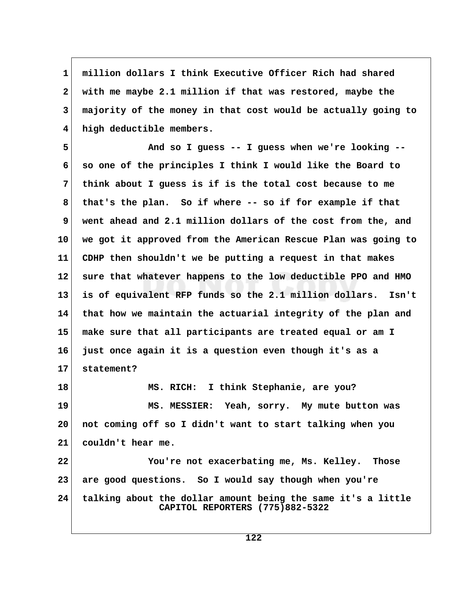**1 million dollars I think Executive Officer Rich had shared 2 with me maybe 2.1 million if that was restored, maybe the 3 majority of the money in that cost would be actually going to 4 high deductible members.**

 **5 And so I guess -- I guess when we're looking -- 6 so one of the principles I think I would like the Board to 7 think about I guess is if is the total cost because to me 8 that's the plan. So if where -- so if for example if that 9 went ahead and 2.1 million dollars of the cost from the, and 10 we got it approved from the American Rescue Plan was going to 11 CDHP then shouldn't we be putting a request in that makes 12 sure that whatever happens to the low deductible PPO and HMO 13 is of equivalent RFP funds so the 2.1 million dollars. Isn't 14 that how we maintain the actuarial integrity of the plan and 15 make sure that all participants are treated equal or am I 16 just once again it is a question even though it's as a 17 statement?**

**18 MS. RICH: I think Stephanie, are you? 19 MS. MESSIER: Yeah, sorry. My mute button was 20 not coming off so I didn't want to start talking when you 21 couldn't hear me. 22 You're not exacerbating me, Ms. Kelley. Those 23 are good questions. So I would say though when you're 24 talking about the dollar amount being the same it's a little CAPITOL REPORTERS (775)882-5322**

**122**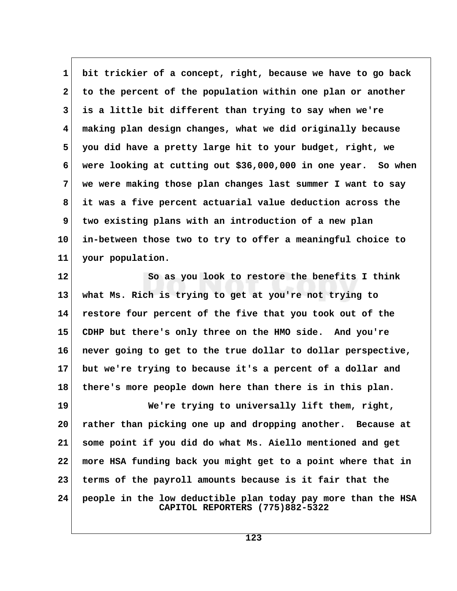**1 bit trickier of a concept, right, because we have to go back 2 to the percent of the population within one plan or another 3 is a little bit different than trying to say when we're 4 making plan design changes, what we did originally because 5 you did have a pretty large hit to your budget, right, we 6 were looking at cutting out \$36,000,000 in one year. So when 7 we were making those plan changes last summer I want to say 8 it was a five percent actuarial value deduction across the 9 two existing plans with an introduction of a new plan 10 in-between those two to try to offer a meaningful choice to 11 your population.**

**12 So as you look to restore the benefits I think 13 what Ms. Rich is trying to get at you're not trying to 14 restore four percent of the five that you took out of the 15 CDHP but there's only three on the HMO side. And you're 16 never going to get to the true dollar to dollar perspective, 17 but we're trying to because it's a percent of a dollar and 18 there's more people down here than there is in this plan.**

**19 We're trying to universally lift them, right, 20 rather than picking one up and dropping another. Because at 21 some point if you did do what Ms. Aiello mentioned and get 22 more HSA funding back you might get to a point where that in 23 terms of the payroll amounts because is it fair that the 24 people in the low deductible plan today pay more than the HSA CAPITOL REPORTERS (775)882-5322**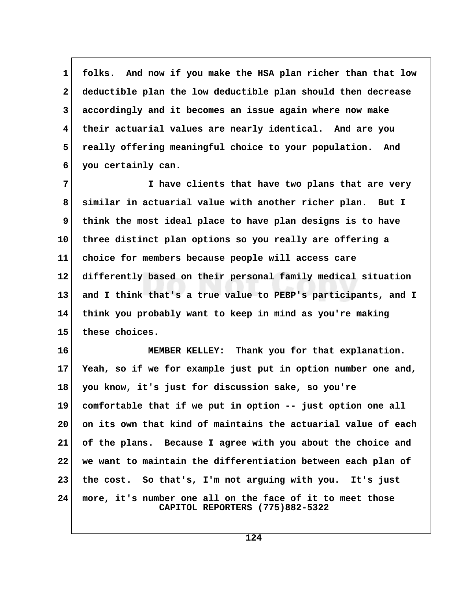**1 folks. And now if you make the HSA plan richer than that low 2 deductible plan the low deductible plan should then decrease 3 accordingly and it becomes an issue again where now make 4 their actuarial values are nearly identical. And are you 5 really offering meaningful choice to your population. And 6 you certainly can.**

 **7 I have clients that have two plans that are very 8 similar in actuarial value with another richer plan. But I 9 think the most ideal place to have plan designs is to have 10 three distinct plan options so you really are offering a 11 choice for members because people will access care 12 differently based on their personal family medical situation 13 and I think that's a true value to PEBP's participants, and I 14 think you probably want to keep in mind as you're making 15 these choices.**

**16 MEMBER KELLEY: Thank you for that explanation. 17 Yeah, so if we for example just put in option number one and, 18 you know, it's just for discussion sake, so you're 19 comfortable that if we put in option -- just option one all 20 on its own that kind of maintains the actuarial value of each 21 of the plans. Because I agree with you about the choice and 22 we want to maintain the differentiation between each plan of 23 the cost. So that's, I'm not arguing with you. It's just 24 more, it's number one all on the face of it to meet those CAPITOL REPORTERS (775)882-5322**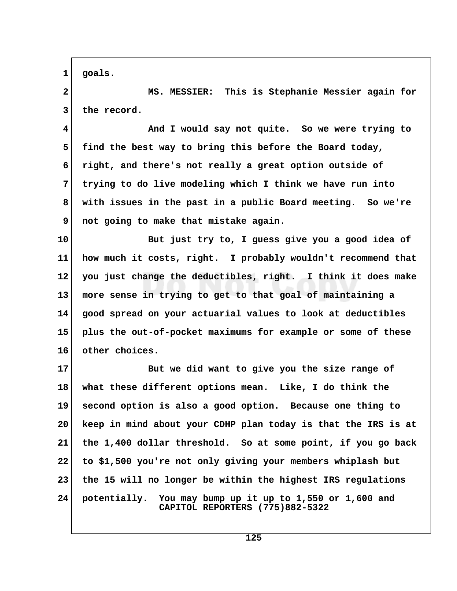**1 goals.**

 **2 MS. MESSIER: This is Stephanie Messier again for** 3 the record.

 **4 And I would say not quite. So we were trying to 5 find the best way to bring this before the Board today, 6 right, and there's not really a great option outside of 7 trying to do live modeling which I think we have run into 8 with issues in the past in a public Board meeting. So we're 9 not going to make that mistake again.**

**10 But just try to, I guess give you a good idea of 11 how much it costs, right. I probably wouldn't recommend that 12 you just change the deductibles, right. I think it does make 13 more sense in trying to get to that goal of maintaining a 14 good spread on your actuarial values to look at deductibles 15 plus the out-of-pocket maximums for example or some of these 16 other choices.**

**17 But we did want to give you the size range of 18 what these different options mean. Like, I do think the 19 second option is also a good option. Because one thing to 20 keep in mind about your CDHP plan today is that the IRS is at 21 the 1,400 dollar threshold. So at some point, if you go back 22 to \$1,500 you're not only giving your members whiplash but 23 the 15 will no longer be within the highest IRS regulations 24 potentially. You may bump up it up to 1,550 or 1,600 and CAPITOL REPORTERS (775)882-5322**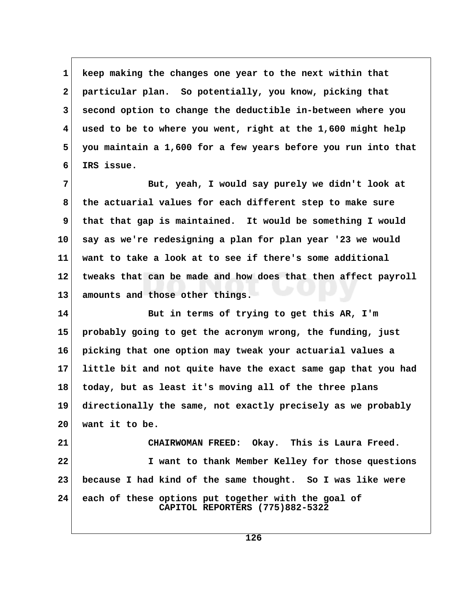**1 keep making the changes one year to the next within that 2 particular plan. So potentially, you know, picking that 3 second option to change the deductible in-between where you 4 used to be to where you went, right at the 1,600 might help 5 you maintain a 1,600 for a few years before you run into that 6 IRS issue.**

 **7 But, yeah, I would say purely we didn't look at 8 the actuarial values for each different step to make sure** 9 that that gap is maintained. It would be something I would **10 say as we're redesigning a plan for plan year '23 we would 11 want to take a look at to see if there's some additional 12 tweaks that can be made and how does that then affect payroll 13 amounts and those other things.**

**14 But in terms of trying to get this AR, I'm 15 probably going to get the acronym wrong, the funding, just 16 picking that one option may tweak your actuarial values a 17 little bit and not quite have the exact same gap that you had 18 today, but as least it's moving all of the three plans 19 directionally the same, not exactly precisely as we probably 20 want it to be.**

**21 CHAIRWOMAN FREED: Okay. This is Laura Freed. 22 I want to thank Member Kelley for those questions 23 because I had kind of the same thought. So I was like were 24 each of these options put together with the goal of CAPITOL REPORTERS (775)882-5322**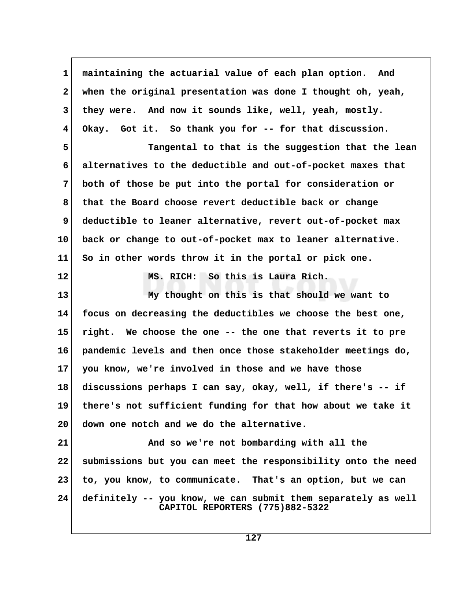**1 maintaining the actuarial value of each plan option. And 2 when the original presentation was done I thought oh, yeah, 3 they were. And now it sounds like, well, yeah, mostly. 4 Okay. Got it. So thank you for -- for that discussion. 5 Tangental to that is the suggestion that the lean 6 alternatives to the deductible and out-of-pocket maxes that 7 both of those be put into the portal for consideration or 8 that the Board choose revert deductible back or change 9 deductible to leaner alternative, revert out-of-pocket max 10 back or change to out-of-pocket max to leaner alternative. 11 So in other words throw it in the portal or pick one. 12 MS. RICH: So this is Laura Rich. 13 My thought on this is that should we want to 14 focus on decreasing the deductibles we choose the best one, 15 right. We choose the one -- the one that reverts it to pre 16 pandemic levels and then once those stakeholder meetings do, 17 you know, we're involved in those and we have those 18 discussions perhaps I can say, okay, well, if there's -- if 19 there's not sufficient funding for that how about we take it 20 down one notch and we do the alternative. 21 And so we're not bombarding with all the 22 submissions but you can meet the responsibility onto the need 23 to, you know, to communicate. That's an option, but we can 24 definitely -- you know, we can submit them separately as well CAPITOL REPORTERS (775)882-5322**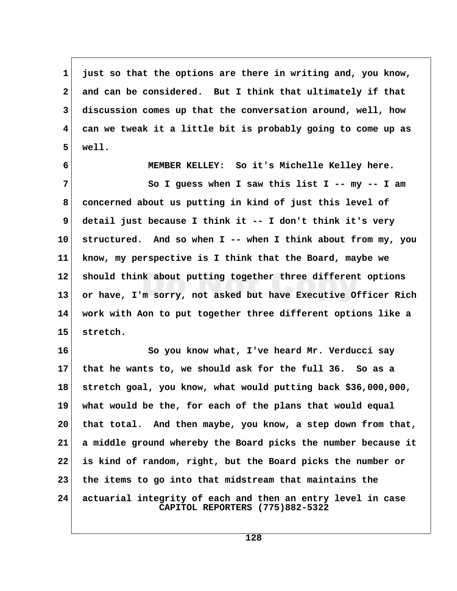**1 just so that the options are there in writing and, you know, 2 and can be considered. But I think that ultimately if that 3 discussion comes up that the conversation around, well, how 4 can we tweak it a little bit is probably going to come up as 5 well.**

 **6 MEMBER KELLEY: So it's Michelle Kelley here. 7 So I guess when I saw this list I -- my -- I am 8 concerned about us putting in kind of just this level of 9 detail just because I think it -- I don't think it's very 10 structured. And so when I -- when I think about from my, you 11 know, my perspective is I think that the Board, maybe we 12 should think about putting together three different options 13 or have, I'm sorry, not asked but have Executive Officer Rich 14 work with Aon to put together three different options like a 15 stretch.**

**16 So you know what, I've heard Mr. Verducci say 17 that he wants to, we should ask for the full 36. So as a 18 stretch goal, you know, what would putting back \$36,000,000, 19 what would be the, for each of the plans that would equal 20 that total. And then maybe, you know, a step down from that, 21 a middle ground whereby the Board picks the number because it 22 is kind of random, right, but the Board picks the number or 23 the items to go into that midstream that maintains the 24 actuarial integrity of each and then an entry level in case CAPITOL REPORTERS (775)882-5322**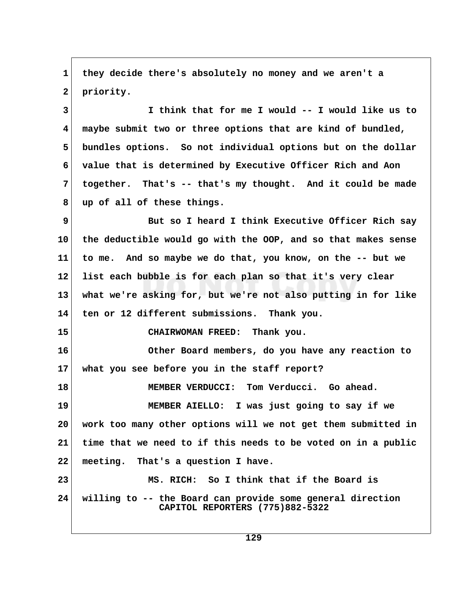**1 they decide there's absolutely no money and we aren't a** 2 priority.

 **3 I think that for me I would -- I would like us to 4 maybe submit two or three options that are kind of bundled, 5 bundles options. So not individual options but on the dollar 6 value that is determined by Executive Officer Rich and Aon 7 together. That's -- that's my thought. And it could be made 8 up of all of these things.**

 **9 But so I heard I think Executive Officer Rich say 10 the deductible would go with the OOP, and so that makes sense 11 to me. And so maybe we do that, you know, on the -- but we 12 list each bubble is for each plan so that it's very clear 13 what we're asking for, but we're not also putting in for like 14 ten or 12 different submissions. Thank you.**

**15 CHAIRWOMAN FREED: Thank you.**

**16 Other Board members, do you have any reaction to 17 what you see before you in the staff report?**

**18 MEMBER VERDUCCI: Tom Verducci. Go ahead. 19 MEMBER AIELLO: I was just going to say if we 20 work too many other options will we not get them submitted in 21 time that we need to if this needs to be voted on in a public 22 meeting. That's a question I have.**

**23 MS. RICH: So I think that if the Board is 24 willing to -- the Board can provide some general direction CAPITOL REPORTERS (775)882-5322**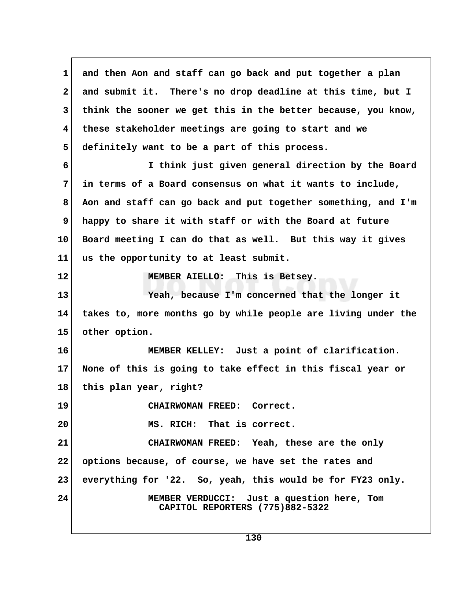**1 and then Aon and staff can go back and put together a plan 2 and submit it. There's no drop deadline at this time, but I 3 think the sooner we get this in the better because, you know, 4 these stakeholder meetings are going to start and we 5 definitely want to be a part of this process. 6 I think just given general direction by the Board 7 in terms of a Board consensus on what it wants to include, 8 Aon and staff can go back and put together something, and I'm 9 happy to share it with staff or with the Board at future 10 Board meeting I can do that as well. But this way it gives 11 us the opportunity to at least submit. 12 MEMBER AIELLO: This is Betsey. 13 Yeah, because I'm concerned that the longer it 14 takes to, more months go by while people are living under the 15 other option. 16 MEMBER KELLEY: Just a point of clarification. 17 None of this is going to take effect in this fiscal year or 18 this plan year, right? 19 CHAIRWOMAN FREED: Correct. 20 MS. RICH: That is correct. 21 CHAIRWOMAN FREED: Yeah, these are the only 22 options because, of course, we have set the rates and 23 everything for '22. So, yeah, this would be for FY23 only. 24 MEMBER VERDUCCI: Just a question here, Tom CAPITOL REPORTERS (775)882-5322**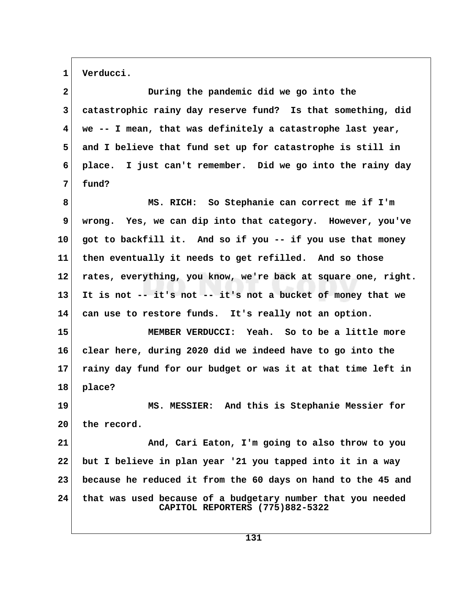1 Verducci.

| $\mathbf{2}$ | During the pandemic did we go into the                                                         |  |
|--------------|------------------------------------------------------------------------------------------------|--|
| 3            | catastrophic rainy day reserve fund? Is that something, did                                    |  |
| 4            | we -- I mean, that was definitely a catastrophe last year,                                     |  |
| 5            | and I believe that fund set up for catastrophe is still in                                     |  |
| 6            | place. I just can't remember. Did we go into the rainy day                                     |  |
| 7            | fund?                                                                                          |  |
| 8            | MS. RICH: So Stephanie can correct me if I'm                                                   |  |
| 9            | wrong. Yes, we can dip into that category. However, you've                                     |  |
| 10           | got to backfill it. And so if you -- if you use that money                                     |  |
| 11           | then eventually it needs to get refilled. And so those                                         |  |
| 12           | rates, everything, you know, we're back at square one, right.                                  |  |
| 13           | It is not -- it's not -- it's not a bucket of money that we                                    |  |
| 14           | can use to restore funds. It's really not an option.                                           |  |
| 15           | MEMBER VERDUCCI: Yeah. So to be a little more                                                  |  |
| 16           | clear here, during 2020 did we indeed have to go into the                                      |  |
| 17           | rainy day fund for our budget or was it at that time left in                                   |  |
| 18           | place?                                                                                         |  |
| 19           | MS. MESSIER: And this is Stephanie Messier for                                                 |  |
| 20           | the record.                                                                                    |  |
| 21           | And, Cari Eaton, I'm going to also throw to you                                                |  |
| 22           | but I believe in plan year '21 you tapped into it in a way                                     |  |
| 23           | because he reduced it from the 60 days on hand to the 45 and                                   |  |
| 24           | that was used because of a budgetary number that you needed<br>CAPITOL REPORTERS (775)882-5322 |  |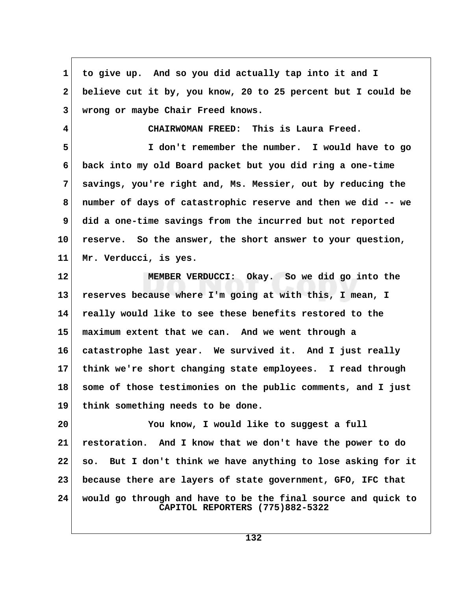**1 to give up. And so you did actually tap into it and I 2 believe cut it by, you know, 20 to 25 percent but I could be 3 wrong or maybe Chair Freed knows. 4 CHAIRWOMAN FREED: This is Laura Freed. 5 I don't remember the number. I would have to go 6 back into my old Board packet but you did ring a one-time 7 savings, you're right and, Ms. Messier, out by reducing the 8 number of days of catastrophic reserve and then we did -- we 9 did a one-time savings from the incurred but not reported 10 reserve. So the answer, the short answer to your question, 11 Mr. Verducci, is yes. 12 MEMBER VERDUCCI: Okay. So we did go into the 13 reserves because where I'm going at with this, I mean, I 14 really would like to see these benefits restored to the 15 maximum extent that we can. And we went through a 16 catastrophe last year. We survived it. And I just really 17 think we're short changing state employees. I read through 18 some of those testimonies on the public comments, and I just 19 think something needs to be done. 20 You know, I would like to suggest a full 21 restoration. And I know that we don't have the power to do 22 so. But I don't think we have anything to lose asking for it 23 because there are layers of state government, GFO, IFC that 24 would go through and have to be the final source and quick to CAPITOL REPORTERS (775)882-5322**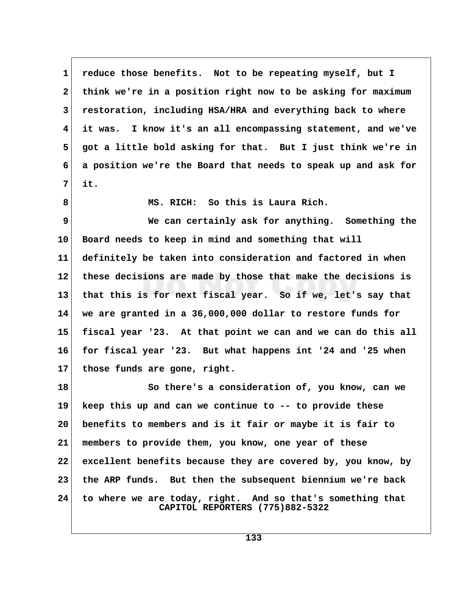**1 reduce those benefits. Not to be repeating myself, but I 2 think we're in a position right now to be asking for maximum 3 restoration, including HSA/HRA and everything back to where 4 it was. I know it's an all encompassing statement, and we've 5 got a little bold asking for that. But I just think we're in 6 a position we're the Board that needs to speak up and ask for 7 it.**

 **8 MS. RICH: So this is Laura Rich.**

 **9 We can certainly ask for anything. Something the 10 Board needs to keep in mind and something that will 11 definitely be taken into consideration and factored in when 12 these decisions are made by those that make the decisions is 13 that this is for next fiscal year. So if we, let's say that 14 we are granted in a 36,000,000 dollar to restore funds for 15 fiscal year '23. At that point we can and we can do this all 16 for fiscal year '23. But what happens int '24 and '25 when 17 those funds are gone, right.**

**18 So there's a consideration of, you know, can we 19 keep this up and can we continue to -- to provide these 20 benefits to members and is it fair or maybe it is fair to 21 members to provide them, you know, one year of these 22 excellent benefits because they are covered by, you know, by 23 the ARP funds. But then the subsequent biennium we're back 24 to where we are today, right. And so that's something that CAPITOL REPORTERS (775)882-5322**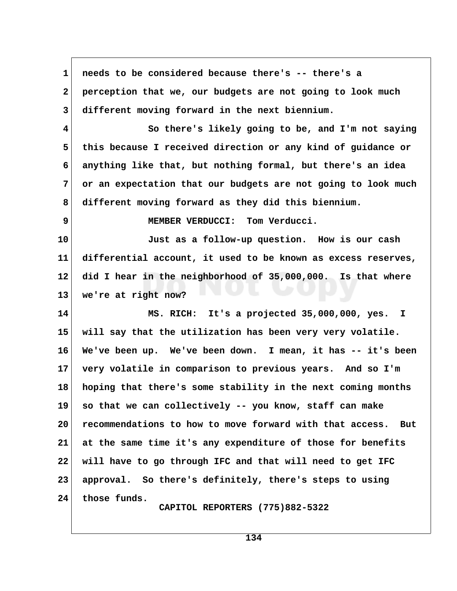**1 needs to be considered because there's -- there's a 2 perception that we, our budgets are not going to look much 3 different moving forward in the next biennium. 4 So there's likely going to be, and I'm not saying 5 this because I received direction or any kind of guidance or 6 anything like that, but nothing formal, but there's an idea 7 or an expectation that our budgets are not going to look much 8 different moving forward as they did this biennium. 9 MEMBER VERDUCCI: Tom Verducci. 10 Just as a follow-up question. How is our cash 11 differential account, it used to be known as excess reserves, 12 did I hear in the neighborhood of 35,000,000. Is that where 13 we're at right now? 14 MS. RICH: It's a projected 35,000,000, yes. I 15 will say that the utilization has been very very volatile. 16 We've been up. We've been down. I mean, it has -- it's been 17 very volatile in comparison to previous years. And so I'm 18 hoping that there's some stability in the next coming months 19 so that we can collectively -- you know, staff can make 20 recommendations to how to move forward with that access. But 21 at the same time it's any expenditure of those for benefits 22 will have to go through IFC and that will need to get IFC 23 approval. So there's definitely, there's steps to using 24 those funds. CAPITOL REPORTERS (775)882-5322**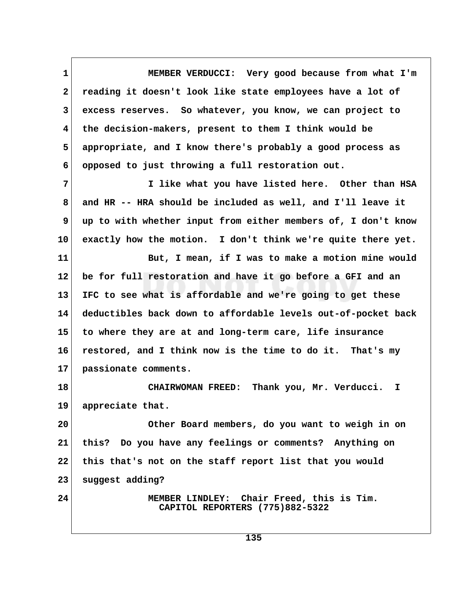**1 MEMBER VERDUCCI: Very good because from what I'm 2 reading it doesn't look like state employees have a lot of 3 excess reserves. So whatever, you know, we can project to 4 the decision-makers, present to them I think would be 5 appropriate, and I know there's probably a good process as 6 opposed to just throwing a full restoration out.**

 **7 I like what you have listed here. Other than HSA 8 and HR -- HRA should be included as well, and I'll leave it 9 up to with whether input from either members of, I don't know 10 exactly how the motion. I don't think we're quite there yet.**

**11 But, I mean, if I was to make a motion mine would 12 be for full restoration and have it go before a GFI and an 13 IFC to see what is affordable and we're going to get these 14 deductibles back down to affordable levels out-of-pocket back 15 to where they are at and long-term care, life insurance 16 restored, and I think now is the time to do it. That's my 17 passionate comments.**

**18 CHAIRWOMAN FREED: Thank you, Mr. Verducci. I 19 appreciate that.**

**20 Other Board members, do you want to weigh in on 21 this? Do you have any feelings or comments? Anything on 22 this that's not on the staff report list that you would 23 suggest adding?**

**24 MEMBER LINDLEY: Chair Freed, this is Tim. CAPITOL REPORTERS (775)882-5322**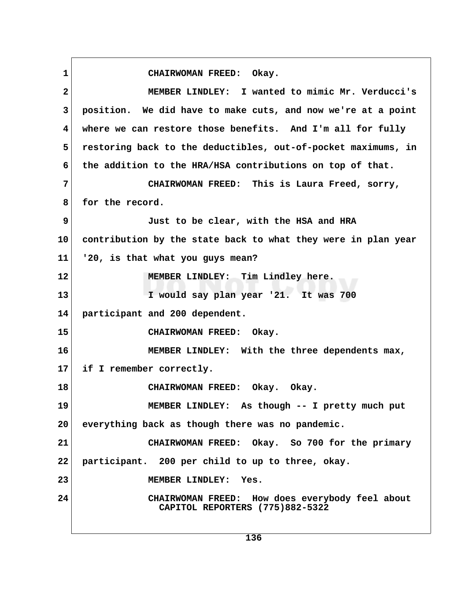**1 CHAIRWOMAN FREED: Okay. 2 MEMBER LINDLEY: I wanted to mimic Mr. Verducci's 3 position. We did have to make cuts, and now we're at a point 4 where we can restore those benefits. And I'm all for fully 5 restoring back to the deductibles, out-of-pocket maximums, in 6 the addition to the HRA/HSA contributions on top of that. 7 CHAIRWOMAN FREED: This is Laura Freed, sorry,** 8 for the record.  **9 Just to be clear, with the HSA and HRA 10 contribution by the state back to what they were in plan year 11 '20, is that what you guys mean? 12 MEMBER LINDLEY: Tim Lindley here. 13 I would say plan year '21. It was 700 14 participant and 200 dependent. 15 CHAIRWOMAN FREED: Okay. 16 MEMBER LINDLEY: With the three dependents max, 17 if I remember correctly. 18 CHAIRWOMAN FREED: Okay. Okay. 19 MEMBER LINDLEY: As though -- I pretty much put 20 everything back as though there was no pandemic. 21 CHAIRWOMAN FREED: Okay. So 700 for the primary 22 participant. 200 per child to up to three, okay. 23 MEMBER LINDLEY: Yes. 24 CHAIRWOMAN FREED: How does everybody feel about CAPITOL REPORTERS (775)882-5322**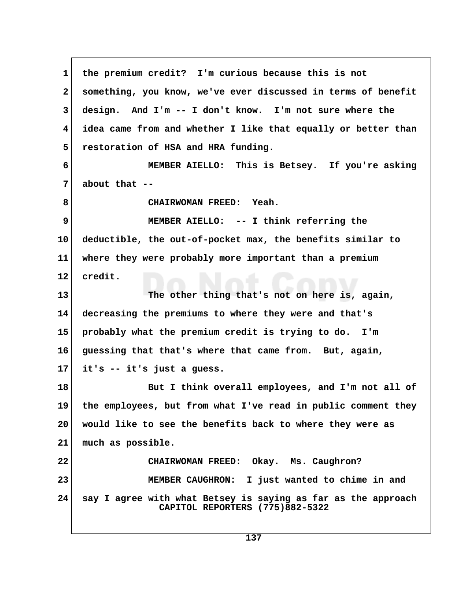**1 the premium credit? I'm curious because this is not 2 something, you know, we've ever discussed in terms of benefit 3 design. And I'm -- I don't know. I'm not sure where the 4 idea came from and whether I like that equally or better than 5 restoration of HSA and HRA funding. 6 MEMBER AIELLO: This is Betsey. If you're asking 7 about that -- 8 CHAIRWOMAN FREED: Yeah. 9 MEMBER AIELLO: -- I think referring the 10 deductible, the out-of-pocket max, the benefits similar to 11 where they were probably more important than a premium 12 credit. 13 The other thing that's not on here is, again, 14 decreasing the premiums to where they were and that's 15 probably what the premium credit is trying to do. I'm 16 guessing that that's where that came from. But, again, 17 it's -- it's just a guess. 18 But I think overall employees, and I'm not all of 19 the employees, but from what I've read in public comment they 20 would like to see the benefits back to where they were as 21 much as possible. 22 CHAIRWOMAN FREED: Okay. Ms. Caughron? 23 MEMBER CAUGHRON: I just wanted to chime in and 24 say I agree with what Betsey is saying as far as the approach CAPITOL REPORTERS (775)882-5322**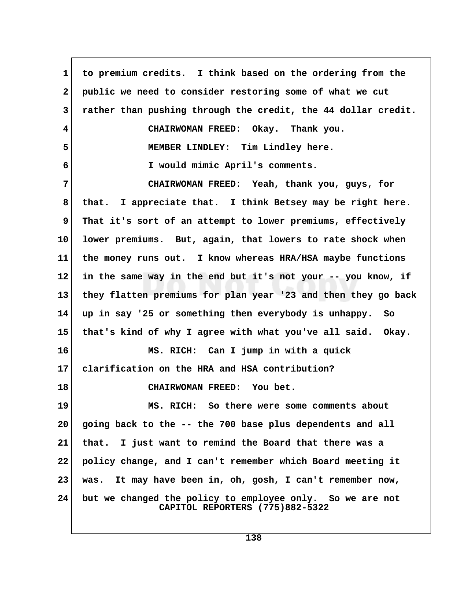**1 to premium credits. I think based on the ordering from the 2 public we need to consider restoring some of what we cut 3 rather than pushing through the credit, the 44 dollar credit. 4 CHAIRWOMAN FREED: Okay. Thank you. 5 MEMBER LINDLEY: Tim Lindley here. 6 I would mimic April's comments. 7 CHAIRWOMAN FREED: Yeah, thank you, guys, for 8 that. I appreciate that. I think Betsey may be right here. 9 That it's sort of an attempt to lower premiums, effectively 10 lower premiums. But, again, that lowers to rate shock when 11 the money runs out. I know whereas HRA/HSA maybe functions 12 in the same way in the end but it's not your -- you know, if 13 they flatten premiums for plan year '23 and then they go back 14 up in say '25 or something then everybody is unhappy. So 15 that's kind of why I agree with what you've all said. Okay. 16 MS. RICH: Can I jump in with a quick 17 clarification on the HRA and HSA contribution? 18 CHAIRWOMAN FREED: You bet. 19 MS. RICH: So there were some comments about 20 going back to the -- the 700 base plus dependents and all 21 that. I just want to remind the Board that there was a 22 policy change, and I can't remember which Board meeting it 23 was. It may have been in, oh, gosh, I can't remember now, 24 but we changed the policy to employee only. So we are not CAPITOL REPORTERS (775)882-5322**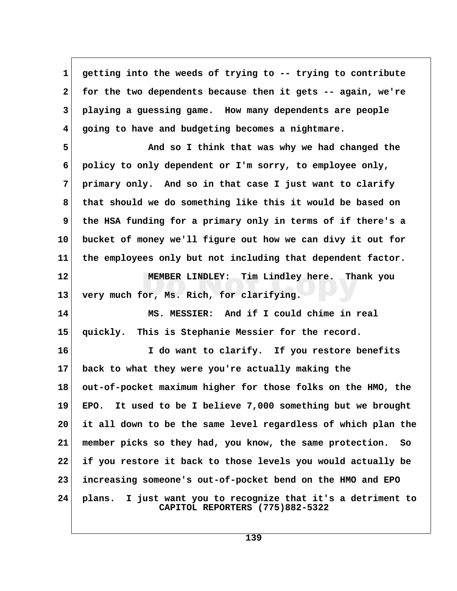**1 getting into the weeds of trying to -- trying to contribute 2 for the two dependents because then it gets -- again, we're 3 playing a guessing game. How many dependents are people 4 going to have and budgeting becomes a nightmare.**

 **5 And so I think that was why we had changed the 6 policy to only dependent or I'm sorry, to employee only, 7 primary only. And so in that case I just want to clarify 8 that should we do something like this it would be based on 9 the HSA funding for a primary only in terms of if there's a 10 bucket of money we'll figure out how we can divy it out for 11 the employees only but not including that dependent factor.**

**12 MEMBER LINDLEY: Tim Lindley here. Thank you 13 very much for, Ms. Rich, for clarifying.**

**14 MS. MESSIER: And if I could chime in real 15 quickly. This is Stephanie Messier for the record.**

**16 I do want to clarify. If you restore benefits 17 back to what they were you're actually making the 18 out-of-pocket maximum higher for those folks on the HMO, the 19 EPO. It used to be I believe 7,000 something but we brought 20 it all down to be the same level regardless of which plan the 21 member picks so they had, you know, the same protection. So 22 if you restore it back to those levels you would actually be 23 increasing someone's out-of-pocket bend on the HMO and EPO 24 plans. I just want you to recognize that it's a detriment to CAPITOL REPORTERS (775)882-5322**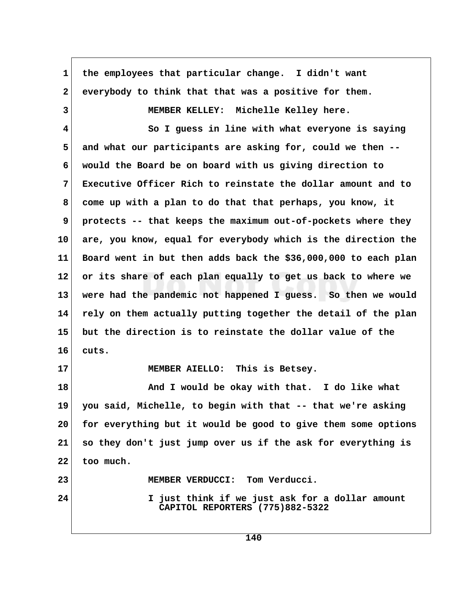1 the employees that particular change. I didn't want  **2 everybody to think that that was a positive for them. 3 MEMBER KELLEY: Michelle Kelley here. 4 So I guess in line with what everyone is saying 5 and what our participants are asking for, could we then -- 6 would the Board be on board with us giving direction to 7 Executive Officer Rich to reinstate the dollar amount and to 8 come up with a plan to do that that perhaps, you know, it 9 protects -- that keeps the maximum out-of-pockets where they 10 are, you know, equal for everybody which is the direction the 11 Board went in but then adds back the \$36,000,000 to each plan 12 or its share of each plan equally to get us back to where we 13 were had the pandemic not happened I guess. So then we would 14 rely on them actually putting together the detail of the plan 15 but the direction is to reinstate the dollar value of the 16 cuts. 17 MEMBER AIELLO: This is Betsey. 18 And I would be okay with that. I do like what 19 you said, Michelle, to begin with that -- that we're asking 20 for everything but it would be good to give them some options 21 so they don't just jump over us if the ask for everything is 22 too much. 23 MEMBER VERDUCCI: Tom Verducci. 24 I just think if we just ask for a dollar amount CAPITOL REPORTERS (775)882-5322**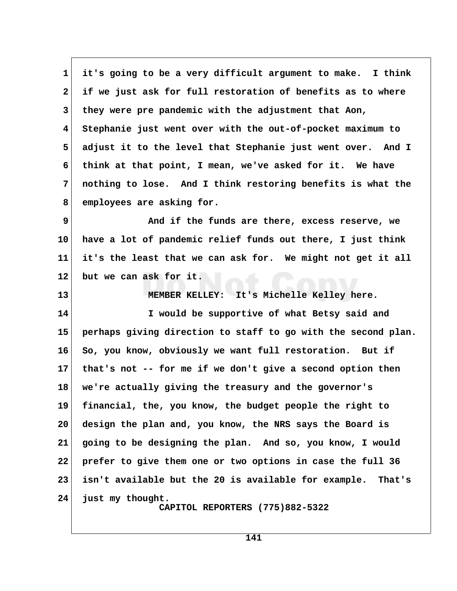**1 it's going to be a very difficult argument to make. I think 2 if we just ask for full restoration of benefits as to where 3 they were pre pandemic with the adjustment that Aon, 4 Stephanie just went over with the out-of-pocket maximum to 5 adjust it to the level that Stephanie just went over. And I 6 think at that point, I mean, we've asked for it. We have 7 nothing to lose. And I think restoring benefits is what the 8 employees are asking for.**

**9** And if the funds are there, excess reserve, we **10 have a lot of pandemic relief funds out there, I just think 11 it's the least that we can ask for. We might not get it all 12 but we can ask for it.**

**13 MEMBER KELLEY: It's Michelle Kelley here. 14 I would be supportive of what Betsy said and 15 perhaps giving direction to staff to go with the second plan. 16 So, you know, obviously we want full restoration. But if 17 that's not -- for me if we don't give a second option then 18 we're actually giving the treasury and the governor's 19 financial, the, you know, the budget people the right to 20 design the plan and, you know, the NRS says the Board is 21 going to be designing the plan. And so, you know, I would 22 prefer to give them one or two options in case the full 36 23 isn't available but the 20 is available for example. That's 24 just my thought. CAPITOL REPORTERS (775)882-5322**

**141**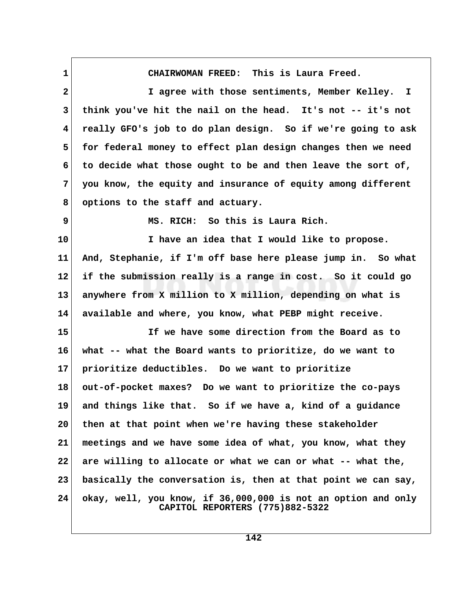**1 CHAIRWOMAN FREED: This is Laura Freed.**

 **2 I agree with those sentiments, Member Kelley. I 3 think you've hit the nail on the head. It's not -- it's not 4 really GFO's job to do plan design. So if we're going to ask 5 for federal money to effect plan design changes then we need 6 to decide what those ought to be and then leave the sort of, 7 you know, the equity and insurance of equity among different 8 options to the staff and actuary. 9 MS. RICH: So this is Laura Rich. 10 I have an idea that I would like to propose. 11 And, Stephanie, if I'm off base here please jump in. So what 12 if the submission really is a range in cost. So it could go 13 anywhere from X million to X million, depending on what is 14 available and where, you know, what PEBP might receive. 15 If we have some direction from the Board as to 16 what -- what the Board wants to prioritize, do we want to 17 prioritize deductibles. Do we want to prioritize 18 out-of-pocket maxes? Do we want to prioritize the co-pays 19 and things like that. So if we have a, kind of a guidance 20 then at that point when we're having these stakeholder 21 meetings and we have some idea of what, you know, what they 22 are willing to allocate or what we can or what -- what the, 23 basically the conversation is, then at that point we can say, 24 okay, well, you know, if 36,000,000 is not an option and only CAPITOL REPORTERS (775)882-5322**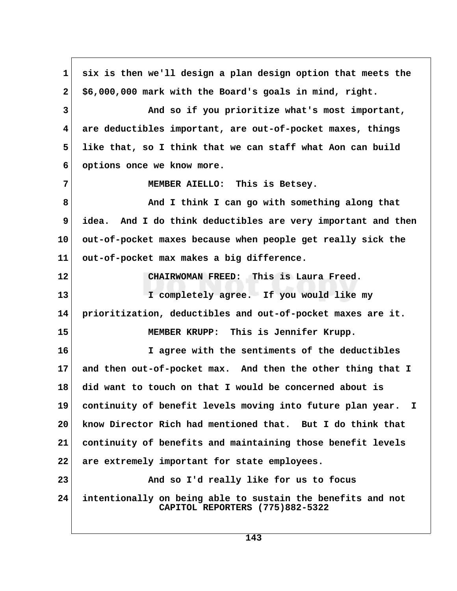**1 six is then we'll design a plan design option that meets the 2 \$6,000,000 mark with the Board's goals in mind, right. 3 And so if you prioritize what's most important, 4 are deductibles important, are out-of-pocket maxes, things 5 like that, so I think that we can staff what Aon can build 6 options once we know more. 7 MEMBER AIELLO: This is Betsey. 8 And I think I can go with something along that 9 idea. And I do think deductibles are very important and then 10 out-of-pocket maxes because when people get really sick the 11 out-of-pocket max makes a big difference. 12 CHAIRWOMAN FREED: This is Laura Freed. 13 I completely agree. If you would like my 14 prioritization, deductibles and out-of-pocket maxes are it. 15 MEMBER KRUPP: This is Jennifer Krupp. 16 I agree with the sentiments of the deductibles 17 and then out-of-pocket max. And then the other thing that I 18 did want to touch on that I would be concerned about is 19 continuity of benefit levels moving into future plan year. I 20 know Director Rich had mentioned that. But I do think that 21 continuity of benefits and maintaining those benefit levels 22 are extremely important for state employees. 23 And so I'd really like for us to focus 24 intentionally on being able to sustain the benefits and not CAPITOL REPORTERS (775)882-5322**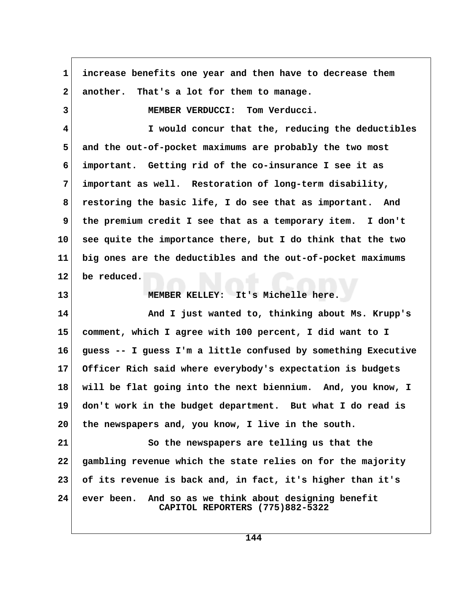| 1                       | increase benefits one year and then have to decrease them                                |  |
|-------------------------|------------------------------------------------------------------------------------------|--|
| $\mathbf{2}$            | another. That's a lot for them to manage.                                                |  |
| 3                       | MEMBER VERDUCCI: Tom Verducci.                                                           |  |
| $\overline{\mathbf{4}}$ | I would concur that the, reducing the deductibles                                        |  |
| 5                       | and the out-of-pocket maximums are probably the two most                                 |  |
| 6                       | important. Getting rid of the co-insurance I see it as                                   |  |
| 7                       | important as well. Restoration of long-term disability,                                  |  |
| 8                       | restoring the basic life, I do see that as important. And                                |  |
| 9                       | the premium credit I see that as a temporary item. I don't                               |  |
| 10                      | see quite the importance there, but I do think that the two                              |  |
| 11                      | big ones are the deductibles and the out-of-pocket maximums                              |  |
| $12 \,$                 | be reduced.                                                                              |  |
| 13                      | MEMBER KELLEY: It's Michelle here.                                                       |  |
| 14                      | And I just wanted to, thinking about Ms. Krupp's                                         |  |
| 15                      | comment, which I agree with 100 percent, I did want to I                                 |  |
| 16                      | guess -- I guess I'm a little confused by something Executive                            |  |
| 17 <sub>2</sub>         | Officer Rich said where everybody's expectation is budgets                               |  |
| 18                      | will be flat going into the next biennium. And, you know, I                              |  |
| 19                      | don't work in the budget department. But what I do read is                               |  |
| 20                      | the newspapers and, you know, I live in the south.                                       |  |
| 21                      | So the newspapers are telling us that the                                                |  |
| 22                      | gambling revenue which the state relies on for the majority                              |  |
| 23                      | of its revenue is back and, in fact, it's higher than it's                               |  |
| 24                      | ever been. And so as we think about designing benefit<br>CAPITOL REPORTERS (775)882-5322 |  |

 $\Gamma$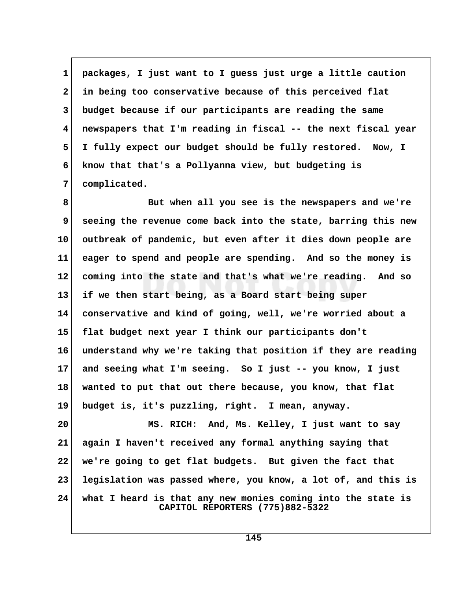**1 packages, I just want to I guess just urge a little caution 2 in being too conservative because of this perceived flat 3 budget because if our participants are reading the same 4 newspapers that I'm reading in fiscal -- the next fiscal year 5 I fully expect our budget should be fully restored. Now, I 6 know that that's a Pollyanna view, but budgeting is 7 complicated.**

 **8 But when all you see is the newspapers and we're 9 seeing the revenue come back into the state, barring this new 10 outbreak of pandemic, but even after it dies down people are 11 eager to spend and people are spending. And so the money is 12 coming into the state and that's what we're reading. And so 13 if we then start being, as a Board start being super 14 conservative and kind of going, well, we're worried about a 15 flat budget next year I think our participants don't 16 understand why we're taking that position if they are reading 17 and seeing what I'm seeing. So I just -- you know, I just 18 wanted to put that out there because, you know, that flat 19 budget is, it's puzzling, right. I mean, anyway.**

**20 MS. RICH: And, Ms. Kelley, I just want to say 21 again I haven't received any formal anything saying that 22 we're going to get flat budgets. But given the fact that 23 legislation was passed where, you know, a lot of, and this is 24 what I heard is that any new monies coming into the state is CAPITOL REPORTERS (775)882-5322**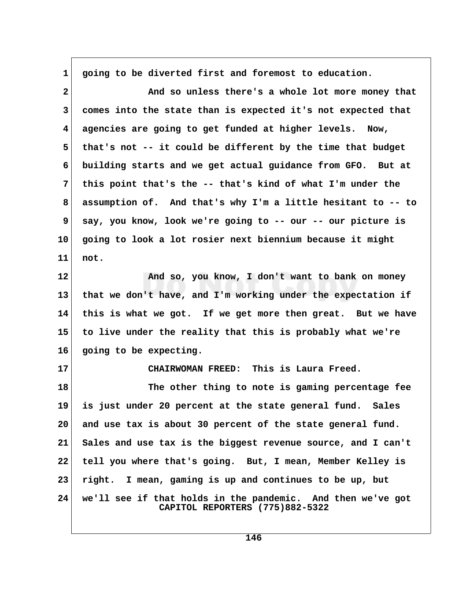**1 going to be diverted first and foremost to education. 2 And so unless there's a whole lot more money that 3 comes into the state than is expected it's not expected that 4 agencies are going to get funded at higher levels. Now, 5 that's not -- it could be different by the time that budget 6 building starts and we get actual guidance from GFO. But at 7 this point that's the -- that's kind of what I'm under the 8 assumption of. And that's why I'm a little hesitant to -- to 9 say, you know, look we're going to -- our -- our picture is 10 going to look a lot rosier next biennium because it might 11 not. 12 And so, you know, I don't want to bank on money 13 that we don't have, and I'm working under the expectation if 14 this is what we got. If we get more then great. But we have 15 to live under the reality that this is probably what we're 16 going to be expecting. 17 CHAIRWOMAN FREED: This is Laura Freed. 18 The other thing to note is gaming percentage fee 19 is just under 20 percent at the state general fund. Sales 20 and use tax is about 30 percent of the state general fund. 21 Sales and use tax is the biggest revenue source, and I can't 22 tell you where that's going. But, I mean, Member Kelley is 23 right. I mean, gaming is up and continues to be up, but 24 we'll see if that holds in the pandemic. And then we've got CAPITOL REPORTERS (775)882-5322**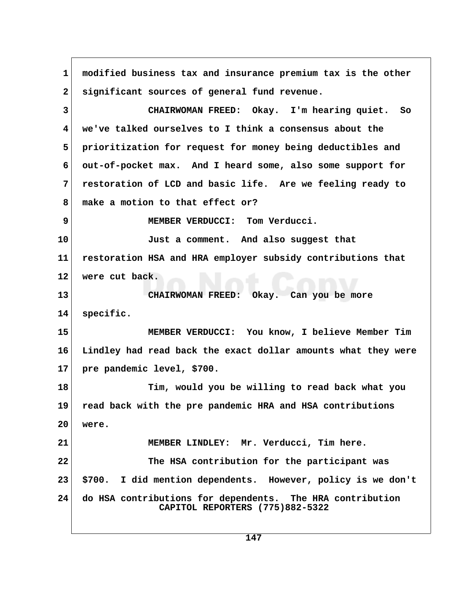**1 modified business tax and insurance premium tax is the other 2 significant sources of general fund revenue. 3 CHAIRWOMAN FREED: Okay. I'm hearing quiet. So 4 we've talked ourselves to I think a consensus about the 5 prioritization for request for money being deductibles and 6 out-of-pocket max. And I heard some, also some support for 7 restoration of LCD and basic life. Are we feeling ready to 8 make a motion to that effect or? 9 MEMBER VERDUCCI: Tom Verducci. 10 Just a comment. And also suggest that 11 restoration HSA and HRA employer subsidy contributions that 12 were cut back. 13 CHAIRWOMAN FREED: Okay. Can you be more 14 specific. 15 MEMBER VERDUCCI: You know, I believe Member Tim 16 Lindley had read back the exact dollar amounts what they were 17 pre pandemic level, \$700. 18 Tim, would you be willing to read back what you 19 read back with the pre pandemic HRA and HSA contributions 20 were. 21 MEMBER LINDLEY: Mr. Verducci, Tim here. 22 The HSA contribution for the participant was 23 \$700. I did mention dependents. However, policy is we don't 24 do HSA contributions for dependents. The HRA contribution CAPITOL REPORTERS (775)882-5322**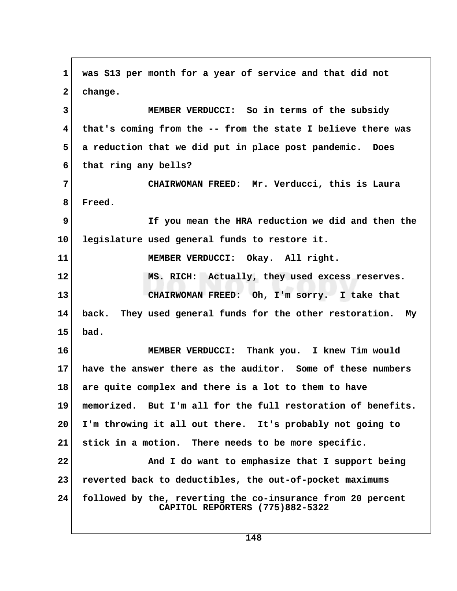**1 was \$13 per month for a year of service and that did not 2 change. 3 MEMBER VERDUCCI: So in terms of the subsidy 4 that's coming from the -- from the state I believe there was 5 a reduction that we did put in place post pandemic. Does 6 that ring any bells? 7 CHAIRWOMAN FREED: Mr. Verducci, this is Laura 8 Freed. 9 If you mean the HRA reduction we did and then the 10 legislature used general funds to restore it. 11 MEMBER VERDUCCI: Okay. All right. 12 MS. RICH: Actually, they used excess reserves. 13 CHAIRWOMAN FREED: Oh, I'm sorry. I take that 14 back. They used general funds for the other restoration. My 15 bad. 16 MEMBER VERDUCCI: Thank you. I knew Tim would 17 have the answer there as the auditor. Some of these numbers 18 are quite complex and there is a lot to them to have 19 memorized. But I'm all for the full restoration of benefits. 20 I'm throwing it all out there. It's probably not going to 21 stick in a motion. There needs to be more specific. 22 And I do want to emphasize that I support being 23 reverted back to deductibles, the out-of-pocket maximums 24 followed by the, reverting the co-insurance from 20 percent CAPITOL REPORTERS (775)882-5322**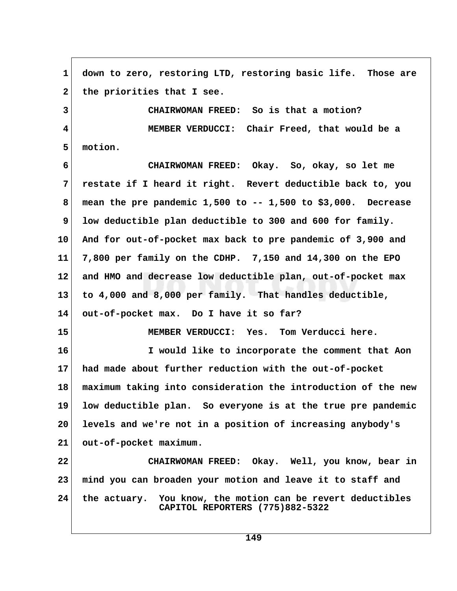**1 down to zero, restoring LTD, restoring basic life. Those are** 2 the priorities that I see.  **3 CHAIRWOMAN FREED: So is that a motion? 4 MEMBER VERDUCCI: Chair Freed, that would be a 5 motion. 6 CHAIRWOMAN FREED: Okay. So, okay, so let me 7 restate if I heard it right. Revert deductible back to, you 8 mean the pre pandemic 1,500 to -- 1,500 to \$3,000. Decrease 9 low deductible plan deductible to 300 and 600 for family. 10 And for out-of-pocket max back to pre pandemic of 3,900 and 11 7,800 per family on the CDHP. 7,150 and 14,300 on the EPO 12 and HMO and decrease low deductible plan, out-of-pocket max 13 to 4,000 and 8,000 per family. That handles deductible, 14 out-of-pocket max. Do I have it so far? 15 MEMBER VERDUCCI: Yes. Tom Verducci here. 16 I would like to incorporate the comment that Aon 17 had made about further reduction with the out-of-pocket 18 maximum taking into consideration the introduction of the new 19 low deductible plan. So everyone is at the true pre pandemic 20 levels and we're not in a position of increasing anybody's 21 out-of-pocket maximum. 22 CHAIRWOMAN FREED: Okay. Well, you know, bear in 23 mind you can broaden your motion and leave it to staff and 24 the actuary. You know, the motion can be revert deductibles CAPITOL REPORTERS (775)882-5322**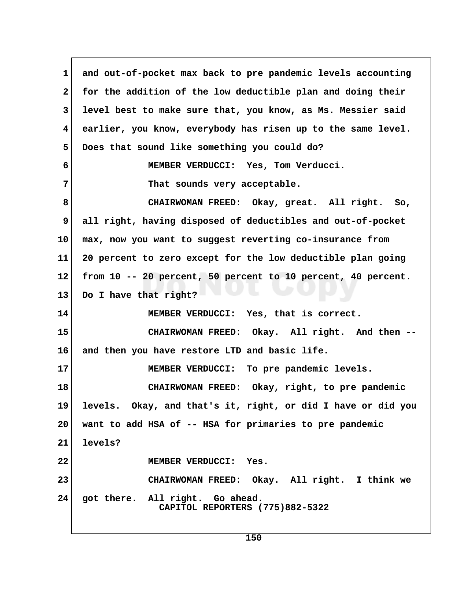1 and out-of-pocket max back to pre pandemic levels accounting  **2 for the addition of the low deductible plan and doing their 3 level best to make sure that, you know, as Ms. Messier said 4 earlier, you know, everybody has risen up to the same level. 5 Does that sound like something you could do? 6 MEMBER VERDUCCI: Yes, Tom Verducci. 7** That sounds very acceptable.  **8 CHAIRWOMAN FREED: Okay, great. All right. So, 9 all right, having disposed of deductibles and out-of-pocket 10 max, now you want to suggest reverting co-insurance from 11 20 percent to zero except for the low deductible plan going 12 from 10 -- 20 percent, 50 percent to 10 percent, 40 percent. 13 Do I have that right? 14 MEMBER VERDUCCI: Yes, that is correct. 15 CHAIRWOMAN FREED: Okay. All right. And then -- 16 and then you have restore LTD and basic life. 17 MEMBER VERDUCCI: To pre pandemic levels. 18 CHAIRWOMAN FREED: Okay, right, to pre pandemic 19 levels. Okay, and that's it, right, or did I have or did you 20 want to add HSA of -- HSA for primaries to pre pandemic 21 levels? 22 MEMBER VERDUCCI: Yes. 23 CHAIRWOMAN FREED: Okay. All right. I think we 24 got there. All right. Go ahead. CAPITOL REPORTERS (775)882-5322**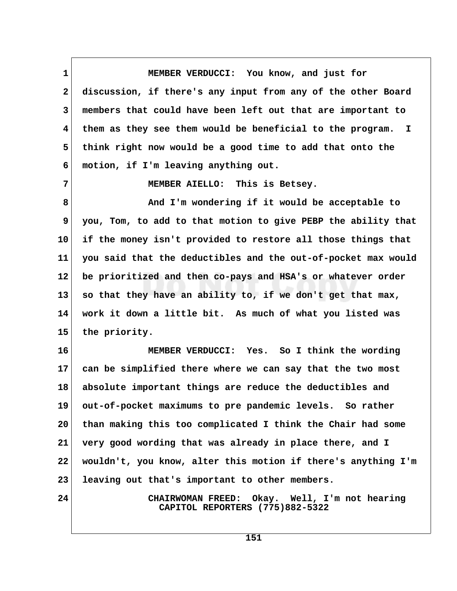**1 MEMBER VERDUCCI: You know, and just for 2 discussion, if there's any input from any of the other Board 3 members that could have been left out that are important to 4 them as they see them would be beneficial to the program. I 5 think right now would be a good time to add that onto the 6 motion, if I'm leaving anything out.**

 **7 MEMBER AIELLO: This is Betsey.**

 **8 And I'm wondering if it would be acceptable to 9 you, Tom, to add to that motion to give PEBP the ability that 10 if the money isn't provided to restore all those things that 11 you said that the deductibles and the out-of-pocket max would 12 be prioritized and then co-pays and HSA's or whatever order 13 so that they have an ability to, if we don't get that max, 14 work it down a little bit. As much of what you listed was 15 the priority.**

**16 MEMBER VERDUCCI: Yes. So I think the wording 17 can be simplified there where we can say that the two most 18 absolute important things are reduce the deductibles and 19 out-of-pocket maximums to pre pandemic levels. So rather 20 than making this too complicated I think the Chair had some 21 very good wording that was already in place there, and I 22 wouldn't, you know, alter this motion if there's anything I'm 23 leaving out that's important to other members.**

**24 CHAIRWOMAN FREED: Okay. Well, I'm not hearing CAPITOL REPORTERS (775)882-5322**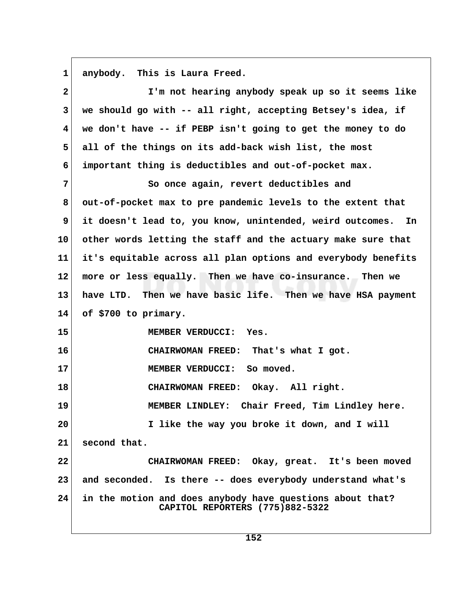**1 anybody. This is Laura Freed.**

| $\mathbf{2}$            | I'm not hearing anybody speak up so it seems like                                            |
|-------------------------|----------------------------------------------------------------------------------------------|
| $\mathbf{3}$            | we should go with -- all right, accepting Betsey's idea, if                                  |
| $\overline{\mathbf{4}}$ | we don't have -- if PEBP isn't going to get the money to do                                  |
| 5                       | all of the things on its add-back wish list, the most                                        |
| 6                       | important thing is deductibles and out-of-pocket max.                                        |
| 7                       | So once again, revert deductibles and                                                        |
| 8                       | out-of-pocket max to pre pandemic levels to the extent that                                  |
| 9                       | it doesn't lead to, you know, unintended, weird outcomes. In                                 |
| 10 <sup>°</sup>         | other words letting the staff and the actuary make sure that                                 |
| 11                      | it's equitable across all plan options and everybody benefits                                |
| $12 \,$                 | more or less equally. Then we have co-insurance. Then we                                     |
| 13                      | have LTD. Then we have basic life. Then we have HSA payment                                  |
| 14                      | of \$700 to primary.                                                                         |
| 15                      | MEMBER VERDUCCI: Yes.                                                                        |
| 16                      | CHAIRWOMAN FREED: That's what I got.                                                         |
| 17                      | MEMBER VERDUCCI: So moved.                                                                   |
| 18                      | CHAIRWOMAN FREED: Okay. All right.                                                           |
| 19                      | MEMBER LINDLEY: Chair Freed, Tim Lindley here.                                               |
| 20                      | I like the way you broke it down, and I will                                                 |
| 21                      | second that.                                                                                 |
| 22                      | CHAIRWOMAN FREED: Okay, great. It's been moved                                               |
| 23                      | and seconded. Is there -- does everybody understand what's                                   |
| 24                      | in the motion and does anybody have questions about that?<br>CAPITOL REPORTERS (775)882-5322 |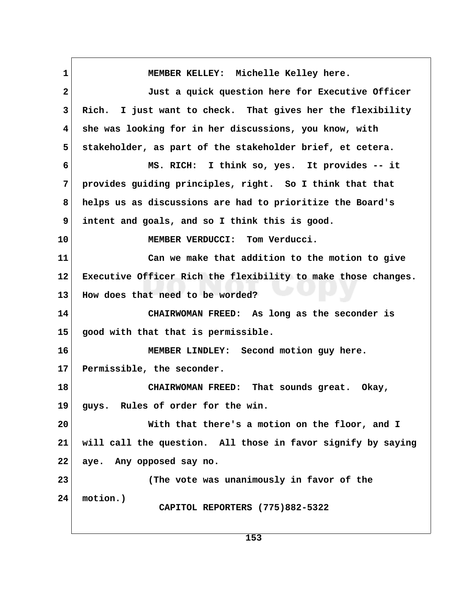1 MEMBER KELLEY: Michelle Kelley here.  **2 Just a quick question here for Executive Officer 3 Rich. I just want to check. That gives her the flexibility 4 she was looking for in her discussions, you know, with 5 stakeholder, as part of the stakeholder brief, et cetera. 6 MS. RICH: I think so, yes. It provides -- it 7 provides guiding principles, right. So I think that that 8 helps us as discussions are had to prioritize the Board's 9 intent and goals, and so I think this is good. 10 MEMBER VERDUCCI: Tom Verducci. 11 Can we make that addition to the motion to give 12 Executive Officer Rich the flexibility to make those changes. 13 How does that need to be worded? 14 CHAIRWOMAN FREED: As long as the seconder is 15 good with that that is permissible. 16 MEMBER LINDLEY: Second motion guy here. 17 Permissible, the seconder. 18 CHAIRWOMAN FREED: That sounds great. Okay, 19 guys. Rules of order for the win. 20 With that there's a motion on the floor, and I 21 will call the question. All those in favor signify by saying 22 aye. Any opposed say no. 23 (The vote was unanimously in favor of the 24 motion.) CAPITOL REPORTERS (775)882-5322**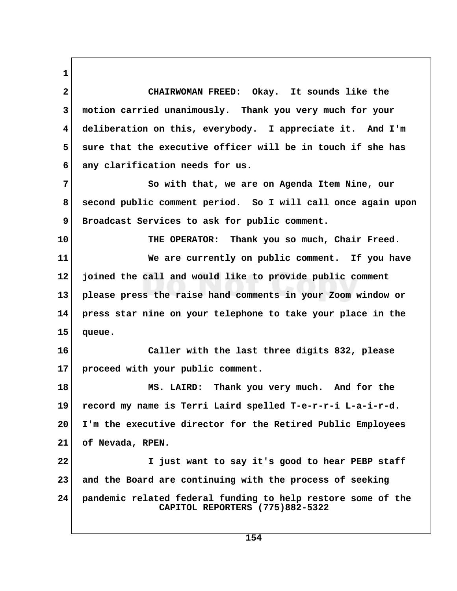**1 2 CHAIRWOMAN FREED: Okay. It sounds like the 3 motion carried unanimously. Thank you very much for your 4 deliberation on this, everybody. I appreciate it. And I'm** 5 sure that the executive officer will be in touch if she has  **6 any clarification needs for us. 7 So with that, we are on Agenda Item Nine, our 8 second public comment period. So I will call once again upon 9 Broadcast Services to ask for public comment. 10 THE OPERATOR: Thank you so much, Chair Freed. 11 We are currently on public comment. If you have 12 joined the call and would like to provide public comment 13 please press the raise hand comments in your Zoom window or 14 press star nine on your telephone to take your place in the 15 queue. 16 Caller with the last three digits 832, please 17 proceed with your public comment. 18 MS. LAIRD: Thank you very much. And for the 19 record my name is Terri Laird spelled T-e-r-r-i L-a-i-r-d. 20 I'm the executive director for the Retired Public Employees 21 of Nevada, RPEN. 22 I just want to say it's good to hear PEBP staff 23 and the Board are continuing with the process of seeking 24 pandemic related federal funding to help restore some of the**

 **CAPITOL REPORTERS (775)882-5322**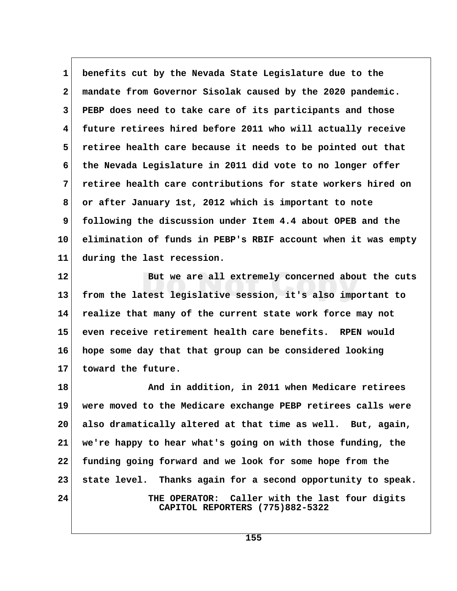**1 benefits cut by the Nevada State Legislature due to the 2 mandate from Governor Sisolak caused by the 2020 pandemic. 3 PEBP does need to take care of its participants and those 4 future retirees hired before 2011 who will actually receive 5 retiree health care because it needs to be pointed out that 6 the Nevada Legislature in 2011 did vote to no longer offer 7 retiree health care contributions for state workers hired on 8 or after January 1st, 2012 which is important to note 9 following the discussion under Item 4.4 about OPEB and the 10 elimination of funds in PEBP's RBIF account when it was empty 11 during the last recession.**

**12 But we are all extremely concerned about the cuts 13 from the latest legislative session, it's also important to 14 realize that many of the current state work force may not 15 even receive retirement health care benefits. RPEN would 16 hope some day that that group can be considered looking 17 toward the future.**

**18 And in addition, in 2011 when Medicare retirees 19 were moved to the Medicare exchange PEBP retirees calls were 20 also dramatically altered at that time as well. But, again, 21 we're happy to hear what's going on with those funding, the 22 funding going forward and we look for some hope from the 23 state level. Thanks again for a second opportunity to speak. 24 THE OPERATOR: Caller with the last four digits CAPITOL REPORTERS (775)882-5322**

**155**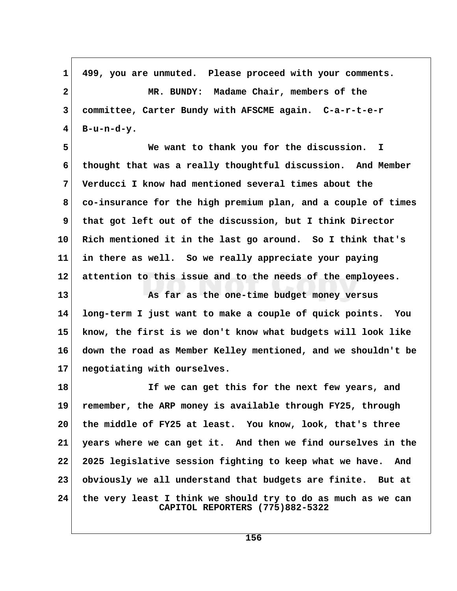**1 499, you are unmuted. Please proceed with your comments. 2 MR. BUNDY: Madame Chair, members of the 3 committee, Carter Bundy with AFSCME again. C-a-r-t-e-r**  $4 \mid$  B-u-n-d-y.

 **5 We want to thank you for the discussion. I 6 thought that was a really thoughtful discussion. And Member 7 Verducci I know had mentioned several times about the 8 co-insurance for the high premium plan, and a couple of times 9 that got left out of the discussion, but I think Director 10 Rich mentioned it in the last go around. So I think that's 11 in there as well. So we really appreciate your paying 12 attention to this issue and to the needs of the employees.**

**13 As far as the one-time budget money versus 14 long-term I just want to make a couple of quick points. You 15 know, the first is we don't know what budgets will look like 16 down the road as Member Kelley mentioned, and we shouldn't be 17 negotiating with ourselves.**

**18 If we can get this for the next few years, and 19 remember, the ARP money is available through FY25, through 20 the middle of FY25 at least. You know, look, that's three 21 years where we can get it. And then we find ourselves in the 22 2025 legislative session fighting to keep what we have. And 23 obviously we all understand that budgets are finite. But at 24 the very least I think we should try to do as much as we can CAPITOL REPORTERS (775)882-5322**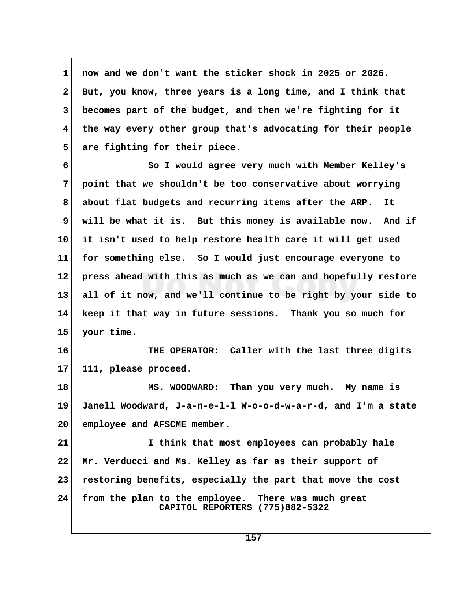**1 now and we don't want the sticker shock in 2025 or 2026. 2 But, you know, three years is a long time, and I think that 3 becomes part of the budget, and then we're fighting for it 4 the way every other group that's advocating for their people 5 are fighting for their piece.**

 **6 So I would agree very much with Member Kelley's 7 point that we shouldn't be too conservative about worrying 8 about flat budgets and recurring items after the ARP. It 9 will be what it is. But this money is available now. And if 10 it isn't used to help restore health care it will get used 11 for something else. So I would just encourage everyone to 12 press ahead with this as much as we can and hopefully restore 13 all of it now, and we'll continue to be right by your side to 14 keep it that way in future sessions. Thank you so much for 15 your time.**

**16 THE OPERATOR: Caller with the last three digits 17 111, please proceed.**

**18 MS. WOODWARD: Than you very much. My name is 19 Janell Woodward, J-a-n-e-l-l W-o-o-d-w-a-r-d, and I'm a state 20 employee and AFSCME member.**

**21 I think that most employees can probably hale 22 Mr. Verducci and Ms. Kelley as far as their support of 23 restoring benefits, especially the part that move the cost 24 from the plan to the employee. There was much great CAPITOL REPORTERS (775)882-5322**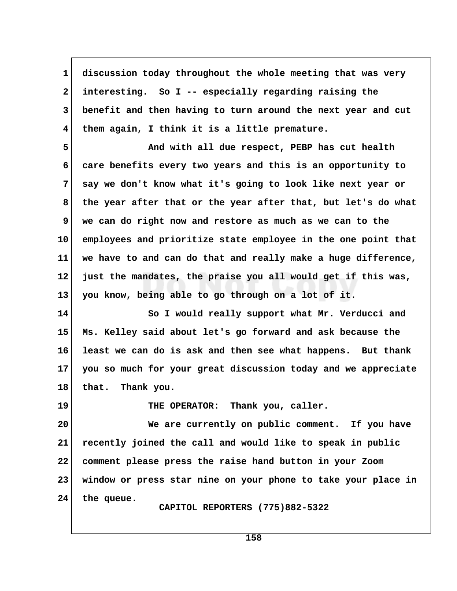**1 discussion today throughout the whole meeting that was very 2 interesting. So I -- especially regarding raising the 3 benefit and then having to turn around the next year and cut 4 them again, I think it is a little premature.**

 **5 And with all due respect, PEBP has cut health 6 care benefits every two years and this is an opportunity to 7 say we don't know what it's going to look like next year or 8 the year after that or the year after that, but let's do what 9 we can do right now and restore as much as we can to the 10 employees and prioritize state employee in the one point that 11 we have to and can do that and really make a huge difference, 12 just the mandates, the praise you all would get if this was, 13 you know, being able to go through on a lot of it.**

**14 So I would really support what Mr. Verducci and 15 Ms. Kelley said about let's go forward and ask because the 16 least we can do is ask and then see what happens. But thank 17 you so much for your great discussion today and we appreciate 18 that. Thank you.**

19 THE OPERATOR: Thank you, caller.

**20 We are currently on public comment. If you have 21 recently joined the call and would like to speak in public 22 comment please press the raise hand button in your Zoom 23 window or press star nine on your phone to take your place in 24 the queue.**

 **CAPITOL REPORTERS (775)882-5322**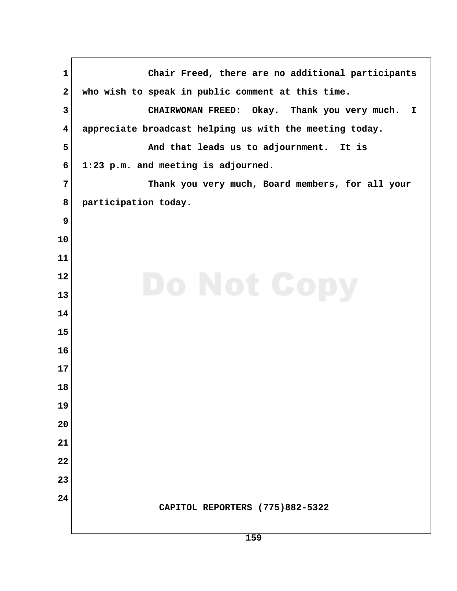**1 Chair Freed, there are no additional participants** 2 who wish to speak in public comment at this time.  **3 CHAIRWOMAN FREED: Okay. Thank you very much. I 4 appreciate broadcast helping us with the meeting today. 5 And that leads us to adjournment. It is 6 1:23 p.m. and meeting is adjourned. 7 Thank you very much, Board members, for all your 8 participation today. CAPITOL REPORTERS (775)882-5322**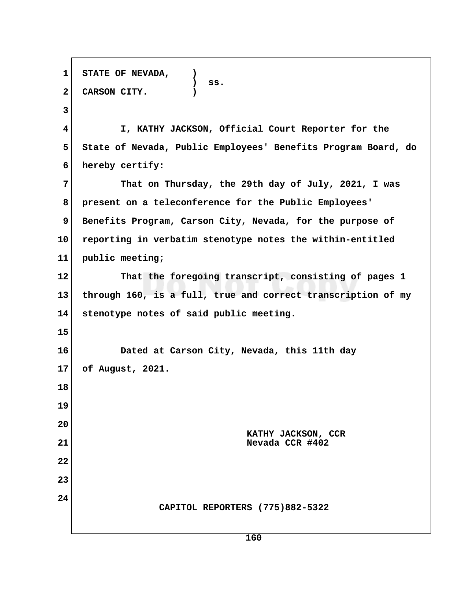**1 STATE OF NEVADA, ) ) ss. 2 CARSON CITY. ) 3 4 I, KATHY JACKSON, Official Court Reporter for the 5 State of Nevada, Public Employees' Benefits Program Board, do 6 hereby certify: 7 That on Thursday, the 29th day of July, 2021, I was 8 present on a teleconference for the Public Employees'** 9 Benefits Program, Carson City, Nevada, for the purpose of **10 reporting in verbatim stenotype notes the within-entitled 11 public meeting; 12 That the foregoing transcript, consisting of pages 1 13 through 160, is a full, true and correct transcription of my 14 stenotype notes of said public meeting. 15 16 Dated at Carson City, Nevada, this 11th day 17 of August, 2021. 18 19 20 KATHY JACKSON, CCR 21 Nevada CCR #402 22 23 24 CAPITOL REPORTERS (775)882-5322**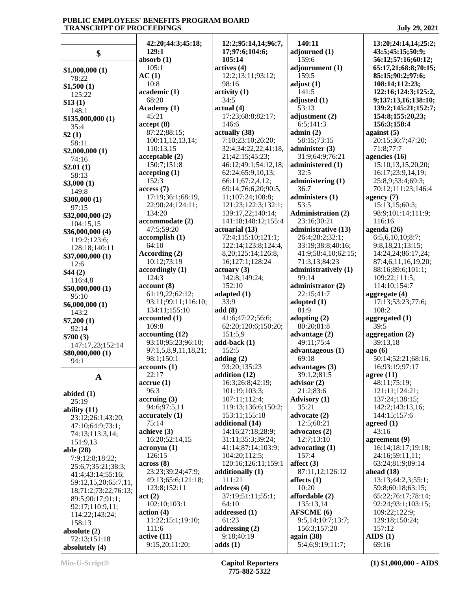|                             | 42:20;44:3;45:18;                     | 12:2;95:14,14;96:7,                       | 140:11                               | 13:20;24:14,14;25:2;                     |
|-----------------------------|---------------------------------------|-------------------------------------------|--------------------------------------|------------------------------------------|
| \$                          | 129:1<br>absorb $(1)$                 | 17;97:6;104:6;<br>105:14                  | adjourned (1)<br>159:6               | 43:5;45:15;50:9;<br>56:12;57:16;60:12;   |
|                             | 105:1                                 | actives (4)                               | adjournment (1)                      | 65:17,21;68:8;70:15;                     |
| \$1,000,000(1)              | AC(1)                                 | 12:2;13:11;93:12;                         | 159:5                                | 85:15;90:2;97:6;                         |
| 78:22                       | 10:8                                  | 98:16                                     | adjust $(1)$                         | 108:14;112:23;                           |
| \$1,500(1)<br>125:22        | academic (1)                          | activity <sub>(1)</sub>                   | 141:5                                | 122:16;124:3;125:2,                      |
| \$13(1)                     | 68:20                                 | 34:5                                      | adjusted (1)                         | 9;137:13,16;138:10;                      |
| 148:1                       | Academy (1)                           | actual(4)                                 | 53:13                                | 139:2;145:21;152:7;                      |
| \$135,000,000 (1)           | 45:21                                 | 17:23;68:8;82:17;                         | adjustment (2)                       | 154:8;155:20,23;                         |
| 35:4                        | accept(8)                             | 146:6                                     | 6:5;141:3                            | 156:3;158:4                              |
| \$2(1)                      | 87:22;88:15;                          | actually (38)                             | admin(2)                             | against $(5)$                            |
| 58:11                       | 100:11,12,13,14;<br>110:13,15         | 7:10;23:10;26:20;<br>32:4;34:22,22;41:18, | 58:15;73:15                          | 20:15;36:7;47:20;<br>71:8;77:7           |
| \$2,000,000(1)              | acceptable (2)                        | 21;42:15;45:23;                           | administer $(3)$<br>31:9;64:9;76:21  | agencies (16)                            |
| 74:16                       | 150:7;151:8                           | 46:12;49:1;54:12,18;                      | administered (1)                     | 15:10,13,15,20,20;                       |
| \$2.01(1)                   | accepting(1)                          | 62:24;65:9,10,13;                         | 32:5                                 | 16:17;23:9,14,19;                        |
| 58:13<br>\$3,000(1)         | 152:3                                 | 66:11;67:2,4,12;                          | administering (1)                    | 25:8,9;53:4;69:3;                        |
| 149:8                       | access(7)                             | 69:14;76:6,20;90:5,                       | 36:7                                 | 70:12;111:23;146:4                       |
| \$300,000(1)                | 17:19;36:1;68:19,                     | 11;107:24;108:8;                          | administers (1)                      | agency $(7)$                             |
| 97:15                       | 22;90:24;124:11;                      | 121:23;122:3;132:1;                       | 53:5                                 | 15:13,15;60:3;                           |
| \$32,000,000 (2)            | 134:20                                | 139:17,22;140:14;                         | <b>Administration (2)</b>            | 98:9;101:14;111:9;                       |
| 104:15,15                   | accommodate (2)                       | 141:18;148:12;155:4                       | 23:16;30:21                          | 116:16                                   |
| \$36,000,000(4)             | 47:5;59:20                            | actuarial (13)                            | administrative (13)                  | agenda (26)                              |
| 119:2;123:6;                | accomplish(1)<br>64:10                | 72:4;115:10;121:1;<br>122:14;123:8;124:4, | 26:4;28:2;32:1;<br>33:19;38:8;40:16; | 6:5,6,10,10;8:7;<br>9:8,18,21;13:15;     |
| 128:18;140:11               | According (2)                         | 8,20;125:14;126:8,                        | 41:9;58:4,10;62:15;                  | 14:24,24;86:17,24;                       |
| \$37,000,000(1)             | 10:12;73:19                           | 16;127:1;128:24                           | 71:3,13;84:23                        | 87:4,6,11,16,19,20;                      |
| 12:6                        | accordingly(1)                        | actuary (3)                               | administratively (1)                 | 88:16;89:6;101:1;                        |
| \$44(2)<br>116:4,8          | 124:3                                 | 142:8;149:24;                             | 99:14                                | 109:22;111:5;                            |
| \$50,000,000 (1)            | account (8)                           | 152:10                                    | administrator (2)                    | 114:10;154:7                             |
| 95:10                       | 61:19,22;62:12;                       | adapted $(1)$                             | 22:15;41:7                           | aggregate $(4)$                          |
| \$6,000,000(1)              | 93:11;99:11;116:10;                   | 33:9                                      | adopted $(1)$                        | 17:13;53:23;77:6;                        |
| 143:2                       | 134:11;155:10                         | add(8)                                    | 81:9                                 | 108:2                                    |
| \$7,200(1)                  | accounted (1)                         | 41:6;47:22;56:6;                          | adopting (2)                         | aggregated (1)                           |
| 92:14                       | 109:8                                 | 62:20;120:6;150:20;<br>151:5,9            | 80:20;81:8                           | 39:5                                     |
| \$700(3)                    | accounting (12)<br>93:10;95:23;96:10; | $add-back(1)$                             | advantage $(2)$<br>49:11:75:4        | aggregation (2)<br>39:13.18              |
| 147:17,23;152:14            | 97:1,5,8,9,11,18,21;                  | 152:5                                     | advantageous (1)                     | ago(6)                                   |
| \$80,000,000 (1)            | 98:1;150:1                            | adding $(2)$                              | 69:18                                | 50:14;52:21;68:16,                       |
| 94:1                        | accounts(1)                           | 93:20;135:23                              | advantages (3)                       | 16;93:19;97:17                           |
| $\mathbf A$                 | 22:17                                 | addition (12)                             | 39:1,2;81:5                          | agree $(11)$                             |
|                             | $accru$ e $(1)$                       | 16:3;26:8;42:19;                          | advisor $(2)$                        | 48:11;75:19;                             |
| abided $(1)$                | 96:3                                  | 101:19;103:3;                             | 21:2;83:6                            | 121:11;124:21;                           |
| 25:19                       | $\arctan(3)$                          | 107:11;112:4;                             | <b>Advisory</b> (1)                  | 137:24;138:15;                           |
| ability $(11)$              | 94:6;97:5,11                          | 119:13;136:6;150:2;<br>153:11;155:18      | 35:21<br>advocate (2)                | 142:2;143:13,16;<br>144:15;157:6         |
| 23:12;26:1;43:20;           | $\alpha$ accurately $(1)$<br>75:14    | additional (14)                           | 12:5;60:21                           | agreed $(1)$                             |
| 47:10;64:9;73:1;            | achieve (3)                           | 14:16;27:18;28:9;                         | advocates (2)                        | 43:16                                    |
| 74:13;113:3,14;<br>151:9,13 | 16:20;52:14,15                        | 31:11;35:3;39:24;                         | 12:7;13:10                           | agreement (9)                            |
| able (28)                   | acronym(1)                            | 41:14;87:14;103:9;                        | advocating (1)                       | 16:14;18:17;19:18;                       |
| 7:9;12:8;18:22;             | 126:15                                | 104:20;112:5;                             | 157:4                                | 24:16;59:11,11;                          |
| 25:6,7;35:21;38:3;          | across(8)                             | 120:16;126:11;159:1                       | affect $(3)$                         | 63:24;81:9;89:14                         |
| 41:4;43:14;55:16;           | 23:23;39:24;47:9;                     | additionally (1)                          | 87:11,12;126:12                      | ahead $(18)$                             |
| 59:12,15,20;65:7,11,        | 49:13;65:6;121:18;                    | 111:21                                    | affects $(1)$                        | 13:13;44:2,3;55:1;                       |
| 18;71:2;73:22;76:13;        | 123:8;152:11                          | address $(4)$                             | 10:20                                | 59:8;60:18;63:15;                        |
| 89:5;90:17;91:1;            | act(2)<br>102:10;103:1                | 37:19;51:11;55:1;<br>64:10                | affordable (2)<br>135:13,14          | 65:22;76:17;78:14;<br>92:24;93:1;103:15; |
| 92:17;110:9,11;             | action(4)                             | addressed (1)                             | <b>AFSCME</b> (6)                    | 109:22;122:9;                            |
| 114:22;143:24;<br>158:13    | 11:22;15:1;19:10;                     | 61:23                                     | 9:5,14;10:7;13:7;                    | 129:18;150:24;                           |
| absolute $(2)$              | 111:6                                 | addressing $(2)$                          | 156:3;157:20                         | 157:12                                   |
| 72:13;151:18                | active(11)                            | 9:18;40:19                                | again $(38)$                         | AIDS(1)                                  |
| absolutely (4)              | 9:15,20;11:20;                        | adds(1)                                   | 5:4,6;9:19;11:7;                     | 69:16                                    |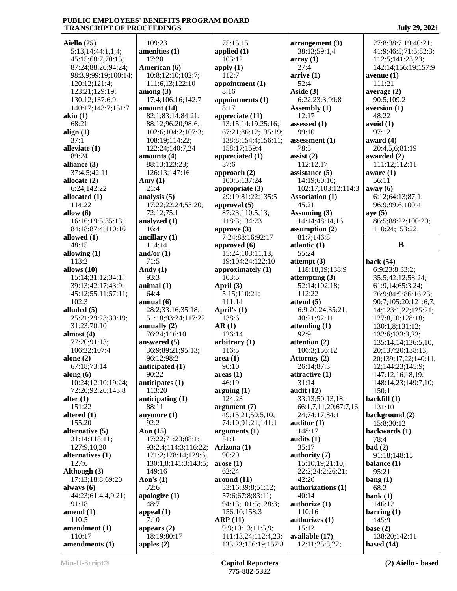| Aiello (25)          | 109:23                         | 75:          |
|----------------------|--------------------------------|--------------|
| 5:13,14;44:1,1,4;    | amenities (1)                  | applio       |
| 45:15;68:7;70:15;    | 17:20                          | 103          |
| 87:24;88:20;94:24;   | American (6)                   | apply        |
| 98:3,9;99:19;100:14; | 10:8;12:10;102:7;              | 112          |
| 120:12;121:4;        | 111:6,13;122:10                | appoi        |
| 123:21;129:19;       |                                | 8:1          |
|                      | $\mathbf{among}\left(3\right)$ |              |
| 130:12;137:6,9;      | 17:4;106:16;142:7              | appoi        |
| 140:17;143:7;151:7   | amount (14)                    | 8:1          |
| akin(1)              | 82:1;83:14;84:21;              | appre        |
| 68:21                | 88:12;96:20;98:6;              | 13:          |
| align $(1)$          | 102:6;104:2;107:3;             | 67:          |
| 37:1                 | 108:19;114:22;                 | 138          |
| alleviate (1)        | 122:24;140:7,24                | 158          |
| 89:24                | amounts (4)                    | appre        |
| alliance (3)         | 88:13;123:23;                  | 37:          |
| 37:4,5;42:11         | 126:13;147:16                  | appro        |
| allocate (2)         | Amy $(1)$                      | 100          |
| 6:24;142:22          | 21:4                           | appro        |
|                      |                                | 29:          |
| allocated (1)        | analysis (5)                   |              |
| 114:22               | 17:22;22:24;55:20;             | appro        |
| allow $(6)$          | 72:12;75:1                     | 87:          |
| 16:16;19:5;35:13;    | analyzed (1)                   | 118          |
| 84:18;87:4;110:16    | 16:4                           | appro        |
| allowed (1)          | ancillary $(1)$                | 7:2          |
| 48:15                | 114:14                         | appro        |
| allowing $(1)$       | and/or $(1)$                   | 15:          |
| 113:2                | 71:5                           | 19;          |
| allows (10)          | Andy $(1)$                     | appro        |
| 15:14;31:12;34:1;    | 93:3                           | 103          |
| 39:13;42:17;43:9;    | animal(1)                      | <b>April</b> |
| 45:12;55:11;57:11;   | 64:4                           | 5:1          |
| 102:3                |                                | 111          |
|                      | annual(6)                      |              |
| alluded (5)          | 28:2;33:16;35:18;              | <b>April</b> |
| 25:21;29:23;30:19;   | 51:18;93:24;117:22             | 138          |
| 31:23;70:10          | annually $(2)$                 | AR(1)        |
| almost $(4)$         | 76:24;116:10                   | 126          |
| 77:20;91:13;         | answered (5)                   | arbitı       |
| 106:22;107:4         | 36:9;89:21;95:13;              | 116          |
| alone $(2)$          | 96:12;98:2                     | area (       |
| 67:18;73:14          | anticipated (1)                | 90:          |
| along $(6)$          | 90:22                          | areas        |
| 10:24;12:10;19:24;   | anticipates (1)                | 46:          |
| 72:20;92:20;143:8    | 113:20                         | argui        |
| alter $(1)$          | anticipating $(1)$             | 124          |
| 151:22               | 88:11                          |              |
|                      |                                | argur        |
| altered $(1)$        | anymore $(1)$                  | 49:          |
| 155:20               | 92:2                           | 74:          |
| alternative (5)      | Aon (15)                       | argur        |
| 31:14;118:11;        | 17:22;71:23;88:1;              | 51:          |
| 127:9,10,20          | 93:2,4;114:3;116:22;           | <b>Arizo</b> |
| alternatives (1)     | 121:2;128:14;129:6;            | 90:          |
| 127:6                | 130:1,8;141:3;143:5;           | arose        |
| Although (3)         | 149:16                         | 62:          |
| 17:13;18:8;69:20     | Aon's $(1)$                    | arour        |
| always (6)           | 72:6                           | 33:          |
| 44:23;61:4,4,9,21;   | apologize (1)                  | 57:          |
| 91:18                | 48:7                           | 94:          |
|                      |                                | 156          |
| amend $(1)$          | appeal (1)                     |              |
| 110:5                | 7:10                           | ARP          |
| amendment (1)        | appears $(2)$                  | 9:9          |
| 110:17               |                                |              |
| amendments (1)       | 18:19;80:17<br>apples $(2)$    | 111<br>133   |

 17:4;106:16;142:7 **appointments (1)**  $22:$  $:6:$  $3:5:$  75:15,15 **applied (1)** 103:12 **apply (1)** 112:7 **appointment (1)** 8:16 8:17 **appreciate (11)** 13:15;14:19;25:16; 67:21;86:12;135:19; 138:8;154:4;156:11; 158:17;159:4 **appreciated (1)** 37:6 **approach (2)** 100:5;137:24 **appropriate (3)** 29:19;81:22;135:5 **approval (5)** 87:23;110:5,13; 118:3;134:23 **approve (3)** 7:24;88:16;92:17 **approved (6)** 15:24;103:11,13, 19;104:24;122:10 **approximately (1)** 103:5 **April (3)** 5:15;110:21; 111:14 **April's (1)** 138:6 **AR (1)** 126:14 **arbitrary (1)** 116:5 **area (1)** 90:10 **areas (1)** 46:19 **arguing (1)** 124:23 **argument (7)** 49:15,21;50:5,10; 74:10;91:21;141:1 **arguments (1)** 51:1 **Arizona (1)** 90:20 **arose (1)** 62:24 **around (11)** 33:16;39:8;51:12; 57:6;67:8;83:11; 94:13;101:5;128:3; 156:10;158:3 **ARP (11)** 9:9;10:13;11:5,9; 111:13,24;112:4,23; 133:23;156:19;157:8

**arrangement (3)** 38:13;59:1,4 **array (1)** 27:4 **arrive (1)** 52:4 **Aside (3)** 6:22;23:3;99:8 **Assembly (1)** 12:17 **assessed (1)** 99:10 **assessment (1)** 78:5 **assist (2)** 112:12,17 **assistance (5)** 14:19;60:10; 102:17;103:12;114:3 **Association (1)** 45:21 **Assuming (3)** 14:14;48:14,16 **assumption (2)** 81:7;146:8 **atlantic (1)** 55:24 **attempt (3)** 118:18,19;138:9 **attempting (3)** 52:14;102:18; 112:22 **attend (5)** 6:9;20:24;35:21; 40:21;92:11 **attending (1)** 92:9 **attention (2)** 106:3;156:12 **Attorney (2)** 26:14;87:3 **attractive (1)** 31:14 **audit (12)** 33:13;50:13,18; 66:1,7,11,20;67:7,16, 24;74:17;84:1 **auditor (1)** 148:17 **audits (1)** 35:17 **authority (7)** 15:10,19;21:10; 22:2;24:2;26:21; 42:20 **authorizations (1)** 40:14 **authorize (1)** 110:16 **authorizes (1)** 15:12 **available (17)** 12:11;25:5,22;

 27:8;38:7,19;40:21; 41:9;46:5;71:5;82:3; 112:5;141:23,23; 142:14;156:19;157:9 **avenue (1)** 111:21 **average (2)** 90:5;109:2 **aversion (1)** 48:22 **avoid (1)** 97:12 **award (4)** 20:4,5,6;81:19 **awarded (2)** 111:12;112:11 **aware (1)** 56:11 **away (6)** 6:12;64:13;87:1; 96:9;99:6;100:4 **aye (5)** 86:5;88:22;100:20; 110:24;153:22 **B back (54)** 6:9;23:8;33:2; 35:5;42:12;58:24; 61:9,14;65:3,24; 76:9;84:9;86:16,23; 90:7;105:20;121:6,7, 14;123:1,22;125:21; 127:8,10;128:18; 130:1,8;131:12; 132:6;133:3,23; 135:14,14;136:5,10, 20;137:20;138:13, 20;139:17,22;140:11, 12;144:23;145:9; 147:12,16,18,19; 148:14,23;149:7,10; 150:1 **backfill (1)** 131:10 **background (2)** 15:8;30:12 **backwards (1)** 78:4 **bad (2)** 91:18;148:15 **balance (1)** 95:21 **bang (1)** 68:2 **bank (1)** 146:12 **barring (1)** 145:9 **base (2)** 138:20;142:11 **based (14)**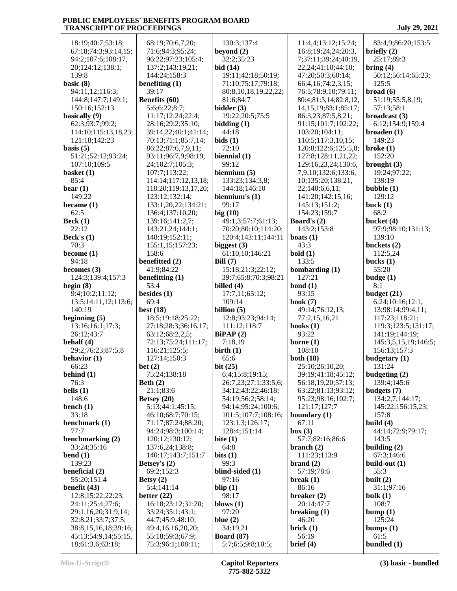18:19;40:7;53:18; 67:18;74:3;93:14,15; 94:2;107:6;108:17, 20;124:12;138:1; 139:8 **basic (8)** 94:11,12;116:3;  $144:8;147:7;149:1; \quad \mathbf{B}$  150:16;152:13 **basically (9)** 62:3;93:7;99:2; 114:10;115:13,18,23; 121:18;142:23 **basis (5)** 51:21;52:12;93:24; 107:10;109:5 **basket (1)** 85:4 **bear (1)** 149:22 **became (1)** 62:5 **Beck (1)** 22:12 **Beck's (1)** 70:3 **become (1)** 94:18 **becomes (3)** 124:3;139:4;157:3 **b begin (8)** 9:4;10:2;11:12; 13:5;14:11,12;113:6; 140:19 **beginning (5)** 13:16;16:1;17:3; 26:12;43:7 **behalf (4)** 29:2;76:23;87:5,8 **behavior (1)** 66:23 **behind (1)** 76:3 **bells (1)** 148:6 **bench (1)** 33:18 **benchmark (1)** 77:7 **benchmarking (2)** 33:24;35:16 **bend (1)** 139:23 **beneficial (2)** 55:20;151:4 **benefit (43)** 12:8;15:22;22:23; **b**  24:11;25:4;27:6; 29:1,16,20;31:9,14; 32:8,21;33:7;37:5; 38:8,15,16,18;39:16; 45:13;54:9,14;55:15, 18;61:3,6;63:18;

| 68:19;70:6,7,20;                      | 130                 |
|---------------------------------------|---------------------|
| 71:6;94:3;95:24;                      | beyor               |
|                                       |                     |
| 96:22;97:23;105:4;                    | 32:                 |
| 137:2;143:19,21;                      | bid (1              |
|                                       |                     |
| 144:24;158:3                          | 19:                 |
| benefiting $(1)$                      | 71:                 |
|                                       |                     |
| 39:17                                 | 80:                 |
| Benefits (60)                         | 81:                 |
|                                       |                     |
| 5:6;6:22;8:7;                         | bidde               |
| 11:17;12:24;22:4;                     | 19:                 |
|                                       |                     |
| 28:16;29:2;35:10;                     | biddi               |
|                                       |                     |
| 39:14,22;40:1;41:14;                  | 44:                 |
| 70:13;71:1;85:7,14;                   | bids (              |
|                                       |                     |
| 86:22;87:6,7,9,11;                    | 72:                 |
| 93:11;96:7,9;98:19,                   | bienn               |
|                                       |                     |
| 24;102:7;105:3;                       | 99:                 |
| 107:7;113:22;                         | bienn               |
|                                       |                     |
| 114:14;117:12,13,18;                  | 133                 |
| 118:20;119:13,17,20;                  | 144                 |
|                                       |                     |
| 123:12;132:14;                        | bienn               |
| 133:1,20,22;134:21;                   | 99:                 |
|                                       |                     |
| 136:4;137:10,20;                      | big(1               |
| 139:16;141:2,7;                       | 49:                 |
|                                       |                     |
| 143:21,24;144:1;                      | 70:                 |
|                                       |                     |
| 148:19;152:11;                        | 120                 |
| 155:1,15;157:23;                      | bigge               |
| 158:6                                 | 61:                 |
|                                       |                     |
| benefitted (2)                        | Bill (7             |
|                                       |                     |
| 41:9;84:22                            | 15:                 |
| benefitting (1)                       | 39:                 |
|                                       |                     |
| 53:4                                  | billed              |
|                                       |                     |
|                                       |                     |
| besides $(1)$                         | 17:                 |
| 69:4                                  | 109                 |
|                                       |                     |
| best $(18)$                           | billio              |
| 18:5;19:18;25:22;                     | 12:                 |
|                                       |                     |
| 27:18;28:3;36:16,17;                  | 111                 |
| 63:12;68:2,2,5;                       | <b>BiPA</b>         |
|                                       |                     |
| 72:13;75:24;111:17;                   | 7:1                 |
| 116:21;125:5;                         | birth               |
|                                       |                     |
| 127:14;150:3                          | 65:                 |
| bet(2)                                | bit(2)              |
|                                       |                     |
| 75:24;138:18                          | 6:4                 |
| Beth $(2)$                            | 26:                 |
|                                       | 34:                 |
| 21:1;83:6                             |                     |
| Betsey (20)                           | 54:                 |
|                                       | 94:                 |
| 5:13;44:1;45:15;                      |                     |
| 46:10;68:7;70:15;                     | 101                 |
|                                       |                     |
| 71:17;87:24;88:20;                    | 123                 |
| 94:24;98:3;100:14;                    | 128                 |
|                                       |                     |
| 120:12;130:12;                        | bite (              |
| 137:6,24;138:8;                       | 64:                 |
|                                       |                     |
| 140:17;143:7;151:7                    | bits (1             |
| Betsey's (2)                          | 99:                 |
|                                       | blind               |
| 69:2;152:3                            |                     |
| Betsy $(2)$                           | 97:                 |
|                                       |                     |
| 5:4;141:14                            | blip (              |
| better $(22)$                         | 98:                 |
|                                       |                     |
| 16:18;23:12;31:20;                    | blows               |
| 33:24;35:1;43:1;                      | 97:                 |
|                                       |                     |
| 44:7;45:9;48:10;                      | blue (              |
| 49:4,16,16,20,20;                     | 34:                 |
|                                       |                     |
| 55:18;59:3;67:9;<br>75:3;96:1;108:11; | <b>Board</b><br>5:7 |

|          | 130:3:137:4                              | 11:4,4;13:12;15                     |
|----------|------------------------------------------|-------------------------------------|
|          | beyond $(2)$                             | 16:8;19:24,24;2                     |
|          | 32:2;35:23                               | 7;37:11;39:24;4                     |
|          | bid (14)                                 | 22,24;41:10;44:                     |
|          | 19:11;42:18;50:19;<br>71:10;75:17;79:18; | 47:20;50:3;60:1<br>66:4,16;74:2,3,1 |
|          | 80:8,10,18,19,22,22;                     | 76:5;78:9,10;79                     |
|          | 81:6;84:7                                | 80:4;81:3,14;82:                    |
|          | bidder (3)                               | 14, 15, 19; 83: 1; 8:               |
|          | 19:22;20:5;75:5                          | 86:3,23;87:5,8,2                    |
|          | bidding(1)                               | 91:15;101:7;102                     |
| $\vdots$ | 44:18                                    | 103:20;104:11;                      |
|          | bids(1)                                  | 110:5;117:3,10,                     |
|          | 72:10<br>biennial (1)                    | 120:8;122:6;125<br>127:8;128:11,21  |
|          | 99:12                                    | 129:16,23,24;13                     |
|          | biennium $(5)$                           | 7,9,10;132:6;13                     |
| ;;       | 133:23;134:3,8;                          | 10;135:20;138:2                     |
| ۱;       | 144:18;146:10                            | 22;140:6,6,11;                      |
|          | biennium's $(1)$                         | 141:20;142:15,1                     |
|          | 99:17                                    | 145:13;151:2;                       |
|          | big(10)<br>49:1,3;57:7;61:13;            | 154:23;159:7<br>Board's (2)         |
|          | 70:20;80:10;114:20;                      | 143:2;153:8                         |
|          | 120:4;143:11;144:11                      | boats $(1)$                         |
|          | biggest (3)                              | 43:3                                |
|          | 61:10,10;146:21                          | bold(1)                             |
|          | Bill $(7)$                               | 133:5                               |
|          | 15:18;21:3;22:12;                        | bombarding (1)                      |
|          | 39:7;65:8;70:3;98:21                     | 127:21                              |
|          | billed (4)<br>17:7,11;65:12;             | bond $(1)$<br>93:15                 |
|          | 109:14                                   | book (7)                            |
|          | billion $(5)$                            | 49:14;76:12,13;                     |
|          | 12:8;93:23;94:14;                        | 77:2,15,16,21                       |
| $\vdots$ | 111:12;118:7                             | books $(1)$                         |
|          | BiPAP(2)                                 | 93:22                               |
| ;        | 7:18,19                                  | borne $(1)$                         |
|          | birth $(1)$<br>65:6                      | 108:10<br>both (18)                 |
|          | bit $(25)$                               | 25:10;26:10,20;                     |
|          | 6:4;15:8;19:15;                          | 39:19;41:18;45:                     |
|          | 26:7,23;27:1;33:5,6;                     | 56:18,19,20;57:                     |
|          | 34:12;43:22;46:18;                       | 63:22;81:13;93:                     |
|          | 54:19;56:2;58:14;                        | 95:23;98:16;102                     |
|          | 94:14;95:24;100:6;                       | 121:17;127:7                        |
|          | 101:5;107:7;108:16;<br>123:1,3;126:17;   | boundary (1)<br>67:11               |
|          | 128:4;151:14                             | box (3)                             |
|          | bite $(1)$                               | 57:7;82:16;86:6                     |
|          | 64:8                                     | branch $(2)$                        |
|          | bits $(1)$                               | 111:23;113:9                        |
|          | 99:3                                     | brand(2)                            |
|          | blind-sided (1)                          | 57:19;78:6                          |
|          | 97:16                                    | break $(1)$                         |
|          | blip $(1)$                               | 86:16                               |
|          |                                          |                                     |
|          | 98:17                                    | breaker $(2)$                       |
|          | blows $(1)$<br>97:20                     | 20:14;47:7                          |
|          | blue $(2)$                               | breaking $(1)$<br>46:20             |
|          | 34:19,21                                 | brick(1)                            |
|          | <b>Board</b> (87)<br>5:7;6:5;9:8;10:5;   | 56:19<br>brief (4)                  |

 11:4,4;13:12;15:24; 16:8;19:24,24;20:3, 7;37:11;39:24;40:19, 22,24;41:10;44:10; 47:20;50:3;60:14; 66:4,16;74:2,3,15; 76:5;78:9,10;79:11; 80:4;81:3,14;82:8,12, 14,15,19;83:1;85:17; 86:3,23;87:5,8,21; 91:15;101:7;102:22; 103:20;104:11; 110:5;117:3,10,15; 120:8;122:6;125:5,8; 127:8;128:11,21,22; 129:16,23,24;130:6, 7,9,10;132:6;133:6, 10;135:20;138:21, 22;140:6,6,11; 141:20;142:15,16; 145:13;151:2; 154:23;159:7 **Board's (2)** 143:2;153:8 43:3 **bold (1)** 133:5 **bombarding (1) bond (1)** 93:15 **book (7)** 49:14;76:12,13; 77:2,15,16,21 **books (1)** 93:22 **borne (1)** 108:10 **both (18)** 25:10;26:10,20; 39:19;41:18;45:12; 56:18,19,20;57:13; 63:22;81:13;93:12; 95:23;98:16;102:7; 121:17;127:7 **boundary (1)** 67:11 **box (3)** 57:7;82:16;86:6 **branch (2)** 111:23;113:9 **brand (2)** 57:19;78:6 **break (1)** 86:16 **breaker (2)** 20:14;47:7 **breaking (1)** 46:20 **brick (1)** 56:19 **brief (4)**

 83:4,9;86:20;153:5 **briefly (2)** 25:17;89:3 **bring (4)** 50:12;56:14;65:23; 125:5 **broad (6)** 51:19;55:5,8,19; 57:13;58:1 **broadcast (3)** 6:12;154:9;159:4 **broaden (1)** 149:23 **broke (1)** 152:20 **brought (3)** 19:24;97:22; 139:19 **bubble (1)** 129:12 **buck (1)** 68:2 **bucket (4)** 97:9;98:10;131:13; 139:10 **buckets (2)** 112:5,24 **bucks (1)** 55:20 **budge (1)** 8:1 **budget (21)** 6:24;10:16;12:1, 13;98:14;99:4,11; 117:23;118:21; 119:3;123:5;131:17; 141:19;144:19; 145:3,5,15,19;146:5; 156:13;157:3 **budgetary (1)** 131:24 **budgeting (2)** 139:4;145:6 **budgets (7)** 134:2,7;144:17; 145:22;156:15,23; 157:8 **build (4)** 44:14;72:9;79:17; 143:5 **building (2)** 67:3;146:6 **build-out (1)** 55:3 **built (2)** 31:1;97:16 **bulk (1)** 108:7 **bump (1)** 125:24 **bumps (1)** 61:5 **bundled (1)**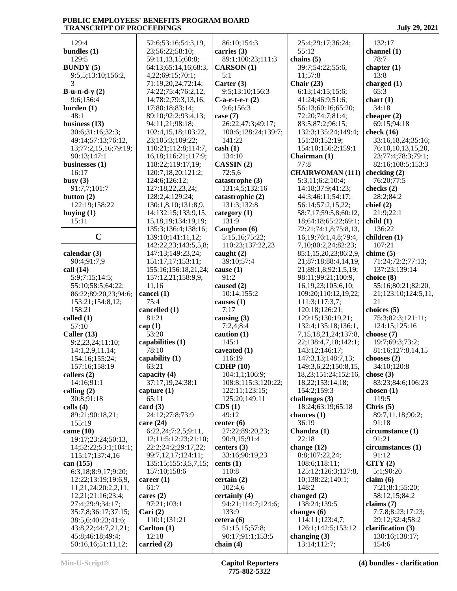129:4 **bundles (1)** 129:5 **BUNDY (5)** 9:5,5;13:10;156:2, 3 **B-u-n-d-y (2)** 9:6;156:4 **burden (1)** 48:1 **business (13)** 30:6;31:16;32:3; 49:14;57:13;76:12, 13;77:2,15,16;79:19; 90:13;147:1 **businesses (1)** 16:17 **busy (3)** 91:7,7;101:7 **button (2)** 122:19;158:22 **buying (1)** 15:11 **C calendar (3)** 90:4;91:7,9 **call (14)** 5:9;7:15;14:5; 55:10;58:5;64:22; 86:22;89:20,23;94:6; 153:21;154:8,12; 158:21 **called (1)** 57:10 **Caller (13)** 9:2,23,24;11:10; 14:1,2,9,11,14; 154:16;155:24; 157:16;158:19 **callers (2)** 14:16;91:1 **calling (2)** 30:8;91:18 **calls (4)** 89:21;90:18,21; 155:19 **came (10)** 19:17;23:24;50:13, 14;52:22;53:1;104:1; 115:17;137:4,16 **can (155)** 6:3,18;8:9,17;9:20; 12:22;13:19;19:6,9, 11,21,24;20:2,2,11, 12,21;21:16;23:4; 27:4;29:9;34:17; 35:7,8;36:17;37:15; 38:5,6;40:23;41:6; 43:8,22;44:7,21,21; 45:8;46:18;49:4; 50:16,16;51:11,12; 52:6;53:16;54:3,19, 23;56:22;58:10; 59:11,13,15;60:8; 64:13;65:14,16;68:3, 4,22;69:15;70:1; 71:19,20,24;72:14; 74:22;75:4;76:2,12, 14;78:2;79:3,13,16, 17;80:18;83:14; 89:10;92:2;93:4,13; 94:11,21;98:18; 102:4,15,18;103:22, 23;105:3;109:22; 110:21;112:8;114:7, 16,18;116:21;117:9; 118:22;119:17,19; 120:7,18,20;121:2; 124:6;126:12; 127:18,22,23,24; 128:2,4;129:24; 130:1,8,10;131:8,9, 14;132:15;133:9,15, 15,18,19;134:19,19; 135:3;136:4;138:16; 139:10;141:11,12; 142:22,23;143:5,5,8; 147:13;149:23,24; 151:17,17;153:11; 155:16;156:18,21,24; 157:12,21;158:9,9, 11,16 **cancel (1)** 75:4 **cancelled (1)** 81:21 **cap (1)** 53:20 **capabilities (1)** 78:10 **capability (1)** 63:21 **capacity (4)** 37:17,19,24;38:1 **capture (1)** 65:11 **card (3)** 24:12;27:8;73:9 **care (24)** 6:22,24;7:2,5;9:11, 12;11:5;12:23;21:10; 22:2;24:2;29:17,22; 99:7,12,17;124:11; 135:15;155:3,5,7,15; 157:10;158:6 **career (1)** 61:7 **cares (2)** 97:21;103:1 **Cari (2)** 110:1;131:21 **Carlton (1)** 12:18 **carried (2)** 86:10;154:3 **carries (3)** 89:1;100:23;111:3 **CARSON (1)** 5:1 **Carter (3)** 9:5;13:10;156:3 **C-a-r-t-e-r (2)** 9:6;156:3 **case (7)** 26:22;47:3;49:17; 100:6;128:24;139:7; 141:22 **cash (1)** 134:10 **CASSIN (2)** 72:5,6 **catastrophe (3)** 131:4,5;132:16 **catastrophic (2)** 131:3;132:8 **category (1)** 131:9 **Caughron (6)** 5:15,16;75:22; 110:23;137:22,23 **caught (2)** 39:10;57:4 **cause (1)** 91:2 **caused (2)** 10:14;155:2 **causes (1)** 7:17 **causing (3)** 7:2,4;8:4 **caution (1)** 145:1 **caveated (1)** 116:19 **CDHP (10)** 104:1,1;106:9; 108:8;115:3;120:22; 122:11;123:15; 125:20;149:11 **CDS (1)** 49:12 **center (6)** 27:22;89:20,23; 90:9,15;91:4 **centers (3)** 33:16;90:19,23 **cents (1)** 110:8 **certain (2)** 102:4,6 **certainly (4)** 94:21;114:7;124:6; 133:9 **cetera (6)** 51:15,15;57:8; 90:17;91:1;153:5 **chain (4)** 25:4;29:17;36:24; 55:12 **chains (5)** 39:7;54:22;55:6, 11;57:8 **Chair (23)** 6:13;14:15;15:6; 41:24;46:9;51:6; 56:13;60:16;65:20; 72:20;74:7;81:4; 83:5;87:2;96:15; 132:3;135:24;149:4; 151:20;152:19; 154:10;156:2;159:1 **Chairman (1)** 77:8 **CHAIRWOMAN (111)** 5:3,11;6:2;10:4; 14:18;37:9;41:23; 44:3;46:11;54:17; 56:14;57:2,15,22; 58:7,17;59:5,8;60:12, 18;64:18;65:22;69:1; 72:21;74:1,8;75:8,13, 16,19;76:1,4,8;79:4, 7,10;80:2,24;82:23; 85:1,15,20,23;86:2,9, 21;87:18;88:4,14,19, 21;89:1,8;92:1,5,19; 98:11;99:21;100:9, 16,19,23;105:6,10; 109:20;110:12,19,22; 111:3;117:3,7; 120:18;126:21; 129:15;130:19,21; 132:4;135:18;136:1, 7,15,18,21,24;137:8, 22;138:4,7,18;142:1; 143:12;146:17; 147:3,13;148:7,13; 149:3,6,22;150:8,15, 18,23;151:24;152:16, 18,22;153:14,18; 154:2;159:3 **challenges (3)** 18:24;63:19;65:18 **chances (1)** 36:19 **Chandra (1)** 22:18 **change (12)** 8:8;107:22,24; 108:6;118:11; 125:12;126:3;127:8, 10;138:22;140:1; 148:2 **changed (2)** 138:24;139:5 **changes (6)** 114:11;123:4,7; 126:1;142:5;153:12 **changing (3)** 13:14;112:7; 132:17 **channel (1)** 78:7 **chapter (1)** 13:8 **charged (1)** 65:3 **chart (1)** 34:18 **cheaper (2)** 69:15;94:18 **check (16)** 33:16,18,24;35:16; 76:10,10,13,15,20, 23;77:4;78:3;79:1; 82:16;108:5;153:3 **checking (2)** 76:20;77:5 **checks (2)** 28:2;84:2 **chief (2)** 21:9;22:1 **child (1)** 136:22 **children (1)** 107:21 **chime (5)** 71:24;72:2;77:13; 137:23;139:14 **choice (8)** 55:16;80:21;82:20, 21;123:10;124:5,11, 21 **choices (5)** 75:3;82:3;121:11; 124:15;125:16 **choose (7)** 19:7;69:3;73:2; 81:16;127:8,14,15 **chooses (2)** 34:10;120:8 **chose (3)** 83:23;84:6;106:23 **chosen (1)** 119:5 **Chris (5)** 89:7,11,18;90:2; 91:18 **circumstance (1)** 91:21 **circumstances (1)** 91:12 **CITY (2)** 5:1;90:20 **claim (6)** 7:21;8:1;55:20; 58:12,15;84:2 **claims (7)** 7:7,8;8:23;17:23; 29:12;32:4;58:2 **clarification (3)** 130:16;138:17; 154:6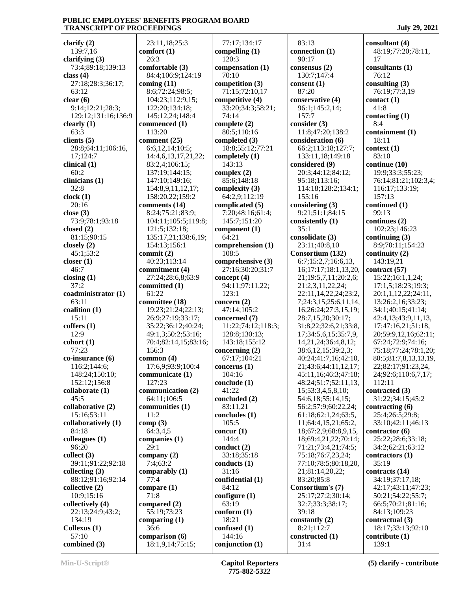**clarify (2)** 139:7,16 **clarifying (3)** 73:4;89:18;139:13 **class (4)** 27:18;28:3;36:17; 63:12 **clear (6)** 9:14;12:21;28:3; 129:12;131:16;136:9 **clearly (1)** 63:3 **clients (5)** 28:8;64:11;106:16, 17;124:7 **clinical (1)** 60:2 **clinicians (1)** 32:8 **clock (1)** 20:16 **close (3)** 73:9;78:1;93:18 **closed (2)** 81:15;90:15 **closely (2)** 45:1;53:2 **closer (1)** 46:7 **closing (1)** 37:2 **coadministrator (1)** 63:11 **coalition (1)** 15:11 **coffers (1)** 12:9 **cohort (1)** 77:23 **co-insurance (6)** 116:2;144:6; 148:24;150:10; 152:12;156:8 **collaborate (1)** 45:5 **collaborative (2)** 15:16;53:11 **collaboratively (1)** 84:18 **colleagues (1)** 96:20 **collect (3)** 39:11;91:22;92:18 **collecting (3)** 88:12;91:16;92:14 **collective (2)** 10:9;15:16 **collectively (4)** 22:13;24:9;43:2; 134:19 **Collexus (1)** 57:10 **combined (3)**

 23:11,18;25:3 **comfort (1)** 26:3 **comfortable (3)** 84:4;106:9;124:19 **coming (11)** 8:6;72:24;98:5; 104:23;112:9,15; 122:20;134:18; 145:12,24;148:4 **commenced (1)** 113:20 **comment (25)** 6:6,12,14;10:5; 14:4,6,13,17,21,22; 83:2,4;106:15; 137:19;144:15; 147:10;149:16; 154:8,9,11,12,17; 158:20,22;159:2 **comments (14)** 8:24;75:21;83:9; 104:11;105:5;119:8; 121:5;132:18; 135:17,21;138:6,19; 154:13;156:1 **commit (2)** 40:23;113:14 **commitment (4)** 27:24;28:6,8;63:9 **committed (1)** 61:22 **committee (18)** 19:23;21:24;22:13; 26:9;27:19;33:17; 35:22;36:12;40:24; 49:1,3;50:2;53:16; 70:4;82:14,15;83:16; 156:3 **common (4)** 17:6,9;93:9;100:4 **communicate (1)** 127:23 **communication (2)** 64:11;106:5 **communities (1)** 11:2 **comp (3)** 64:3,4,5 **companies (1)** 29:1 **company (2)** 7:4;63:2 **comparably (1)** 77:4 **compare (1)** 71:8 **compared (2)** 55:19;73:23 **comparing (1)** 36:6 **comparison (6)** 18:1,9,14;75:15;

 77:17;134:17 **compelling (1)** 120:3 **compensation (1)** 70:10 **competition (3)** 71:15;72:10,17 **competitive (4)** 33:20;34:3;58:21; 74:14 **complete (2)** 80:5;110:16 **completed (3)** 18:8;55:12;77:21 **completely (1)** 143:13 **complex (2)** 85:6;148:18 **complexity (3)** 64:2,9;112:19 **complicated (5)** 7:20;48:16;61:4; 145:7;151:20 **component (1)** 64:21 **comprehension (1)** 108:5 **comprehensive (3)** 27:16;30:20;31:7 **concept (4)** 94:11;97:11,22; 123:1 **concern (2)** 47:14;105:2 **concerned (7)** 11:22;74:12;118:3; 128:8;130:13; 143:18;155:12 **concerning (2)** 67:17;104:21 **concerns (1)** 104:16 **conclude (1)** 41:22 **concluded (2)** 83:11,21 **concludes (1)** 105:5 **concur (1)** 144:4 **conduct (2)** 33:18;35:18 **conducts (1)** 31:16 **confidential (1)** 84:12 **configure (1)** 63:19 **conform (1)** 18:21 **confused (1)** 144:16 **conjunction (1)**

 83:13 **connection (1)** 90:17 **consensus (2)** 130:7;147:4 **consent (1)** 87:20 **conservative (4)** 96:1;145:2,14; 157:7 **consider (3)** 11:8;47:20;138:2 **consideration (6)** 66:2;113:18;127:7; 133:11,18;149:18 **considered (9)** 20:3;44:12;84:12; 95:18;113:16; 114:18;128:2;134:1; 155:16 **considering (3)** 9:21;51:1;84:15 **consistently (1)** 35:1 **consolidate (3)** 23:11;40:8,10 **Consortium (132)** 6:7;15:2,7;16:6,13, 16;17:17;18:1,13,20, 21;19:5,7,11;20:2,6; 21:2,3,11,22,24; 22:11,14,22,24;23:2, 7;24:3,15;25:6,11,14, 16;26:24;27:3,15,19; 28:7,15,20;30:17; 31:8,22;32:6,21;33:8, 17;34:5,6,15;35:7,9, 14,21,24;36:4,8,12; 38:6,12,15;39:2,3; 40:24;41:7,16;42:10, 21;43:6;44:11,12,17; 45:11,16;46:3;47:18; 48:24;51:7;52:11,13, 15;53:3,4,5,8,10; 54:6,18;55:14,15; 56:2;57:9;60:22,24; 61:18;62:1,24;63:5, 11;64:4,15,21;65:2, 18;67:2,9;68:8,9,15, 18;69:4,21,22;70:14; 71:21;73:4,21;74:5; 75:18;76:7,23,24; 77:10;78:5;80:18,20, 21;81:14,20,22; 83:20;85:8 **Consortium's (7)** 25:17;27:2;30:14; 32:7;33:3;38:17; 39:18 **constantly (2)** 8:21;112:7 **constructed (1)** 31:4

**consultant (4)** 48:19;77:20;78:11, 17 **consultants (1)** 76:12 **consulting (3)** 76:19;77:3,19 **contact (1)** 41:8 **contacting (1)** 8:4 **containment (1)** 18:11 **context (1)** 83:10 **continue (10)** 19:9;33:3;55:23; 76:14;81:21;102:3,4; 116:17;133:19; 157:13 **continued (1)** 99:13 **continues (2)** 102:23;146:23 **continuing (3)** 8:9;70:11;154:23 **continuity (2)** 143:19,21 **contract (57)** 15:22;16:1,1,24; 17:1,5;18:23;19:3; 20:1,1,12,22;24:11, 13;26:2,16;33:23; 34:1;40:15;41:14; 42:4,13;43:9,11,13, 17;47:16,21;51:18, 20;59:9,12,16;62:11; 67:24;72:9;74:16; 75:18;77:24;78:1,20; 80:5;81:7,8,13,13,19, 22;82:17;91:23,24, 24;92:6;110:6,7,17; 112:11 **contracted (3)** 31:22;34:15;45:2 **contracting (6)** 25:4;26:5;29:8; 33:10;42:11;46:13 **contractor (6)** 25:22;28:6;33:18; 34:2;62:21;63:12 **contractors (1)** 35:19 **contracts (14)** 34:19;37:17,18; 42:17;43:11;47:23; 50:21;54:22;55:7; 66:5;70:21;81:16; 84:13;109:23 **contractual (3)** 18:17;33:13;92:10 **contribute (1)** 139:1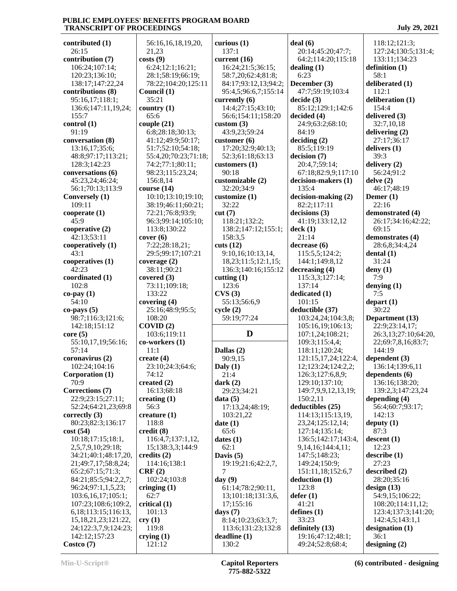65:6

11:1

56:3

62:7

**contributed (1)** 26:15 **contribution (7)** 106:24;107:14; 120:23;136:10; 138:17;147:22,24 **contributions (8)** 95:16,17;118:1; 136:6;147:11,19,24; 155:7 **control (1)** 91:19 **conversation (8)** 13:16,17;35:6; 48:8;97:17;113:21; 128:3;142:23 **conversations (6)** 45:23,24;46:24; 56:1;70:13;113:9 **Conversely (1)** 109:11 **cooperate (1)** 45:9 **cooperative (2)** 42:13;53:11 **cooperatively (1)** 43:1 **cooperatives (1)** 42:23 **coordinated (1)** 102:8 **co-pay (1)** 54:10 **co-pays (5)** 98:7;116:3;121:6; 142:18;151:12 **core (5)** 55:10,17,19;56:16; 57:14 **coronavirus (2)** 102:24;104:16 **Corporation (1)** 70:9 **Corrections (7)** 22:9;23:15;27:11; 52:24;64:21,23;69:8 **correctly (3)** 80:23;82:3;136:17 **cost (54)** 10:18;17:15;18:1, 2,5,7,9,10;29:18; 34:21;40:1;48:17,20, 21;49:7,17;58:8,24; 65:2;67:15;71:3; 84:21;85:5;94:2,2,7; 96:24;97:1,1,5,23; 103:6,16,17;105:1; 107:23;108:6;109:2, 6,18;113:15;116:13, 15,18,21,23;121:22, 24;122:3,7,9;124:23; 142:12;157:23 **Costco (7) costs (9) CRF (2) cry (1)**

 56:16,16,18,19,20, 21,23 6:24;12:1;16:21; 28:1;58:19;66:19; 78:22;104:20;125:11 **Council (1)** 35:21 **country (1) couple (21)** 6:8;28:18;30:13; 41:12;49:9;50:17; 51:7;52:10;54:18; 55:4,20;70:23;71:18; 74:2;77:1;80:11; 98:23;115:23,24; 156:8,14 **course (14)** 10:10;13:10;19:10; 38:19;46:11;60:21; 72:21;76:8;93:9; 96:3;99:14;105:10; 113:8;130:22 **cover (6)** 7:22;28:18,21; 29:5;99:17;107:21 **coverage (2)** 38:11;90:21 **covered (3)** 73:11;109:18; 133:22 **covering (4)** 25:16;48:9;95:5; 108:20 **COVID (2)** 103:6;119:11 **co-workers (1) create (4)** 23:10;24:3;64:6; 74:12 **created (2)** 16:13;68:18 **creating (1) creature (1)** 118:8 **credit (8)** 116:4,7;137:1,12, 15;138:3,3;144:9 **credits (2)** 114:16;138:1 102:24;103:8 **cringing (1) critical (1)** 101:13 119:8 **crying (1)** 121:12 **curious (1)** 137:1 **current (16)** 16:24;21:5;36:15; 58:7,20;62:4;81:8; 84:17;93:12,13;94:2; 95:4,5;96:6,7;155:14 **currently (6)** 14:4;27:15;43:10; 56:6;154:11;158:20 **custom (3)** 43:9,23;59:24 **customer (6)** 17:20;32:9;40:13; 52:3;61:18;63:13 **customers (1)** 90:18 **customizable (2)** 32:20;34:9 **customize (1)** 32:22 **cut (7)** 118:21;132:2; 138:2;147:12;155:1; 158:3,5 **cuts (12)** 9:10,16;10:13,14, 18,23;11:5;12:1,15; 136:3;140:16;155:12 **cutting (1)** 123:6 **CVS (3)** 55:13;56:6,9 **cycle (2)** 59:19;77:24 **Dallas (2)** 90:9,15 **Daly (1)** 21:4 **dark (2)** 29:23;34:21 **data (5)** 17:13,24;48:19; 103:21,22 **date (1)** 65:6 **dates (1)** 62:1 **Davis (5)** 19:19;21:6;42:2,7, 7 **day (9)** 61:14;78:2;90:11, 13;101:18;131:3,6, 17;155:16 **days (7)** 8:14;10:23;63:3,7; 113:6;131:23;132:8 **deadline (1)** 130:2

**D deal (6)** 20:14;45:20;47:7; 64:2;114:20;115:18 **dealing (1)** 6:23 **December (3)** 47:7;59:19;103:4 **decide (3)** 85:12;129:1;142:6 **decided (4)** 24:9;63:2;68:10; 84:19 **deciding (2)** 85:5;119:19 **decision (7)** 20:4,7;59:14; 67:18;82:9,9;117:10 **decision-makers (1)** 135:4 **decision-making (2)** 82:2;117:11 **decisions (3)** 41:19;133:12,12 **deck (1)** 21:14 **decrease (6)** 115:5,5;124:2; 144:1;149:8,12 **decreasing (4)** 115:3,3;127:14; 137:14 **dedicated (1)** 101:15 **deductible (37)** 103:24,24;104:3,8; 105:16,19;106:13; 107:1,24;108:21; 109:3;115:4,4; 118:11;120:24; 121:15,17,24;122:4, 12;123:24;124:2,2; 126:3;127:6,8,9; 129:10;137:10; 149:7,9,9,12,13,19; 150:2,11 **deductibles (25)** 114:13;115:13,19, 23,24;125:12,14; 127:14;135:14; 136:5;142:17;143:4, 9,14,16;144:4,11; 147:5;148:23; 149:24;150:9; 151:11,18;152:6,7 **deduction (1)** 123:8 **defer (1)** 41:21 **defines (1)** 33:23 **definitely (13)** 19:16;47:12;48:1; 49:24;52:8;68:4;

 118:12;121:3; 127:24;130:5;131:4; 133:11;134:23 **definition (1) deliberated (1)** 112:1 **deliberation (1)** 154:4 **delivered (3)** 32:7,10,18 **delivering (2)** 27:17;36:17 **delivers (1) delivery (2)** 56:24;91:2 **delve (2)** 46:17;48:19 **Demer (1)** 22:16 **demonstrated (4)** 26:17;34:16;42:22;

58:1

39:3

 69:15 **demonstrates (4)** 28:6,8;34:4,24 **dental (1)** 31:24 **deny (1)** 7:9 **denying (1)** 7:5 **depart (1)** 30:22 **Department (13)** 22:9;23:14,17; 26:3,13;27:10;64:20, 22;69:7,8,16;83:7; 144:19 **dependent (3)** 136:14;139:6,11 **dependents (6)** 136:16;138:20; 139:2,3;147:23,24 **depending (4)** 56:4;60:7;93:17; 142:13 **deputy (1)** 87:3 **descent (1)** 12:23 **describe (1)** 27:23 **described (2)** 28:20;35:16 **design (13)** 54:9,15;106:22; 108:20;114:11,12; 123:4;137:3;141:20; 142:4,5;143:1,1 **designation (1)**

 36:1 **designing (2)**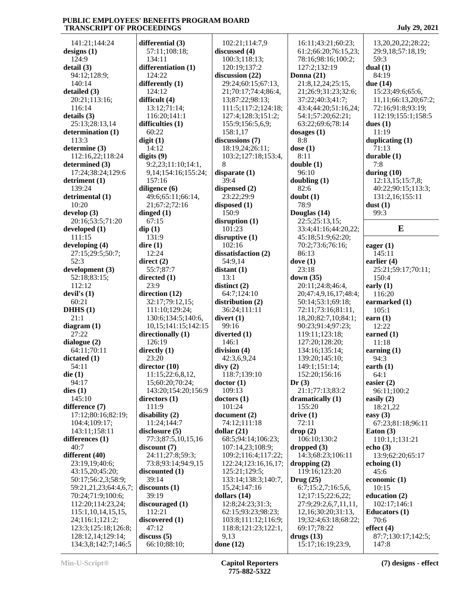141:21;144:24 **designs (1)** 124:9 **detail (3)** 94:12;128:9; 140:14 **detailed (3)** 20:21;113:16; 116:14 **details (3)** 25:13;28:13,14 **determination (1)** 113:3 **determine (3)** 112:16,22;118:24 **determined (3)** 17:24;38:24;129:6 **detriment (1)** 139:24 **detrimental (1)** 10:20 **develop (3)** 20:16;53:5;71:20 **developed (1)** 111:15 **developing (4)** 27:15;29:5;50:7;  $52.3$ **development (3)** 52:18;83:15; 112:12 **devil's (1)** 60:21 **DHHS (1)**  $21 \cdot 1$ **diagram (1)** 27:22 **dialogue (2)** 64:11;70:11 **dictated (1)** 54:11 **die (1)** 94:17 **dies (1)** 145:10 **difference (7)** 17:12;80:16;82:19; 104:4;109:17; 143:11;158:11 **differences (1)** 40:7 **different (40)** 23:19,19;40:6; 43:15,20;45:20; 50:17;56:2,3;58:9; 59:21,21,23;64:4,6,7; 70:24;71:9;100:6; 112:20;114:23,24; 115:1,10,14,15,15, 24;116:1;121:2; 123:3;125:18;126:8; 128:12,14;129:14; 134:3,8;142:7;146:5

**differential (3)** 57:11;108:18; 134:11 **differentiation (1)** 124:22 **differently (1)** 124:12 **difficult (4)** 13:12;71:14; 116:20;141:1 **difficulties (1)** 60:22 **digit (1)** 14:12 **digits (9)** 9:2,23;11:10;14:1, 9,14;154:16;155:24; 157:16 **diligence (6)** 49:6;65:11;66:14, 21;67:2;72:16 **dinged (1)** 67:15 **dip (1)** 131:9 **dire (1)** 12:24 **direct (2)** 55:7;87:7 **directed (1)** 23:9 **direction (12)** 32:17;79:12,15; 111:10;129:24; 130:6;134:5;140:6, 10,15;141:15;142:15 **directionally (1)** 126:19 **directly (1)** 23:20 **director (10)** 11:15;22:6,8,12, 15;60:20;70:24; 143:20;154:20;156:9 **directors (1)** 111:9 **disability (2)** 11:24;144:7 **disclosure (5)** 77:3;87:5,10,15,16 **discount (7)** 24:11;27:8;59:3; 73:8;93:14;94:9,15 **discounted (1)** 39:14 **discounts (1)** 39:19 **discouraged (1)** 112:21 **discovered (1)** 47:12 **discuss (5)** 66:10;88:10;

 102:21;114:7,9 **discussed (4)** 100:3;118:13; 120:19;137:2 **discussion (22)** 29:24;60:15;67:13, 21;70:17;74:4;86:4, 13;87:22;98:13; 111:5;117:2;124:18; 127:4;128:3;151:2; 155:9;156:5,6,9; 158:1,17 **discussions (7)** 18:19,24;26:11; 103:2;127:18;153:4, 8 **disparate (1)** 39:4 **dispensed (2)** 23:22;29:9 **disposed (1)** 150:9 **disruption (1)** 101:23 **disruptive (1)** 102:16 **dissatisfaction (2)** 54:9,14 **distant (1)** 13:1 **distinct (2)** 64:7;124:10 **distribution (2)** 36:24;111:11 **divert (1)** 99:16 **diverted (1)** 146:1 **division (4)** 42:3,6,9,24 **divy (2)** 118:7;139:10 **doctor (1)** 109:13 **doctors (1)** 101:24 **document (2)** 74:12;111:18 **dollar (21)** 68:5;94:14;106:23; 107:14,23;108:9; 109:2;116:4;117:22; 122:24;123:16,16,17; 125:21;129:5; 133:14;138:3;140:7, 15,24;147:16 **dollars (14)** 12:8;24:23;31:3; 62:15;93:23;98:23; 103:8;111:12;116:9; 118:8;121:23;122:1, 9,13 **done (12)**

 16:11;43:21;60:23; 61:2;66:20;76:15,23; 78:16;98:16;100:2; 127:2;132:19 **Donna (21)** 21:8,12,24;25:15, 21;26:9;31:23;32:6; 37:22;40:3;41:7; 43:4;44:20;51:16,24; 54:1;57:20;62:21; 63:22;69:6;78:14 **dosages (1)** 8:8 **dose (1)** 8:11 **double (1)** 96:10 **doubling (1)** 82:6 **doubt (1)** 78:9 **Douglas (14)** 22:5;25:13,15; 33:4;41:16;44:20,22; 45:18;51:9;62:20; 70:2;73:6;76:16; 86:13 **dove (1)** 23:18 **down (35)** 20:11;24:8;46:4, 20;47:4,9,16,17;48:4; 50:14;53:1;69:18; 72:11;73:16;81:11, 18,20;82:7,10;84:1; 90:23;91:4;97:23; 119:11;123:18; 127:20;128:20; 134:16;135:14; 139:20;145:10; 149:1;151:14; 152:20;156:16 **Dr (3)** 21:1;77:13;83:2 **dramatically (1)** 155:20 **drive (1)** 72:11 **drop (2)** 106:10;130:2 **dropped (3)** 14:3;68:23;106:11 **dropping (2)** 119:16;123:20 **Drug (25)** 6:7;15:2,7;16:5,6, 12;17:15;22:6,22; 27:9;29:2,6,7,11,11, 12,16;30:20;31:13, 19;32:4;63:18;68:22; 69:17;78:22 **drugs (13)** 15:17;16:19;23:9,

 13,20,20,22;28:22; 29:9,18;57:18,19; 59:3 **dual (1)** 84:19 **due (14)** 15:23;49:6;65:6, 11,11;66:13,20;67:2; 72:16;91:8;93:19; 112:19;155:1;158:5 **dues (1)** 11:19 **duplicating (1)** 71:13 **durable (1)** 7:8 **during (10)** 12:13,15;15:7,8; 40:22;90:15;113:3; 131:2,16;155:11 **dust (1)** 99:3 **E eager (1)** 145:11 **earlier (4)** 25:21;59:17;70:11; 150:4 **early (1)** 116:20 **earmarked (1)** 105:1 **earn (1)** 12:22 **earned (1)** 11:18 **earning (1)** 94:3 **earth (1)** 64:1 **easier (2)** 96:11;100:2 **easily (2)** 18:21,22 **easy (3)** 67:23;81:18;96:11 **Eaton (3)** 110:1,1;131:21 **echo (3)** 13:9;62:20;65:17 **echoing (1)** 45:6 **economic (1)**  $10:15$ **education (2)** 102:17;146:1 **Educators (1)** 70:6 **effect (4)** 87:7;130:17;142:5; 147:8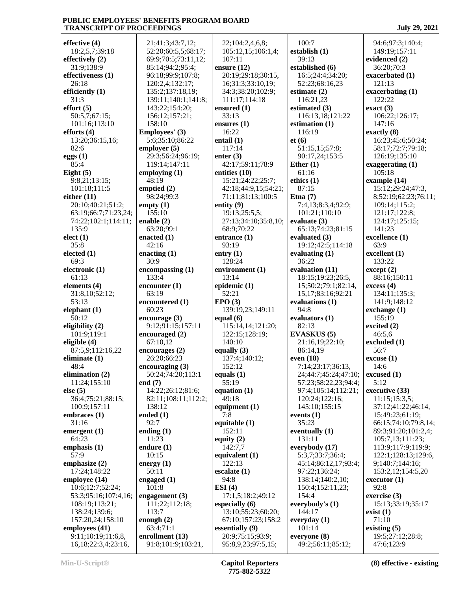**effective (4)** 18:2,5,7;39:18 **effectively (2)** 31:9;138:9 **effectiveness (1)** 26:18 **efficiently (1)** 31:3 **effort (5)** 50:5,7;67:15; 101:16;113:10 **efforts (4)** 13:20;36:15,16; 82:6 **eggs (1)** 85:4 **Eight (5)** 9:8,21;13:15; 101:18;111:5 **either (11)** 20:10;40:21;51:2; 63:19;66:7;71:23,24; 74:22;102:1;114:11; 135:9 **elect (1)** 35:8 **elected (1)**  $69.3$ **electronic (1)** 61:13 **elements (4)** 31:8,10;52:12; 53:13 **elephant (1)** 50:12 **eligibility (2)** 101:9;119:1 **eligible (4)** 87:5,9;112:16,22 **eliminate (1)** 48:4 **elimination (2)** 11:24;155:10 **else (5)** 36:4;75:21;88:15; 100:9;157:11 **embraces (1)** 31:16 **emergent (1)** 64:23 **emphasis (1)** 57:9 **emphasize (2)** 17:24;148:22 **employee (14)** 10:6;12:7;52:24; 53:3;95:16;107:4,16; 108:19;113:21; 138:24;139:6; 157:20,24;158:10 **employees (41)** 9:11;10:19;11:6,8, 16,18;22:3,4;23:16,

 21;41:3;43:7,12; 52:20;60:5,5;68:17; 69:9;70:5;73:11,12; 85:14;94:2;95:4; 96:18;99:9;107:8; 120:2,4;132:17; 135:2;137:18,19; 139:11;140:1;141:8; 143:22;154:20; 156:12;157:21; 158:10 **Employees' (3)** 5:6;35:10;86:22 **employer (5)** 29:3;56:24;96:19; 119:14;147:11 **employing (1)** 48:19 **emptied (2)** 98:24;99:3 **empty (1)** 155:10 **enable (2)** 63:20;99:1 **enacted (1)** 42:16 **enacting (1)** 30:9 **encompassing (1)** 133:4 **encounter (1)** 63:19 **encountered (1)** 60:23 **encourage (3)** 9:12;91:15;157:11 **encouraged (2)** 67:10,12 **encourages (2)** 26:20;66:23 **encouraging (3)** 50:24;74:20;113:1 **end (7)** 14:22;26:12;81:6; 82:11;108:11;112:2; 138:12 **ended (1)** 92:7 **ending (1)** 11:23 **endure (1)** 10:15 **energy (1)** 50:11 **engaged (1)** 101:8 **engagement (3)** 111:22;112:18; 113:7 **enough (2)** 63:4;71:1 **enrollment (13)** 91:8;101:9;103:21,

 22;104:2,4,6,8; 105:12,15;106:1,4; 107:11 **ensure (12)** 20:19;29:18;30:15, 16;31:3;33:10,19; 34:3;38:20;102:9; 111:17;114:18 **ensured (1)** 33:13 **ensures (1)** 16:22 **entail (1)** 117:14 **enter (3)** 42:17;59:11;78:9 **entities (10)** 15:21;24:22;25:7; 42:18;44:9,15;54:21; 71:11;81:13;100:5 **entity (9)** 19:13;25:5,5; 27:13;34:10;35:8,10; 68:9;70:22 **entrance (1)** 93:19 **entry (1)** 128:24 **environment (1)** 13:14 **epidemic (1)** 52:21 **EPO (3)** 139:19,23;149:11 **equal (6)** 115:14,14;121:20; 122:15;128:19; 140:10 **equally (3)** 137:4;140:12; 152:12 **equals (1)** 55:19 **equation (1)** 49:18 **equipment (1)** 7:8 **equitable (1)** 152:11 **equity (2)** 142:7,7 **equivalent (1)** 122:13 **escalate (1)** 94:8 **ESI (4)** 17:1,5;18:2;49:12 **especially (6)** 13:10;55:23;60:20; 67:10;157:23;158:2 **essentially (9)** 20:9;75:15;93:9; 95:8,9,23;97:5,15;

 100:7 **establish (1)** 39:13 **established (6)** 16:5;24:4;34:20; 52:23;68:16,23 **estimate (2)** 116:21,23 **estimated (3)** 116:13,18;121:22 **estimation (1)** 116:19 **et (6)** 51:15,15;57:8; 90:17,24;153:5 **Ether (1)** 61:16 **ethics (1)** 87:15 **Etna (7)** 7:4,13;8:3,4;92:9; 101:21;110:10 **evaluate (3)** 65:13;74:23;81:15 **evaluated (3)** 19:12;42:5;114:18 **evaluating (1)** 36:22 **evaluation (11)** 18:15;19:23;26:5, 15;50:2;79:1;82:14, 15,17;83:16;92:21 **evaluations (1)** 94:8 **evaluators (1)** 82:13 **EVASKUS (5)** 21:16,19;22:10; 86:14,19 **even (18)** 7:14;23:17;36:13, 24;44:7;45:24;47:10; 57:23;58:22,23;94:4; 97:4;105:14;112:21; 120:24;122:16; 145:10;155:15 **events (1)** 35:23 **eventually (1)** 131:11 **everybody (17)** 5:3,7;33:7;36:4; 45:14;86:12,17;93:4; 97:22;136:24; 138:14;140:2,10; 150:4;152:11,23; 154:4 **everybody's (1)** 144:17 **everyday (1)** 101:14 **everyone (8)** 49:2;56:11;85:12;

 94:6;97:3;140:4; 149:19;157:11 **evidenced (2)** 36:20;70:3 **exacerbated (1)** 121:13 **exacerbating (1)** 122:22 **exact (3)** 106:22;126:17; 147:16 **exactly (8)** 16:23;45:6;50:24; 58:17;72:7;79:18; 126:19;135:10 **exaggerating (1)** 105:18 **example (14)** 15:12;29:24;47:3, 8;52:19;62:23;76:11; 109:14;115:2; 121:17;122:8; 124:17;125:15; 141:23 **excellence (1)** 63:9 **excellent (1)** 133:22 **except (2)** 88:16;150:11 **excess (4)** 134:11;135:3; 141:9;148:12 **exchange (1)** 155:19 **excited (2)** 46:5,6 **excluded (1)** 56:7 **excuse (1)** 14:6 **excused (1)** 5:12 **executive (33)** 11:15;15:3,5; 37:12;41:22;46:14, 15;49:23;61:19; 66:15;74:10;79:8,14; 89:3;91:20;101:2,4; 105:7,13;111:23; 113:9;117:9;119:9; 122:1;128:13;129:6, 9;140:7;144:16; 153:2,12;154:5,20 **executor (1)** 92:8 **exercise (3)** 15:13;33:19;35:17 **exist (1)** 71:10 **existing (5)** 19:5;27:12;28:8; 47:6;123:9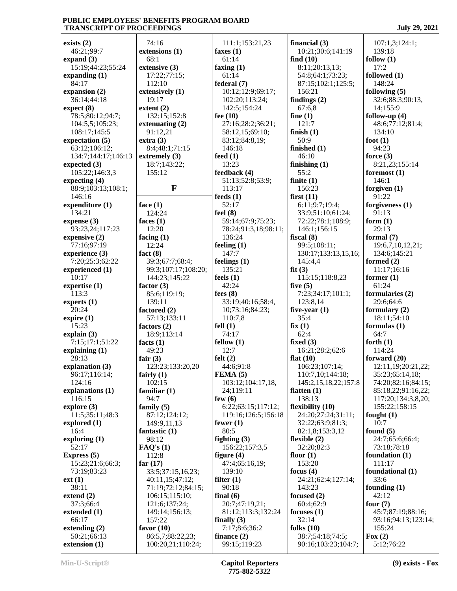| exists $(2)$                 | 74:16                                 | 111:1;153:21,23               | financial $(3)$                         | 107:1,3;124:1;          |
|------------------------------|---------------------------------------|-------------------------------|-----------------------------------------|-------------------------|
| 46:21;99:7                   | extensions (1)                        | faxes $(1)$                   | 10:21;30:6;141:19                       | 139:18                  |
| expand $(3)$                 | 68:1                                  | 61:14                         | find $(10)$                             | follow $(1)$            |
| 15:19;44:23;55:24            | extensive (3)                         | faxing $(1)$                  | 8:11;20:13,13;                          | 17:2                    |
| expanding $(1)$              | 17:22;77:15;                          | 61:14                         | 54:8;64:1;73:23;                        | followed (1)            |
| 84:17                        | 112:10                                | federal (7)                   | 87:15;102:1;125:5;                      | 148:24                  |
| expansion (2)                | extensively (1)                       | 10:12;12:9;69:17;             | 156:21                                  | following $(5)$         |
| 36:14;44:18                  | 19:17                                 | 102:20;113:24;                | findings $(2)$                          | 32:6;88:3;90:13,        |
| expect (8)                   | extent(2)                             | 142:5;154:24                  | 67:6.8                                  | 14;155:9                |
| 78:5;80:12;94:7;             | 132:15;152:8                          | fee $(10)$                    | fine $(1)$                              | follow-up $(4)$         |
| 104:5,5;105:23;              | extenuating $(2)$                     | 27:16;28:2;36:21;             | 121:7                                   | 48:6;77:12;81:4;        |
| 108:17;145:5                 | 91:12,21                              | 58:12,15;69:10;               | finish $(1)$                            | 134:10                  |
| expectation (5)              | extra(3)                              | 83:12;84:8,19;                | 50:9                                    | foot $(1)$              |
| 63:12;106:12;                | 8:4;48:1;71:15                        | 146:18                        | finished $(1)$                          | 94:23                   |
| 134:7;144:17;146:13          | extremely $(3)$                       | feed $(1)$                    | 46:10                                   | force $(3)$             |
| expected $(3)$               | 18:7;143:22;                          | 13:23                         | finishing $(1)$                         | 8:21,23;155:14          |
| 105:22;146:3,3               | 155:12                                | feedback (4)                  | 55:2                                    | foremost $(1)$          |
| expecting $(4)$              |                                       | 51:13;52:8;53:9;              | finite $(1)$                            | 146:1                   |
| 88:9;103:13;108:1;           | F                                     | 113:17                        | 156:23                                  | forgiven $(1)$          |
| 146:16                       |                                       | feeds $(1)$                   | first(11)                               | 91:22                   |
| expenditure (1)              | face $(1)$                            | 52:17                         | 6:11;9:7;19:4;                          | forgiveness $(1)$       |
| 134:21                       | 124:24                                | feel $(8)$                    | 33:9;51:10;61:24;                       | 91:13                   |
| expense $(3)$                | faces $(1)$                           | 59:14;67:9;75:23;             | 72:22;78:1;108:9;                       | form $(1)$              |
| 93:23,24;117:23              | 12:20                                 | 78:24;91:3,18;98:11;          | 146:1;156:15                            | 29:13                   |
| expensive (2)                | facing $(1)$                          | 136:24                        | fiscal $(8)$                            | formal $(7)$            |
| 77:16;97:19                  | 12:24                                 | feeling $(1)$                 | 99:5;108:11;                            | 19:6,7,10,12,21;        |
| experience (3)               | fact $(8)$                            | 147:7                         | 130:17;133:13,15,16;                    | 134:6;145:21            |
| 7:20;25:3;62:22              | 39:3;67:7;68:4;                       | feelings $(1)$                | 145:4,4                                 | formed $(2)$            |
| experienced (1)              | 99:3;107:17;108:20;                   | 135:21                        | fit(3)                                  | 11:17;16:16             |
| 10:17                        | 144:23;145:22                         | feels $(1)$                   | 115:15;118:8,23                         | former $(1)$            |
| expertise $(1)$              | factor $(3)$                          | 42:24                         | five $(5)$                              | 61:24                   |
| 113:3                        | 85:6;119:19;                          | fees $(8)$                    | 7:23;34:17;101:1;                       | formularies (2)         |
| experts $(1)$                | 139:11                                | 33:19;40:16;58:4,             | 123:8,14                                | 29:6;64:6               |
| 20:24                        | factored (2)                          | 10;73:16;84:23;               | five-year $(1)$                         | formulary $(2)$         |
| expire $(1)$                 | 57:13;133:11                          | 110:7,8                       | 35:4                                    | 18:11;54:10             |
| 15:23                        | factors $(2)$                         | fell $(1)$                    | fix(1)                                  | formulas $(1)$          |
| explain $(3)$                | 18:9;113:14                           | 74:17                         | 62:4                                    | 64:7                    |
| 7:15;17:1;51:22              | facts $(1)$                           | fellow $(1)$                  | fixed $(3)$                             | forth $(1)$             |
| explaining $(1)$             | 49:23                                 | 12:7                          | 16:21;28:2;62:6                         | 114:24                  |
| 28:13                        | fair $(3)$                            | felt(2)                       | flat $(10)$                             | forward $(20)$          |
| explanation (3)              | 123:23;133:20,20                      | 44:6;91:8                     | 106:23;107:14;                          | 12:11,19;20:21,22;      |
| 96:17;116:14;                | fairly $(1)$                          | FEMA(5)                       | 110:7,10;144:18;                        | 35:23;65:14,18;         |
| 124:16                       | 102:15                                | 103:12;104:17,18,             | 145:2, 15, 18, 22; 157: 8               | 74:20;82:16;84:15;      |
| explanations (1)             | familiar $(1)$                        | 24;119:11                     | flatten $(1)$                           | 85:18,22;91:16,22;      |
| 116:15                       | 94:7                                  | few $(6)$                     | 138:13                                  | 117:20;134:3,8,20;      |
| explore $(3)$                | family $(5)$                          | 6:22;63:15;117:12;            | flexibility (10)                        | 155:22;158:15           |
| 11:5;35:11;48:3              | 87:12;124:12;                         | 119:16;126:5;156:18           | 24:20;27:24;31:11;                      | fought $(1)$            |
| explored $(1)$               | 149:9,11,13                           | fewer $(1)$                   | 32:22;63:9;81:3;                        | 10:7                    |
| 16:4                         | fantastic $(1)$                       | 80:5                          | 82:1,8:153:3,12                         | found $(5)$             |
| exploring $(1)$              | 98:12                                 | fighting $(3)$                | flexible $(2)$                          | 24:7;65:6;66:4;         |
| 52:17                        | FAQ's(1)                              | 156:22;157:3,5                | 32:20;82:3                              | 73:18;78:18             |
| Express $(5)$                | 112:8                                 | figure $(4)$                  | floor $(1)$                             | foundation (1)          |
| 15:23;21:6;66:3;             | far $(17)$                            | 47:4;65:16,19;                | 153:20                                  | 111:17                  |
|                              |                                       |                               |                                         |                         |
|                              |                                       |                               |                                         |                         |
| 73:19;83:23                  | 33:5;37:15,16,23;                     | 139:10                        | focus $(4)$                             | foundational (1)        |
| ext(1)                       | 40:11,15;47:12;                       | filter $(1)$                  | 24:21;62:4;127:14;                      | 33:6                    |
| 38:11                        | 71:19;72:12;84:15;                    | 90:18                         | 143:23                                  | founding $(1)$          |
| extend $(2)$                 | 106:15;115:10;                        | final $(6)$                   | focused $(2)$                           | 42:12                   |
| 37:3;66:4                    | 121:6;137:24;                         | 20:7;47:19,21;                | 60:4;62:9                               | four $(7)$              |
| extended (1)                 | 149:14;156:13;                        | 81:12;113:3;132:24            | focuses $(1)$                           | 45:7;87:19;88:16;       |
| 66:17                        | 157:22                                | finally $(3)$                 | 32:14                                   | 93:16;94:13;123:14;     |
| extending $(2)$              | favor $(10)$                          | 7:17;8:6;36:2                 | folks $(10)$                            | 155:24                  |
| 50:21;66:13<br>extension (1) | 86:5,7;88:22,23;<br>100:20,21;110:24; | finance $(2)$<br>99:15;119:23 | 38:7;54:18;74:5;<br>90:16;103:23;104:7; | Fox $(2)$<br>5:12;76:22 |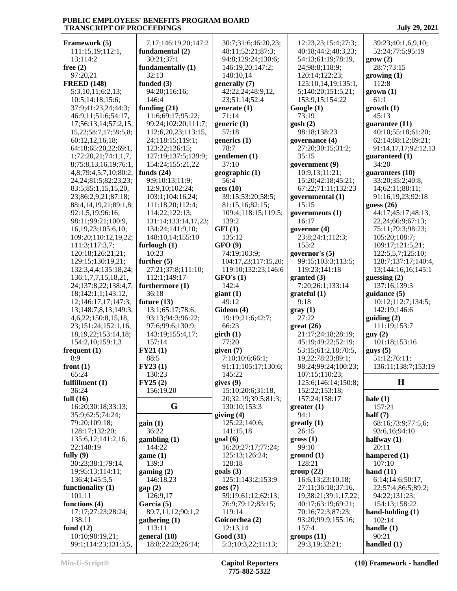| Framework (5)              | 7,17;146:19,20;147:2 | 30:7;31:6;46:20,23;  | 12:23,23;15:4;27:3;  | 39:23;40:1,6,9,10;   |
|----------------------------|----------------------|----------------------|----------------------|----------------------|
| 111:15,19;112:1,           | fundamental (2)      | 48:11;52:21;87:3;    | 40:18;44:2;48:3,23;  | 52:24;77:5;95:19     |
| 13;114:2                   | 30:21;37:1           | 94:8;129:24;130:6;   | 54:13;61:19;78:19,   | grow(2)              |
| free $(2)$                 | fundamentally (1)    | 146:19,20;147:2;     | 24;98:8;118:9;       | 28:7;73:15           |
| 97:20,21                   | 32:13                | 148:10,14            | 120:14;122:23;       | growing(1)           |
| <b>FREED (148)</b>         | funded (3)           | generally (7)        | 125:10,14,19;135:1,  | 112:8                |
| 5:3,10,11;6:2,13;          | 94:20;116:16;        | 42:22,24;48:9,12,    |                      |                      |
|                            |                      |                      | 5;140:20;151:5,21;   | $grown (1)$          |
| 10:5;14:18;15:6;           | 146:4                | 23;51:14;52:4        | 153:9,15;154:22      | 61:1                 |
| 37:9;41:23,24;44:3;        | funding $(21)$       | generate $(1)$       | Google(1)            | growth(1)            |
| 46:9,11;51:6;54:17,        | 11:6;69:17;95:22;    | 71:14                | 73:19                | 45:13                |
| 17;56:13,14;57:2,15,       | 99:24;102:20;111:7;  | generic $(1)$        | gosh(2)              | guarantee (11)       |
| 15,22;58:7,17;59:5,8;      | 112:6,20,23;113:15,  | 57:18                | 98:18;138:23         | 40:10;55:18;61:20;   |
| 60:12,12,16,18;            | 24;118:15;119:1;     | generics $(1)$       | governance (4)       | 62:14;88:12;89:21;   |
| 64:18;65:20,22;69:1,       | 123:22;126:15;       | 78:7                 | 27:20;30:15;31:2;    | 91:14,17,17;92:12,13 |
| 1;72:20,21;74:1,1,7,       | 127:19;137:5;139:9;  | gentlemen (1)        | 35:15                | guaranteed (1)       |
| 8;75:8,13,16,19;76:1,      | 154:24;155:21,22     | 37:10                | government (9)       | 34:20                |
| 4,8;79:4,5,7,10;80:2,      | funds $(24)$         | geographic (1)       | 10:9,13;11:21;       | guarantees (10)      |
| 24, 24; 81: 5; 82: 23, 23; | 9:9:10:13:11:9:      | 56:4                 | 15:20;42:18;45:21;   | 33:20;35:2;40:8,     |
|                            |                      |                      |                      |                      |
| 83:5;85:1,15,15,20,        | 12:9,10;102:24;      | gets(10)             | 67:22;71:11;132:23   | 14;62:11;88:11;      |
| 23;86:2,9,21;87:18;        | 103:1;104:16,24;     | 39:15;53:20;58:5;    | governmental (1)     | 91:16,19,23;92:18    |
| 88:4,14,19,21;89:1,8;      | 111:18,20;112:4;     | 81:15,16;82:15;      | 15:15                | guess $(26)$         |
| 92:1,5,19;96:16;           | 114:22;122:13;       | 109:4;118:15;119:5;  | governments (1)      | 44:17:45:17:48:13,   |
| 98:11;99:21;100:9,         | 131:14;133:14,17,23; | 139:2                | 16:17                | 22,24;66:9;67:13;    |
| 16, 19, 23; 105: 6, 10;    | 134:24;141:9,10;     | GFI(1)               | governor $(4)$       | 75:11;79:3;98:23;    |
| 109:20;110:12,19,22;       | 148:10,14;155:10     | 135:12               | 23:8;24:1;112:3;     | 105:20;108:7;        |
| 111:3;117:3,7;             | furlough $(1)$       | GFO(9)               | 155:2                | 109:17;121:5,21;     |
| 120:18;126:21,21;          | 10:23                | 74:19;103:9;         | governor's (5)       | 122:5,5,7;125:10;    |
| 129:15;130:19,21;          | further $(5)$        | 104:17,23;117:15,20; | 99:15;103:3;113:5;   | 128:7;137:17;140:4,  |
|                            |                      |                      |                      |                      |
| 132:3,4,4;135:18,24;       | 27:21;37:8;111:10;   | 119:10;132:23;146:6  | 119:23;141:18        | 13;144:16,16;145:1   |
| 136:1,7,7,15,18,21,        | 112:1;149:17         | GFO'S(1)             | granted (3)          | guessing $(2)$       |
| 24;137:8,22;138:4,7,       | furthermore (1)      | 142:4                | 7:20;26:1;133:14     | 137:16;139:3         |
|                            |                      |                      |                      |                      |
| 18;142:1,1;143:12,         | 36:18                | giant(1)             | grateful(1)          | guidance $(5)$       |
| 12;146:17,17;147:3,        | future $(13)$        | 49:12                | 9:18                 | 10:12;112:7;134:5;   |
| 13;148:7,8,13;149:3,       | 13:1;65:17;78:6;     | Gideon (4)           | gray(1)              | 142:19;146:6         |
| 4, 6, 22; 150: 8, 15, 18,  | 93:13;94:3;96:22;    | 19:19;21:6;42:7;     | 27:22                | guiding(2)           |
| 23;151:24;152:1,16,        | 97:6;99:6;130:9;     | 66:23                |                      | 111:19;153:7         |
|                            |                      |                      | great(26)            |                      |
| 18, 19, 22; 153: 14, 18;   | 143:19;155:4,17;     | girth(1)             | 21:17;24:18;28:19;   | guy(2)               |
| 154:2,10;159:1,3           | 157:14               | 77:20                | 45:19;49:22;52:19;   | 101:18;153:16        |
| frequent $(1)$             | FY21(1)              | given $(7)$          | 53:15;61:2,18;70:5,  | gays(5)              |
| 8:9                        | 88:5                 | 7:10;10:6;66:1;      | 19,22;78:23;89:1;    | 51:12;76:11;         |
| front $(1)$                | FY23(1)              | 91:11;105:17;130:6;  | 98:24;99:24;100:23;  | 136:11;138:7;153:19  |
| 65:24                      | 130:23               | 145:22               | 107:15;110:23;       |                      |
| fulfillment (1)            | FY25(2)              | gives $(9)$          | 125:6;146:14;150:8;  | $\mathbf H$          |
| 36:24                      | 156:19,20            | 15:10;20:6;31:18,    | 152:22;153:18;       |                      |
| full $(16)$                |                      | 20;32:19;39:5;81:3;  | 157:24;158:17        | hale $(1)$           |
| 16:20;30:18;33:13;         | G                    | 130:10;153:3         | greater(1)           | 157:21               |
| 35:9;62:5;74:24;           |                      | giving $(4)$         | 94:1                 | half $(7)$           |
| 79:20;109:18;              | gain(1)              | 125:22;140:6;        | $g realty (1)$       | 68:16;73:9;77:5,6;   |
| 128:17;132:20;             | 36:22                | 141:15,18            | 26:15                | 93:6,16;94:10        |
| 135:6, 12; 141:2, 16,      |                      |                      | $\text{gross} (1)$   |                      |
|                            | gambling(1)          | goal(6)              |                      | halfway $(1)$        |
| 22;148:19                  | 144:22               | 16:20;27:17;77:24;   | 99:10                | 20:11                |
| fully $(9)$                | game (1)             | 125:13;126:24;       | ground(1)            | hampered (1)         |
| 30:23;38:1;79:14,          | 139:3                | 128:18               | 128:21               | 107:10               |
| 19;95:13;114:11;           | gamma(2)             | $\text{goals}$ (3)   | group(22)            | hand $(11)$          |
| 136:4;145:5,5              | 146:18,23            | 125:1;143:2;153:9    | 16:6,13;23:10,18;    | 6:14;14:6;50:17,     |
| functionality $(1)$        | gap(2)               | goes(7)              | 27:11;36:18;37:16,   | 22;57:4;86:5;89:2;   |
| 101:11                     | 126:9,17             | 59:19;61:12;62:13;   | 19;38:21;39:1,17,22; | 94:22;131:23;        |
| functions (4)              | Garcia (5)           | 76:9;79:12;83:15;    | 40:17;63:19;69:21;   | 154:13;158:22        |
| 17:17;27:23;28:24;         | 89:7,11,12;90:1,2    | 119:14               | 70:16;72:3;87:23;    | hand-holding $(1)$   |
| 138:11                     | gathering $(1)$      | Goicoechea (2)       | 93:20;99:9;155:16;   | 102:14               |
| fund $(12)$                | 113:11               | 12:13,14             | 157:4                | handle $(1)$         |
| 10:10;98:19,21;            | general (18)         | <b>Good</b> (31)     | groups (11)          | 90:21                |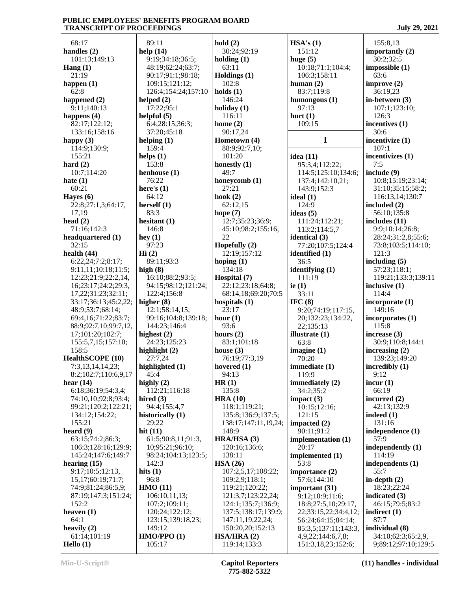68:17 **handles (2)** 101:13;149:13 **Hang (1)**  $21.19$ **happen (1)** 62:8 **happened (2)** 9:11;140:13 **happens (4)** 82:17;122:12; 133:16;158:16 **happy (3)** 114:9;130:9; 155:21 **hard (2)** 10:7;114:20 **hate (1)** 60:21 **Hayes (6)** 22:8;27:1,3;64:17, 17,19 **head (2)** 71:16;142:3 **headquartered (1)** 32:15 **health (44)** 6:22,24;7:2;8:17; 9:11,11;10:18;11:5; 12:23;21:9;22:2,14, 16;23:17;24:2;29:3, 17,22;31:23;32:11; 33:17;36:13;45:2,22; 48:9;53:7;68:14; 69:4,16;71:22;83:7; 88:9;92:7,10;99:7,12, 17;101:20;102:7; 155:5,7,15;157:10; 158:5 **HealthSCOPE (10)** 7:3,13,14,14,23; 8:2;102:7;110:6,9,17 **hear (14)** 6:18;36:19;54:3,4; 74:10,10;92:8;93:4; 99:21;120:2;122:21; 134:12;154:22; 155:21 **heard (9)** 63:15;74:2;86:3; 106:3;128:16;129:9; 145:24;147:6;149:7 **hearing (15)** 9:17;10:5;12:13, 15,17;60:19;71:7; 74:9;81:24;86:5,9; 87:19;147:3;151:24; 152:2 **heaven (1)** 64:1 **heavily (2)** 61:14;101:19 **Hello (1)**

 89:11 **help (14)** 9:19;34:18;36:5; 48:19;62:24;63:7; 90:17;91:1;98:18; 109:15;121:12; 126:4;154:24;157:10 **helped (2)** 17:22;95:1 **helpful (5)** 6:4;28:15;36:3; 37:20;45:18 **helping (1)** 159:4 **helps (1)** 153:8 **henhouse (1)** 76:22 **here's (1)** 64:12 **herself (1)** 83:3 **hesitant (1)** 146:8 **hey (1)** 97:23 **Hi (2)** 89:11;93:3 **high (8)** 16:10;88:2;93:5; 94:15;98:12;121:24; 122:4;156:8 **higher (8)** 12:1;58:14,15; 99:16;104:8;139:18; 144:23;146:4 **highest (2)** 24:23;125:23 **highlight (2)** 27:7,24 **highlighted (1)** 45:4 **highly (2)** 112:21;116:18 **hired (3)** 94:4;155:4,7 **historically (1)** 29:22 **hit (11)** 61:5;90:8,11;91:3, 10;95:21;96:10; 98:24;104:13;123:5; 142:3 **hits (1)** 96:8 **HMO (11)** 106:10,11,13; 107:2;109:11; 120:24;122:12; 123:15;139:18,23; 149:12 **HMO/PPO (1)** 105:17

**hold (2)** 30:24;92:19 **holding (1)** 63:11 **Holdings (1)** 102:8 **holds (1)** 146:24 **holiday (1)** 116:11 **home (2)** 90:17,24 **Hometown (4)** 88:9;92:7,10; 101:20 **honestly (1)** 49:7 **honeycomb (1)** 27:21 **hook (2)** 62:12,15 **hope (7)** 12:7;35:23;36:9; 45:10;98:2;155:16,  $22$ **Hopefully (2)** 12:19;157:12 **hoping (1)** 134:18 **Hospital (7)** 22:12;23:18;64:8; 68:14,18;69:20;70:5 **hospitals (1)** 23:17 **hour (1)** 93:6 **hours (2)** 83:1;101:18 **house (3)** 76:19;77:3,19 **hovered (1)** 94:13 **HR (1)** 135:8 **HRA (10)** 118:1;119:21; 135:8;136:9;137:5; 138:17;147:11,19,24; 148:9 **HRA/HSA (3)** 120:16;136:6; 138:11 **HSA (26)** 107:2,5,17;108:22; 109:2,9;118:1; 119:21;120:22; 121:3,7;123:22,24; 124:1;135:7;136:9; 137:5;138:17;139:9; 147:11,19,22,24; 150:20,20;152:13 **HSA/HRA (2)** 119:14;133:3

**HSA's (1)** 151:12 **huge (5)** 10:18;71:1;104:4; 106:3;158:11 **human (2)** 83:7;119:8 **humongous (1)** 97:13 **hurt (1)** 109:15 **I idea (11)** 95:3,4;112:22; 114:5;125:10;134:6; 137:4;142:10,21; 143:9;152:3 **ideal (1)** 124:9 **ideas (5)** 111:24;112:21; 113:2;114:5,7 **identical (3)** 77:20;107:5;124:4 **identified (1)** 36:5 **identifying (1)** 111:19 **ie (1)** 33:11 **IFC (8)** 9:20;74:19;117:15, 20;132:23;134:22, 22;135:13 **illustrate (1)** 63:8 **imagine (1)** 70:20 **immediate (1)** 119:9 **immediately (2)** 34:2;35:2 **impact (3)** 10:15;12:16; 121:15 **impacted (2)** 90:11;91:2 **implementation (1)** 20:17 **implemented (1)** 53:8 **importance (2)** 57:6;144:10 **important (31)** 9:12;10:9;11:6; 18:8;27:5,10;29:17, 22;33:15,22;34:4,12; 56:24;64:15;84:14; 85:3,5;137:11;143:3, 4,9,22;144:6,7,8; 151:3,18,23;152:6;

 155:8,13 **importantly (2)** 30:2;32:5 **impossible (1)** 63:6 **improve (2)** 36:19,23 **in-between (3)** 107:1;123:10; 126:3 **incentives (1)** 30:6 **incentivize (1)**  $107.1$ **incentivizes (1)** 7:5 **include (9)** 10:8;15:19;23:14; 31:10;35:15;58:2; 116:13,14;130:7 **included (2)** 56:10;135:8 **includes (11)** 9:9;10:14;26:8; 28:24;31:2,8;55:6; 73:8;103:5;114:10; 121:3 **including (5)** 57:23;118:1; 119:21;133:3;139:11 **inclusive (1)** 114:4 **incorporate (1)** 149:16 **incorporates (1)** 115:8 **increase (3)** 30:9;110:8;144:1 **increasing (2)** 139:23;149:20 **incredibly (1)** 9:12 **incur (1)** 66:19 **incurred (2)** 42:13;132:9 **indeed (1)** 131:16 **independence (1)** 57:9 **independently (1)** 114:19 **independents (1)** 55:7 **in-depth (2)** 18:23;22:24 **indicated (3)** 46:15;79:5;83:2 **indirect (1)** 87:7 **individual (8)** 34:10;62:3;65:2,9, 9;89:12;97:10;129:5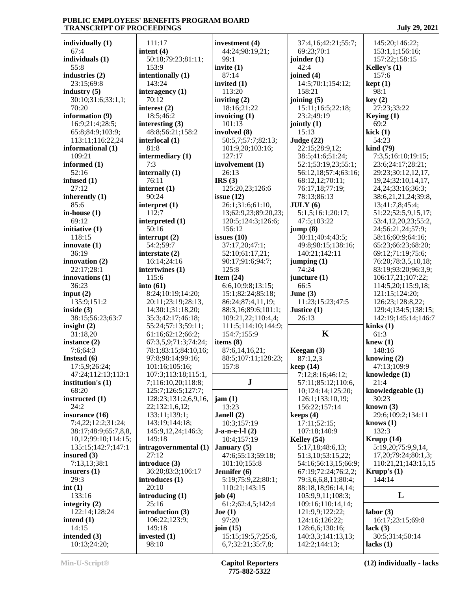**individually (1)** 67:4 **individuals (1)** 55:8 **industries (2)** 23:15;69:8 **industry (5)** 30:10;31:6;33:1,1; 70:20 **information (9)** 16:9;21:4;28:5; 65:8;84:9;103:9; 113:11;116:22,24 **informational (1)** 109:21 **informed (1)** 52:16 **infused (1)** 27:12 **inherently (1)** 85:6 **in-house (1)** 69:12 **initiative (1)** 118:15 **innovate (1)** 36:19 **innovation (2)** 22:17;28:1 **innovations (1)** 36:23 **input (2)** 135:9;151:2 **inside (3)** 38:15;56:23;63:7 **insight (2)** 31:18,20 **instance (2)** 7:6;64:3 **Instead (6)** 17:5,9;26:24; 47:24;112:13;113:1 **institution's (1)** 68:20 **instructed (1)** 24:2 **insurance (16)** 7:4,22;12:2;31:24; 38:17;48:9;65:7,8,8, 10,12;99:10;114:15; 135:15;142:7;147:1 **insured (3)** 7:13,13;38:1 **insurers (1)**  $29.3$ **int (1)** 133:16 **integrity (2)** 122:14;128:24 **intend (1)** 14:15 **intended (3)** 10:13;24:20;

 111:17 **intent (4)** 50:18;79:23;81:11; 153:9 **intentionally (1)** 143:24 **interagency (1)** 70:12 **interest (2)** 18:5;46:2 **interesting (3)** 48:8;56:21;158:2 **interlocal (1)** 81:8 **intermediary (1)** 7:3 **internally (1)** 76:11 **internet (1)** 90:24 **interpret (1)** 112:7 **interpreted (1)** 50:16 **interrupt (2)** 54:2;59:7 **interstate (2)** 16:14;24:16 **intertwines (1)** 115:6 **into (61)** 8:24;10:19;14:20; 20:11;23:19;28:13, 14;30:1;31:18,20; 35:3;42:17;46:18; 55:24;57:13;59:11; 61:16;62:12;66:2; 67:3,5,9;71:3;74:24; 78:1;83:15;84:10,16; 97:8;98:14;99:16; 101:16;105:16; 107:3;113:18;115:1, 7;116:10,20;118:8; 125:7;126:5;127:7; 128:23;131:2,6,9,16, 22;132:1,6,12; 133:11;139:1; 143:19;144:18; 145:9,12,24;146:3; 149:18 **intragovernmental (1)** 27:12 **introduce (3)** 36:20;83:3;106:17 **introduces (1)** 20:10 **introducing (1)** 25:16 **introduction (3)** 106:22;123:9; 149:18 **invested (1)** 98:10

**investment (4)** 44:24;98:19,21; 99:1 **invite (1)** 87:14 **invited (1)** 113:20 **inviting (2)** 18:16;21:22 **invoicing (1)** 101:13 **involved (8)** 50:5,7;57:7;82:13; 101:9,20;103:16; 127:17 **involvement (1)** 26:13 **IRS (3)** 125:20,23;126:6 **issue (12)** 26:1;31:6;61:10, 13;62:9,23;89:20,23; 120:5;124:3;126:6; 156:12 **issues (10)** 37:17,20;47:1; 52:10;61:17,21; 90:17;91:6;94:7; 125:8 **Item (24)** 6:6,10;9:8;13:15; 15:1;82:24;85:18; 86:24;87:4,11,19; 88:3,16;89:6;101:1; 109:21,22;110:4,4; 111:5;114:10;144:9; 154:7;155:9 **items (8)** 87:6,14,16,21; 88:5;107:11;128:23; 157:8 **J jam (1)** 13:23 **Janell (2)** 10:3;157:19 **J-a-n-e-l-l (2)** 10:4;157:19 **January (5)** 47:6;55:13;59:18; 101:10;155:8 **Jennifer (6)** 5:19;75:9,22;80:1; 110:21;143:15 **job (4)** 61:2;62:4,5;142:4 **Joe (1)** 97:20 **join (15)** 15:15;19:5,7;25:6, 6,7;32:21;35:7,8;

 37:4,16;42:21;55:7; 69:23;70:1 **joinder (1)**  $42:4$ **joined (4)** 14:5;70:1;154:12; 158:21 **joining (5)** 15:11;16:5;22:18; 23:2;49:19 **jointly (1)** 15:13 **Judge (22)** 22:15;28:9,12; 38:5;41:6;51:24; 52:1;53:19,23;55:1; 56:12,18;57:4;63:16; 68:12,12;70:11; 76:17,18;77:19; 78:13;86:13 **JULY (6)** 5:1,5;16:1;20:17; 47:5;103:22 **jump (8)** 30:11;40:4;43:5; 49:8;98:15;138:16; 140:21;142:11 **jumping (1)** 74:24 **juncture (1)** 66:5 **June (3)** 11:23;15:23;47:5 **Justice (1)** 26:13 **K** 61 **Keegan (3)** 87:1,2,3 **keep (14)** 7:12;8:16;46:12; 57:11;85:12;110:6, 10;124:14;125:20; 126:1;133:10,19; 156:22;157:14 **keeps (4)** 17:11;52:15; 107:18;140:9 **Kelley (54)** 5:17,18;48:6,13; 51:3,10;53:15,22; 54:16;56:13,15;66:9; 67:19;72:24;76:2,2; 79:3,6,6,8,11;80:4; 88:18,18;96:14,14; 105:9,9,11;108:3; 109:16;110:14,14; 121:9,9;122:22; 124:16;126:22; 128:6,6;130:16; 140:3,3;141:13,13; 142:2;144:13;

 145:20;146:22; 153:1,1;156:16; 157:22;158:15 **Kelley's (1)** 157:6 **kept (1)** 98:1 **key (2)** 27:23;33:22 **Keying (1)** 69:2 **kick (1)** 54:23 **kind (79)** 7:3,5;16:10;19:15; 23:6;24:17;28:21; 29:23;30:12,12,17, 19,24;32:10,14,17, 24,24;33:16;36:3; 38:6,21,21,24;39:8, 13;41:7,8;45:4; 51:22;52:5,9,15,17; 53:4,12,20,23;55:2, 24;56:21,24;57:9; 58:16;60:9;64:16; 65:23;66:23;68:20; 69:12;71:19;75:6; 76:20;78:3,5,10,18; 83:19;93:20;96:3,9; 106:17,21;107:22; 114:5,20;115:9,18; 121:15;124:20; 126:23;128:8,22; 129:4;134:5;138:15; 142:19;145:14;146:7 **kinks (1)** 61:3 **knew (1)** 148:16 **knowing (2)** 47:13;109:9 **knowledge (1)** 21:4 **knowledgeable (1)** 30:23 **known (3)** 29:6;109:2;134:11 **knows (1)** 132:3 **Krupp (14)** 5:19,20;75:9,9,14, 17,20;79:24;80:1,3; 110:21,21;143:15,15 **Krupp's (1)** 144:14 **L labor (3)** 16:17;23:15;69:8 **lack (3)** 30:5;31:4;50:14 **lacks (1)**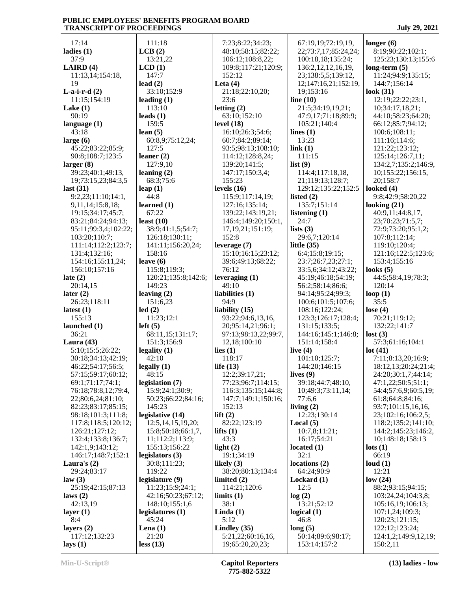17:14 **ladies (1)** 37:9 **LAIRD (4)** 11:13,14;154:18, 19 **L-a-i-r-d (2)** 11:15;154:19 **Lake (1)** 90:19 **language (1)** 43:18 **large (6)** 45:22;83:22;85:9; 90:8;108:7;123:5 **larger (8)** 39:23;40:1;49:13, 19;73:15,23;84:3,5 **last (31)** 9:2,23;11:10;14:1, 9,11,14;15:8,18; 19:15;34:17;45:7; 83:21;84:24;94:13; 95:11;99:3,4;102:22; 103:20;110:7; 111:14;112:2;123:7; 131:4;132:16; 154:16;155:11,24; 156:10;157:16 **late (2)** 20:14,15 **later (2)** 26:23;118:11 **latest (1)** 155:13 **launched (1)** 36:21 **Laura (43)** 5:10;15:5;26:22; 30:18;34:13;42:19; 46:22;54:17;56:5; 57:15;59:17;60:12; 69:1;71:17;74:1; 76:18;78:8,12;79:4, 22;80:6,24;81:10; 82:23;83:17;85:15; 98:18;101:3;111:8; 117:8;118:5;120:12; 126:21;127:12; 132:4;133:8;136:7; 142:1,9;143:12; 146:17;148:7;152:1 **Laura's (2)** 29:24;83:17 **law (3)** 25:19;42:15;87:13 **laws (2)** 42:13,19 **layer (1)** 8:4 **layers (2)** 117:12;132:23 **lays (1)**

 111:18 **LCB (2)** 13:21,22 **LCD (1)** 147:7 **lead (2)** 33:10;152:9 **leading (1)** 113:10 **leads (1)** 159:5 **lean (5)** 60:8,9;75:12,24; 127:5 **leaner (2)** 127:9,10 **leaning (2)** 68:3;75:6 **leap (1)** 44:8 **learned (1)** 67:22 **least (10)** 38:9;41:1,5;54:7; 126:18;130:11; 141:11;156:20,24; 158:16 **leave (6)** 115:8;119:3; 120:21;135:8;142:6; 149:23 **leaving (2)** 151:6,23 **led (2)** 11:23;12:1 **left (5)** 68:11,15;131:17; 151:3;156:9 **legality (1)** 42:10 **legally (1)** 48:15 **legislation (7)** 15:9;24:1;30:9; 50:23;66:22;84:16; 145:23 **legislative (14)** 12:5,14,15,19,20; 15:8;50:18;66:1,7, 11;112:2;113:9; 155:13;156:22 **legislators (3)** 30:8;111:23; 119:22 **legislature (9)** 11:23;15:9;24:1; 42:16;50:23;67:12; 148:10;155:1,6 **legislatures (1)** 45:24 **Lena (1)** 21:20 **less (13)**

 7:23;8:22;34:23; 48:10;58:15;82:22; 106:12;108:8,22; 109:8;117:21;120:9; 152:12 **Leta (4)** 21:18;22:10,20; 23:6 **letting (2)** 63:10;152:10 **level (18)** 16:10;26:3;54:6; 60:7;84:2;89:14; 93:5;98:13;108:10; 114:12;128:8,24; 139:20;141:5; 147:17;150:3,4; 155:23 **levels (16)** 115:9;117:14,19; 127:16;135:14; 139:22;143:19,21; 146:4;149:20;150:1, 17,19,21;151:19; 152:8 **leverage (7)** 15:10;16:15;23:12; 39:6;49:13;68:22; 76:12 **leveraging (1)** 49:10 **liabilities (1)** 94:9 **liability (15)** 93:22;94:6,13,16, 20;95:14,21;96:1; 97:13;98:13,22;99:7, 12,18;100:10 **lies (1)** 118:17 **life (13)** 12:2;39:17,21; 77:23;96:7;114:15; 116:3;135:15;144:8; 147:7;149:1;150:16; 152:13 **lift (2)** 82:22;123:19 **lifts (1)** 43:3 **light (2)** 19:1;34:19 **likely (3)** 38:20;80:13;134:4 **limited (2)** 114:21;120:6 **limits (1)** 38:1 **Linda (1)** 5:12 **Lindley (35)** 5:21,22;60:16,16, 19;65:20,20,23;

 67:19,19;72:19,19, 22;73:7,17;85:24,24; 100:18,18;135:24; 136:2,12,12,16,19, 23;138:5,5;139:12, 12;147:16,21;152:19, 19;153:16 **line (10)** 21:5;34:19,19,21; 47:9,17;71:18;89:9; 105:21;140:4 **lines (1)** 13:23 **link (1)** 111:15 **list (9)** 114:4;117:18,18, 21;119:13;128:7; 129:12;135:22;152:5 **listed (2)** 135:7;151:14 **listening (1)** 24:7 **lists (3)** 29:6,7;120:14 **little (35)** 6:4;15:8;19:15; 23:7;26:7,23;27:1; 33:5,6;34:12;43:22; 45:19;46:18;54:19; 56:2;58:14;86:6; 94:14;95:24;99:3; 100:6;101:5;107:6; 108:16;122:24; 123:3;126:17;128:4; 131:15;133:5; 144:16;145:1;146:8; 151:14;158:4 **live (4)** 101:10;125:7; 144:20;146:15 **lives (9)** 39:18;44:7;48:10, 10;49:3;73:11,14; 77:6,6 **living (2)** 12:23;130:14 **Local (5)** 10:7,8;11:21; 16:17;54:21 **located (1)** 32:1 **locations (2)** 64:24;90:9 **Lockard (1)** 12:5 **log (2)** 13:21;52:12 **logical (1)** 46:8 **long (5)** 50:14;89:6;98:17; 153:14;157:2

 125:23;130:13;155:6 **long-term (5)** 11:24;94:9;135:15; 144:7;156:14 **look (31)** 12:19;22:22;23:1, 10;34:17,18,21; 44:10;58:23;64:20; 66:12;85:7;94:12; 100:6;108:11; 111:16;114:6; 121:22;123:12; 125:14;126:7,11; 134:2,7;135:2;146:9, 10;155:22;156:15, 20;158:7 **looked (4)** 9:8;42:9;58:20,22 **looking (21)** 40:9,11;44:8,17, 23;70:23;71:5,7; 72:9;73:20;95:1,2; 107:8;112:14; 119:10;120:4; 121:16;122:5;123:6; 153:4;155:16 **looks (5)** 44:5;58:4,19;78:3; 120:14 **loop (1)** 35:5 **lose (4)** 70:21;119:12; 132:22;141:7 **lost (3)** 57:3;61:16;104:1 **lot (41)** 7:11;8:13,20;16:9; 18:12,13;20:24;21:4; 24:20;30:1,7;44:14; 47:1,22;50:5;51:1; 54:4;57:6,9;60:5,19; 61:8;64:8;84:16; 93:7;101:15,16,16, 23;102:16;106:2,5; 118:2;135:2;141:10; 144:2;145:23;146:2, 10;148:18;158:13 **lots (1)** 66:19 **loud (1)** 12:21 **low (24)** 88:2;93:15;94:15; 103:24,24;104:3,8; 105:16,19;106:13; 107:1,24;109:3; 120:23;121:15;

 122:12;123:24; 124:1,2;149:9,12,19;

150:2,11

**longer (6)**

8:19;90:22;102:1;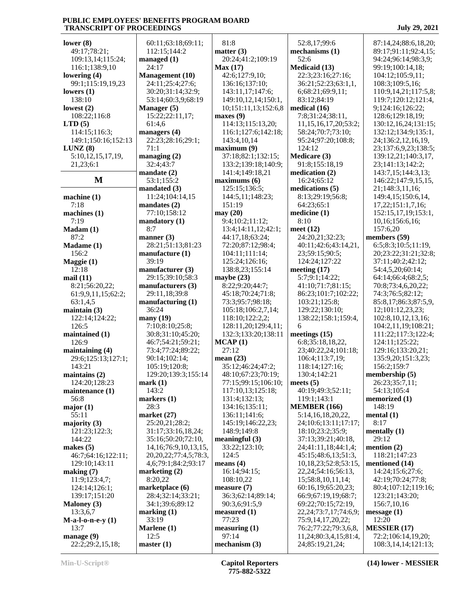| lower $(8)$         | 60:11;63:18;69        |
|---------------------|-----------------------|
|                     |                       |
| 49:17;78:21;        | 112:15;144:2          |
| 109:13,14;115:24;   | managed (1)           |
| 116:1;138:9,10      | 24:17                 |
| lowering (4)        | <b>Management</b> (10 |
|                     |                       |
| 99:1;115:19,19,23   | 24:11;25:4;27:        |
| lowers $(1)$        | 30:20;31:14;32        |
| 138:10              | 53:14;60:3,9;6        |
| lowest $(2)$        | Manager (5)           |
|                     |                       |
| 108:22;116:8        | 15:22;22:11,17        |
| LTD(5)              | 61:4,6                |
| 114:15;116:3;       | managers $(4)$        |
|                     |                       |
| 149:1;150:16;152:13 | 22:23;28:16;29        |
| LUNZ(8)             | 71:1                  |
| 5:10,12,15,17,19,   | managing $(2)$        |
| 21,23;6:1           | 32:4;43:7             |
|                     |                       |
|                     | mandate (2)           |
| M                   | 53:1;155:2            |
|                     | mandated (3)          |
|                     | 11:24;104:14,1        |
| machine (1)         |                       |
| 7:18                | mandates $(2)$        |
| machines $(1)$      | 77:10;158:12          |
| 7:19                | mandatory (1)         |
|                     |                       |
| Madam (1)           | 8:7                   |
| 87:2                | manner $(3)$          |
| Madame (1)          | 28:21;51:13;81        |
| 156:2               | manufacture (1)       |
|                     |                       |
| Maggie (1)          | 39:19                 |
| 12:18               | manufacturer (3       |
| mail(11)            | 29:15;39:10;58        |
|                     |                       |
| 8:21;56:20,22;      | manufacturers (       |
| 61:9,9,11,15;62:2;  | 29:11,18;39:8         |
| 63:1,4,5            | manufacturing (       |
| maintain $(3)$      | 36:24                 |
|                     |                       |
| 122:14;124:22;      | many(19)              |
| 126:5               | 7:10;8:10;25:8        |
| maintained (1)      | 30:8;31:10;45:        |
| 126:9               | 46:7;54:21;59:        |
|                     |                       |
| maintaining $(4)$   | 73:4;77:24;89:        |
| 29:6;125:13;127:1;  | 90:14;102:14;         |
| 143:21              | 105:19;120:8;         |
|                     | 129:20;139:3;1        |
| maintains $(2)$     |                       |
| 124:20;128:23       | mark(1)               |
| maintenance (1)     | 143:2                 |
| 56:8                | markers (1)           |
| major $(1)$         | 28:3                  |
|                     |                       |
| 55:11               | market $(27)$         |
| majority $(3)$      | 25:20,21;28:2;        |
| 121:23;122:3;       | 31:17;33:16,18        |
| 144:22              | 35:16;50:20;72        |
|                     |                       |
| makes $(5)$         | 14, 16; 76: 9, 10,    |
| 46:7;64:16;122:11;  | 20, 20, 22; 77: 4, 5  |
| 129:10;143:11       | 4,6;79:1;84:2;9       |
| making (7)          | marketing $(2)$       |
|                     |                       |
| 11:9;123:4,7;       | 8:20,22               |
| 124:14;126:1;       | marketplace (6)       |
| 139:17;151:20       | 28:4;32:14;33:        |
|                     |                       |
| <b>Maloney (3)</b>  | 34:1;39:6;89:1        |
| 13:3,6,7            | marking(1)            |
| $M-a-l-o-n-e-y(1)$  | 33:19                 |
| 13:7                | Marlene (1)           |
|                     |                       |
| manage (9)          | 12:5                  |
| 22:2;29:2,15,18;    | master(1)             |
|                     |                       |

 60:11;63:18;69:11; 112:15;144:2 **<u>Pement</u>** (10) 24:11;25:4;27:6; 30:20;31:14;32:9; 53:14;60:3,9;68:19  $2:22:11,17;$  22:23;28:16;29:1; 4:104:14,15 0:158:12 **atory** (1) 28:21;51:13;81:23 facture (1) facturer (3) 5:39:10:58:3 **hand hanging h m**  29:11,18;39:8 f**acturing** (1)  $(3:10;25:8;$  $31:10;45:20;$  46:7;54:21;59:21; 73:4;77:24;89:22; 90:14;102:14; 105:19;120:8; 129:20;139:3;155:14 25:20,21;28:2; 31:17;33:16,18,24; 35:16;50:20;72:10, 6;76:9,10,13,15, 20,20,22;77:4,5;78:3, 4,6;79:1;84:2;93:17  $\text{ting} (2)$ **tplace** (6) 28:4;32:14;33:21; 34:1;39:6;89:12 81:8 **matter (3)** 20:24;41:2;109:19 **Max (17)** 42:6;127:9,10; 136:16;137:10; 143:11,17;147:6; 149:10,12,14;150:1, 10;151:11,13;152:6,8 **maxes (9)** 114:13;115:13,20; 116:1;127:6;142:18; 143:4,10,14 **maximum (9)** 37:18;82:1;132:15; 133:2;139:18;140:9; 141:4;149:18,21 **maximums (6)** 125:15;136:5; 144:5,11;148:23; 151:19 **may (20)** 9:4;10:2;11:12; 13:4;14:11,12;42:1; 44:17,18;63:24; 72:20;87:12;98:4; 104:11;111:14; 125:24;126:16; 138:8,23;155:14 **maybe (23)** 8:22;9:20;44:7; 45:18;70:24;71:8; 73:3;95:7;98:18; 105:18;106:2,7,14; 118:10;122:2,2; 128:11,20;129:4,11; | 6 132:3;133:20;138:11 **MCAP (1)** 27:12 **mean (23)** 35:12;46:24;47:2; 48:10;67:23;70:19; 77:15;99:15;106:10; 117:10,13;125:18; 131:4;132:13; 134:16;135:11; 136:11;141:6; 145:19;146:22,23; 148:9;149:8 **meaningful (3)** 33:22;123:10; 124:5 **means (4)** 16:14;94:15; 108:10,22 **measure (7)** 36:3;62:14;89:14; 90:3,6;91:5,9 **measured (1)** 77:23 **measuring (1)** 97:14 **mechanism (3)**

 52:8,17;99:6 **mechanisms (1)** 52:6 **Medicaid (13)** 22:3;23:16;27:16; 36:21;52:23;63:1,1, 6;68:21;69:9,11; 83:12;84:19 **medical (16)** 7:8;31:24;38:11, 11,15,16,17,20;53:2; 58:24;70:7;73:10; 95:24;97:20;108:8; 124:12 **Medicare (3)** 91:8;155:18,19 **medication (2)** 16:24;65:12 **medications (5)** 8:13;29:19;56:8; 64:23;65:1 **medicine (1)** 8:10 **meet (12)** 24:20,21;32:23; 40:11;42:6;43:14,21, 23;59:15;90:5; 124:24;127:22 **meeting (17)** 5:7;9:1;14:22; 41:10;71:7;81:15; 86:23;101:7;102:22; 103:21;125:8; 129:22;130:10; 138:22;158:1;159:4, 6 **meetings (15)** 6:8;35:18,18,22, 23;40:22,24;101:18; 106:4;113:7,19; 118:14;127:16; 130:4;142:21 **meets (5)** 40:19;49:3;52:11; 119:1;143:1 **MEMBER (166)** 5:14,16,18,20,22, 24;10:6;13:11;17:17; 18:10;23:2;35:9; 37:13;39:21;40:18, 24;41:11,18;44:1,4; 45:15;48:6,13;51:3, 10,18,23;52:8;53:15, 22,24;54:16;56:13, 15;58:8,10,11,14; 60:16,19;65:20,23; 66:9;67:19,19;68:7; 69:22;70:15;72:19, 22,24;73:7,17;74:6,9; 75:9,14,17,20,22; 76:2;77:22;79:3,6,8, 11,24;80:3,4,15;81:4, 24;85:19,21,24;

 87:14,24;88:6,18,20; 89:17;91:11;92:4,15; 94:24;96:14;98:3,9; 99:19;100:14,18; 104:12;105:9,11; 108:3;109:5,16; 110:9,14,21;117:5,8; 119:7;120:12;121:4, 9;124:16;126:22; 128:6;129:18,19; 130:12,16,24;131:15; 132:12;134:9;135:1, 24;136:2,12,16,19, 23;137:6,9,23;138:5; 139:12,21;140:3,17, 23;141:13;142:2; 143:7,15;144:3,13; 146:22;147:9,15,15, 21;148:3,11,16; 149:4,15;150:6,14, 17,22;151:1,7,16; 152:15,17,19;153:1, 10,16;156:6,16; 157:6,20 **members (59)** 6:5;8:3;10:5;11:19, 20;23:22;31:21;32:8; 37:11;40:2;42:12; 54:4,5,20;60:14; 64:14;66:4;68:2,5; 70:8;73:4,6,20,22; 74:3;76:5;82:12; 85:8,17;86:3;87:5,9, 12;101:12,23,23; 102:8,10,12,13,16; 104:2,11,19;108:21; 111:22;117:3;122:4; 124:11;125:22; 129:16;133:20,21; 135:9,20;151:3,23; 156:2;159:7 **membership (5)** 26:23;35:7,11; 54:13;105:4 **memorized (1)** 148:19 **mental (1)** 8:17 **mentally (1)** 29:12 **mention (2)** 118:21;147:23 **mentioned (14)** 14:24;15:6;27:6; 42:19;70:24;77:8; 80:4;107:12;119:16; 123:21;143:20; 156:7,10,16 **message (1)** 12:20 **MESSIER (17)** 72:2;106:14,19,20; 108:3,14,14;121:13;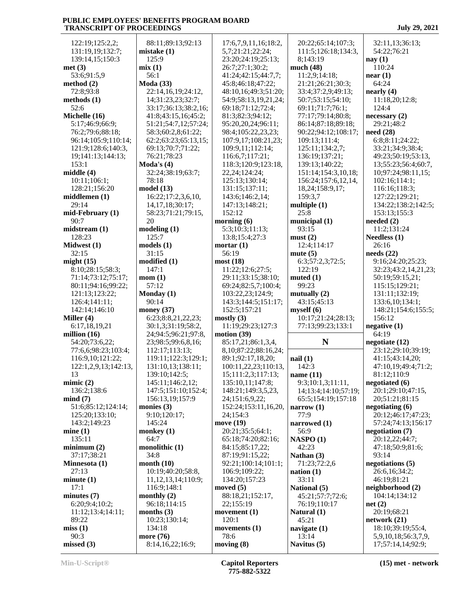| 122:19;125:2,2;      | 88:11;89:13;92:13             | 17:6,7,9,11,16;18:2,       | 20:22;65:14;107:3;   | 32:11,13;36:13;                          |
|----------------------|-------------------------------|----------------------------|----------------------|------------------------------------------|
| 131:19,19;132:7;     | mistake(1)                    | 5,7;21:21;22:24;           | 111:5;126:18;134:3,  | 54:22;76:21                              |
|                      |                               |                            |                      |                                          |
| 139:14,15;150:3      | 125:9                         | 23:20;24:19;25:13;         | 8;143:19             | nay(1)                                   |
| met(3)               | mix(1)                        | 26:7;27:1;30:2;            | much $(48)$          | 110:24                                   |
| 53:6;91:5,9          | 56:1                          | 41:24;42:15;44:7,7;        | 11:2.9:14:18         | near(1)                                  |
| method $(2)$         | <b>Moda</b> (33)              | 45:8;46:18;47:22;          | 21:21;26:21;30:3;    | 64:24                                    |
|                      |                               |                            |                      |                                          |
| 72:8;93:8            | 22:14,16,19;24:12,            | 48:10,16;49:3;51:20;       | 33:4;37:2,9;49:13;   | nearly (4)                               |
| methods $(1)$        | 14;31:23,23;32:7;             | 54:9;58:13,19,21,24;       | 50:7;53:15;54:10;    | 11:18,20;12:8;                           |
| 52:6                 | 33:17;36:13;38:2,16;          | 69:18;71:12;72:4;          | 69:11;71:7;76:1;     | 124:4                                    |
| Michelle (16)        | 41:8;43:15,16;45:2;           | 81:3;82:3;94:12;           | 77:17;79:14;80:8;    | necessary(2)                             |
| 5:17;46:9;66:9;      | 51:21;54:7,12;57:24;          | 95:20,20,24;96:11;         | 86:14;87:18;89:18;   | 29:21;48:2                               |
|                      |                               |                            |                      |                                          |
| 76:2;79:6;88:18;     | 58:3;60:2,8;61:22;            | 98:4;105:22,23,23;         | 90:22;94:12;108:17;  | need (28)                                |
| 96:14;105:9;110:14;  | 62:2;63:23;65:13,15;          | 107:9,17;108:21,23;        | 109:13;111:4;        | 6:8:8:11;24:22;                          |
| 121:9;128:6;140:3,   | 69:13;70:7;71:22;             | 109:9,11;112:14;           | 125:11;134:2,7;      | 33:21;34:9;38:4;                         |
| 19;141:13;144:13;    | 76:21;78:23                   | 116:6,7;117:21;            | 136:19;137:21;       | 49:23;50:19;53:13,                       |
| 153:1                | Moda's $(4)$                  | 118:3;120:9;123:18,        | 139:13;140:22;       | 13;55:23;56:4;60:7,                      |
|                      |                               |                            |                      |                                          |
| middle (4)           | 32:24;38:19;63:7;             | 22, 24; 124: 24;           | 151:14;154:3,10,18;  | 10;97:24;98:11,15;                       |
| 10:11;106:1;         | 78:18                         | 125:13;130:14;             | 156:24;157:6,12,14,  | 102:16;114:1;                            |
| 128:21;156:20        | model (13)                    | 131:15;137:11;             | 18,24;158:9,17;      | 116:16;118:3;                            |
| middlemen (1)        | 16:22;17:2,3,6,10,            | 143:6;146:2,14;            | 159:3,7              | 127:22;129:21;                           |
| 29:14                | 14, 17, 18; 30: 17;           | 147:13;148:21;             | multiple $(1)$       | 134:22;138:2;142:5;                      |
|                      |                               |                            | 25:8                 |                                          |
| mid-February (1)     | 58:23;71:21;79:15,            | 152:12                     |                      | 153:13;155:3                             |
| 90:7                 | 20                            | morning $(6)$              | municipal (1)        | needed $(2)$                             |
| midstream(1)         | modeling(1)                   | 5:3:10:3:11:13             | 93:15                | 11:2;131:24                              |
| 128:23               | 125:7                         | 13:8;15:4;27:3             | must(2)              | Needless (1)                             |
| Midwest (1)          | models(1)                     | mortar $(1)$               | 12:4;114:17          | 26:16                                    |
| 32:15                | 31:15                         | 56:19                      | mute $(5)$           | needs (22)                               |
|                      |                               |                            |                      |                                          |
| might $(15)$         | modified (1)                  | most (18)                  | 6:3;57:2,3;72:5;     | 9:16;24:20;25:23;                        |
| 8:10;28:15;58:3;     | 147:1                         | 11:22;12:6;27:5;           | 122:19               | 32:23;43:2,14,21,23;                     |
| 71:14;73:12;75:17;   | mom(1)                        | 29:11;33:15;38:10;         | muted $(1)$          | 50:19;59:15,21;                          |
| 80:11;94:16;99:22;   | 57:12                         | 69:24;82:5,7;100:4;        | 99:23                | 115:15;129:21;                           |
|                      |                               | 103:22,23;124:9;           |                      |                                          |
|                      |                               |                            |                      |                                          |
| 121:13;123:22;       | Monday (1)                    |                            | mutually $(2)$       | 131:11;132:19;                           |
| 126:4;141:11;        | 90:14                         | 143:3;144:5;151:17;        | 43:15;45:13          | 133:6, 10; 134:1;                        |
| 142:14;146:10        | money $(37)$                  | 152:5;157:21               | myself(6)            | 148:21;154:6;155:5;                      |
| Miller (4)           | 6:23;8:8,21,22,23;            | mostly(3)                  | 10:17;21:24;28:13;   | 156:12                                   |
|                      |                               |                            |                      |                                          |
| 6:17,18,19,21        | 30:1,3;31:19;58:2,            | 11:19;29:23;127:3          | 77:13;99:23;133:1    | negative(1)                              |
| million $(16)$       | 24;94:5;96:21;97:8,           | motion $(39)$              |                      | 64:19                                    |
| 54:20;73:6,22;       | 23;98:5;99:6,8,16;            | 85:17,21;86:1,3,4,         | N                    | negotiate (12)                           |
| 77:6,6;98:23;103:4;  | 112:17;113:13;                | 8, 10; 87: 22; 88: 16, 24; |                      | 23:12;29:10;39:19;                       |
| 116:9,10;121:22;     | 119:11;122:3;129:1;           | 89:1;92:17,18,20;          | nail(1)              | 41:15;43:14,20;                          |
| 122:1,2,9,13;142:13, | 131:10,13;138:11;             | 100:11,22,23;110:13,       | 142:3                | 47:10,19;49:4;71:2;                      |
| 13                   |                               |                            |                      |                                          |
|                      | 139:10;142:5;                 | 15;111:2,3;117:13;         | name $(11)$          | 81:12;110:9                              |
| minic(2)             | 145:11;146:2,12;              | 135:10,11;147:8;           | 9:3;10:1,3;11:11,    | negotiated (6)                           |
| 136:2;138:6          | 147:5;151:10;152:4;           | 148:21;149:3,5,23,         | 14;13:4;14:10;57:19; | 20:1;29:10;47:15,                        |
| mind(7)              | 156:13,19;157:9               | 24;151:6,9,22;             | 65:5;154:19;157:18   | 20;51:21;81:15                           |
| 51:6;85:12;124:14;   | monies $(3)$                  | 152:24;153:11,16,20,       | narrow $(1)$         | negotiating $(6)$                        |
| 125:20;133:10;       | 9:10;120:17;                  | 24;154:3                   | 77:9                 | 20:12;46:17;47:23;                       |
| 143:2;149:23         | 145:24                        | move (19)                  |                      |                                          |
|                      |                               |                            | narrowed (1)         | 57:24;74:13;156:17                       |
| mine(1)              | monkey $(1)$                  | 20:21;35:5;64:1;           | 56:9                 | negotiation (7)                          |
| 135:11               | 64:7                          | 65:18;74:20;82:16;         | NASPO(1)             | 20:12,22;44:7;                           |
| minimum(2)           | monolithic (1)                | 84:15;85:17,22;            | 42:23                | 47:18:50:9:81:6:                         |
| 37:17;38:21          | 34:8                          | 87:19;91:15,22;            | Nathan $(3)$         | 93:14                                    |
| Minnesota (1)        | month $(10)$                  | 92:21;100:14;101:1;        | 71:23;72:2,6         | negotiations (5)                         |
| 27:13                | 10:19;40:20;58:8,             | 106:9;109:22;              | nation(1)            | 26:6,16;34:2;                            |
|                      |                               |                            |                      |                                          |
| minute(1)            | 11, 12, 13, 14; 110: 9;       | 134:20;157:23              | 33:11                | 46:19:81:21                              |
| 17:1                 | 116:9;148:1                   | moved $(5)$                | National (5)         | neighborhood (2)                         |
| minutes $(7)$        | monthly $(2)$                 | 88:18,21;152:17,           | 45:21;57:7;72:6;     | 104:14;134:12                            |
| 6:20;9:4;10:2;       | 96:18;114:15                  | 22;155:19                  | 76:19;110:17         | net(2)                                   |
| 11:12;13:4;14:11;    | months $(3)$                  | movement $(1)$             | Natural (1)          | 20:19;68:21                              |
| 89:22                | 10:23;130:14;                 | 120:1                      | 45:21                |                                          |
|                      |                               |                            |                      | network (21)                             |
| miss(1)              | 134:18                        | movements $(1)$            | navigate (1)         | 18:10;39:19;55:4,                        |
| 90:3<br>missed(3)    | more (76)<br>8:14,16,22;16:9; | 78:6<br>moving $(8)$       | 13:14<br>Navitus (5) | 5,9,10,18;56:3,7,9,<br>17;57:14,14;92:9; |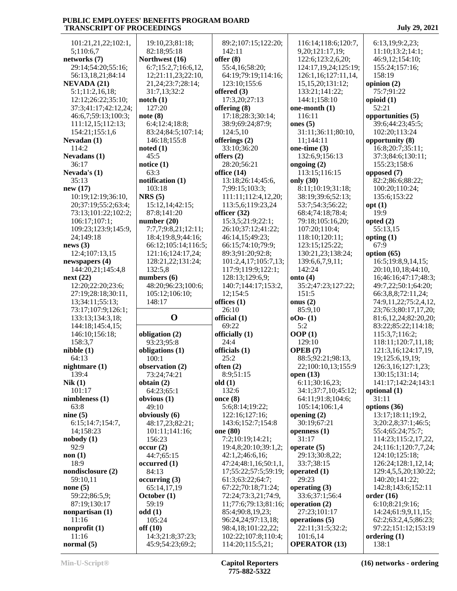101:21,21,22;102:1, 5;110:6,7 **networks (7)** 29:14;54:20;55:16; 56:13,18,21;84:14 **NEVADA (21)** 5:1;11:2,16,18; 12:12;26:22;35:10; 37:3;41:17;42:12,24; 46:6,7;59:13;100:3; 111:12,15;112:13; 154:21;155:1,6 **Nevadan (1)** 114:2 **Nevadans (1)** 36:17 **Nevada's (1)** 35:13 **new (17)** 10:19;12:19;36:10, 20;37:19;55:2;63:4; 73:13;101:22;102:2; 106:17;107:1; 109:23;123:9;145:9, 24;149:18 **news (3)** 12:4;107:13,15 **newspapers (4)** 144:20,21;145:4,8 **next (22)** 12:20;22:20;23:6; 27:19;28:18;30:11, 13;34:11;55:13; 73:17;107:9;126:1; 133:13;134:3,18; 144:18;145:4,15; 146:10;156:18; 158:3,7 **nibble (1)** 64:13 **nightmare (1)** 139:4 **Nik (1)** 101:17 **nimbleness (1)** 63:8 **nine (5)** 6:15;14:7;154:7, 14;158:23 **nobody (1)** 92:9 **non (1)** 18:9 **nondisclosure (2)** 59:10,11 **none (5)** 59:22;86:5,9; 87:19;130:17 **nonpartisan (1)** 11:16 **nonprofit (1)** 11:16 **normal (5)**

 19:10,23;81:18; 82:18;95:18 **Northwest (16)** 6:7;15:2,7;16:6,12, 12;21:11,23;22:10, 21,24;23:7;28:14; 31:7,13;32:2 **notch (1)** 127:20 **note (8)** 6:4;12:4;18:8; 83:24;84:5;107:14; 146:18;155:8 **noted (1)** 45:5 **notice (1)** 63:3 **notification (1)** 103:18 **NRS (5)** 15:12,14;42:15; 87:8;141:20 **number (20)** 7:7,7;9:8,21;12:11; 18:4;19:8,9;44:16; 66:12;105:14;116:5; 121:16;124:17,24; 128:21,22;131:24; 132:5,8 **numbers (6)** 48:20;96:23;100:6; 105:12;106:10; 148:17 **O official (1) obligation (2)** 93:23;95:8 **obligations (1)** 100:1 **observation (2)** 73:24;74:21 **obtain (2)** 64:23;65:1 **obvious (1)** 49:10 **obviously (6)** 48:17,23;82:21; 101:11;141:16; 156:23 **occur (2)** 44:7;65:15 **occurred (1)** 84:13 **occurring (3)** 65:14,17,19 **October (1)** 59:19 **odd (1)** 105:24 **off (10)** 14:3;21:8;37:23; 45:9;54:23;69:2; 89:2;107:15;122:20; 142:11 **offer (8)** 55:4,16;58:20; 64:19;79:19;114:16; 123:10;155:6 **offered (3)** 17:3,20;27:13 **offering (8)** 17:18;28:3;30:14; 38:9;69:24;87:9; 124:5,10 **offerings (2)** 33:10;36:20 **offers (2)** 28:20;56:21 **office (14)** 13:18;26:14;45:6, 7;99:15;103:3; 111:11;112:4,12,20; 113:5,6;119:23,24 **officer (32)** 15:3,5;21:9;22:1; 26:10;37:12;41:22; 46:14,15;49:23; 66:15;74:10;79:9; 89:3;91:20;92:8; 101:2,4,17;105:7,13; 117:9;119:9;122:1; 128:13;129:6,9; 140:7;144:17;153:2, 12;154:5 **offices (1)** 26:10 69:22 **officially (1)** 24:4 **officials (1)** 25:2 **often (2)** 8:9;51:15 **old (1)** 132:6 **once (8)** 5:6;8:14;19:22; 122:16;127:16; 143:6;152:7;154:8 **one (80)** 7:2;10:19;14:21; 19:4,8;20:10;39:1,2; 42:1,2;46:6,16; 47:24;48:1,16;50:1,1, 17;55:22;57:5;59:19; 61:3;63:22;64:7; 67:22;70:18;71:24; 72:24;73:3,21;74:9, 11;77:6;79:13;81:16; 85:4;90:8,19,23; 96:24,24;97:13,18; 98:4,18;101:22,22; 102:22;107:8;110:4; 114:20;115:5,21;

 116:14;118:6;120:7, 9,20;121:17,19; 122:6;123:2,6,20; 124:17,19,24;125:19; 126:1,16;127:11,14, 15,15,20;131:12; 133:21;141:22; 144:1;158:10 **one-month (1)** 116:11 **ones (5)** 31:11;36:11;80:10, 11;144:11 **one-time (3)** 132:6,9;156:13 **ongoing (2)** 113:15;116:15 **only (30)** 8:11;10:19;31:18; 38:19;39:6;52:13; 53:7;54:3;56:22; 68:4;74:18;78:4; 79:18;105:16,20; 107:20;110:4; 118:10;120:11; 123:15;125:22; 130:21,23;138:24; 139:6,6,7,9,11; 142:24 **onto (4)** 35:2;47:23;127:22; 151:5 **onus (2)** 85:9,10 **oOo- (1)** 5:2 **OOP (1)** 129:10 **OPEB (7)** 88:5;92:21;98:13, 22;100:10,13;155:9 **open (13)** 6:11;30:16,23; 34:1;37:7,10;45:12; 64:11;91:8;104:6; 105:14;106:1,4 **opening (2)** 30:19;67:21 **openness (1)** 31:17 **operate (5)** 29:13;30:8,22; 33:7;38:15 **operated (1)** 29:23 **operating (3)** 33:6;37:1;56:4 **operation (2)** 27:23;101:17 **operations (5)** 22:11;31:5;32:2; 101:6,14 **OPERATOR (13)**

 6:13,19;9:2,23; 11:10;13:2;14:1; 46:9,12;154:10; 155:24;157:16; 158:19 **opinion (2)** 75:7;91:22 **opioid (1)** 52:21 **opportunities (5)** 39:6;44:23;45:5; 102:20;113:24 **opportunity (8)** 16:8;20:7;35:11; 37:3;84:6;130:11; 155:23;158:6 **opposed (7)** 82:2;86:6;88:22; 100:20;110:24; 135:6;153:22 **opt (1)** 19:9 **opted (2)** 55:13,15 **opting (1)** 67:9 **option (65)** 16:5;19:8,9,14,15; 20:10,10,18;44:10, 16;46:16;47:17;48:3; 49:7,22;50:1;64:20; 66:3,8,8;72:11,24; 74:9,11,22;75:2,4,12, 23;76:3;80:17,17,20; 81:6,12,24;82:20,20; 83:22;85:22;114:18; 115:3,7;116:2; 118:11;120:7,11,18; 121:3,16;124:17,19, 19;125:6,19,19; 126:3,16;127:1,23; 130:15;131:14; 141:17;142:24;143:1 **optional (1)** 31:11 **options (36)** 13:17;18:11;19:2, 3;20:2,8;37:1;46:5; 55:4;65:24;75:7; 114:23;115:2,17,22, 24;116:1;120:7,7,24; 124:10;125:18; 126:24;128:1,12,14; 129:4,5,5,20;130:22; 140:20;141:22; 142:8;143:6;152:11 **order (16)** 6:10;8:21;9:16; 14:24;61:9,9,11,15; 62:2;63:2,4,5;86:23; 97:22;151:12;153:19 **ordering (1)**

138:1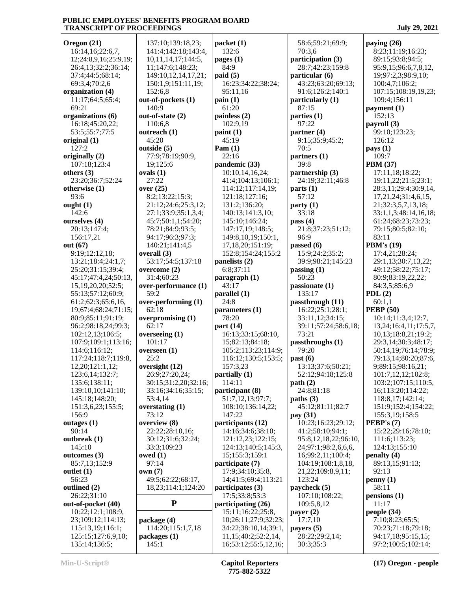| Oregon (21)           | 137:1      |
|-----------------------|------------|
| 16:14,16;22:6,7,      | 141:4      |
| 12;24:8,9,16;25:9,19; | 10,11      |
|                       |            |
| 26:4,13;32:2;36:14;   | 11;14      |
| 37:4;44:5;68:14;      | 149:1      |
| 69:3,4;70:2,6         | 150:1      |
|                       |            |
| organization (4)      | 152:6      |
| 11:17;64:5;65:4;      | out-of-    |
| 69:21                 | 140:9      |
|                       |            |
| organizations (6)     | out-of-    |
| 16:18;45:20,22;       | 110:6      |
| 53:5;55:7;77:5        | outread    |
|                       |            |
| original (1)          | 45:20      |
| 127:2                 | outside    |
| originally (2)        | 77:9;      |
|                       |            |
| 107:18;123:4          | 19;12      |
| others $(3)$          | ovals (1   |
| 23:20;36:7;52:24      | 27:22      |
|                       |            |
| otherwise (1)         | over $(2)$ |
| 93:6                  | 8:2;1      |
| ought $(1)$           | 21:12      |
|                       |            |
| 142:6                 | 27:1;      |
| ourselves (4)         | 45:7;      |
| 20:13;147:4;          | 78:21      |
|                       |            |
| 156:17,21             | 94:17      |
| out (67)              | 140:2      |
| 9:19;12:12,18;        | overall    |
|                       |            |
| 13:21;18:4;24:1,7;    | 53:17      |
| 25:20;31:15;39:4;     | overcol    |
| 45:17;47:4,24;50:13,  | 31:4;      |
|                       |            |
| 15,19,20,20;52:5;     | over-pe    |
| 55:13;57:12;60:9;     | 59:2       |
|                       |            |
|                       |            |
| 61:2;62:3;65:6,16,    | over-pe    |
| 19;67:4;68:24;71:15;  | 62:18      |
|                       |            |
| 80:9;85:11;91:19;     | overpro    |
| 96:2;98:18,24;99:3;   | 62:17      |
| 102:12,13;106:5;      | oversee    |
|                       |            |
| 107:9;109:1;113:16;   | 101:1      |
| 114:6;116:12;         | oversee    |
| 117:24;118:7;119:8,   | 25:2       |
| 12,20;121:1,12;       | oversig    |
|                       |            |
| 123:6,14;132:7;       | 26:9;      |
| 135:6;138:11;         | 30:15      |
| 139:10,10;141:10;     | 33:16      |
|                       |            |
| 145:18;148:20;        | 53:4,      |
| 151:3,6,23;155:5;     | oversta    |
| 156:9                 | 73:12      |
|                       |            |
| outages $(1)$         | overvie    |
| 90:14                 | 22:22      |
| outbreak (1)          |            |
|                       | 30:12      |
| 145:10                | 33:3;      |
| outcomes (3)          | owed (1    |
| 85:7,13;152:9         | 97:14      |
|                       |            |
| outlet (1)            | own (7)    |
| 56:23                 | 49:5;      |
| outlined (2)          | 18,23      |
|                       |            |
| 26:22;31:10           |            |
| out-of-pocket (40)    |            |
| 10:22;12:1;108:9,     |            |
|                       |            |
| 23;109:12;114:13;     | packag     |
| 115:13,19;116:1;      | 114:2      |
| 125:15;127:6,9,10;    | packag     |
| 135:14;136:5;         | 145:1      |

| 137:10;139:18,23;<br>141:4;142:18;143:4, | packet(1)                                   |              |
|------------------------------------------|---------------------------------------------|--------------|
| 10,11,14,17;144:5,                       | 132:6<br>pages $(1)$                        | p            |
| 11;147:6;148:23;                         | 84:9                                        |              |
| 149:10,12,14,17,21;                      | paid(5)                                     | p            |
| 150:1,9;151:11,19;                       | 16:23;34:22;38:24;                          |              |
| 152:6,8<br>out-of-pockets (1)            | 95:11,16<br>$\text{pain}(1)$                | $\mathbf{p}$ |
| 140:9                                    | 61:20                                       |              |
| out-of-state (2)                         | painless (2)                                | p            |
| 110:6,8                                  | 102:9,19                                    |              |
| outreach (1)<br>45:20                    | paint(1)<br>45:19                           | p            |
| outside (5)                              | Pam $(1)$                                   |              |
| 77:9;78:19;90:9,                         | 22:16                                       | p            |
| 19;125:6                                 | pandemic (33)                               |              |
| ovals $(1)$<br>27:22                     | 10:10,14,16,24;                             | $\mathbf{p}$ |
| over $(25)$                              | 41:4;104:13;106:1;<br>114:12;117:14,19;     | p            |
| 8:2;13:22;15:3;                          | 121:18;127:16;                              |              |
| 21:12;24:6;25:3,12;                      | 131:2;136:20;                               | p            |
| 27:1;33:9;35:1,3,4;                      | 140:13;141:3,10;                            |              |
| 45:7;50:1,1;54:20;<br>78:21;84:9;93:5;   | 145:10;146:24;<br>147:17,19;148:5;          | p            |
| 94:17;96:3;97:3;                         | 149:8,10,19;150:1,                          |              |
| 140:21;141:4,5                           | 17,18,20;151:19;                            | p            |
| overall (3)                              | 152:8;154:24;155:2                          |              |
| 53:17;54:5;137:18                        | panelists (2)                               |              |
| overcome (2)<br>31:4;60:23               | 6:8;37:11<br>paragnh(1)                     | p            |
| over-performance (1)                     | 43:17                                       | p            |
|                                          |                                             |              |
| 59:2                                     | parallel (1)                                |              |
| over-performing (1)                      | 24:8                                        | p            |
| 62:18                                    | parameters $(1)$                            |              |
| overpromising (1)<br>62:17               | 78:20                                       |              |
| overseeing $(1)$                         | part (14)<br>16:13;33:15;68:10,             |              |
| 101:17                                   | 15;82:13;84:18;                             | $\mathbf{p}$ |
| overseen $(1)$                           | 105:2;113:23;114:9;                         |              |
| 25:2                                     | 116:12;130:5;153:5;                         | p            |
| oversight (12)<br>26:9;27:20,24;         | 157:3,23<br>partially (1)                   |              |
| 30:15;31:2,20;32:16;                     | 114:11                                      | p            |
| 33:16;34:16;35:15;                       | participant (8)                             |              |
| 53:4,14                                  | 51:7,12,13;97:7;                            | p            |
| overstating $(1)$<br>73:12               | 108:10;136:14,22;<br>147:22                 | p            |
| overview (8)                             | participants (12)                           |              |
| 22:22;28:10,16;                          | 14:16;34:6;38:10;                           |              |
| 30:12;31:6;32:24;                        | 121:12,23;122:15;                           |              |
| 33:3;109:23<br>owed $(1)$                | 124:13;140:5;145:3,<br>15;155:3;159:1       |              |
| 97:14                                    | participate (7)                             |              |
| own(7)                                   | 17:9;34:10;35:8,                            |              |
| 49:5;62:22;68:17,                        | 14;41:5;69:4;113:21                         |              |
| 18,23;114:1;124:20                       | participates (3)<br>17:5;33:8;53:3          | p            |
| P                                        | participating (26)                          |              |
|                                          | 15:11;16:22;25:8,                           | p            |
| package (4)                              | 10;26:11;27:9;32:23;                        |              |
| 114:20;115:1,7,18<br>packages (1)        | 34:22;38:10,14;39:1,<br>11,15;40:2;52:2,14, | p            |

14:9:  $.53:5;$  $45:3,$  $32:23:$  $;39:1.$ 12,16; 58:6;59:21;69:9; 70:3,6 **participation (3)** 28:7;42:23;159:8 **particular (6)** 43:23;63:20;69:13; 91:6;126:2;140:1 **particularly (1)** 87:15 **parties (1)** 97:22 **partner (4)** 9:15;35:9;45:2; 70:5 **partners (1)** 39:8 **partnership (3)** 24:19;32:11;46:8 **parts (1)** 57:12 **party (1)** 33:18 **pass (4)** 21:8;37:23;51:12; 96:9 **passed (6)** 15:9;24:2;35:2; 39:9;98:21;145:23 **passing (1)** 50:23 **passionate (1)** 135:17 **passthrough (11)** 16:22;25:1;28:1; 33:11,12;34:15; 39:11;57:24;58:6,18; 73:21 **passthroughs (1)** 79:20 **past (6)** 13:13;37:6;50:21; 52:12;94:18;125:8 **path (2)** 24:8;81:18 **paths (3)** 45:12;81:11;82:7 **pay (31)** 10:23;16:23;29:12; 41:2;58:10;94:1; 95:8,12,18,22;96:10, 24;97:1;98:2,6,6,6, 16;99:2,11;100:4; 104:19;108:1,8,18, 21,22;109:8,9,11; 123:24 **paycheck (5)** 107:10;108:22; 109:5,8,12 **payer (2)** 17:7,10 **payers (5)** 28:22;29:2,14; 30:3;35:3

**paying (26)** 8:23;11:19;16:23; 89:15;93:8;94:5; 95:9,15;96:6,7,8,12, 19;97:2,3;98:9,10; 100:4,7;106:2; 107:15;108:19,19,23; 109:4;156:11 **payment (1)** 152:13 **payroll (3)** 99:10;123:23; 126:12 **pays (1)** 109:7 **PBM (37)** 17:11,18;18:22; 19:11,22;21:5;23:1; 28:3,11;29:4;30:9,14, 17,21,24;31:4,6,15, 21;32:3,5,7,13,18; 33:1,1,3;48:14,16,18; 61:24;68:23;73:23; 79:15;80:5;82:10; 83:11 **PBM's (19)** 17:4,21;28:24; 29:1,13;30:7,13,22; 49:12;58:22;75:17; 80:9;83:19,22,22; 84:3,5;85:6,9 **PDL (2)** 60:1,1 **PEBP (50)** 10:14;11:3,4;12:7, 13,24;16:4,11;17:5,7, 10,13;18:8,21;19:2; 29:3,14;30:3;48:17; 50:14,19;76:14;78:9; 79:13,14;80:20;87:6, 9;89:15;98:16,21; 101:7,12,12;102:8; 103:2;107:15;110:5, 16;113:20;114:22; 118:8,17;142:14; 151:9;152:4;154:22; 155:3,19;158:5 **PEBP's (7)** 15:22;29:16;78:10; 111:6;113:23; 124:13;155:10 **penalty (4)** 89:13,15;91:13; 92:13 **penny (1)** 58:11 **pensions (1)** 11:17 **people (34)** 7:10;8:23;65:5; 70:23;71:18;79:18; 94:17,18;95:15,15; 97:2;100:5;102:14;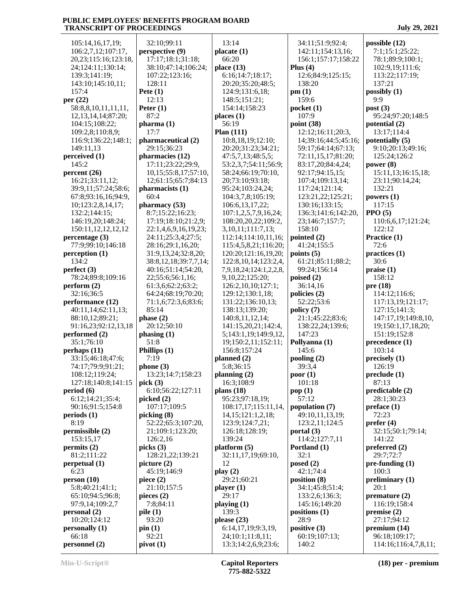| 105:14,16,17,19;          | 32:10;99:11                | 13:14                               | 34:11;51:9;92:4;       | possible $(12)$          |
|---------------------------|----------------------------|-------------------------------------|------------------------|--------------------------|
| 106:2,7,12;107:17,        | perspective (9)            | placate(1)                          | 142:11;154:13,16;      | 7:1;15:1;25:22;          |
| 20, 23; 115: 16; 123: 18, | 17:17;18:1;31:18;          | 66:20                               | 156:1;157:17;158:22    | 78:1;89:9;100:1;         |
| 24;124:11;130:14;         | 38:10;47:14;106:24;        | place $(13)$                        | Plus $(4)$             | 102:9,19;111:6;          |
| 139:3;141:19;             | 107:22;123:16;             | 6:16;14:7;18:17;                    | 12:6;84:9;125:15;      | 113:22;117:19;           |
| 143:10;145:10,11;         | 128:11                     | 20:20;35:20;48:5;                   | 138:20                 | 137:21                   |
| 157:4                     | Pete $(1)$                 | 124:9;131:6,18;                     | pm(1)                  | possibly (1)             |
| per $(22)$                | 12:13                      | 148:5;151:21;                       | 159:6                  | 9:9                      |
| 58:8,8,10,11,11,11,       | Peter $(1)$                | 154:14;158:23                       | pocket(1)              | post $(3)$               |
| 12, 13, 14, 14; 87: 20;   | 87:2                       | places $(1)$                        | 107:9                  | 95:24;97:20;148:5        |
| 104:15;108:22;            | pharma (1)                 | 56:19                               | point (38)             | potential (2)            |
| 109:2,8;110:8,9;          | 17:7                       | Plan $(111)$                        | 12:12;16:11;20:3,      | 13:17;114:4              |
| 116:9;136:22;148:1;       | pharmaceutical (2)         | 10:8,18,19;12:10;                   | 14;39:16;44:5;45:16;   | potentially (5)          |
| 149:11,13                 | 29:15;36:23                | 20:20;31:23;34:21;                  | 59:17;64:14;67:13;     | 9:10;20:13;49:16;        |
| perceived (1)             | pharmacies (12)            | 47:5,7,13;48:5,5;                   | 72:11,15,17;81:20;     | 125:24;126:2             |
| 145:2                     | 17:11;23:22;29:9,          | 53:2,3,7;54:11;56:9;                | 83:17,20;84:4,24;      | power $(8)$              |
| percent(26)               | 10, 15; 55: 8, 17; 57: 10, | 58:24;66:19;70:10,                  | 92:17;94:15,15;        | 15:11,13;16:15,18;       |
| 16:21;33:11,12;           | 12;61:15;65:7;84:13        | 20;73:10;93:18;                     | 107:4;109:13,14;       | 23:11;90:14,24;          |
| 39:9,11;57:24;58:6;       | pharmacists (1)            | 95:24;103:24,24;                    | 117:24;121:14;         | 132:21                   |
| 67:8;93:16,16;94:9,       | 60:4                       | 104:3,7,8;105:19;                   | 123:21,22;125:21;      | powers $(1)$             |
| 10;123:2,8,14,17;         | pharmacy(53)               | 106:6, 13, 17, 22;                  | 130:16;133:15;         | 117:15                   |
| 132:2;144:15;             | 8:7;15:22;16:23;           | 107:1,2,5,7,9,16,24;                | 136:3;141:6;142:20,    | $PPO (5)$                |
| 146:19,20;148:24;         | 17:19;18:10;21:2,9;        | 108:20,20,22;109:2,                 | 23;146:7;157:7;        | 110:6,6,17;121:24;       |
| 150:11,12,12,12,12        | 22:1,4,6,9,16,19,23;       | 3, 10, 11; 111: 7, 13;              | 158:10                 | 122:12                   |
| percentage (3)            | 24:11;25:3,4;27:5;         | 112:14;114:10,11,16;                | pointed (2)            | Practice (1)             |
| 77:9;99:10;146:18         | 28:16;29:1,16,20;          | 115:4,5,8,21;116:20;                | 41:24;155:5            | 72:6                     |
| perception (1)            | 31:9,13,24;32:8,20;        | 120:20;121:16,19,20;                | points $(5)$           | practices (1)            |
| 134:2                     | 38:8,12,18;39:7,7,14;      | 122:8, 10, 14; 123:2, 4,            | 61:21;85:11;88:2;      | 30:6                     |
| perfect $(3)$             | 40:16;51:14;54:20,         | 7,9,18,24;124:1,2,2,8,              | 99:24;156:14           | praise(1)                |
| 78:24;89:8;109:16         | 22;55:6;56:1,16;           | 9,10,22;125:20;                     | poised $(2)$           | 158:12                   |
| perform (2)               | 61:3,6;62:2;63:2;          | 126:2,10,10;127:1;                  | 36:14,16               | pre(18)                  |
| 32:16;36:5                | 64:24;68:19;70:20;         | 129:12;130:1,18;                    | policies (2)           | 114:12;116:6;            |
| performance (12)          | 71:1,6;72:3,6;83:6;        | 131:22;136:10,13;                   | 52:22;53:6             | 117:13,19;121:17;        |
| 40:11,14;62:11,13;        | 85:14                      | 138:13;139:20;                      | policy (7)             | 127:15;141:3;            |
| 88:10,12;89:21;           | phase (2)                  | 140:8,11,12,14;                     | 21:1;45:22;83:6;       | 147:17,19;149:8,10,      |
| 91:16,23;92:12,13,18      | 20:12;50:10                | 141:15,20,21;142:4,                 | 138:22,24;139:6;       | 19;150:1,17,18,20;       |
| performed (2)             | phasing (1)                | 5;143:1,19;149:9,12,                | 147:23                 | 151:19;152:8             |
| 35:1;76:10<br>perhaps(11) | 51:8<br>Phillips (1)       | 19;150:2,11;152:11;<br>156:8;157:24 | Pollyanna (1)<br>145:6 | precedence (1)<br>103:14 |
| 33:15;46:18;47:6;         | 7:19                       | planned $(2)$                       | pooling (2)            | precisely (1)            |
| 74:17;79:9;91:21;         | phone(3)                   | 5:8;36:15                           | 39:3,4                 | 126:19                   |
| 108:12;119:24;            | 13:23;14:7;158:23          | planning $(2)$                      | poor(1)                | preclude (1)             |
| 127:18:140:8:141:15       | pick $(3)$                 | 16:3:108:9                          | 101:18                 | 87:13                    |
| period (6)                | 6:10;56:22;127:11          | plans $(18)$                        | pop $(1)$              | predictable (2)          |
| 6:12;14:21;35:4;          | picked $(2)$               | 95:23;97:18,19;                     | 57:12                  | 28:1;30:23               |
| 90:16;91:5;154:8          | 107:17;109:5               | 108:17,17;115:11,14,                | population (7)         | preface(1)               |
| periods(1)                | picking (8)                | 14, 15; 121: 1, 2, 18;              | 49:10,11,13,19;        | 72:23                    |
| 8:19                      | 52:22;65:3;107:20,         | 123:9;124:7,21;                     | 123:2,11;124:5         | prefer $(4)$             |
| permissible (2)           | 21;109:1;123:20;           | 126:18;128:19;                      | portal (3)             | 32:15;50:1;79:14;        |
| 153:15,17                 | 126:2,16                   | 139:24                              | 114:2;127:7,11         | 141:22                   |
| permits(2)                | picks(3)                   | platform(5)                         | Portland (1)           | preferred $(2)$          |
| 81:2;111:22               | 128:21,22;139:21           | 32:11,17,19;69:10,                  | 32:1                   | 29:7;72:7                |
| perpetual(1)              | picture (2)                | 12                                  | posed $(2)$            | $pre-funding(1)$         |
| 6:23                      | 45:19;146:9                | play(2)                             | 42:1;74:4              | 100:3                    |
| person(10)                | piece $(2)$                | 29:21;60:21                         | position (8)           | preliminary $(1)$        |
| 5:8;40:21;41:1;           | 21:10;157:5                | player (1)                          | 34:1;45:8;51:4;        | 20:1                     |
| 65:10;94:5;96:8;          | pieces $(2)$               | 29:17                               | 133:2,6;136:3;         | premature $(2)$          |
| 97:9,14;109:2,7           | 7:8;84:11                  | playing $(1)$                       | 145:16;149:20          | 116:19;158:4             |
| personal (2)              | pile(1)                    | 139:3                               | positions (1)          | premise (2)              |
| 10:20;124:12              | 93:20                      | please $(23)$                       | 28:9                   | 27:17:94:12              |
| personally (1)            | pin(1)                     | 6:14,17,19;9:3,19,                  | positive (3)           | premium (14)             |
| 66:18                     | 92:21                      | 24;10:1;11:8,11;                    | 60:19;107:13;          | 96:18;109:17;            |
| personnel (2)             | pivot(1)                   | 13:3;14:2,6,9;23:6;                 | 140:2                  | 114:16;116:4,7,8,11;     |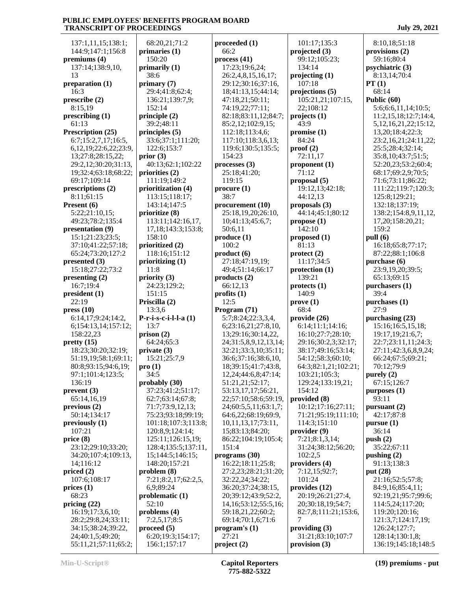137:1,11,15;138:1; 144:9;147:1;156:8 **premiums (4)** 137:14;138:9,10, 13 **preparation (1)** 16:3 **prescribe (2)** 8:15,19 **prescribing (1)** 61:13 **Prescription (25)** 6:7;15:2,7,17;16:5, 6,12,19;22:6,22;23:9, 13;27:8;28:15,22; 29:2,12;30:20;31:13, 19;32:4;63:18;68:22; 69:17;109:14 **prescriptions (2)** 8:11;61:15 **Present (6)** 5:22;21:10,15; 49:23;78:2;135:4 **presentation (9)** 15:1;21:23;23:5; 37:10;41:22;57:18; 65:24;73:20;127:2 **presented (3)** 15:18;27:22;73:2 **presenting (2)** 16:7;19:4 **president (1)** 22:19 **press (10)** 6:14,17;9:24;14:2, 6;154:13,14;157:12; 158:22,23 **pretty (15)** 18:23;30:20;32:19; 51:19,19;58:1;69:11; 80:8;93:15;94:6,19; 97:1;101:4;123:5; 136:19 **prevent (3)** 65:14,16,19 **previous (2)** 50:14;134:17 **previously (1)** 107:21 **price (8)** 23:12;29:10;33:20; 34:20;107:4;109:13, 14;116:12 **priced (2)** 107:6;108:17 **prices (1)** 68:23 **pricing (22)** 16:19;17:3,6,10; 28:2;29:8,24;33:11; 34:15;38:24;39:22, 24;40:1,5;49:20; 55:11,21;57:11;65:2;

 68:20,21;71:2 **primaries (1)** 150:20 **primarily (1)** 38:6 **primary (7)** 29:4;41:8;62:4; 136:21;139:7,9; 152:14 **principle (2)** 39:2;48:11 **principles (5)** 33:6;37:1;111:20; 122:6;153:7 **prior (3)** 40:13;62:1;102:22 **priorities (2)** 111:19;149:2 **prioritization (4)** 113:15;118:17; 143:14;147:5 **prioritize (8)** 113:11;142:16,17, 17,18;143:3;153:8; 158:10 **prioritized (2)** 118:16;151:12 **prioritizing (1)** 11:8 **priority (3)** 24:23;129:2; 151:15 **Priscilla (2)** 13:3,6 **P-r-i-s-c-i-l-l-a (1)** 13:7 **prison (2)** 64:24;65:3 **private (3)** 15:21;25:7,9 **pro (1)** 34:5 **probably (30)** 37:23;41:2;51:17; 62:7;63:14;67:8; 71:7;73:9,12,13; 75:23;93:18;99:19; 101:18;107:3;113:8; 120:8,9;124:14; 125:11;126:15,19; 128:4;135:5;137:11, 15;144:5;146:15; 148:20;157:21 **problem (8)** 7:21;8:2,17;62:2,5, 6,9;89:24 **problematic (1)** 52:10 **problems (4)** 7:2,5,17;8:5 **proceed (5)** 6:20;19:3;154:17; 156:1;157:17

**proceeded (1)** 66:2 **process (41)** 17:23;19:6,24; 26:2,4,8,15,16,17; 29:12;30:16;37:16, 18;41:13,15;44:14; 47:18,21;50:11; 74:19,22;77:11; 82:18;83:11,12;84:7; 85:2,12;102:9,15; 112:18;113:4,6; 117:10;118:3,6,13; 119:6;130:5;135:5; 154:23 **processes (3)** 25:18;41:20; 119:15 **procure (1)** 38:7 **procurement (10)** 25:18,19,20;26:10, 10;41:13;45:6,7; 50:6,11 **produce (1)** 100:2 **product (6)** 27:18;47:19,19; 49:4;51:14;66:17 **products (2)** 66:12,13 **profits (1)** 12:5 **Program (71)** 5:7;8:24;22:3,3,4, 6;23:16,21;27:8,10, 13;29:16;30:14,22, 24;31:5,8,9,12,13,14; 32:21;33:3,10;35:11; 36:6;37:16;38:6,10, 18;39:15;41:7;43:8, 12,24;44:6,8;47:14; 51:21,21;52:17; 53:13,17,17;56:21, 22;57:10;58:6;59:19, 24;60:5,5,11;63:1,7; 64:6,22;68:19;69:9, 10,11,13,17;73:11, 15;83:13;84:20; 86:22;104:19;105:4; 151:4 **programs (30)** 16:22;18:11;25:8; 27:2,23;28:21;31:20; 32:22,24;34:22; 36:20;37:24;38:15, 20;39:12;43:9;52:2, 14,16;53:12;55:5,16; 59:18,21,22;60:2; 69:14;70:1,6;71:6 **program's (1)** 27:21 **project (2) provision (3)**

 101:17;135:3 **projected (3)** 99:12;105:23; 134:14 **projecting (1)** 107:18 **projections (5)** 105:21,21;107:15, 22;108:12 **projects (1)** 43:9 **promise (1)** 84:24 **proof (2)** 72:11,17 **proponent (1)** 71:12 **proposal (5)** 19:12,13;42:18; 44:12,13 **proposals (3)** 44:14;45:1;80:12 **propose (1)** 142:10 **proposed (1)** 81:13 **protect (2)** 11:17;34:5 **protection (1)** 139:21 **protects (1)** 140:9 **prove (1)** 68:4 **provide (26)** 6:14;11:1;14:16; 16:10;27:7;28:10; 29:16;30:2,3;32:17; 38:17;49:16;53:14; 54:12;58:3;60:10; 64:3;82:1,21;102:21; 103:21;105:3; 129:24;133:19,21; 154:12 **provided (8)** 10:12;17:16;27:11; 71:21;95:19;111:10; 114:3;151:10 **provider (9)** 7:21;8:1,3,14; 31:24;38:12;56:20; 102:2,5 **providers (4)** 7:12,15;92:7; 101:24 **provides (12)** 20:19;26:21;27:4, 20;30:18,19;54:7; 82:7,8;111:21;153:6, 7 **providing (3)** 31:21;83:10;107:7

 8:10,18;51:18 **provisions (2)** 59:16;80:4 **psychiatric (3)** 8:13,14;70:4 **PT (1)** 68:14 **Public (60)** 5:6;6:6,11,14;10:5; 11:2,15,18;12:7;14:4, 5,12,16,21,22;15:12, 13,20;18:4;22:3; 23:2,16,21;24:11,22; 25:5;28:4;32:14; 35:8,10;43:7;51:5; 52:20,23;53:2;60:4; 68:17;69:2,9;70:5; 71:6;73:11;86:22; 111:22;119:7;120:3; 125:8;129:21; 132:18;137:19; 138:2;154:8,9,11,12, 17,20;158:20,21; 159:2 **pull (6)** 16:18;65:8;77:17; 87:22;88:1;106:8 **purchase (6)** 23:9,19,20;39:5; 65:13;69:15 **purchasers (1)** 39:4 **purchases (1)** 27:9 **purchasing (23)** 15:16;16:5,15,18; 19:17,19;21:6,7; 22:7;23:11,11;24:3; 27:11;42:3,6,8,9,24; 66:24;67:5;69:21; 70:12;79:9 **purely (2)** 67:15;126:7 **purposes (1)** 93:11 **pursuant (2)** 42:17;87:8 **pursue (1)** 36:14 **push (2)** 35:22;67:11 **pushing (2)** 91:13;138:3 **put (28)** 21:16;52:5;57:8; 84:9,16;85:4,11; 92:19,21;95:7;99:6; 114:5,24;117:20; 119:20;120:16; 121:3,7;124:17,19; 126:24;127:7; 128:14;130:1,8; 136:19;145:18;148:5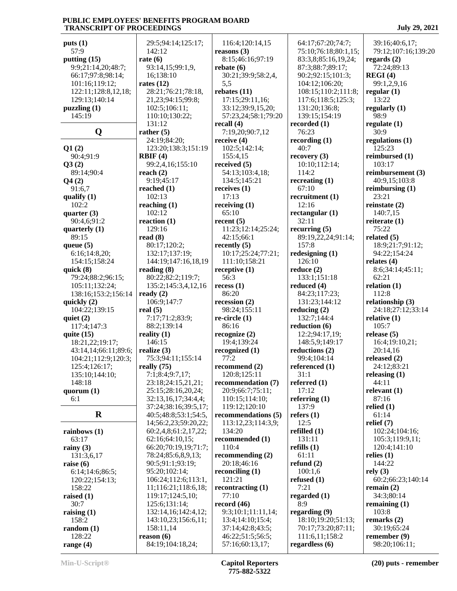| puts(1)              | 29:5;94:14;125:17;   | 116:4;120:14,15     | 64:17;67:20;74:7;    | 39:16;40:6,17;      |
|----------------------|----------------------|---------------------|----------------------|---------------------|
| 57:9                 | 142:12               | reasons $(3)$       | 75:10;76:18;80:1,15; | 79:12;107:16;139:20 |
| putting $(15)$       | rate $(6)$           | 8:15;46:16;97:19    | 83:3,8;85:16,19,24;  | regards $(2)$       |
| 9:9;21:14,20;48:7;   | 93:14,15;99:1,9,     | rebate $(6)$        | 87:3;88:7;89:17;     | 72:24;89:13         |
|                      |                      |                     |                      |                     |
| 66:17;97:8;98:14;    | 16;138:10            | 30:21;39:9;58:2,4,  | 90:2;92:15;101:3;    | REGI(4)             |
| 101:16;119:12;       | rates $(12)$         | 5,5                 | 104:12;106:20;       | 99:1,2,9,16         |
| 122:11;128:8,12,18;  | 28:21;76:21;78:18,   | rebates $(11)$      | 108:15;110:2;111:8;  | regular $(1)$       |
| 129:13;140:14        | 21,23;94:15;99:8;    | 17:15;29:11,16;     | 117:6;118:5;125:3;   | 13:22               |
| puzzling(1)          | 102:5;106:11;        | 33:12;39:9,15,20;   | 131:20;136:8;        | regularly $(1)$     |
| 145:19               | 110:10;130:22;       | 57:23,24;58:1;79:20 | 139:15;154:19        | 98:9                |
|                      | 131:12               | recall $(4)$        | recorded $(1)$       | regulate $(1)$      |
| Q                    | rather $(5)$         | 7:19,20;90:7,12     | 76:23                | 30:9                |
|                      | 24:19:84:20:         | receive $(4)$       | recording $(1)$      | regulations $(1)$   |
|                      |                      |                     | 40:7                 | 125:23              |
| Q1(2)                | 123:20;138:3;151:19  | 102:5;142:14;       |                      |                     |
| 90:4;91:9            | RBIF(4)              | 155:4,15            | recovery $(3)$       | reimbursed (1)      |
| Q3(2)                | 99:2,4,16;155:10     | received $(5)$      | 10:10;112:14;        | 103:17              |
| 89:14;90:4           | reach $(2)$          | 54:13;103:4,18;     | 114:2                | reimbursement (3)   |
| Q4(2)                | 9:19;45:17           | 134:5;145:21        | recreating $(1)$     | 40:9,15;103:8       |
| 91:6,7               | reached $(1)$        | receives $(1)$      | 67:10                | reimbursing $(1)$   |
| qualify $(1)$        | 102:13               | 17:13               | recruitment (1)      | 23:21               |
| 102:2                | reaching $(1)$       | receiving $(1)$     | 12:16                | reinstate $(2)$     |
| quarter $(3)$        | 102:12               | 65:10               | rectangular $(1)$    | 140:7,15            |
|                      | reaction $(1)$       | recent (5)          | 32:11                | reiterate $(1)$     |
| 90:4,6;91:2          |                      |                     |                      |                     |
| quarterly $(1)$      | 129:16               | 11:23;12:14;25:24;  | recurring $(5)$      | 75:22               |
| 89:15                | read $(8)$           | 42:15;66:1          | 89:19,22,24;91:14;   | related $(5)$       |
| queue $(5)$          | 80:17;120:2;         | recently $(5)$      | 157:8                | 18:9;21:7;91:12;    |
| 6:16;14:8,20;        | 132:17;137:19;       | 10:17;25:24;77:21;  | redesigning $(1)$    | 94:22;154:24        |
| 154:15;158:24        | 144:19;147:16,18,19  | 111:10;158:21       | 126:10               | relates $(4)$       |
| quick $(8)$          | reading $(8)$        | receptive $(1)$     | reduce $(2)$         | 8:6;34:14;45:11;    |
| 79:24;88:2;96:15;    | 80:22;82:2;119:7;    | 56:3                | 133:1;151:18         | 62:21               |
| 105:11;132:24;       | 135:2;145:3,4,12,16  | recess(1)           | reduced $(4)$        | relation $(1)$      |
| 138:16;153:2;156:14  | ready $(2)$          | 86:20               | 84:23;117:23;        | 112:8               |
|                      |                      |                     |                      |                     |
| quickly $(2)$        | 106:9;147:7          | recession $(2)$     | 131:23;144:12        | relationship (3)    |
| 104:22;139:15        | real $(5)$           | 98:24;155:11        | reducing $(2)$       | 24:18;27:12;33:14   |
| quiet $(2)$          | 7:17;71:2;83:9;      | re-circle $(1)$     | 132:7;144:4          | relative $(1)$      |
| 117:4;147:3          | 88:2;139:14          | 86:16               | reduction $(6)$      | 105:7               |
| quite $(15)$         | reality $(1)$        | recognize $(2)$     | 12:2;94:17,19;       | release $(5)$       |
| 18:21,22;19:17;      | 146:15               | 19:4;139:24         | 148:5,9;149:17       | 16:4;19:10,21;      |
| 43:14,14;66:11;89:6; | realize $(3)$        | recognized $(1)$    | reductions $(2)$     | 20:14,16            |
| 104:21;112:9;120:3;  | 75:3;94:11;155:14    | 77:2                | 99:4;104:14          | released $(2)$      |
| 125:4;126:17;        | really (75)          | recommend $(2)$     | referenced (1)       | 24:12;83:21         |
| 135:10;144:10;       | 7:1;8:4;9:7,17;      | 120:8;125:11        | 31:1                 | releasing $(1)$     |
| 148:18               | 23:18;24:15,21,21;   | recommendation (7)  | referred $(1)$       | 44:11               |
|                      |                      |                     |                      |                     |
| quorum $(1)$         | 25:15;28:16,20,24;   | 20:9;66:7;75:11;    | 17:12                | relevant $(1)$      |
| 6:1                  | 32:13,16,17;34:4,4;  | 110:15;114:10;      | referring $(1)$      | 87:16               |
|                      | 37:24;38:16;39:5,17; | 119:12;120:10       | 137:9                | relied $(1)$        |
| $\mathbf R$          | 40:5;48:8;53:1;54:5, | recommendations (5) | refers $(1)$         | 61:14               |
|                      | 14;56:2,23;59:20,22; | 113:12,23;114:3,9;  | 12:5                 | relief $(7)$        |
| rainbows $(1)$       | 60:2,4,8;61:2,17,22; | 134:20              | refilled $(1)$       | 102:24;104:16;      |
| 63:17                | 62:16;64:10,15;      | recommended (1)     | 131:11               | 105:3;119:9,11;     |
| rainy $(3)$          | 66:20;70:19,19;71:7; | 110:4               | refills $(1)$        | 120:4;141:10        |
| 131:3,6,17           | 78:24;85:6,8,9,13;   | recommending $(2)$  | 61:11                | relies $(1)$        |
| raise $(6)$          | 90:5;91:1;93:19;     | 20:18;46:16         | refund $(2)$         | 144:22              |
| 6:14;14:6;86:5;      | 95:20;102:14;        | reconciling $(1)$   | 100:1,6              | rely(3)             |
| 120:22;154:13;       | 106:24;112:6;113:1,  | 121:21              | refused $(1)$        | 60:2;66:23;140:14   |
|                      |                      |                     | 7:21                 |                     |
| 158:22               | 11;116:21;118:6,18;  | recontracting $(1)$ |                      | remain $(2)$        |
| raised $(1)$         | 119:17;124:5,10;     | 77:10               | regarded $(1)$       | 34:3;80:14          |
| 30:7                 | 125:6;131:14;        | record $(46)$       | 8:9                  | remaining $(1)$     |
| raising $(1)$        | 132:14,16;142:4,12;  | 9:3;10:1;11:11,14;  | regarding (9)        | 103:8               |
| 158:2                | 143:10,23;156:6,11;  | 13:4;14:10;15:4;    | 18:10;19:20;51:13;   | remarks $(2)$       |
| random(1)            | 158:11,14            | 37:14;42:8;43:5;    | 70:17;73:20;87:11;   | 30:19;65:24         |
| 128:22               | reason (6)           | 46:22;51:5;56:5;    | 111:6,11;158:2       | remember $(9)$      |
| range $(4)$          | 84:19;104:18,24;     | 57:16;60:13,17;     | regardless (6)       | 98:20;106:11;       |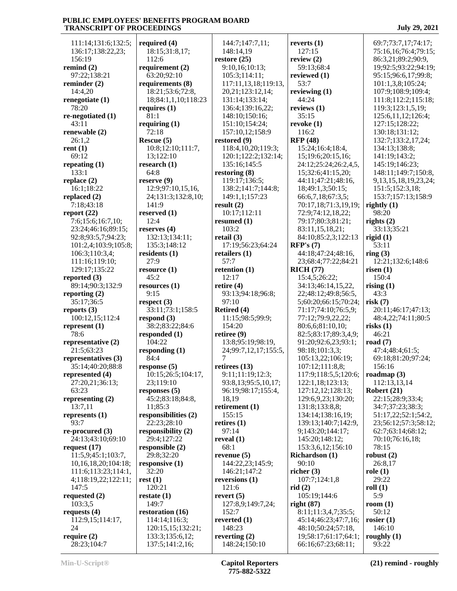111:14;131:6;132:5; 136:17;138:22,23; 156:19 **remind (2)** 97:22;138:21 **reminder (2)** 14:4,20 **renegotiate (1)** 78:20 **re-negotiated (1)** 43:11 **renewable (2)** 26:1,2 **rent (1)** 69:12 **repeating (1)** 133:1 **replace (2)** 16:1;18:22 **replaced (2)** 7:18;43:18 **report (22)** 7:6;15:6;16:7,10; 23:24;46:16;89:15; 92:8;93:5,7;94:23; 101:2,4;103:9;105:8; 106:3;110:3,4; 111:16;119:10; 129:17;135:22 **reported (3)** 89:14;90:3;132:9 **reporting (2)** 35:17;36:5 **reports (3)** 100:12,15;112:4 **represent (1)** 78:6 **representative (2)** 21:5;63:23 **representatives (3)** 35:14;40:20;88:8 **represented (4)** 27:20,21;36:13; 63:23 **representing (2)** 13:7,11 **represents (1)** 93:7 **re-procured (3)** 24:13;43:10;69:10 **request (17)** 11:5,9;45:1;103:7, 10,16,18,20;104:18; 111:6;113:23;114:1, 4;118:19,22;122:11; 147:5 **requested (2)** 103:3,5 **requests (4)** 112:9,15;114:17, 24 **require (2)** 28:23;104:7

**required (4)** 18:15;31:8,17; 112:6 **requirement (2)** 63:20;92:10 **requirements (8)** 18:21;53:6;72:8, 18;84:1,1,10;118:23 **requires (1)** 81:1 **requiring (1)** 72:18 **Rescue (5)** 10:8;12:10;111:7, 13;122:10 **research (1)** 64:8 **reserve (9)** 12:9;97:10,15,16, 24;131:3;132:8,10; 141:9 **reserved (1)** 12:4 **reserves (4)** 132:13;134:11; 135:3;148:12 **residents (1)**  $27.9$ **resource (1)** 45:2 **resources (1)** 9:15 **respect (3)** 33:11;73:1;158:5 **respond (3)** 38:2;83:22;84:6 **responded (1)** 104:22 **responding (1)** 84:4 **response (5)** 10:15;26:5;104:17, 23;119:10 **responses (5)** 45:2;83:18;84:8, 11;85:3 **responsibilities (2)** 22:23;28:10 **responsibility (2)** 29:4;127:22 **responsible (2)** 29:8;32:20 **responsive (1)** 32:20 **rest (1)** 120:21 **restate (1)** 149:7 **restoration (16)** 114:14;116:3; 120:15,15;132:21; 133:3;135:6,12; 137:5;141:2,16;

 144:7;147:7,11; 148:14,19 **restore (25)** 9:10,16;10:13; 105:3;114:11; 117:11,13,18;119:13, 20,21;123:12,14; 131:14;133:14; 136:4;139:16,22; 148:10;150:16; 151:10;154:24; 157:10,12;158:9 **restored (9)** 118:4,10,20;119:3; 120:1;122:2;132:14; 135:16;145:5 **restoring (8)** 119:17;136:5; 138:2;141:7;144:8; 149:1,1;157:23 **result (2)** 10:17;112:11 **resumed (1)** 103:2 **retail (3)** 17:19;56:23;64:24 **retailers (1)** 57:7 **retention (1)** 12:17 **retire (4)** 93:13;94:18;96:8; 97:10 **Retired (4)** 11:15;98:5;99:9; 154:20 **retiree (9)** 13:8;95:19;98:19, 24;99:7,12,17;155:5, 7 **retirees (13)** 9:11;11:19;12:3; 93:8,13;95:5,10,17; 96:19;98:17;155:4, 18,19 **retirement (1)** 155:15 **retires (1)** 97:14 **reveal (1)** 68:1 **revenue (5)** 144:22,23;145:9; 146:21;147:2 **reversions (1)** 121:6 **revert (5)** 127:8,9;149:7,24; 152:7 **reverted (1)** 148:23 **reverting (2)** 148:24;150:10

**reverts (1)** 127:15 **review (2)** 59:13;68:4 **reviewed (1)** 53:7 **reviewing (1)** 44:24 **reviews (1)** 35:15 **revoke (1)** 116:2 **RFP (48)** 15:24;16:4;18:4, 15;19:6;20:15,16; 24:12;25:24;26:2,4,5, 15;32:6;41:15,20; 44:11;47:21;48:16, 18;49:1,3;50:15; 66:6,7,18;67:3,5; 70:17,18;71:3,19,19; 72:9;74:12,18,22; 79:17;80:3;81:21; 83:11,15,18,21; 84:10;85:2,3;122:13 **RFP's (7)** 44:18;47:24;48:16, 23;68:4;77:22;84:21 **RICH (77)** 15:4,5;26:22; 34:13;46:14,15,22, 22;48:12;49:8;56:5, 5;60:20;66:15;70:24; 71:17;74:10;76:5,9; 77:12;79:9,22,22; 80:6,6;81:10,10; 82:5;83:17;89:3,4,9; 91:20;92:6,23;93:1; 98:18;101:3,3; 105:13,22;106:19; 107:12;111:8,8; 117:9;118:5,5;120:6; 122:1,18;123:13; 127:12,12;128:13; 129:6,9,23;130:20; 131:8;133:8,8; 134:14;138:16,19; 139:13;140:7;142:9, 9;143:20;144:17; 145:20;148:12; 153:3,6,12;156:10 **Richardson (1)** 90:10 **richer (3)** 107:7;124:1,8 **rid (2)** 105:19;144:6 **right (87)** 8:11;11:3,4,7;35:5; 45:14;46:23;47:7,16; 48:10;50:24;57:18, 19;58:17;61:17;64:1; 66:16;67:23;68:11;

 75:16,16;76:4;79:15; 86:3,21;89:2;90:9, 19;92:5;93:22;94:19; 95:15;96:6,17;99:8; 101:1,3,8;105:24; 107:9;108:9;109:4; 111:8;112:2;115:18; 119:3;123:1,5,19; 125:6,11,12;126:4; 127:15;128:22; 130:18;131:12; 132:7;133:2,17,24; 134:13;138:8; 141:19;143:2; 145:19;146:23; 148:11;149:7;150:8, 9,13,15,18,19,23,24; 151:5;152:3,18; 153:7;157:13;158:9 **rightly (1)** 98:20 **rights (2)** 33:13;35:21 **rigid (1)** 53:11 **ring (3)** 12:21;132:6;148:6 **risen (1)** 150:4 **rising (1)** 43:3 **risk (7)** 20:11;46:17;47:13; 48:4,22;74:11;80:5 **risks (1)** 46:21 **road (7)** 47:4;48:4;61:5; 69:18;81:20;97:24; 156:16 **roadmap (3)** 112:13,13,14 **Robert (21)** 22:15;28:9;33:4; 34:7;37:23;38:3; 51:17,22;52:1;54:2, 23;56:12;57:3;58:12; 62:7;63:14;68:12; 70:10;76:16,18; 78:15 **robust (2)** 26:8,17 **role (1)** 29:22 **roll (1)** 5:9 **room (1)** 50:12 **rosier (1)** 146:10 **roughly (1)**

69:7;73:7,17;74:17;

93:22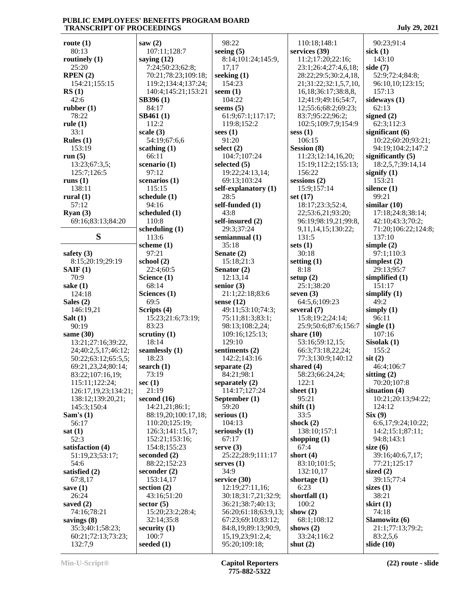| route $(1)$                            | saw $(2)$                | 98:22                            | 110:18;148:1                            | 90:23;91:4                  |
|----------------------------------------|--------------------------|----------------------------------|-----------------------------------------|-----------------------------|
| 80:13                                  | 107:11;128:7             | seeing $(5)$                     | services (39)                           | sick $(1)$                  |
| routinely (1)                          | saying $(12)$            | 8:14;101:24;145:9,               | 11:2;17:20;22:16;                       | 143:10                      |
| 25:20                                  | 7:24;50:23;62:8;         | 17,17                            | 23:1;26:4;27:4,6,18;                    | side $(7)$                  |
| RPEN(2)                                | 70:21;78:23;109:18;      | seeking $(1)$                    | 28:22;29:5;30:2,4,18,                   | 52:9;72:4;84:8;             |
| 154:21;155:15                          | 119:2;134:4;137:24;      | 154:23                           | 21;31:22;32:1,5,7,10,                   | 96:10,10;123:15;            |
| RS(1)                                  | 140:4;145:21;153:21      | seem $(1)$                       | 16, 18; 36: 17; 38: 8, 8,               | 157:13                      |
| 42:6                                   | SB396(1)                 | 104:22                           | 12;41:9;49:16;54:7,                     | sideways (1)                |
| rubber(1)<br>78:22                     | 84:17                    | seems $(5)$<br>61:9;67:1;117:17; | 12;55:6;68:2;69:23;                     | 62:13                       |
| rule $(1)$                             | <b>SB461(1)</b><br>112:2 | 119:8;152:2                      | 83:7;95:22;96:2;<br>102:5;109:7,9;154:9 | signed $(2)$<br>62:3;112:3  |
| 33:1                                   | scale $(3)$              | sees $(1)$                       | sess(1)                                 | significant $(6)$           |
| Rules $(1)$                            | 54:19;67:6,6             | 91:20                            | 106:15                                  | 10:22;60:20;93:21;          |
| 153:19                                 | scathing $(1)$           | select $(2)$                     | Session (8)                             | 94:19;104:2;147:2           |
| run $(5)$                              | 66:11                    | 104:7;107:24                     | 11:23;12:14,16,20;                      | significantly $(5)$         |
| 13:23;67:3,5;                          | scenario $(1)$           | selected $(5)$                   | 15:19;112:2;155:13;                     | 18:2,5,7;39:14,14           |
| 125:7;126:5                            | 97:12                    | 19:22;24:13,14;                  | 156:22                                  | signify $(1)$               |
| runs $(1)$                             | scenarios (1)            | 69:13;103:24                     | sessions $(2)$                          | 153:21                      |
| 138:11                                 | 115:15                   | self-explanatory (1)             | 15:9;157:14                             | silence (1)                 |
| rural $(1)$                            | schedule (1)             | 28:5                             | set $(17)$                              | 99:21                       |
| 57:12                                  | 94:16                    | self-funded (1)                  | 18:17;23:3;52:4,                        | similar $(10)$              |
| Ryan(3)                                | scheduled (1)            | 43:8                             | 22;53:6,21;93:20;                       | 17:18;24:8;38:14;           |
| 69:16;83:13;84:20                      | 110:8                    | self-insured (2)                 | 96:19;98:19,21;99:8,                    | 42:10;43:3;70:2;            |
|                                        | scheduling $(1)$         | 29:3:37:24                       | 9,11,14,15;130:22;                      | 71:20;106:22;124:8;         |
| S                                      | 113:6                    | semiannual (1)                   | 131:5                                   | 137:10                      |
|                                        | scheme $(1)$             | 35:18                            | sets $(1)$                              | simple $(2)$                |
| safety $(3)$                           | 97:21                    | Senate (2)                       | 30:18                                   | 97:1;110:3                  |
| 8:15;20:19;29:19                       | school $(2)$             | 15:18;21:3                       | setting $(1)$                           | simplest $(2)$              |
| SAIF(1)                                | 22:4;60:5                | Senator (2)                      | 8:18                                    | 29:13;95:7                  |
| 70:9                                   | Science (1)              | 12:13,14                         | setup $(2)$                             | simplified $(1)$            |
| sake (1)                               | 68:14                    | senior $(3)$                     | 25:1;38:20                              | 151:17                      |
| 124:18                                 | Sciences (1)             | 21:1;22:18;83:6                  | seven $(3)$                             | simplify $(1)$              |
| Sales $(2)$                            | 69:5                     | sense $(12)$                     | 64:5,6;109:23                           | 49:2                        |
| 146:19,21                              | Scripts (4)              | 49:11;53:10;74:3;                | several $(7)$                           | simply $(1)$                |
| Salt $(1)$                             | 15:23;21:6;73:19;        | 75:11;81:3;83:1;                 | 15:8;19:2;24:14;                        | 96:11                       |
| 90:19                                  | 83:23                    | 98:13;108:2,24;                  | 25:9;50:6;87:6;156:7                    | single $(1)$                |
| same (30)                              | scrutiny $(1)$           | 109:16;125:13;                   | share $(10)$                            | 107:16                      |
| 13:21;27:16;39:22,                     | 18:14                    | 129:10                           | 53:16;59:12,15;                         | Sisolak (1)                 |
| 24;40:2,5,17;46:12;                    | seamlessly (1)<br>18:23  | sentiments (2)                   | 66:3;73:18,22,24;                       | 155:2                       |
| 50:22;63:12;65:5,5;                    |                          | 142:2;143:16                     | 77:3;130:9;140:12<br>shared $(4)$       | $s$ it $(2)$                |
| 69:21,23,24;80:14;<br>83:22;107:16,19; | search $(1)$<br>73:19    | separate $(2)$<br>84:21;98:1     | 58:23;66:24,24;                         | 46:4;106:7<br>sitting $(2)$ |
| 115:11;122:24;                         | sec $(1)$                | separately $(2)$                 | 122:1                                   | 70:20;107:8                 |
| 126:17,19,23;134:21;                   | 21:19                    | 114:17;127:24                    | sheet $(1)$                             | situation $(4)$             |
| 138:12;139:20,21;                      | second $(16)$            | September (1)                    | 95:21                                   | 10:21;20:13;94:22;          |
| 145:3;150:4                            | 14:21,21;86:1;           | 59:20                            | shift $(1)$                             | 124:12                      |
| Sam's $(1)$                            | 88:19,20;100:17,18;      | serious $(1)$                    | 33:5                                    | Six(9)                      |
| 56:17                                  | 110:20;125:19;           | 104:13                           | shock $(2)$                             | 6:6,17;9:24;10:22;          |
| sat(1)                                 | 126:3;141:15,17;         | seriously $(1)$                  | 138:10;157:1                            | 14:2;15:1;87:11;            |
| 52:3                                   | 152:21;153:16;           | 67:17                            | shopping $(1)$                          | 94:8;143:1                  |
| satisfaction (4)                       | 154:8;155:23             | serve $(3)$                      | 67:4                                    | size $(6)$                  |
| 51:19,23;53:17;                        | seconded (2)             | 25:22;28:9;111:17                | short $(4)$                             | 39:16;40:6,7,17;            |
| 54:6                                   | 88:22;152:23             | serves $(1)$                     | 83:10;101:5;                            | 77:21;125:17                |
| satisfied (2)                          | seconder $(2)$           | 34:9                             | 132:10,17                               | sized $(2)$                 |
| 67:8,17                                | 153:14,17                | service (30)                     | shortage $(1)$                          | 39:15;77:4                  |
| save $(1)$                             | section $(2)$            | 12:19;27:11,16;                  | 6:23                                    | sizes $(1)$                 |
| 26:24                                  | 43:16;51:20              | 30:18;31:7,21;32:9;              | shortfall $(1)$                         | 38:21                       |
| saved $(2)$                            | sector $(5)$             | 36:21;38:7;40:13;                | 100:2                                   | skirt $(1)$                 |
| 74:16;78:21                            | 15:20;23:2;28:4;         | 56:20;61:18;63:9,13;             | show $(2)$                              | 74:18                       |
| savings (8)                            | 32:14;35:8               | 67:23;69:10;83:12;               | 68:1;108:12                             | Slamowitz (6)               |
| 35:3;40:1;58:23;                       | security $(1)$           | 84:8,19;89:13;90:9,              | shows $(2)$                             | 21:1;77:13;79:2;            |
| 60:21;72:13;73:23;                     | 100:7                    | 15,19,23;91:2,4;                 | 33:24;116:2                             | 83:2,5,6                    |
| 132:7,9                                | seeded (1)               | 95:20;109:18;                    | shut $(2)$                              | slide $(10)$                |

J.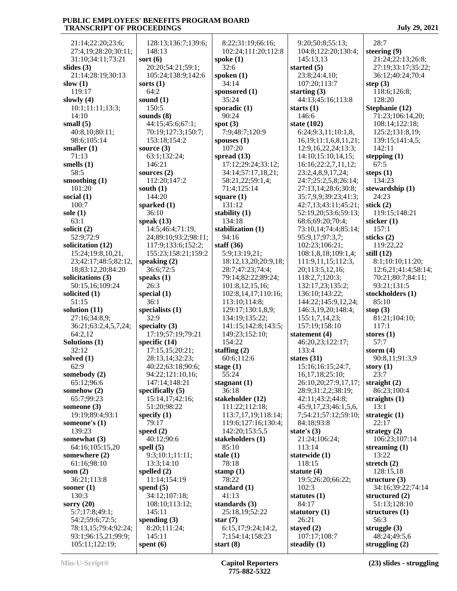21:14;22:20;23:6; 27:4,19;28:20;30:11; 31:10;34:11;73:21 **slides (3)** 21:14:28:19:30:13 | 10 **slow (1)** 119:17 **slowly (4)** 10:1;11:11;13:3; 14:10 **small (5)** 40:8,10;80:11; 98:6;105:14 **smaller (1)** 71:13 **smells (1)** 58:5 **smoothing (1)** 101:20 **social (1)** 100:7 **sole (1)** 63:1 **solicit (2)** 52:9;72:9 **solicitation (12)** 15:24;19:8,10,21, 23;42:17;48:5;82:12, 18;83:12,20;84:20 **solicitations (3)** 50:15,16;109:24 **solicited (1)** 51:15 **solution (11)** 27:16;34:8,9; 36:21;63:2,4,5,7,24; 64:2,12 **Solutions (1)** 32:12 **solved (1)** 62:9 **somebody (2)** 65:12;96:6 **somehow (2)** 65:7;99:23 **someone (3)** 19:19;89:4;93:1 **someone's (1)** 139:23 **somewhat (3)** 64:16;105:15,20 **somewhere (2)** 61:16;98:10 **soon (2)** 36:21;113:8 **sooner (1)** 130:3 **sorry (20)** 5:7;17:8;49:1; 54:2;59:6;72:5; 78:13,15;79:4;92:24; 93:1;96:15,21;99:9; 105:11;122:19; 14 **sort (6) sorts (1)** 64 sound 150 sound **source (3)** 63  $146$ **sourc**  $112$ **south (1)**  $144$ spark 36 **speak**  $14$ speak 36 speak 26 special special contacts 36: special 32 special **speci**f 28:13,14;32:23; **specif** 15<br>51 **speci** 79 **speed (2)** 40 **spell (5)** 9:3 13:3;14:10 spelle **spend (5)** 34 108:10;113:12;  $145$ **spending (3)**  $8:2$  $14:$ **spent (6)**

| 128:13;136:7;139:6;              | 8:22;31:19;66:1                    |
|----------------------------------|------------------------------------|
| 148:13                           | 102:24;111:20;1                    |
| sort (6)<br>20:20;54:21;59:1;    | spoke (1)<br>32:6                  |
| 105:24;138:9;142:6               | spoken (1)                         |
| sorts (1)                        | 34:14                              |
| 64:2                             | sponsored (1)<br>35:24             |
| sound (1)<br>150:5               | sporadic (1)                       |
| sounds (8)                       | 90:24                              |
| 44:15;45:6;67:1;                 | spot $(3)$                         |
| 70:19;127:3;150:7;               | 7:9;48:7;120:9                     |
| 153:18;154:2<br>source (3)       | spouses $(1)$<br>107:20            |
| 63:1;132:24;                     | spread (13)                        |
| 146:21                           | 17:12;29:24;33:                    |
| sources (2)                      | 34:14;57:17,18,                    |
| 112:20;147:2<br>south (1)        | 58:21,22;59:1,4<br>71:4;125:14     |
| 144:20                           | square $(1)$                       |
| sparked (1)                      | 131:12                             |
| 36:10                            | stability (1)                      |
| speak $(13)$<br>14:5;46:4;71:19, | 134:18<br>stabilization (1)        |
| 24;89:10;93:2;98:11;             | 94:16                              |
| 117:9;133:6;152:2;               | staff $(36)$                       |
| 155:23;158:21;159:2              | 5:9;13:19,21;                      |
| speaking (2)<br>36:6;72:5        | 18:12,13,20;20:<br>28:7;47:23;74:4 |
| speaks (1)                       | 79:14;82:22;89:                    |
| 26:3                             | 101:8,12,15,16;                    |
| special (1)                      | 102:8,14,17;110                    |
| 36:1<br>specialists (1)          | 113:10;114:8;<br>129:17;130:1,8,   |
| 32:9                             | 134:19;135:22;                     |
| specialty (3)                    | 141:15;142:8;14                    |
| 17:19;57:19;79:21                | 149:23;152:10;                     |
| specific (14)<br>17:15,15;20:21; | 154:22<br>staffing $(2)$           |
| 28:13,14;32:23;                  | 60:6;112:6                         |
| 40:22;63:18;90:6;                |                                    |
|                                  | stage $(1)$                        |
| 94:22;121:10,16;                 | 55:24                              |
| 147:14;148:21                    | stagnant $(1)$                     |
| specifically (5)                 | 36:18                              |
| 15:14,17;42:16;<br>51:20;98:22   | stakeholder (12)<br>111:22;112:18; |
| specify $(1)$                    | 113:7,17,19;118                    |
| 79:17                            | 119:6;127:16;13                    |
| speed $(2)$<br>40:12;90:6        | 142:20;153:5,5<br>stakeholders (1) |
| spell (5)                        | 85:10                              |
| 9:3;10:1;11:11;                  | stale $(1)$                        |
| 13:3;14:10                       | 78:18                              |
| spelled (2)                      | stamp $(1)$                        |
| 11:14;154:19<br>spend (5)        | 78:22<br>standard (1)              |
| 34:12;107:18;                    | 41:13                              |
| 108:10;113:12;                   | standards $(3)$                    |
| 145:11                           | 25:18,19;52:22                     |
| spending $(3)$<br>8:20;111:24;   | star $(7)$<br>6:15,17;9:24;14      |
| 145:11<br>spent (6)              | 7;154:14;158:23<br>start $(8)$     |

:19:66:16; 102:24;111:20;112:8 **d** (1) **sporadic (1)** 7:120:9 **3**) 17:12;29:24;33:12; 34:14;57:17,18,21;  $22:59:1,4;$  $25:14$  $\mathbf{1}$ **ion** (1) 19,21; 18:12,13,20;20:9,18; 1:23;74:4; 79:14;82:22;89:24; 101:8,12,15,16; 102:8,14,17;110:16; 113:10;114:8; 129:17;130:1,8,9;  $:135:22;$  $;142:8;143:5;$  $:152:10:$  $2:6$ **stagnant (1) stakeholder** (12)  $:112:18;$  113:7,17,19;118:14; 119:6;127:16;130:4;  $;153:5,5$ **ders** (1) **standard (1) s** (3) 9;52:22  $9:24:14:2$ 4:158:23 9:20;50:8;55:13; 145:13,13 **started (5)** 23:8;24:4,10; 107:20;113:7 **starting (3) starts (1)** 146:6 **state (102)** 95:9,17;97:3,7; 102:23;106:21; 20;113:5,12,16; 118:2,7;120:3; 136:10;143:22; 155:1,7,14,23; 157:19;158:10 **statement (4)** 133:4 **states (31)** 16,17,18;25:10; 84:18;93:8 **state's (3)** 21:24;106:24; 113:14 **statewide (1)** 118:15 **statute (4)** 102:3 **statutes (1)** 84:17 **statutory (1)** 26:21 **stayed (2)** 107:17;108:7 **steadily (1)**

 104:8;122:20;130:4; 44:13;45:16;113:8 6:24;9:3,11;10:1,8, 16,19;11:1,6,8,11,21; 12:9,16,22,24;13:3; 14:10;15:10,14,15; 16:16;22:2,7,11,12; 23:2,4,8,9,17,24; 24:7;25:2,5,8;26:14; 27:13,14;28:6;30:8; 35:7,9,9;39:23;41:3; 42:7,13;43:11;45:21; 52:19,20;53:6;59:13; 68:6;69:20;70:4; 73:10,14;74:4;85:14; 108:1,8,18;109:1,4; 111:9,11,15;112:3, 132:17,23;135:2; 144:22;145:9,12,24; 146:3,19,20;148:4; 46:20,23;122:17; 15:16;16:15;24:7, 26:10,20;27:9,17,17; 28:9;31:2,2;38:19; 42:11;43:2;44:8; 45:9,17,23;46:1,5,6, 7;54:21;57:12;59:10; 19:5;26:20;66:22; 28:7 **steering (9)** 21:24;22:13;26:8; 27:19;33:17;35:22; 36:12;40:24;70:4 **step (3)** 118:6;126:8; 128:20 **Stephanie (12)** 71:23;106:14,20; 108:14;122:18; 125:2;131:8,19; 139:15;141:4,5; 142:11 **stepping (1)** 67:5 **steps (1)** 134:23 **stewardship (1)** 24:23 **stick (2)** 119:15;148:21 **sticker (1)** 157:1 **sticks (2)** 119:22,22 **still (12)** 8:1;10:10;11:20; 12:6,21;41:4;58:14; 70:21;80:7;84:11; 93:21;131:5 **stockholders (1)** 85:10 **stop (3)** 81:21;104:10; 117:1 **stores (1)** 57:7 **storm (4)** 90:8,11;91:3,9 **story (1)** 23:7 **straight (2)** 86:23;100:4 **straights (1)** 13:1 **strategic (1)** 22:17 **strategy (2)** 106:23;107:14 **streaming (1)** 13:22 **stretch (2)** 128:15,18 **structure (3)** 34:16;39:22;74:14 **structured (2)** 51:13;128:10 **structures (1)** 56:3 **struggle (3)** 48:24;49:5,6 **struggling (2)**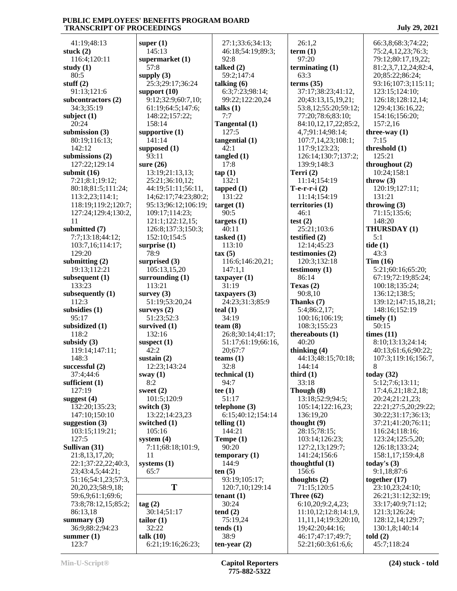41:19;48:13 **stuck (2)** 116:4;120:11 **study (1)** 80:5 **stuff (2)** 91:13;121:6 **subcontractors (2)** 34:3;35:19 **subject (1)** 20:24 **submission (3)** 80:19;116:13; 142:12 **submissions (2)** 127:22;129:14 **submit (16)** 7:21;8:1;19:12; 80:18;81:5;111:24; 113:2,23;114:1; 118:19;119:2;120:7; 127:24;129:4;130:2, 11 **submitted (7)** 7:7;13:18;44:12; 103:7,16;114:17; 129:20 **submitting (2)** 19:13;112:21 **subsequent (1)** 133:23 **subsequently (1)** 112:3 **subsidies (1)** 95:17 **subsidized (1)** 118:2 **subsidy (3)** 119:14;147:11; 148:3 **successful (2)** 37:4;44:6 **sufficient (1)** 127:19 **suggest (4)** 132:20;135:23; 147:10;150:10 **suggestion (3)** 103:15;119:21; 127:5 **Sullivan (31)** 21:8,13,17,20; 22:1;37:22,22;40:3, 23;43:4,5;44:21; 51:16;54:1,23;57:3, 20,20,23;58:9,18; 59:6,9;61:1;69:6; 73:8;78:12,15;85:2; 86:13,18 **summary (3)** 36:9;88:2;94:23 **summer (1)** 123:7

**super (1)** 145:13 **supermarket (1)** 57:8 **supply (3)** 25:3;29:17;36:24 **support (10)** 9:12;32:9;60:7,10; 61:19;64:5;147:6; 148:22;157:22; 158:14 **supportive (1)** 141:14 **supposed (1)** 93:11 **sure (26)** 13:19;21:13,13; 25:21;36:10,12; 44:19;51:11;56:11, 14;62:17;74:23;80:2; 95:13;96:12;106:19; 109:17;114:23; 121:1;122:12,15; 126:8;137:3;150:3; 152:10;154:5 **surprise (1)** 78:9 **surprised (3)** 105:13,15,20 **surrounding (1)** 113:21 **survey (3)** 51:19;53:20,24 **surveys (2)** 51:23;52:3 **survived (1)** 132:16 **suspect (1)** 42:2 **sustain (2)** 12:23;143:24 **sway (1)** 8:2 **sweet (2)** 101:5;120:9 **switch (3)** 13:22;14:23,23 **switched (1)** 105:16 **system (4)** 7:11;68:18;101:9, 11 **systems (1)** 65:7 **T tag (2)** 30:14;51:17 **tailor (1)** 32:22 **talk (10)** 6:21;19:16;26:23; 92:8 **talked (2) talking (6) talks (1)** 7:7 127:5 42:1 **tangled (1)** 17:8 **tap (1)** 132:1 **tapped (1)** 131:22 **target (1)** 90:5 **targets (1)** 40:11 **tasked (1)** 113:10 **tax (5)** 147:1,1 **taxpayer (1)** 31:19 **taxpayers (3) teal (1)** 34:19 **team (8)** 20;67:7 **teams (1)** 32:8 **technical (1)** 94:7 **tee (1)** 51:17 **telephone (3) telling (1)** 144:21 **Tempe (1)** 90:20 144:9 **ten (5) tenant (1)** 30:24 **tend (2)** 75:19,24 **tends (1)** 38:9 **ten-year (2)**

 27:1;33:6;34:13; 46:18;54:19;89:3; 59:2;147:4 6:3;7:23;98:14; 99:22;122:20,24 **Tangental (1) tangential (1)** 116:6;146:20,21; 24:23;31:3;85:9 26:8;30:14;41:17; 51:17;61:19;66:16, 6:15;40:12;154:14 **temporary (1)** 93:19;105:17; 120:7,10;129:14

 26:1,2 **term (1)** 97:20 **terminating (1)** 63:3 **terms (35)** 37:17;38:23;41:12, 20;43:13,15,19,21; 53:8,12;55:20;59:12; 77:20;78:6;83:10; 84:10,12,17,22;85:2, 4,7;91:14;98:14; 107:7,14,23;108:1; 117:9;123:23; 126:14;130:7;137:2; 139:9;148:3 **Terri (2)** 11:14;154:19 **T-e-r-r-i (2)** 11:14;154:19 **territories (1)** 46:1 **test (2)** 25:21;103:6 **testified (2)** 12:14;45:23 **testimonies (2)** 120:3;132:18 **testimony (1)** 86:14 **Texas (2)** 90:8,10 **Thanks (7)** 5:4;86:2,17; 100:16;106:19; 108:3;155:23 **thereabouts (1)** 40:20 **thinking (4)** 44:13;48:15;70:18; 144:14 **third (1)** 33:18 **Though (8)** 13:18;52:9;94:5; 105:14;122:16,23; 136:19,20 **thought (9)** 28:15;78:15; 103:14;126:23; 127:2,13;129:7; 141:24;156:6 **thoughtful (1)** 156:6 **thoughts (2)** 71:15;120:5 **Three (62)** 6:10,20;9:2,4,23; 11:10,12;12:8;14:1,9, 11,11,14;19:3;20:10, 19;42:20;44:16; 46:17;47:17;49:7; 52:21;60:3;61:6,6;

 66:3,8;68:3;74:22; 75:2,4,12,23;76:3; 79:12;80:17,19,22; 81:2,3,7,12,24;82:4, 20;85:22;86:24; 93:16;107:3;115:11; 123:15;124:10; 126:18;128:12,14; 129:4;136:16,22; 154:16;156:20; 157:2,16 **three-way (1)** 7:15 **threshold (1)** 125:21 **throughout (2)** 10:24;158:1 **throw (3)** 120:19;127:11; 131:21 **throwing (3)** 71:15;135:6; 148:20 **THURSDAY (1)** 5:1 **tide (1)** 43:3 **Tim (16)** 5:21;60:16;65:20; 67:19;72:19;85:24; 100:18;135:24; 136:12;138:5; 139:12;147:15,18,21; 148:16;152:19 **timely (1)** 50:15 **times (11)** 8:10;13:13;24:14; 40:13;61:6,6;90:22; 107:3;119:16;156:7, 8 **today (32)** 5:12;7:6;13:11; 17:4,6,21;18:2,18; 20:24;21:21,23; 22:21;27:5,20;29:22; 30:22;31:17;36:13; 37:21;41:20;76:11; 116:24;118:16; 123:24;125:5,20; 126:18;133:24; 158:1,17;159:4,8 **today's (3)** 9:1,18;87:6 **together (17)** 23:10,23;24:10; 26:21;31:12;32:19; 33:17;40:9;71:12; 121:3;126:24; 128:12,14;129:7; 130:1,8;140:14 **told (2)** 45:7;118:24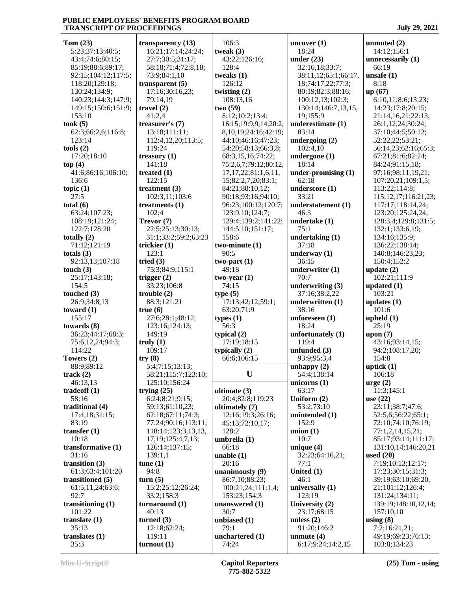| Tom(23)             | transparency $(13)$    | 106:3                      | uncover $(1)$        | unmuted $(2)$        |
|---------------------|------------------------|----------------------------|----------------------|----------------------|
| 5:23;37:13;40:5;    | 16:21;17:14;24:24;     | tweak $(3)$                | 18:24                | 14:12;156:1          |
| 43:4;74:6;80:15;    | 27:7;30:5;31:17;       | 43:22;126:16;              | under $(23)$         | unnecessarily $(1)$  |
| 85:19;88:6;89:17;   | 58:18;71:4;72:8,18;    | 128:4                      | 32:16,18;33:7;       | 66:19                |
| 92:15;104:12;117:5; | 73:9;84:1,10           | tweaks $(1)$               | 38:11,12;65:1;66:17, | unsafe $(1)$         |
|                     |                        |                            |                      |                      |
| 118:20;129:18;      | transparent $(5)$      | 126:12                     | 18;74:17,22;77:3;    | 8:18                 |
| 130:24;134:9;       | 17:16;30:16,23;        | twisting $(2)$             | 80:19;82:3;88:16;    | up(67)               |
| 140:23;144:3;147:9; | 79:14,19               | 108:13,16                  | 100:12,13;102:3;     | 6:10,11;8:6;13:23;   |
| 149:15;150:6;151:9; | travel $(2)$           | two(59)                    | 130:14;146:7,13,15,  | 14:23;17:8;20:15;    |
| 153:10              | 41:2,4                 | 8:12;10:2;13:4;            | 19;155:9             | 21:14,16,21;22:13;   |
| took (5)            | treasurer's (7)        | 16:15:19:9,9,14:20:2,      | underestimate (1)    | 26:1,12,24;30:24;    |
| 62:3;66:2,6;116:8;  | 13:18;111:11;          | 8, 10, 19; 24: 16; 42: 19; | 83:14                | 37:10;44:5;50:12;    |
| 123:14              | 112:4,12,20;113:5;     | 44:10;46:16;47:23;         | undergoing $(2)$     | 52:22,22;53:21;      |
| tools(2)            | 119:24                 | 54:20;58:13;66:3,8;        | 102:4,10             | 56:14,23;62:16;65:3; |
| 17:20;18:10         | treasury $(1)$         | 68:3,15,16;74:22;          | undergone $(1)$      | 67:21;81:6;82:24;    |
| top $(4)$           | 141:18                 | 75:2,6,7;79:12;80:12,      | 18:14                | 84:24;91:15,18;      |
| 41:6;86:16;106:10;  | treated $(1)$          | 17, 17, 22; 81: 1, 6, 11,  | under-promising (1)  | 97:16;98:11,19,21;   |
| 136:6               | 122:15                 | 15;82:2,7,20;83:1;         | 62:18                | 107:20,21;109:1,5;   |
|                     | treatment $(3)$        | 84:21;88:10,12;            | underscore (1)       | 113:22;114:8;        |
| topic $(1)$<br>27:5 |                        |                            | 33:21                |                      |
|                     | 102:3,11;103:6         | 90:18;93:16;94:10;         |                      | 115:12,17;116:21,23; |
| total $(6)$         | treatments $(1)$       | 96:23;100:12;120:7;        | understatement (1)   | 117:17;118:14,24;    |
| 63:24;107:23;       | 102:4                  | 123:9,10;124:7;            | 46:3                 | 123:20;125:24,24;    |
| 108:19;121:24;      | Trevor (7)             | 129:4;139:2;141:22;        | undertake (1)        | 128:3,4;129:8;131:5; |
| 122:7;128:20        | 22:5;25:13;30:13;      | 144:5,10;151:17;           | 75:1                 | 132:1;133:6,19;      |
| totally (2)         | 31:1;33:2;59:2;63:23   | 158:6                      | undertaking $(1)$    | 134:16;135:9;        |
| 71:12;121:19        | trickier $(1)$         | $two-minute(1)$            | 37:18                | 136:22;138:14;       |
| totals $(3)$        | 123:1                  | 90:5                       | underway $(1)$       | 140:8;146:23,23;     |
| 92:13,13;107:18     | tried $(3)$            | $two-part(1)$              | 36:15                | 150:4;152:2          |
| touch $(3)$         | 75:3;84:9;115:1        | 49:18                      | underwriter (1)      | update $(2)$         |
| 25:17;143:18;       | trigger $(2)$          | $two-year(1)$              | 70:7                 | 102:21;111:9         |
| 154:5               | 33:23;106:8            | 74:15                      | underwriting $(3)$   | updated $(1)$        |
| touched (3)         | trouble $(2)$          | type(5)                    | 37:16;38:2,22        | 103:21               |
| 26:9;34:8,13        | 88:3;121:21            | 17:13;42:12;59:1;          | underwritten (1)     | updates $(1)$        |
| toward (1)          | true(6)                | 63:20;71:9                 | 38:16                | 101:6                |
| 155:17              | 27:6;28:1;48:12;       | types $(1)$                | unforeseen $(1)$     | upheld $(1)$         |
| towards (8)         | 123:16;124:13;         | 56:3                       | 18:24                | 25:19                |
|                     |                        |                            |                      |                      |
| 36:23;44:17;68:3;   | 149:19                 | typical $(2)$              | unfortunately (1)    | upon $(7)$           |
| 75:6,12,24;94:3;    | truly(1)               | 17:19;18:15                | 119:4                | 43:16;93:14,15;      |
| 114:22              | 109:17                 | typically $(2)$            | unfunded $(3)$       | 94:2;108:17,20;      |
| Towers (2)          | try(8)                 | 66:6;106:15                | 93:9;95:3,4          | 154:8                |
| 88:9;89:12          | 5:4;7:15;13:13;        |                            | unhappy $(2)$        | uptick $(1)$         |
| track (2)           | 58:21;115:7;123:10;    | U                          | 54:4;138:14          | 106:18               |
| 46:13,13            | 125:10;156:24          |                            | unicorns $(1)$       | $\text{urge} (2)$    |
| tradeoff (1)        | trying $(25)$          | ultimate (3)               | 63:17                | 11:3;145:1           |
| 58:16               | 6:24;8:21;9:15;        | 20:4;82:8;119:23           | Uniform $(2)$        | use $(22)$           |
| traditional (4)     | 59:13;61:10,23;        | ultimately (7)             | 53:2;73:10           | 23:11;38:7;47:6;     |
| 17:4,18;31:15;      | 62:18;67:11;74:3;      | 12:16;19:3;26:16;          | unintended (1)       | 52:5,6;56:22;65:1;   |
| 83:19               | 77:24;90:16;113:11;    | 45:13;72:10,17;            | 152:9                | 72:10;74:10;76:19;   |
| transfer $(1)$      | 118:14;123:3,13,13,    | 128:2                      | union $(1)$          | 77:1,2,14,15,21;     |
| 10:18               | 17, 19; 125: 4, 7, 13; | umbrella $(1)$             | 10:7                 | 85:17:93:14:111:17:  |
| transformative (1)  | 126:14;137:15;         | 66:18                      | unique $(4)$         | 131:10,14;146:20,21  |
| 31:16               | 139:1,1                | unable $(1)$               | 32:23;64:16,21;      | used $(20)$          |
| transition (3)      | tune(1)                | 20:16                      | 77:1                 | 7:19;10:13;12:17;    |
| 61:3;63:4;101:20    | 94:8                   | unanimously (9)            | United (1)           | 17:23;30:15;31:3;    |
| transitioned (5)    | turn(5)                | 86:7,10;88:23;             | 46:1                 | 39:19;63:10;69:20,   |
|                     | 15:2;25:12;26:24;      |                            | universally (1)      | 21;101:12;126:4;     |
| 61:5,11,24;63:6;    |                        | 100:21,24;111:1,4;         |                      |                      |
| 92:7                | 33:2;158:3             | 153:23;154:3               | 123:19               | 131:24;134:11;       |
| transitioning (1)   | turnaround $(1)$       | unanswered (1)             | University (2)       | 139:19;148:10,12,14; |
| 101:22              | 40:13                  | 30:7                       | 23:17;68:15          | 157:10,10            |
| translate (1)       | turned $(3)$           | unbiased (1)               | unless $(2)$         | using $(8)$          |
| 35:13               | 12:18;62:24;           | 79:1                       | 91:20;146:2          | 7:2;16:21,21;        |
| translates (1)      | 119:11                 | unchartered (1)            | unmute $(4)$         | 49:19;69:23;76:13;   |
| 35:3                | turnout(1)             | 74:24                      | 6:17;9:24;14:2,15    | 103:8;134:23         |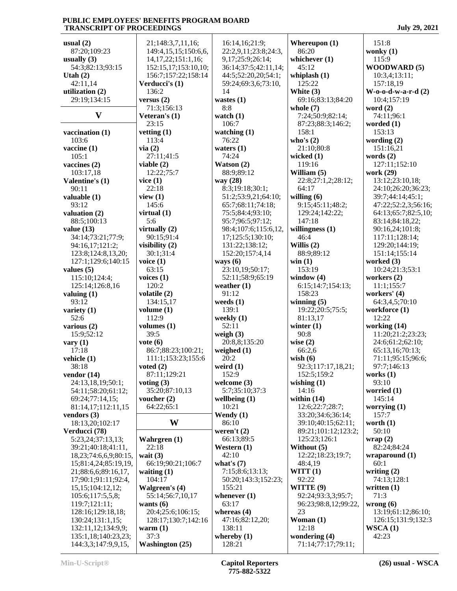| <b>July 29, 2021</b> |  |
|----------------------|--|
|                      |  |

| usual $(2)$                  | 21;148:3,7,11,16;                      | 16:14,16;21:9;          | Whereupon (1)                       | 151:8                    |
|------------------------------|----------------------------------------|-------------------------|-------------------------------------|--------------------------|
| 87:20;109:23                 | 149:4,15,15;150:6,6,                   | 22:2,9,11;23:8;24:3,    | 86:20                               | wonky $(1)$              |
| usually $(3)$                | 14, 17, 22; 151: 1, 16;                | 9,17;25:9;26:14;        | whichever $(1)$                     | 115:9                    |
| 54:3;82:13;93:15             | 152:15,17;153:10,10;                   | 36:14;37:5;42:11,14;    | 45:12                               | <b>WOODWARD (5)</b>      |
| Utah $(2)$                   | 156:7;157:22;158:14                    | 44:5;52:20,20;54:1;     | whiplash $(1)$                      | 10:3,4;13:11;            |
| 42:11,14                     | Verducci's (1)                         | 59:24;69:3,6;73:10,     | 125:22                              | 157:18,19                |
| utilization (2)              | 136:2                                  | 14                      | White (3)                           | $W$ -0-0-d-w-a-r-d $(2)$ |
| 29:19;134:15                 | versus $(2)$                           | wastes $(1)$            | 69:16;83:13;84:20                   | 10:4;157:19              |
|                              | 71:3;156:13                            | 8:8                     | whole $(7)$                         | word $(2)$               |
| $\mathbf{V}$                 | Veteran's (1)                          | watch $(1)$             | 7:24;50:9;82:14;                    | 74:11;96:1               |
|                              | 23:15                                  | 106:7                   | 87:23;88:3;146:2;                   | worded $(1)$             |
| vaccination (1)              | vetting $(1)$                          | watching $(1)$          | 158:1                               | 153:13                   |
| 103:6                        | 113:4                                  | 76:22                   | who's $(2)$                         | wording $(2)$            |
| vaccine $(1)$                | via(2)                                 | waters $(1)$            | 21:10;80:8                          | 151:16,21                |
| 105:1                        | 27:11;41:5                             | 74:24                   | wicked $(1)$                        | words $(2)$              |
| vaccines $(2)$               | viable $(2)$                           | Watson (2)              | 119:16                              | 127:11;152:10            |
| 103:17,18                    | 12:22;75:7                             | 88:9;89:12              | William (5)                         | work (29)                |
| Valentine's (1)              | vice(1)                                | way (28)                | 22:8;27:1,2;28:12;                  | 13:12;23:10,18;          |
| 90:11                        | 22:18                                  | 8:3;19:18;30:1;         | 64:17                               | 24:10;26:20;36:23;       |
| valuable (1)                 | view $(1)$                             | 51:2;53:9,21;64:10;     | willing $(6)$                       | 39:7;44:14;45:1;         |
| 93:12                        | 145:6                                  | 65:7;68:11;74:18;       | 9:15;45:11;48:2;                    | 47:22;52:2,3;56:16;      |
| valuation (2)                | virtual $(1)$                          | 75:5;84:4;93:10;        | 129:24;142:22;                      | 64:13;65:7;82:5,10;      |
| 88:5;100:13                  | 5:6                                    | 95:7;96:5;97:12;        | 147:18                              | 83:14;84:18,22;          |
| value $(13)$                 | virtually $(2)$                        | 98:4;107:6;115:6,12,    | willingness $(1)$                   | 90:16,24;101:8;          |
| 34:14;73:21;77:9;            | 90:15;91:4                             | 17;125:5;130:10;        | 46:4                                | 117:11;128:14;           |
| 94:16,17;121:2;              | visibility (2)                         | 131:22;138:12;          | Willis $(2)$                        | 129:20;144:19;           |
| 123:8;124:8,13,20;           | 30:1;31:4                              | 152:20;157:4,14         | 88:9;89:12                          | 151:14;155:14            |
| 127:1;129:6;140:15           | voice $(1)$                            | ways $(6)$              | win(1)                              | worked (3)               |
| values $(5)$                 | 63:15                                  | 23:10,19;50:17;         | 153:19                              | 10:24;21:3;53:1          |
| 115:10;124:4;                | voices $(1)$                           | 52:11;58:9;65:19        | window $(4)$                        | workers $(2)$            |
| 125:14;126:8,16              | 120:2                                  | weather $(1)$           | 6:15;14:7;154:13;                   | 11:1;155:7               |
| valuing $(1)$                | volatile (2)                           | 91:12                   | 158:23                              | workers' (4)             |
| 93:12                        | 134:15,17                              | weeds $(1)$             | winning $(5)$                       | 64:3,4,5;70:10           |
| variety $(1)$                | volume $(1)$                           | 139:1                   | 19:22;20:5;75:5;                    | workforce (1)            |
| 52:6                         | 112:9                                  | weekly $(1)$            | 81:13,17                            | 12:22                    |
| various $(2)$                | volumes $(1)$                          | 52:11                   | winter $(1)$                        | working (14)             |
| 15:9;52:12                   | 39:5                                   | weigh $(3)$             | 90:8                                | 11:20;21:2;23:23;        |
| vary $(1)$                   | $\mathbf{vote}\left(\mathbf{6}\right)$ | 20:8,8:135:20           | wise $(2)$                          | 24:6;61:2;62:10;         |
| 17:18                        | 86:7;88:23;100:21;                     | weighed $(1)$           | 66:2,6                              | 65:13,16;70:13;          |
| vehicle (1)                  | 111:1;153:23;155:6                     | 20:2                    | wish $(6)$                          | 71:11;95:15;96:6;        |
| 38:18                        | voted $(2)$                            | weird $(1)$             | 92:3;117:17,18,21;                  | 97:7;146:13              |
| vendor $(14)$                | 87:11;129:21                           | 152:9                   | 152:5;159:2                         | works $(1)$              |
| 24:13,18,19;50:1;            | voting $(3)$                           | welcome (3)             | wishing $(1)$                       | 93:10                    |
| 54:11;58:20;61:12;           | 35:20;87:10,13                         | 5:7;35:10;37:3          | 14:16                               | worried (1)              |
| 69:24;77:14,15;              | voucher $(2)$                          | wellbeing $(1)$         | within $(14)$                       | 145:14                   |
| 81:14,17;112:11,15           | 64:22:65:1                             | 10:21                   | 12:6;22:7;28:7;                     | worrying $(1)$           |
| vendors $(3)$                |                                        | Wendy $(1)$             | 33:20;34:6;36:14;                   | 157:7                    |
| 18:13,20;102:17              | W                                      | 86:10                   | 39:10;40:15;62:11;                  | worth $(1)$              |
| Verducci (78)                |                                        | weren't $(2)$           | 89:21;101:12;123:2;                 | 50:10                    |
| 5:23,24;37:13,13;            | Wahrgren (1)                           | 66:13;89:5              | 125:23;126:1                        | wrap(2)                  |
| 39:21;40:18;41:11,           | 22:18                                  | Western (1)             | Without (5)                         | 82:24;84:24              |
| 18, 23; 74: 6, 6, 9; 80: 15, | wait $(3)$                             | 42:10                   | 12:22;18:23;19:7;                   | wraparound $(1)$         |
| 15;81:4,24;85:19,19,         | 66:19;90:21;106:7                      | what's $(7)$            | 48:4,19                             | 60:1                     |
| 21;88:6,6;89:16,17,          | waiting $(1)$                          | 7:15;8:6;13:13;         | WITT(1)                             | writing $(2)$            |
| 17;90:1;91:11;92:4,          | 104:17                                 | 50:20;143:3;152:23;     | 92:22                               | 74:13;128:1              |
| 15, 15; 104: 12, 12;         | <b>Walgreen's (4)</b>                  | 155:21                  | WITTE (9)                           | written $(1)$            |
| 105:6;117:5,5,8;             | 55:14;56:7,10,17                       | whenever $(1)$          | 92:24;93:3,3;95:7;                  | 71:3                     |
| 119:7;121:11;                | wants $(6)$                            | 63:17                   | 96:23;98:8,12;99:22,                | wrong $(6)$              |
| 128:16;129:18,18;            | 20:4;25:6;106:15;                      | whereas $(4)$           | 23                                  | 13:19;61:12;86:10;       |
| 130:24;131:1,15;             | 128:17;130:7;142:16                    | 47:16;82:12,20;         | Woman (1)                           | 126:15;131:9;132:3       |
| 132:11,12;134:9,9;           | warm $(1)$                             | 138:11                  | 12:18                               | WSCA(1)                  |
| 135:1,18;140:23,23;          | 37:3                                   | whereby $(1)$<br>128:21 | wondering (4)<br>71:14;77:17;79:11; | 42:23                    |
| 144:3,3;147:9,9,15,          | <b>Washington (25)</b>                 |                         |                                     |                          |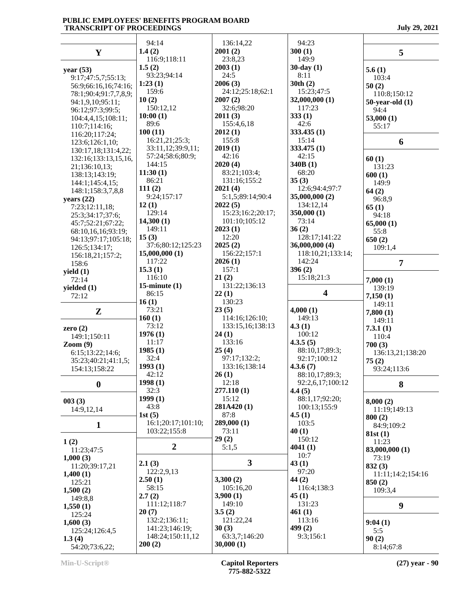|                               | 94:14                      |                            |                         |                      |
|-------------------------------|----------------------------|----------------------------|-------------------------|----------------------|
|                               | 1.4(2)                     | 136:14,22<br>2001(2)       | 94:23<br>300(1)         |                      |
| Y                             | 116:9;118:11               | 23:8,23                    | 149:9                   | 5                    |
|                               | 1.5(2)                     | 2003(1)                    | $30$ -day $(1)$         |                      |
| year $(53)$                   | 93:23;94:14                | 24:5                       | 8:11                    | 5.6(1)               |
| 9:17;47:5,7;55:13;            | 1:23(1)                    | 2006(3)                    | 30th(2)                 | 103:4                |
| 56:9;66:16,16;74:16;          | 159:6                      | 24:12;25:18;62:1           | 15:23;47:5              | 50(2)                |
| 78:1;90:4;91:7,7,8,9;         | 10(2)                      | 2007(2)                    | 32,000,000 (1)          | 110:8;150:12         |
| 94:1,9,10;95:11;              | 150:12,12                  | 32:6;98:20                 | 117:23                  | $50$ -year-old $(1)$ |
| 96:12;97:3;99:5;              | 10:00(1)                   | 2011(3)                    | 333(1)                  | 94:4                 |
| 104:4,4,15;108:11;            | 89:6                       | 155:4,6,18                 | 42:6                    | 53,000(1)            |
| 110:7;114:16;                 | 100(11)                    | 2012(1)                    | 333.435(1)              | 55:17                |
| 116:20;117:24;                | 16:21,21;25:3;             | 155:8                      | 15:14                   |                      |
| 123:6;126:1,10;               | 33:11,12;39:9,11;          | 2019(1)                    | 333.475(1)              | 6                    |
| 130:17,18;131:4,22;           | 57:24;58:6;80:9;           | 42:16                      | 42:15                   |                      |
| 132:16;133:13,15,16,          | 144:15                     | 2020(4)                    | 340B(1)                 | 60(1)                |
| 21;136:10,13;                 | 11:30(1)                   | 83:21;103:4;               | 68:20                   | 131:23               |
| 138:13;143:19;                | 86:21                      | 131:16;155:2               | 35(3)                   | 600(1)               |
| 144:1;145:4,15;               | 111(2)                     | 2021(4)                    | 12:6;94:4;97:7          | 149:9                |
| 148:1;158:3,7,8,8             | 9:24;157:17                | 5:1,5;89:14;90:4           | 35,000,000 (2)          | 64(2)                |
| years $(22)$                  | 12(1)                      | 2022(5)                    | 134:12,14               | 96:8,9               |
| 7:23;12:11,18;                | 129:14                     | 15:23;16:2;20:17;          | 350,000(1)              | 65(1)                |
| 25:3;34:17;37:6;              | 14,300(1)                  | 101:10;105:12              | 73:14                   | 94:18                |
| 45:7;52:21;67:22;             | 149:11                     | 2023(1)                    | 36(2)                   | 65,000(1)            |
| 68:10,16,16;93:19;            | 15(3)                      | 12:20                      | 128:17;141:22           | 55:8                 |
| 94:13;97:17;105:18;           | 37:6;80:12;125:23          | 2025(2)                    | 36,000,000 (4)          | 650(2)               |
| 126:5;134:17;                 | 15,000,000(1)              | 156:22;157:1               | 118:10,21;133:14;       | 109:1,4              |
| 156:18,21;157:2;              | 117:22                     | 2026(1)                    | 142:24                  |                      |
| 158:6                         | 15.3(1)                    | 157:1                      | 396(2)                  | $\overline{7}$       |
| yield $(1)$                   | 116:10                     | 21(2)                      | 15:18;21:3              |                      |
| 72:14                         | 15-minute $(1)$            | 131:22;136:13              |                         | 7,000(1)             |
| yielded $(1)$                 | 86:15                      | 22(1)                      | $\overline{\mathbf{4}}$ | 139:19               |
|                               |                            |                            |                         |                      |
| 72:12                         |                            |                            |                         | 7,150(1)             |
|                               | 16(1)                      | 130:23                     |                         | 149:11               |
| ${\bf z}$                     | 73:21                      | 23(5)                      | 4,000(1)                | 7,800(1)             |
|                               | 160(1)                     | 114:16;126:10;             | 149:13                  | 149:11               |
| zero $(2)$                    | 73:12                      | 133:15,16;138:13           | 4.3(1)                  | 7.3.1(1)             |
| 149:1;150:11                  | 1976(1)                    | 24(1)                      | 100:12                  | 110:4                |
| $\mathrm{Zoom}\left(9\right)$ | 11:17                      | 133:16                     | 4.3.5(5)                | 700(3)               |
| 6:15;13:22;14:6;              | 1985(1)                    | 25(4)                      | 88:10,17;89:3;          | 136:13,21;138:20     |
| 35:23;40:21;41:1,5;           | 32:4                       | 97:17;132:2;               | 92:17;100:12            | 75(2)                |
| 154:13;158:22                 | 1993(1)                    | 133:16:138:14              | 4.3.6(7)                | 93:24;113:6          |
|                               | 42:12                      | 26(1)                      | 88:10,17;89:3;          |                      |
| $\bf{0}$                      | 1998(1)                    | 12:18                      | 92:2,6,17;100:12        | 8                    |
|                               | 32:3                       | 277.110(1)                 | 4.4(5)                  |                      |
| 003(3)                        | 1999(1)                    | 15:12                      | 88:1,17;92:20;          | 8,000(2)             |
| 14:9,12,14                    | 43:8                       | 281A420(1)                 | 100:13;155:9            | 11:19;149:13         |
|                               | 1st $(5)$                  | 87:8                       | 4.5(1)                  | 800(2)               |
| $\mathbf{1}$                  | 16:1;20:17;101:10;         | 289,000 (1)                | 103:5                   | 84:9;109:2           |
|                               | 103:22;155:8               | 73:11                      | 40(1)                   | 81st(1)              |
| 1(2)                          |                            | 29(2)                      | 150:12                  | 11:23                |
| 11:23;47:5                    | $\overline{2}$             | 5:1,5                      | 4041(1)                 | 83,000,000 (1)       |
| 1,000(3)                      |                            |                            | 10:7                    | 73:19                |
| 11:20;39:17,21                | 2.1(3)                     | $\overline{\mathbf{3}}$    | 43(1)                   | 832(3)               |
| 1,400(1)                      | 122:2,9,13                 |                            | 97:20                   | 11:11;14:2;154:16    |
| 125:21                        | 2.50(1)                    | 3,300(2)                   | 44(2)                   | 850(2)               |
| 1,500(2)                      | 58:15                      | 105:16,20                  | 116:4;138:3             | 109:3,4              |
| 149:8,8                       | 2.7(2)                     | 3,900(1)                   | 45(1)                   |                      |
| 1,550(1)                      | 111:12;118:7               | 149:10                     | 131:23                  | 9                    |
| 125:24                        | 20(7)                      | 3.5(2)                     | 461(1)                  |                      |
| 1,600(3)                      | 132:2;136:11;              | 121:22,24                  | 113:16                  | 9:04(1)              |
| 125:24;126:4,5                | 141:23;146:19;             | 30(3)                      | 499(2)                  | 5:5                  |
| 1.3(4)<br>54:20;73:6,22;      | 148:24;150:11,12<br>200(2) | 63:3,7;146:20<br>30,000(1) | 9:3;156:1               | 90(2)<br>8:14;67:8   |